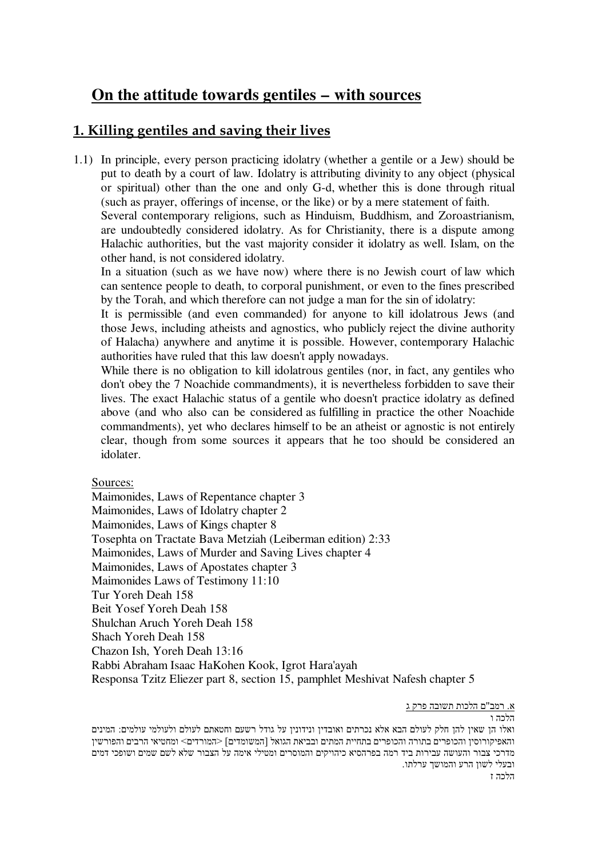# **On the attitude towards gentiles – with sources**

# **1. Killing gentiles and saving their lives**

1.1) In principle, every person practicing idolatry (whether a gentile or a Jew) should be put to death by a court of law. Idolatry is attributing divinity to any object (physical or spiritual) other than the one and only G-d, whether this is done through ritual (such as prayer, offerings of incense, or the like) or by a mere statement of faith.

Several contemporary religions, such as Hinduism, Buddhism, and Zoroastrianism, are undoubtedly considered idolatry. As for Christianity, there is a dispute among Halachic authorities, but the vast majority consider it idolatry as well. Islam, on the other hand, is not considered idolatry.

In a situation (such as we have now) where there is no Jewish court of law which can sentence people to death, to corporal punishment, or even to the fines prescribed by the Torah, and which therefore can not judge a man for the sin of idolatry:

It is permissible (and even commanded) for anyone to kill idolatrous Jews (and those Jews, including atheists and agnostics, who publicly reject the divine authority of Halacha) anywhere and anytime it is possible. However, contemporary Halachic authorities have ruled that this law doesn't apply nowadays.

While there is no obligation to kill idolatrous gentiles (nor, in fact, any gentiles who don't obey the 7 Noachide commandments), it is nevertheless forbidden to save their lives. The exact Halachic status of a gentile who doesn't practice idolatry as defined above (and who also can be considered as fulfilling in practice the other Noachide commandments), yet who declares himself to be an atheist or agnostic is not entirely clear, though from some sources it appears that he too should be considered an idolater.

Sources:

Maimonides, Laws of Repentance chapter 3 Maimonides, Laws of Idolatry chapter 2 Maimonides, Laws of Kings chapter 8 Tosephta on Tractate Bava Metziah (Leiberman edition) 2:33 Maimonides, Laws of Murder and Saving Lives chapter 4 Maimonides, Laws of Apostates chapter 3 Maimonides Laws of Testimony 11:10 Tur Yoreh Deah 158 Beit Yosef Yoreh Deah 158 Shulchan Aruch Yoreh Deah 158 Shach Yoreh Deah 158 Chazon Ish, Yoreh Deah 13:16 Rabbi Abraham Isaac HaKohen Kook, Igrot Hara'ayah Responsa Tzitz Eliezer part 8, section 15, pamphlet Meshivat Nafesh chapter 5

<u>א. רמב"ם הלכות תשובה פרק ג</u>

הלרה ו ואלו הן שאין להן חלק לעולם הבא אלא נכרתים ואובדין ונידונין על גודל רשעם וחטאתם לעולם ולעולמי עולמים: המינים והאפיקורוסין והכופרים בתורה והכופרים בתחיית המתים ובביאת הגואל [המשומדים] <המורדים> ומחטיאי הרבים והפורשין מדרכי צבור והעושה עבירות ביד רמה בפרהסיא כיהויקים והמוסרים ומטילי אימה על הצבור שלא לשם שמים ושופכי דמים ובעלי לשון הרע והמושד ערלתו. הלרה ז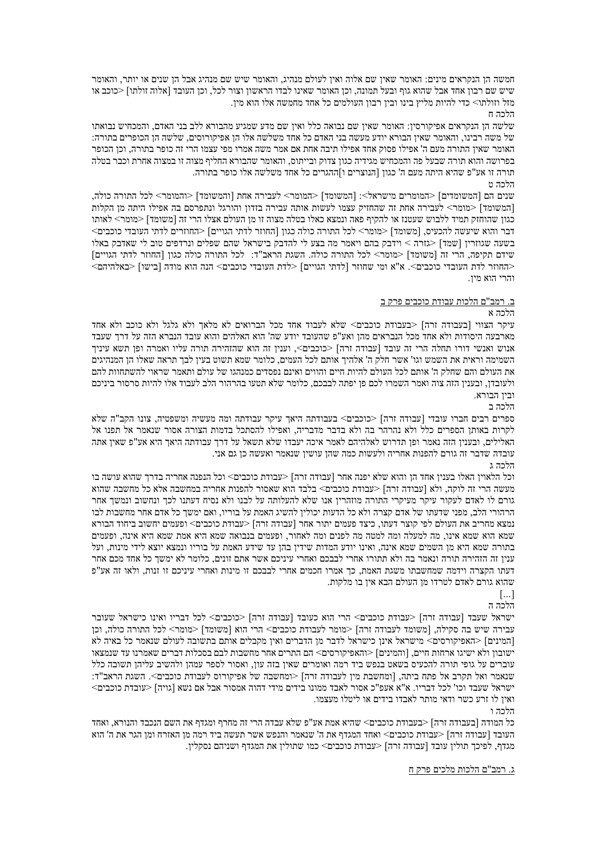חמשה הן הנקראים מינים: האומר שאין שם אלוה ואין לעולם מנהיג, והאומר שיש שם מנהיג אבל הן שנים או יותר, והאומר שיש שם רבון אחד אבל שהוא גוף ובעל תמונה, וכן האומר שאינו לבדו הראשון וצור לכל, וכן העובד [אלוה זולתו] <כוכב או מזל וזולתו> כדי להיות מליץ בינו ובין רבון העולמים כל אחד מחמשה אלו הוא מין.

#### הלרה ח

שלשה הו הנקראים אפיקורסיו: האומר שאיו שם נבואה כלל ואיו שם מדע שמגיע מהבורא ללב בני האדם. והמכחיש נבואתו של משה רבינו, והאומר שאין הבורא יודע מעשה בני האדם כל אחד משלשה אלו הן אפיקורוסים, שלשה הן הכופרים בתורה: האומר שאין התורה מעם ה' אפילו פסוק אחד אפילו תיבה אחת אם אמר משה אמרו מפי עצמו הרי זה כופר בתורה, וכן הכופר בפרושה והוא תורה שבעל פה והמכחיש מגידיה כגון צדוק ובייתוס, והאומר שהבורא החליף מצוה זו במצוה אחרת וכבר בטלה תורה זו אע"פ שהיא היתה מעם ה' כגון [הנוצרים ו]ההגרים כל אחד משלשה אלו כופר בתורה.

# הלכה ט

שנים הם [המשומדים] <המומרים מישראל>: [המשומד] <המומר> לעבירה אחת [והמשומד] <והמומר> לכל התורה כולה, [המשומד] <מומר> לעבירה אחת זה שהחזיק עצמו לעשות אותה עבירה בזדון והורגל ונתפרסם בה אפילו היתה מן הקלות כגון שהוחזק תמיד ללבוש שעטנז או להקיף פאה ונמצא כאלו בטלה מצוה זו מן העולם אצלו הרי זה [משומד] <מומר> לאותו דבר והוא שיעשה להכעיס. [משומד] <מומר> לכל התורה כולה כגוו [החוזר לדתי הגויים] <החוזרים לדתי העובדי כוכבים> בשעה שגוזרין [שמד] <גזרה > וידבק בהם ויאמר מה בצע לי להדבק בישראל שהם שפלים ונרדפים טוב לי שאדבק באלו שידם תקיפה. הרי זה [משומד] <מומר> לכל התורה כולה. השגת הראב"ד: |לכל התורה כולה כגון [החוזר לדתי הגויים] <החוזר לדת העובדי כוכבים>. א"א ומי שחוזר [לדתי הגויים] <לדת העובדי כוכבים> הנה הוא מודה [בישו] <באלהיהם> והרי הוא מין.

## ב. רמב"ם הלכות עבודת כוכבים פרק ב

#### הלכה א

עיקר הצווי [בעבודה זרה] <בעבודת כוכבים> שלא לעבוד אחד מכל הברואים לא מלאך ולא גלגל ולא כוכב ולא אחד מארבעה היסודות ולא אחד מכל הנבראים מהן ואע"פ שהעובד יודע שה' הוא האלהים והוא עובד הנברא הזה על דרך שעבד אנוש ואנשי דורו תחלה הרי זה עובד [עבודה זרה] <כוכבים>, וענין זה הוא שהזהירה תורה עליו ואמרה ופן תשא עיניך השמימה וראית את השמש וגו' אשר חלק ה' אלהיך אותם לכל העמים. כלומר שמא תשוט בעין לבך תראה שאלו הן המנהיגים את העולם והם שחלק ה' אותם לכל העולם להיות חיים והווים ואינם נפסדים כמנהגו של עולם ותאמר שראוי להשתחוות להם ולעובדן, ובענין הזה צוה ואמר השמרו לכם פן יפתה לבבכם, כלומר שלא תטעו בהרהור הלב לעבוד אלו להיות סרסור ביניכם ובין הבורא.

הלכה ב

ספרים רבים חברו עובדי [עבודה זרה] <כוכבים> בעבודתה היאך עיקר עבודתה ומה מעשיה ומשפטיה, צונו הקב"ה שלא לקרות באותן הספרים כלל ולא נהרהר בה ולא בדבר מדבריה. ואפילו להסתכל בדמות הצורה אסור שנאמר אל תפנו אל האלילים. ובעניו הזה נאמר ופו תדרוש לאלהיהם לאמר איכה יעבדו שלא תשאל על דרד עבודתה היאר היא אע"פ שאיו אתה עובדה שדבר זה גורם להפנות אחריה ולעשות כמה שהן עושין שנאמר ואעשה כן גם אני. הלרה ג

וכל הלאויז האלו בעניז אחד הו והוא שלא יפנה אחר ∣עבודה זרה] <עבודת כוכבים> וכל הנפנה אחריה בדרד שהוא עושה בו מעשה הרי זה לוקה, ולא [עבודה זרה] <עבודת כוכבים> בלבד הוא שאסור להפנות אחריה במחשבה אלא כל מחשבה שהוא גורם לו לאדם לעקור עיקר מעיקרי התורה מוזהרין אנו שלא להעלותה על לבנו ולא נסיח דעתנו לכך ונחשוב ונמשך אחר הרהורי הלב, מפני שדעתו של אדם קצרה ולא כל הדעות יכולין להשיג האמת על בוריו, ואם ימשך כל אדם אחר מחשבות לבו נמצא מחריב את העולם לפי קוצר דעתו, כיצד פעמים יתור אחר [עבודה זרה] <עבודת כוכבים> ופעמים יחשוב ביחוד הבורא שמא הוא שמא אינו, מה למעלה ומה למטה מה לפנים ומה לאחור, ופעמים בנבואה שמא היא אמת שמא היא אינה, ופעמים בתורה שמא היא מן השמים שמא אינה, ואינו יודע המדות שידין בהן עד שידע האמת על בוריו ונמצא יוצא לידי מינות, ועל ענין זה הזהירה תורה ונאמר בה ולא תתורו אחרי לבבכם ואחרי עיניכם אשר אתם זונים, כלומר לא ימשך כל אחד מכם אחר דעתו הקצרה וידמה שמחשבתו משגת האמת, כך אמרו חכמים אחרי לבבכם זו מינות ואחרי עיניכם זו זנות, ולאו זה אע"פ שהוא גורם לאדם לטרדו מן העולם הבא אין בו מלקות.

 $\lceil ... \rceil$ 

הלכה ה

ישראל שעבד [עבודה זרה] <עבודת כוכבים> הרי הוא כעובד [עבודה זרה] <כוכבים> לכל דבריו ואינו כישראל שעובר עבירה שיש בה סקילה, [משומד לעבודה זרה] <מומר לעבודת כוכבים> הרי הוא [משומד] <מומר> לכל התורה כולה, וכן [המינים] <האפיקורסים> מישראל אינן כישראל לדבר מן הדברים ואין מקבלים אותם בתשובה לעולם שנאמר כל באיה לא ישובון ולא ישיגו ארחות חיים, [והמינים] <והאפיקורסים> הם התרים אחר מחשבות לבם בסכלות דברים שאמרנו עד שנמצאו עוברים על גופי תורה להכעיס בשאט בנפש ביד רמה ואומרים שאין בזה עון, ואסור לספר עמהן ולהשיב עליהן תשובה כלל שנאמר ואל תקרב אל פתח ביתה, [ומחשבת מין לעבודה זרה] <ומחשבה של אפיקורוס לעבודת כוכבים>. השגת הראב"ד: ישראל שעבד וכו' לכל דבריו. א"א אעפ"כ אסור לאבד ממונו בידים מידי דהוה אמסור אבל אם נשא [גויה] <עובדת כוכבים> ואין לו זרע כשר ודאי מותר לאבדו בידים או ליטלו מעצמו.

#### הלרה ו

כל המודה [בעבודה זרה] <בעבודת כוכבים> שהיא אמת אע"פ שלא עבדה הרי זה מחרף ומגדף את השם הנכבד והנורא. ואחד העובד [עבודה זרה] <עבודת כוכבים> ואחד המגדף את ה' שנאמר והנפש אשר תעשה ביד רמה מן האזרח ומן הגר את ה' הוא מגדף, לפיכך תולין עובד [עבודה זרה] <עבודת כוכבים> כמו שתולין את המגדף ושניהם נסקלין. ``

#### ג. רמב"ם הלכות מלכים פרק ח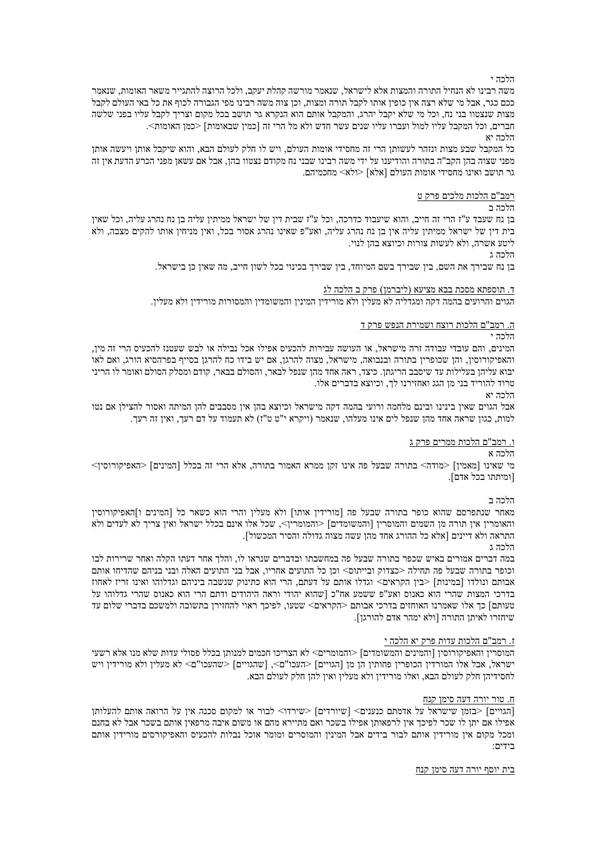הלכה י

משה רבינו לא הנחיל התורה והמצות אלא לישראל, שנאמר מורשה קהלת יעקב, ולכל הרוצה להתגייר משאר האומות, שנאמר ככם כגר, אבל מי שלא רצה אין כופין אותו לקבל תורה ומצות, וכן צוה משה רבינו מפי הגבורה לכוף את כל באי העולם לקבל מצות שנצטוו בני נח, וכל מי שלא יקבל יהרג, והמקבל אותם הוא הנקרא גר תושב בכל מקום וצריך לקבל עליו בפני שלשה חברים, וכל המקבל עליו למול ועברו עליו שנים עשר חדש ולא מל הרי זה [כמין שבאומות] <כמן האומות>.

הלכה יא

כל המקבל שבע מצות ונזהר לעשותן הרי זה מחסידי אומות העולם, ויש לו חלק לעולם הבא, והוא שיקבל אותן ויעשה אותן מפני שצוה בהן הקב"ה בתורה והודיענו על ידי משה רבינו שבני נח מקודם נצטוו בהן, אבל אם עשאן מפני הכרע הדעת אין זה גר תושב ואינו מחסידי אומות העולם [אלא] <ולא> מחכמיהם.

<u>רמב"ם הלכות מלכים פרק ט</u>

הלכה ב

בן נח שעבד ע"ז הרי זה חייב, והוא שיעבוד כדרכה, וכל ע"ז שבית דין של ישראל ממיתין עליה בן נח נהרג עליה, וכל שאין בית דין של ישראל ממיתין עליה אין בן נח נהרג עליה, ואע"פ שאינו נהרג אסור בכל, ואין מניחין אותו להקים מצבה, ולא ליטע אשרה, ולא לעשות צורות וכיוצא בהן לנוי.

הלכה ג

בן נח שבירך את השם, בין שבירך בשם המיוחד, בין שבירך בכינוי בכל לשון חייב, מה שאין כן בישראל.

<u>ד. תוספתא מסכת בבא מציעא (ליברמן) פרק ב הלכה לג</u>

הגוים והרועים בהמה דקה ומגדליה לא מעלין ולא מורידין המינין והמשומדין והמסורות מורידין ולא מעלין.

ה. רמב"ם הלכות רוצח ושמירת הנפש פרק ד

הלכה י

המינים, והם עובדי עבודה זרה מישראל, או העושה עבירות להכעיס אפילו אכל נבילה או לבש שעטנז להכעיס הרי זה מין, והאפיקורוסין, והן שכופרין בתורה ובנבואה, מישראל, מצוה להרגן, אם יש בידו כח להרגן בסייף בפרהסיא הורג, ואם לאו יבוא עליהן בעלילות עד שיסבב הריגתן. כיצד, ראה אחד מהן שנפל לבאר, והסולם בבאר, קודם ומסלק הסולם ואומר לו הריני טרוד להוריד בני מן הגג ואחזירנו לך, וכיוצא בדברים אלו.

הלכה יא

אבל הגוים שאין בינינו ובינם מלחמה ורועי בהמה דקה מישראל וכיוצא בהן אין מסבבים להן המיתה ואסור להצילן אם נטו למות, כגון שראה אחד מהן שנפל לים אינו מעלהו, שנאמר (ויקרא י"ט ט"ז) לא תעמוד על דם רעך, ואין זה רעך.

# <u>ו. רמב"ם הלכות ממרים פרק ג</u>

הלכה א

מי שאינו [מאמין] <מודה> בתורה שבעל פה אינו זקן ממרא האמור בתורה, אלא הרי זה בכלל [המינים] <האפיקורוסין> [ומיתתו בכל אדם].

הלכה ב

מאחר שנתפרסם שהוא כופר בתורה שבעל פה [מורידין אותו] ולא מעלין והרי הוא כשאר כל [המינים ו]האפיקורוסין והאומרין אין תורה מן השמים והמוסרין [והמשומדים] <והמומרין>, שכל אלו אינם בכלל ישראל ואין צריך לא לעדים ולא התראה ולא דיינים [אלא כל ההורג אחד מהן עשה מצוה גדולה והסיר המכשול].

הלכה ג

במה דברים אמורים באיש שכפר בתורה שבעל פה במחשבתו ובדברים שנראו לו, והלך אחר דעתו הקלה ואחר שרירות לבו וכופר בתורה שבעל פה תחילה <כצדוק ובייתוס> וכן כל התועים אחריו, אבל בני התועים האלה ובני בניהם שהדיחו אותם אבותם ונולדו [במינות] <בין הקראים> וגדלו אותם על דעתם, הרי הוא כתינוק שנשבה ביניהם וגדלוהו ואינו זריז לאחוז בדרכי המצות שהרי הוא כאנוס ואע"פ ששמע אח"כ [שהוא יהודי וראה היהודים ודתם הרי הוא כאנוס שהרי גדלוהו על טעותם] כך אלו שאמרנו האוחזים בדרכי אבותם <הקראים> שטעו, לפיכך ראוי להחזירן בתשובה ולמשכם בדברי שלום עד שיחזרו לאיתן התורה [ולא ימהר אדם להורגן].

#### ז. רמב"ם הלכות עדות פרק יא הלכה י

המוסרין והאפיקורוסין [והמינים והמשומדים] <והמומרים< לא הצריכו חכמים למנותן בכלל פסולי עדות שלא מנו אלא רשעי ישראל, אבל אלו המורזין הכופרין פחותין הן מן [הגויים] <העכו"ם>, [שהגויים] <שהעכו"ם> לא מעלין ולא מורידין ויש לחסידיהן חלק לעולם הבא, ואלו מורידין ולא מעלין ואין להן חלק לעולם הבא.

#### ח. טור יורה דעה סימן קנח

[הגויים] <בזמן שישראל על אדמתם כנענים> [שיורדים] <שירדו> לבור או למקום סכנה אין על הרואה אותם להעלותן אפילו אם יתן לו שכר לפיכך אין לרפאותן אפילו בשכר ואם מתיירא מהם או משום איבה מרפאין אותם בשכר אבל לא בחנם ומכל מקום אין מורידין אותם לבור בידים אבל המינין והמוסרים ומומר אוכל נבלות להכעיס והאפיקורסים מורידין אותם בידים:

<u>בית יוסף יורה דעה סימן קנח</u>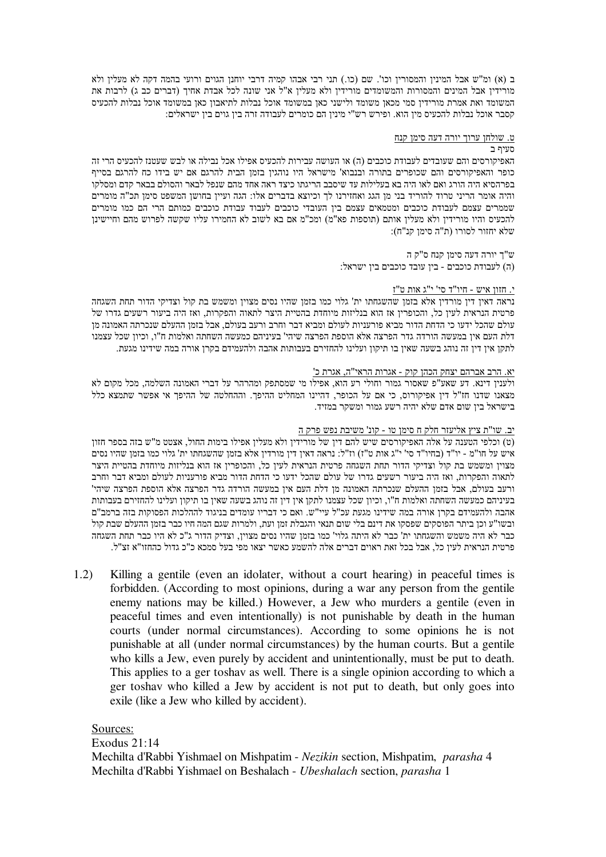ב (א) ומ"ש אבל המינין והמסורין וכו'. שם (כו.) תני רבי אבהו קמיה דרבי יוחנן הגוים ורועי בהמה דקה לא מעלין ולא מורידין אבל המינים והמסורות והמשומדים מורידין ולא מעלין א"ל אני שונה לכל אבדת אחיך (דברים כב ג) לרבות את המשומד ואת אמרת מורידין סמי מכאן משומד ולישני כאן במשומד אוכל נבלות לתיאבון כאן במשומד אוכל נבלות להכעיס קסבר אוכל נבלות להכעיס מין הוא. ופירש רש"י מינין הם כומרים לעבודה זרה בין גוים בין ישראלים:

# <u>ט. שולחן ערוך יורה דעה סימן קנח</u>

# סעיף ב

האפיקורסים והם שעובדים לעבודת כוכבים (ה) או העושה עבירות להכעיס אפילו אכל נבילה או לבש שעטנז להכעיס הרי זה כופר והאפיקורסים והם שכופרים בתורה ובנבוא' מישראל היו נוהגין בזמן הבית להרגם אם יש בידו כח להרגם בסייף בפרהסיא היה הורג ואם לאו היה בא בעלילות עד שיסבב הריגתו כיצד ראה אחד מהם שנפל לבאר והסולם בבאר קדם ומסלקו והיה אומר הריני טרוד להוריד בני מן הגג ואחזירנו לך וכיוצא בדברים אלו: הגה ועיין בחושן המשפט סימן תכ"ה מומרים שממרים עצמם לעבודת כוכבים ומטמאים עצמם בין העובדי כוכבים לעבוד עבודת כוכבים כמותם הרי הם כמו מומרים להכעיס והיו מורידין ולא מעלין אותם (תוספות פא"מ) ומכ"מ אם בא לשוב לא החמירו עליו שקשה לפרוש מהם וחיישינן :שלא יחזור לסורו (ת"ה סימו קנ"ח)

> יורה דעה סימן קנח ס"ק ה (ה) לעבודת כוכבים - ביו עובד כוכבים ביו ישראל:

# י. חזון איש - חיו"ד סי' י"ג אות ט"ז

נראה דאין דין מורדין אלא בזמן שהשגחתו ית' גלוי כמו בזמן שהיו נסים מצוין ומשמש בת קול וצדיקי הדור תחת השגחה פרטית הנראית לעין כל, והכופרין אז הוא בנליזות מיוחדת בהטיית היצר לתאוה והפקרות, ואז היה ביעור רשעים גדרו של עולם שהכל ידעו כי הדחת הדור מביא פורעניות לעולם ומביא דבר וחרב ורעב בעולם, אבל בזמן ההעלם שנכרתה האמונה מן דלת העם אין במעשה הורדה גדר הפרצה אלא הוספת הפרצה שיהי' בעיניהם כמעשה השחתה ואלמות ח"ו, וכיון שכל עצמנו לתקן אין דין זה נוהג בשעה שאין בו תיקון ועלינו להחזירם בעבותות אהבה ולהעמידם בקרן אורה במה שידינו מגעת.

# יא. הרב אברהם יצחק הכהן קוק - אגרות הראי"ה, אגרת כ'

ולענין דינא. דע שאע"פ שאסור גמור וחולי רע הוא, אפילו מי שמסתפק ומהרהר על דברי האמונה השלמה, מכל מקום לא מצאנו שדנו חז"ל דין אפיקורוס, כי אם על הכופר, דהיינו המחליט ההיפך. וההחלטה של ההיפך אי אפשר שתמצא כלל בישראל בין שום אדם שלא יהיה רשע גמור ומשקר במזיד.

# <u>יב. שו"ת ציץ אליעזר חלק ח סימן טו - קונ' משיבת נפש פרק ה</u>

(ט) וכלפי הטענה על אלה האפיקורסים שיש להם דין של מורידין ולא מעלין אפילו בימות החול, אצטט מ"ש בזה בספר חזון איש על חו"מ - יו"ד (בחיו"ד סי' י"ג אות ט"ז) וז"ל: נראה דאין דין מורדין אלא בזמן שהשגחתו ית' גלוי כמו בזמן שהיו נסים מצוין ומשמש בת קול וצדיקי הדור תחת השגחה פרטית הנראית לעין כל, והכופרין אז הוא בנליזות מיוחדת בהטיית היצר לתאוה והפקרות, ואז היה ביעור רשעים גדרו של עולם שהכל ידעו כי הדחת הדור מביא פורעניות לעולם ומביא דבר וחרב ורעב בעולם, אבל בזמן ההעלם שנכרתה האמונה מן דלת העם אין במעשה הורדה גדר הפרצה אלא הוספת הפרצה שיהי' בעיניהם כמעשה השחתה ואלמות ח"ו, וכיון שכל עצמנו לתקן אין דין זה נוהג בשעה שאין בו תיקון ועלינו להחזירם בעבותות אהבה ולהעמידם בקרן אורה במה שידינו מגעת עכ"ל עיי"ש. ואם כי דבריו עומדים בניגוד לההלכות הפסוקות בזה ברמב"ם ובשו"ע וכן ביתר הפוסקים שפסקו את דינם בלי שום תנאי והגבלת זמן ועת, ולמרות שגם המה חיו כבר בזמן ההעלם שבת קול כבר לא היה משמש והשגחתו ית' כבר לא היתה גלוי' כמו בזמן שהיו נסים מצוין, וצדיק הדור ג"כ לא היו כבר תחת השגחה פרטית הנראית לעין כל, אבל בכל זאת ראוים דברים אלה להשמע כאשר יצאו מפי בעל סמכא כ"כ גדול כהחזו"א זצ"ל.

1.2) Killing a gentile (even an idolater, without a court hearing) in peaceful times is forbidden. (According to most opinions, during a war any person from the gentile enemy nations may be killed.) However, a Jew who murders a gentile (even in peaceful times and even intentionally) is not punishable by death in the human courts (under normal circumstances). According to some opinions he is not punishable at all (under normal circumstances) by the human courts. But a gentile who kills a Jew, even purely by accident and unintentionally, must be put to death. This applies to a ger toshav as well. There is a single opinion according to which a ger toshav who killed a Jew by accident is not put to death, but only goes into exile (like a Jew who killed by accident).

# Sources:

Exodus 21:14 Mechilta d'Rabbi Yishmael on Mishpatim - *Nezikin* section, Mishpatim, *parasha* 4 Mechilta d'Rabbi Yishmael on Beshalach - *Ubeshalach* section, *parasha* 1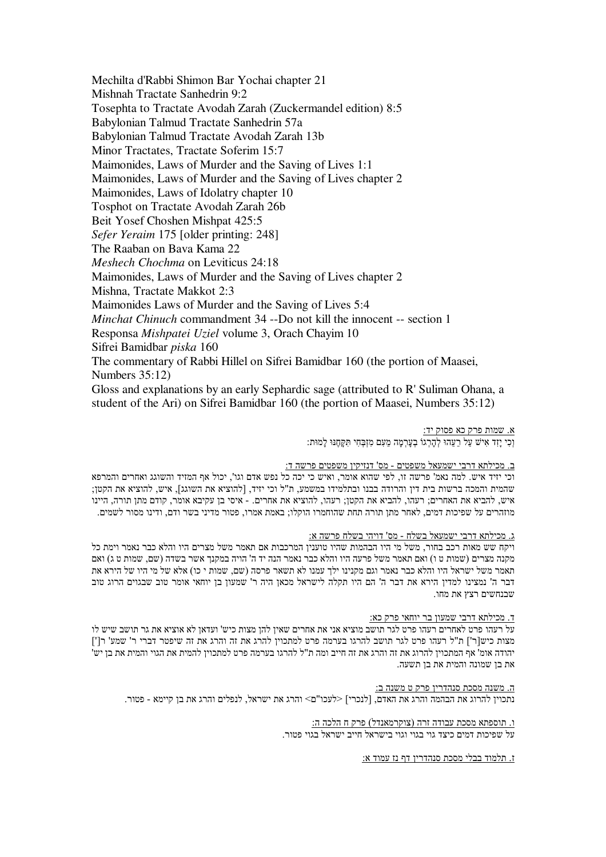Mechilta d'Rabbi Shimon Bar Yochai chapter 21 Mishnah Tractate Sanhedrin 9:2 Tosephta to Tractate Avodah Zarah (Zuckermandel edition) 8:5 Babylonian Talmud Tractate Sanhedrin 57a Babylonian Talmud Tractate Avodah Zarah 13b Minor Tractates, Tractate Soferim 15:7 Maimonides, Laws of Murder and the Saving of Lives 1:1 Maimonides, Laws of Murder and the Saving of Lives chapter 2 Maimonides, Laws of Idolatry chapter 10 Tosphot on Tractate Avodah Zarah 26b Beit Yosef Choshen Mishpat 425:5 Sefer Yeraim 175 [older printing: 248] The Raaban on Baya Kama 22 Meshech Chochma on Leviticus 24:18 Maimonides, Laws of Murder and the Saving of Lives chapter 2 Mishna, Tractate Makkot 2:3 Maimonides Laws of Murder and the Saving of Lives 5:4 Minchat Chinuch commandment 34 --Do not kill the innocent -- section 1 Responsa Mishpatei Uziel volume 3, Orach Chayim 10 Sifrei Bamidbar piska 160 The commentary of Rabbi Hillel on Sifrei Bamidbar 160 (the portion of Maasei, Numbers  $35:12$ ) Gloss and explanations by an early Sephardic sage (attributed to R' Suliman Ohana, a student of the Ari) on Sifrei Bamidbar 160 (the portion of Maasei, Numbers 35:12)

> א. שמות פרק כא פסוק יד: וְכִי יָזָד אִישׁ עַל רֵעֲהוּ לְהָרְגוֹ בִעֲרָמָה מֵעָם מִזְבָּחִי תּקֵחֶנּוּ לַמוּת:

#### ב. מכילתא דרבי ישמעאל משפטים - מס' דנזיקין משפטים פרשה ד:

וכי יזיד איש. למה נאמ' פרשה זו, לפי שהוא אומר, ואיש כי יכה כל נפש אדם וגו', יכול אף המזיד והשוגג ואחרים והמרפא שהמית והמכה ברשות בית דין והרודה בבנו ובתלמידו במשמע. ת"ל וכי יזיד, [להוציא את השוגג], איש, להוציא את הקטן: איש, להביא את האחרים; רעהו, להביא את הקטן; רעהו, להוציא את אחרים. - איסי בן עקיבא אומר, קודם מתן תורה, היינו מוזהרים על שפיכות דמים, לאחר מתן תורה תחת שהוחמרו הוקלו; באמת אמרו, פטור מדיני בשר ודם, ודינו מסור לשמים.

#### ג. מכילתא דרבי ישמעאל בשלח - מס' דויהי בשלח פרשה א:

ויקח שש מאות רכב בחור, משל מי היו הבהמות שהיו טוענין המרכבות אם תאמר משל מצרים היו והלא כבר נאמר וימת כל מקנה מצרים (שמות ט ו) ואם תאמר משל פרעה היו והלא כבר נאמר הנה יד ה' הויה במקנך אשר בשדה (שם, שמות ט ג) ואם תאמר משל ישראל היו והלא כבר נאמר וגם מקנינו ילך עמנו לא תשאר פרסה (שם, שמות י כו) אלא של מי היו של הירא את דבר ה' נמצינו למדין הירא את דבר ה' הם היו תקלה לישראל מכאן היה ר' שמעון בן יוחאי אומר טוב שבגוים הרוג טוב שבנחשים רצץ את מחו.

#### ד. מכילתא דרבי שמעון בר יוחאי פרק כא:

על רעהו פרט לאחרים רעהו פרט לגר תושב מוציא אני את אחרים שאין להן מצות כיש' ועדאן לא אוציא את גר תושב שיש לו מצות כיש[ר'] ת"ל רעהו פרט לגר תושב להרגו בערמה פרט למתכוין להרג את זה והרג את זה שיפטר דברי ר' שמע' ר['] יהודה אומ' אף המתכוין להרוג את זה והרג את זה חייב ומה ת"ל להרגו בערמה פרט למתכוין להמית את הגוי והמית את בן יש' את בן שמונה והמית את בן תשעה.

ה. משנה מסכת סנהדרין פרק ט משנה ב: נתכוין להרוג את הבהמה והרג את האדם, [לנכרי] <לעכו"ם> והרג את ישראל, לנפלים והרג את בן קיימא - פטור.

> ו. תוספתא מסכת עבודה זרה (צוקרמאנדל) פרק ח הלכה ה: . על שפיכות דמים כיצד גוי בגוי וגוי בישראל חייב ישראל בגוי פטור

> > ז. תלמוד בבלי מסכת סנהדרין דף נז עמוד א: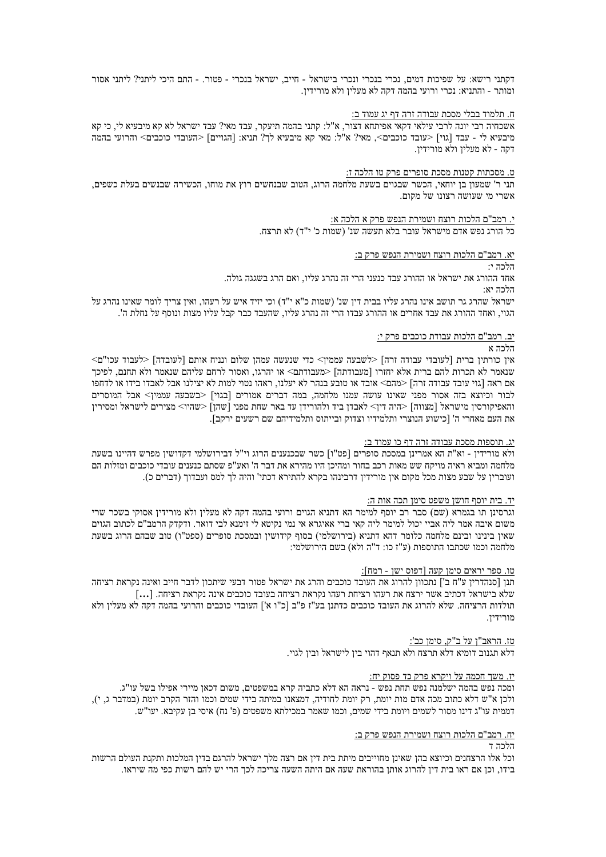דקתני רישא: על שפיכות דמים, נכרי בנכרי ונכרי בישראל - חייב, ישראל בנכרי - פטור. - התם היכי ליתני? ליתני אסור ומותר - והתניא: נכרי ורועי בהמה דקה לא מעלין ולא מורידין.

# <u>ח. תלמוד בבלי מסכת עבודה זרה דף יג עמוד ב:</u>

אשכחיה רבי יונה לרבי עילאי דקאי אפיתחא דצור, א"ל: קתני בהמה תיעקר, עבד מאי? עבד ישראל לא קא מיבעיא לי, כי קא מיבעיא לי - עבד [גוי] <עובד כוכבים>, מאי? א"ל: מאי קא מיבעיא לך? תניא: [הגויים] <העובדי כוכבים> והרועי בהמה דקה - לא מעלין ולא מורידין.

#### <u>ט. מסכתות קטנות מסכת סופרים פרק טו הלכה ז:</u>

תני ר' שמעון בן יוחאי, הכשר שבגוים בשעת מלחמה הרוג, הטוב שבנחשים רוץ את מוחו, הכשירה שבנשים בעלת כשפים, אשרי מי שעושה רצונו של מקום.

> י. רמב"ם הלכות רוצח ושמירת הנפש פרק א הלכה א: כל הורג נפש אדם מישראל עובר בלא תעשה שנ' (שמות כ' י"ד) לא תרצח.

#### <u>יא. רמב"ם הלכות רוצח ושמירת הנפש פרק ב:</u>

הלרה יי

אחד ההורג את ישראל או ההורג עבד כנעני הרי זה נהרג עליו, ואם הרג בשגגה גולה.

הלכה יא:

ישראל שהרג גר תושב אינו נהרג עליו בבית דין שנ' (שמות כ"א י"ד) וכי יזיד איש על רעהו, ואין צריך לומר שאינו נהרג על הגוי, ואחד ההורג את עבד אחרים או ההורג עבדו הרי זה נהרג עליו, שהעבד כבר קבל עליו מצות ונוסף על נחלת ה'.

#### <u>יב. רמב"ם הלכות עבודת כוכבים פרק י:</u>

#### הלכה א

<לעבוד עכו"ם | אין כורתין ברית [לעובדי עבודה זרה] -שבעה עממין<br/>> כדי שנעשה עמהן שלום ונניח אותם אין כורתין ברית שנאמר לא תכרות להם ברית אלא יחזרו [מעבודתה] <מעבודתם> או יהרגו, ואסור לרחם עליהם שנאמר ולא תחנם, לפיכך אם ראה [גוי עובד עבודה זרה] <מהם> אובד או טובע בנהר לא יעלנו, ראהו נטוי למות לא יצילנו אבל לאבדו בידו או לדחפו לבור וכיוצא בזה אסור מפני שאינו עושה עמנו מלחמה, במה דברים אמורים [בגוי] <בשבעה עממין> אבל המוסרים והאפיקורסין מישראל [מצווה] <היה דין> לאבדן ביד ולהורידן עד באר שחת מפני [שהן] <שהיו> מצירים לישראל נמסירין את העם מאחרי ה' [כישוע הנוצרי ותלמידיו וצדוק ובייתוס ותלמידיהם שם רשעים ירקב].

#### יג. תוספות מסכת עבודה זרה דף כו עמוד ב:

ולא מורידין - וא"ת הא אמרינן במסכת סופרים [פט"ו] כשר שבכנענים הרוג וי"ל דבירושלמי דקדושין מפרש דהיינו בשעת מלחמה ומביא ראיה מויקח שש מאות רכב בחור ומהיכן היו מהירא את דבר ה' ואע"פ שסתם כנענים עובדי כוכבים ומזלות הם ועוברין על שבע מצות מכל מקום אין מורידין דרבינהו בקרא להתירא דכתי' והיה לך למס ועבדוך (דברים כ).

#### <u>יד. בית יוסף חושן משפט סימן תכה אות ה:</u>

וגרסינן תו בגמרא (שם) סבר רב יוסף למימר הא דתניא הגוים ורועי בהמה דקה לא מעלין ולא מורידין אסוקי בשכר שרי משום איבה אמר ליה אביי יכול למימר ליה קאי ברי אאיגרא אי נמי נקיטא לי זימנא לבי דואר. ודקדק הרמב"ם לכתוב הגוים שאין בינינו ובינם מלחמה כלומר דהא דתניא (בירושלמי) בסוף קידושין ובמסכת סופרים (ספט"ו) טוב שבהם הרוג בשעת מלחמה וכמו שכתבו התוספות (ע"ז כו: ד"ה ולא) בשם הירושלמי:

#### <u>טו. ספר יראים סימן קעה [דפוס ישן - רמח]:</u>

תנן [סנהדרין ע"ח ב'] נתכוון להרוג את העובד כוכבים והרג את ישראל פטור דבעי שיתכון לדבר חייב ואינה נקראת רציחה תולדות הרציחה. שלא להרוג את העובד כוכבים כדתנן בע"ז פ"ב [כ"ו א'] העובדי כוכבים והרועי בהמה דקה לא מעלין ולא מורידין.

#### טז. הראב"ן על ב"ק, סימן כב':

דלא תגנוב דומיא דלא תרצח ולא תנאף דהוי בין לישראל ובין לגוי.

#### יז. משך חכמה על ויקרא פרק כד פסוק יח:

ומכה נפש בהמה ישלמנה נפש תחת נפש - נראה הא דלא כתביה קרא במשפטים, משום דכאן מיירי אפילו בשל עו"ג. ולכן א"ש דלא כתוב מכה אדם מות יומת, רק יומת לחודיה, דמצאנו במיתה בידי שמים וכמו והזר הקרב יומת (במדבר ג, י), דממית עו"ג דינו מסור לשמים ויומת בידי שמים, וכמו שאמר במכילתא משפטים (פ' נח) איסי בן עקיבא. יעו"ש.

# יח. <u>רמב"ם הלכות רוצח ושמירת הנפש פרק ב:</u>

# הלרה ד

וכל אלו הרצחנים וכיוצא בהן שאינן מחוייבים מיתת בית דין אם רצה מלך ישראל להרגם בדין המלכות ותקנת העולם הרשות בידו, וכן אם ראו בית דין להרוג אותן בהוראת שעה אם היתה השעה צריכה לכך הרי יש להם רשות כפי מה שיראו.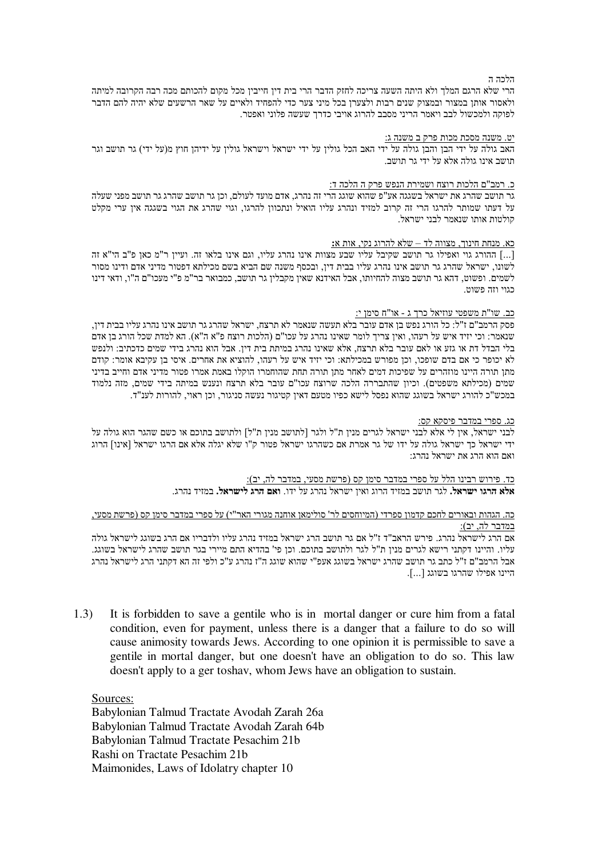הלכה ה

הרי שלא הרגם המלך ולא היתה השעה צריכה לחזק הדבר הרי בית דין חייבין מכל מקום להכותם מכה רבה הקרובה למיתה ולאסור אותן במצור ובמצוק שנים רבות ולצערן בכל מיני צער כדי להפחיד ולאיים על שאר הרשעים שלא יהיה להם הדבר לפוקה ולמכשול לבב ויאמר הריני מסבב להרוג אויבי כדרך שעשה פלוני ואפטר.

## <u>יט. משנה מסכת מכות פרק ב משנה ג:</u>

האב גולה על ידי הבן והבן גולה על ידי האב הכל גולין על ידי ישראל וישראל גולין על ידיהן חוץ מ(על ידי) גר תושב וגר תושב אינו גולה אלא על ידי גר תושב.

#### <u>כ. רמב"ם הלכות רוצח ושמירת הנפש פרק ה הלכה ד:</u>

גר תושב שהרג את ישראל בשגגה אע"פ שהוא שוגג הרי זה נהרג, אדם מועד לעולם, וכן גר תושב שהרג גר תושב מפני שעלה על דעתו שמותר להרגו הרי זה קרוב למזיד ונהרג עליו הואיל ונתכוון להרגו, וגוי שהרג את הגוי בשגגה אין ערי מקלט קולטות אותו שנאמר לבני ישראל.

### כא. מנחת חינוך, מצווה לד $-$ שלא להרוג נקי, אות א:

...] ההורג גוי ואפילו גר תושב שקיבל עליו שבע מצוות אינו נהרג עליו, וגם אינו בלאו זה. ועיין ר"מ כאן פ"ב הי"א זה לשונו, ישראל שהרג גר תושב אינו נהרג עליו בבית דין, ובכסף משנה שם הביא בשם מכילתא דפטור מדיני אדם ודינו מסור לשמים. ופשוט, דהא גר תושב מצוה להחיותו, אבל האידנא שאין מקבלין גר תושב, כמבואר בר"מ פ"י מעכו"ם ה"ו, ודאי דינו כגוי וזה פשוט.

# <u>כב. שו"ת משפטי עוזיאל כרך ג - או"ח סימן י:</u>

פסק הרמב"ם ז"ל: כל הורג נפש בן אדם עובר בלא תעשה שנאמר לא תרצח, ישראל שהרג גר תושב אינו נהרג עליו בבית דין, שנאמר: וכי יזיד איש על רעהו, ואין צריך לומר שאינו נהרג על עכו"ם (הלכות רוצח פ"א ה"א). הא למדת שכל הורג בן אדם בלי הבדל דת או גזע או לאם עובר בלא תרצח, אלא שאינו נהרג במיתת בית דין. אבל הוא נהרג בידי שמים כדכתיב: ולנפש לא יכופר כי אם בדם שופכו, וכן מפורש במכילתא: וכי יזיד איש על רעהו, להוציא את אחרים. איסי בן עקיבא אומר: קודם מתן תורה היינו מוזהרים על שפיכות דמים לאחר מתן תורה תחת שהוחמרו הוקלו באמת אמרו פטור מדיני אדם וחייב בדיני שמים (מכילתא משפטים). וכיון שהתבררה הלכה שרוצח עכו"ם עובר בלא תרצח ונענש במיתה בידי שמים, מזה נלמוד במכש"כ להורג ישראל בשוגג שהוא נפסל לישא כפיו מטעם דאין קטיגור נעשה סניגור, וכן ראוי, להורות לענ"ד.

#### <u>כג. ספרי במדבר פיסקא קס:</u>

לבני ישראל, אין לי אלא לבני ישראל לגרים מנין ת"ל ולגר [לתושב מנין ת"ל] ולתושב בתוכם או כשם שהגר הוא גולה על ידי ישראל כך ישראל גולה על ידו של גר אמרת אם כשהרגו ישראל פטור ק"ו שלא יגלה אלא אם הרגו ישראל [אינו] הרוג ואם הוא הרג את ישראל נהרג:

> <u>כד. פירוש רבינו הלל על ספרי במדבר סימן קס (פרשת מסעי, במדבר לה, יב):</u> **אלא הרגו ישראל.** לגר תושב במזיד הרוג ואין ישראל נהרג על ידו. **ואם הרג לישראל.** במזיד נהרג.

כה. הגהות ובאורים לחכם קדמון ספרדי (המיוחסים לר' סולימאן אוחנה מגורי האר"י) על ספרי במדבר סימן קס (פרשת מסעי, <u>במדבר לה, יב):</u>

אם הרג לישראל נהרג. פירש הראב"ד ז"ל אם גר תושב הרג ישראל במזיד נהרג עליו ולדבריו אם הרג בשוגג לישראל גולה עליו. והיינו דקתני רישא לגרים מנין ת"ל לגר ולתושב בתוכם. וכן פי' בהדיא התם מיירי בגר תושב שהרג לישראל בשוגג. אבל הרמב"ם ז"ל כתב גר תושב שהרג ישראל בשוגג אעפ"י שהוא שוגג ה"ז נהרג ע"כ ולפי זה הא דקתני הרג לישראל נהרג היינו אפילו שהרגו בשוגג [...].

1.3) It is forbidden to save a gentile who is in mortal danger or cure him from a fatal condition, even for payment, unless there is a danger that a failure to do so will cause animosity towards Jews. According to one opinion it is permissible to save a gentile in mortal danger, but one doesn't have an obligation to do so. This law doesn't apply to a ger toshav, whom Jews have an obligation to sustain.

Sources:

Babylonian Talmud Tractate Avodah Zarah 26a Babylonian Talmud Tractate Avodah Zarah 64b Babylonian Talmud Tractate Pesachim 21b Rashi on Tractate Pesachim 21b Maimonides, Laws of Idolatry chapter 10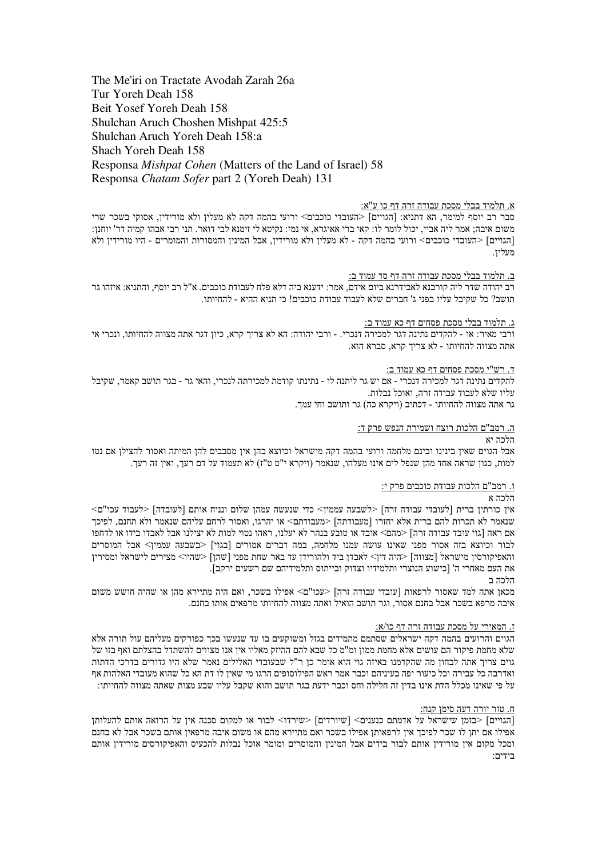The Me'iri on Tractate Avodah Zarah 26a Tur Yoreh Deah 158 Beit Yosef Yoreh Deah 158 Shulchan Aruch Choshen Mishpat 425:5 Shulchan Aruch Yoreh Deah 158:a Shach Yoreh Deah 158 Responsa Mishpat Cohen (Matters of the Land of Israel) 58 Responsa Chatam Sofer part 2 (Yoreh Deah) 131

# א. תלמוד בבלי מסכת עבודה זרה דף כו ע"א:

סבר רב יוסף למימר, הא דתניא: [הגויים] <העובדי כוכבים> ורועי בהמה דקה לא מעלין ולא מורידין, אסוקי בשכר שרי משום איבה; אמר ליה אביי, יכול לומר לו: קאי ברי אאיגרא, אי נמי: נקיטא לי זימנא לבי דואר. תני רבי אבהו קמיה דר' יוחנן: [הגויים] <העומרים - היו מורידין בתוכה המה בקה - לא מעלין ולא מורידין, אבל המינין והמסורות והמומרים - היו מורידין ולא מעלין.

#### ב. תלמוד בבלי מסכת עבודה זרה דף סד עמוד ב:

רב יהודה שדר ליה קורבנא לאבידרנא ביום אידם, אמר: ידענא ביה דלא פלח לעבודת כוכבים. א"ל רב יוסף, והתניא: איזהו גר תושב? כל שקיבל עליו בפני ג' חברים שלא לעבוד עבודת כוכבים! כי תניא ההיא - להחיותו.

#### ג. תלמוד בבלי מסכת פסחים דף כא עמוד ב:

ורבי מאיר: או - להקדים נתינה דגר למכירה דנכרי. - ורבי יהודה: הא לא צריך קרא, כיון דגר אתה מצווה להחיותו, ונכרי אי אתה מצווה להחיותו - לא צריד קרא, סברא הוא,

ד. רש"י מסכת פסחים דף כא עמוד ב:

להקדים נתינה דגר למכירה דנכרי - אם יש גר ליתנה לו - נתינתו קודמת למכירתה לנכרי, והאי גר - בגר תושב קאמר, שקיבל עליו שלא לעבוד עבודה זרה, ואוכל נבלות.

גר אתה מצווה להחיותו - דכתיב (ויקרא כה) גר ותושב וחי עמך.

#### ה. רמב"ם הלכות רוצח ושמירת הנפש פרק ד:

# הלכה יא

אבל הגוים שאין בינינו ובינם מלחמה ורועי בהמה דקה מישראל וכיוצא בהן אין מסבבים להן המיתה ואסור להצילן אם נטו למות, כגון שראה אחד מהן שנפל לים אינו מעלהו, שנאמר (ויקרא י"ט ט"ז) לא תעמוד על דם רעך, ואין זה רעך,

# ו. רמב"ם הלכות עבודת כוכבים פרק י:

# הלרה א

איז כורתיו ברית ∣לעובדי עבודה זרה] <לשבעה עממיו> כדי שנעשה עמהו שלום ונניח אותם ∣לעובדה] <לעבוד עכו"ם> שנאמר לא תכרות להם ברית אלא יחזרו [מעבודתה] <מעבודתם> או יהרגו, ואסור לרחם עליהם שנאמר ולא תחנם, לפיכך אם ראה [גוי עובד עבודה זרה] <מהם> אובד או טובע בנהר לא יעלנו, ראהו נטוי למות לא יצילנו אבל לאבדו בידו או לדחפו לבור וכיוצא בזה אסור מפני שאינו עושה עמנו מלחמה, במה דברים אמורים [בגוי] <בשבעה עממין> אבל המוסרים והאפיקורסין מישראל [מצווה] <היה דין> לאבדן ביד ולהורידן עד באר שחת מפני [שהן] <שהיו> מצירים לישראל ומסירין את העם מאחרי ה' [כישוע הנוצרי ותלמידיו וצדוק ובייתוס ותלמידיהם שם רשעים ירקב].

#### הלרה ר

מכאן אתה למד שאסור לרפאות [עובדי עבודה זרה] <עכו"ם> אפילו בשכר, ואם היה מתיירא מהן או שהיה חושש משום איבה מרפא בשכר אבל בחנם אסור, וגר תושב הואיל ואתה מצווה להחיותו מרפאים אותו בחנם.

## <u>ז. המאירי על מסכת עבודה זרה דף כו/א:</u>

הגוים והרועים בהמה דקה ישראלים שסתמם מתמידים בגזל ומשוקעים בו עד שנעשו בכך כפורקים מעליהם עול תורה אלא שלא מחמת פיקור הם עושים אלא מחמת ממון ומ"מ כל שבא להם ההיזק מאליו אין אנו מצווים להשתדל בהצלתם ואף בזו של גוים צריך אתה לבחון מה שהקדמנו באיזה גוי הוא אומר כן ר"ל שבעובדי האלילים נאמר שלא היו גדורים בדרכי הדתות ואדרבה כל עבירה וכל כיעור יפה בעיניהם וכבר אמר ראש הפילוסופים הרגו מי שאין לו דת הא כל שהוא מעובדי האלהות אף על פי שאינו מכלל הדת אינו בדין זה חלילה וחס וכבר ידעת בגר תושב והוא שקבל עליו שבע מצות שאתה מצווה להחיותו:

# ח. טור יורה דעה סימן קנח:

[הגויים] <בזמו שישראל על אדמתם כנענים> [שיורדים] <שירדו> לבור או למקום סכנה איז על הרואה אותם להעלותו אפילו אם יתן לו שכר לפיכך אין לרפאותן אפילו בשכר ואם מתיירא מהם או משום איבה מרפאין אותם בשכר אבל לא בחנם ומכל מקום אין מורידין אותם לבור בידים אבל המינין והמוסרים ומומר אוכל נבלות להכעיס והאפיקורסים מורידין אותם בידים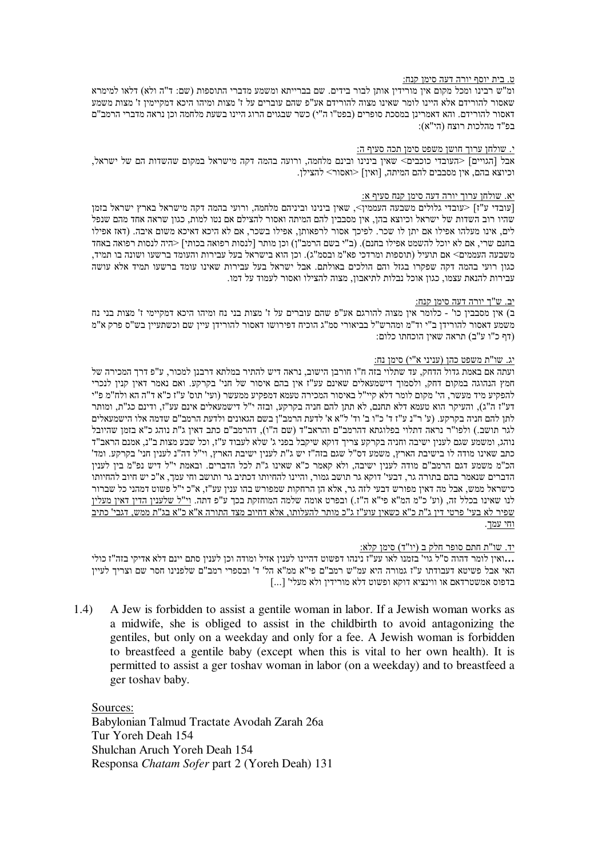#### ט. בית יוסף יורה דעה סימן קנח:

ומ"ש רבינו ומכל מקום אין מורידין אותן לבור בידים. שם בברייתא ומשמע מדברי התוספות (שם: ד"ה ולא) דלאו למימרא שאסור להורידם אלא היינו לומר שאינו מצוה להורידם אע"פ שהם עוברים על ז' מצות ומיהו היכא דמקיימין ז' מצות משמע דאסור להורידם. והא דאמרינן במסכת סופרים (בפט"ו ה"י) כשר שבגוים הרוג היינו בשעת מלחמה וכן נראה מדברי הרמב"ם בפ"ד מהלכות רוצח (הי"א):

# <u>י. שולחן ערוך חושן משפט סימן תכה סעיף ה:</u>

אבל [הגויים] <העובדי כוכבים> שאין בינינו ובינם מלחמה, ורועה בהמה דקה מישראל במקום שהשדות הם של ישראל, וכיוצא בהם, אין מסבבים להם המיתה, [ואין] <ואסור> להצילן.

#### יא. שולחן ערוך יורה דעה סימן קנח סעיף א:

[עובדי ע"ז] <עובדי גלולים משבעה העממין>, שאין בינינו וביניהם מלחמה, ורועי בהמה דקה מישראל בארץ ישראל בזמן שהיו רוב השדות של ישראל וכיוצא בהן, אין מסבבין להם המיתה ואסור להצילם אם נטו למות, כגון שראה אחד מהם שנפל לים, אינו מעלהו אפילו אם יתן לו שכר. לפיכך אסור לרפאותן, אפילו בשכר, אם לא היכא דאיכא משום איבה. (דאז אפילו בחנם שרי, אם לא יוכל להשמט אפילו בחנם). (ב"י בשם הרמב"ן) וכן מותר [לנסות רפואה בכותי] <היה לנסות רפואה באחד משבעה העממים> אם תועיל (תוספות ומרדכי פא"מ ובסמ"ג). וכן הוא בישראל בעל עבירות והעומד ברשעו ושונה בו תמיד, כגון רועי בהמה דקה שפקרו בגזל והם הולכים באולתם. אבל ישראל בעל עבירות שאינו עומד ברשעו תמיד אלא עושה עבירות להנאת עצמו, כגון אוכל נבלות לתיאבון, מצוה להצילו ואסור לעמוד על דמו.

#### יב. ש"ך יורה דעה סימן קנח:

ב) אין מסבבין כו' - כלומר אין מצוה להורגם אע"פ שהם עוברים על ז' מצות בני נח ומיהו היכא דמקיימי ז' מצות בני נח משמע דאסור להורידן ב"י וד"מ ומהרש"ל בביאורי סמ"ג הוכיח דפירושו דאסור להורידן עיין שם וכשתעיין בש"ס פרק א"מ (דף כ"ו ע"ב) תראה שאין הוכחתו כלום:

# <u>יג. שו"ת משפט כהן (עניני א"י) סימן נח:</u>

ועתה אם באמת גדול הדחק, עד שתלוי בזה ח"ו חורבן הישוב, נראה דיש להתיר במלתא דרבנן למכור, ע"פ דרך המכירה של חמץ הנהוגה במקום דחק, ולסמוך דישמעאלים שאינם עע"ז אין בהם איסור של חני' בקרקע. ואם נאמר דאין קנין לנכרי להפקיע מיד מעשר, הי' מקום לומר דלא קיי"ל באיסור המכירה טעמא דמפקיע ממעשר (ועי' תוס' ע"ז כ"א ד"ה הא ולח"מ פ"י דע"ז ה"ג), והעיקר הוא טעמא דלא תחנם, לא תתן להם חניה בקרקע, ובזה י"ל דישמעאלים אינם עע"ז, ודינם כג"ת, ומותר לתן להם חניה בקרקע. (ע' ר"נ ע"ז ד' כ"ו ב' וד' ל"א א' לדעת הרמב"ן בשם הגאונים ולדעת הרמב"ם שדמה אלו הישמעאלים לגר תושב.) ולפו"ר נראה דתלוי בפלוגתא דהרמב"ם והראב"ד (שם ה"ו), דהרמב"ם כתב דאין ג"ת נוהג כ"א בזמן שהיובל נוהג, ומשמע שגם לענין ישיבה וחניה בקרקע צריך דוקא שיקבל בפני ג' שלא לעבוד ע"ז, וכל שבע מצות ב"נ, אמנם הראב"ד כתב שאינו מודה לו בישיבת הארץ, משמע דס"ל שגם בזה"ז יש ג"ת לענין ישיבת הארץ, וי"ל דה"נ לענין חני' בקרקע. ומד' הכ"מ משמע דגם הרמב"ם מודה לענין ישיבה, ולא קאמר כ"א שאינו ג"ת לכל הדברים. ובאמת י"ל דיש נפ"מ בין לענין הדברים שנאמר בהם בתורה גר. דבעי' דוקא גר תושב גמור. והיינו להחיותו דכתיב גר ותושב וחי עמד. א"כ יש חיוב להחיותו כישראל ממש, אבל מה דאין מפורש דבעי לזה גר, אלא הן הרחקות שמפורש בהו ענין עע"ז, א"כ י"ל פשוט דמהני כל שברור לנו שאינו בכלל זה, (וע' כ"מ המ"א פי"א ה"ז.) ובפרט אומה שלמה המוחזקת בכך ע"פ דתה. <u>וי"ל שלענין הדין דאין מעלין</u> שפיר לא בעי' פרטי דין ג"ת כ"א כשאין עוע"ז ג"כ מותר להעלותו, אלא דחיוב מצד התורה א"א כ"א בג"ת ממש, דגבי' כתיב <u>וחי עמך.</u>

# <u>יד. שו"ת חתם סופר חלק ב (יו"ד) סימן קלא:</u>

ואין לומר דהוה ס"ל גוי' בזמנו לאו עע"ז נינהו דפשוט דהיינו לענין אזיל ומודה וכן לענין סתם יינם דלא אדיקי בזה"ז כולי**.** האי אבל פשיטא דעבודתו ע"ז גמורה היא עמ"ש רמב"ם פי"א ממ"א הל' ד' ובספרי רמב"ם שלפנינו חסר שם וצריך לעיין [...] בדפוס אמשטרדאם או ווינציא דוקא ופשוט דלא מורידין ולא מעלי'

1.4) A Jew is forbidden to assist a gentile woman in labor. If a Jewish woman works as a midwife, she is obliged to assist in the childbirth to avoid antagonizing the gentiles, but only on a weekday and only for a fee. A Jewish woman is forbidden to breastfeed a gentile baby (except when this is vital to her own health). It is permitted to assist a ger toshav woman in labor (on a weekday) and to breastfeed a ger toshav baby.

Sources: Babylonian Talmud Tractate Avodah Zarah 26a Tur Yoreh Deah 154 Shulchan Aruch Yoreh Deah 154 Responsa *Chatam Sofer* part 2 (Yoreh Deah) 131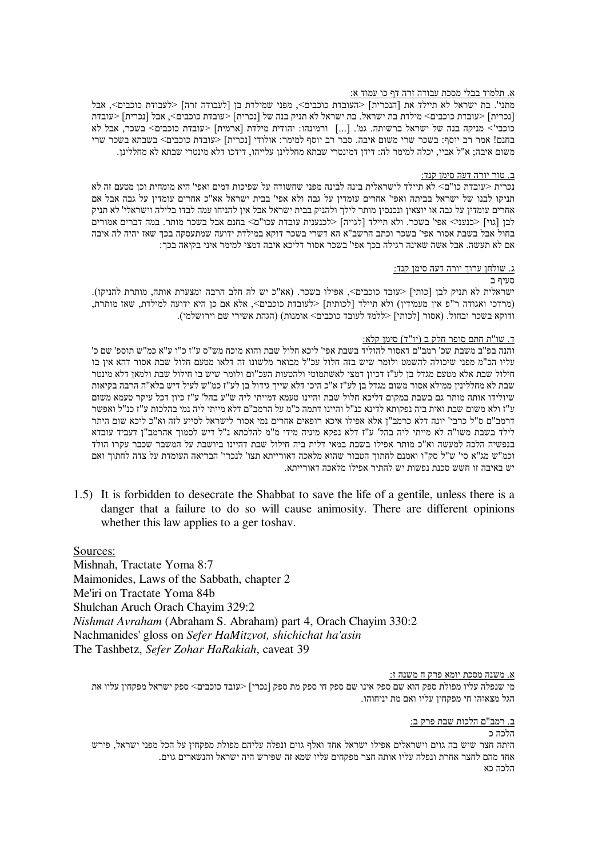# א. תלמוד בבלי מסכת עבודה זרה דף כו עמוד א:

מתני'. בת ישראל לא תיילד את [הנכרית] <העובדת כוכבים>, מפני שמילדת בן [לעבודה זרה] <לעבודת כוכבים>, אבל [נכרית] <עובדת כוכבים> מילדת בת ישראל. בת ישראל לא תניק בנה של [נכרית] <עובדת כוכבים>, אבל [נכרית] <עובדת כוכבי'> מניקה בנה של ישראל ברשותה. גמ'. [...] ורמינהו: יהודית מילדת [ארמית] <עובדת כוכבים> בשכר, אבל לא בחנם! אמר רב יוסף: בשכר שרי משום איבה. סבר רב יוסף למימר: אולודי [נכרית] <עובדת כוכבים> בשבתא בשכר שרי משום איבה: א"ל אביי, יכלה למימר לה: דידן דמינטרי שבתא מחללינן עלייהו, דידכו דלא מינטרי שבתא לא מחללינן.

# ב. טור יורה דעה סימן קנד:

נכרית <עובדת כו"ם> לא תיילד לישראלית בינה לבינה מפני שחשודה על שפיכות דמים ואפי' היא מומחית וכן מטעם זה לא תניקו לבנו של ישראל בביתה ואפי' אחרים עומדין על גבה ולא אפי' בבית ישראל אא"כ אחרים עומדין על גבה אבל אם אחרים עומדיו על גבה או יוצאין ונכנסין מותר לילך ולהניק בבית ישראל אבל אין להניחו עמה לבדו בלילה וישראלי' לא תניק לבן [גוי] <כנעני> אפי' בשכר. ולא תיילד [לגויה] <לכנענית עובדת עכו"ם> בחנם אבל בשכר מותר. במה דברים אמורים בחול אבל בשבת אסור אפי' בשכר וכתב הרשב"א הא דשרי בשכר דוקא במילדת ידועה שמתעסקה בכך שאז יהיה לה איבה אם לא תעשה. אבל אשה שאינה רגילה בכך אפי' בשכר אסור דליכא איבה דמצי למימר איני בקיאה בכך:

## ג. שולחן ערוך יורה דעה סימן קנד:

# סעיף ב

ישראלית לא תניק לבן [כותי] <עובד כוכבים>, אפילו בשכר. (אא"כ יש לה חלב הרבה ומצערת אותה, מותרת להניקו). (מרדכי ואגודה ר"פ אין מעמידין) ולא תיילד [לכותית] <לעובדת כוכבים>, אלא אם כן היא ידועה למילדת, שאז מותרת, ודוקא בשכר ובחול. (אסור [לכותי] <ללמד לעובד כוכבים> אומנות) (הגהת אשירי שם וירושלמי).

## <u>ד. שו"ת חתם סופר חלק ב (יו"ד) סימן קלא:</u>

והנה בפ"ב משבת שכ' רמב"ם דאסור להוליד בשבת אפי' ליכא חלול שבת והוא מוכח מש"ס ע"ז כ"ו ע"א כמ"ש תוספ' שם כ' עליו הכ"מ מפני שיכולה להשמט ולומר שיש בזה חלול עכ"ל מבואר מלשונו זה דלאו מטעם חלול שבת אסור דהא אין בו חילול שבת אלא מטעם מגדל בו לע"ז דכיוו דמצי לאשתמוטי ולהטעות העכ"ום ולומר שיש בו חילול שבת ולמאו דלא מינטר שבת לא מחלליניו ממילא אסור משום מגדל בו לע"ז א"כ היכי דלא שייד גידול בו לע"ז כמ"ש לעיל דיש בלא"ה הרבה בקיאות שיולידו אותה מותר גם בשבת במקום דליכא חלול שבת והיינו טעמא דמייתי ליה ש"ע בהל' ע"ז כיוו דכל עיקר טעמא משום ע"ז ולא משום שבת ואית ביה נפקותא לדינא כנ"ל והיינו דתמה כ"מ על הרמב"ם דלא מייתי ליה נמי בהלכות ע"ז כנ"ל ואפשר דרמב"ם ס"ל כרבי' יונה דלא כרמב"ן אלא אפילו איכא רופאים אחרים נמי אסור לישראל לסייע לזה וא"כ ליכא שום היתר לילד בשבת משו"ה לא מייתי ליה בהל' ע"ז דלא נפקא מיניה מידי מ"מ להלכתא נ"ל דיש לסמוך אהרמב"ן דעביד עובדא בנפשיה הלכה למעשה וא"כ מותר אפילו בשבת במאי דלית ביה חילול שבת דהיינו ביושבת על המשבר שכבר עקרו הולד וכמ"ש מג"א סי' ש"ל סק"ו ואמנם לחתוך הטבור שהוא מלאכה דאורייתא תצו' לנכרי' הבריאה העומדת על צדה לחתוך ואם יש באיבה זו חשש סכנת נפשות יש להתיר אפילו מלאכה דאורייתא.

1.5) It is forbidden to desecrate the Shabbat to save the life of a gentile, unless there is a danger that a failure to do so will cause animosity. There are different opinions whether this law applies to a ger toshav.

Sources:

Mishnah, Tractate Yoma 8:7 Maimonides, Laws of the Sabbath, chapter 2 Me'iri on Tractate Yoma 84b Shulchan Aruch Orach Chayim 329:2 Nishmat Avraham (Abraham S. Abraham) part 4, Orach Chayim 330:2 Nachmanides' gloss on Sefer HaMitzvot, shichichat ha'asin The Tashbetz, Sefer Zohar HaRakiah, caveat 39

<u>א. משנה מסכת יומא פרק ח משנה ז:</u>

מי שנפלה עליו מפולת ספק הוא שם ספק אינו שם ספק חי ספק מת ספק [נכרי] <עובד כוכבים> ספק ישראל מפקחין עליו את הגל מצאוהו חי מפקחיו עליו ואם מת יניחוהו.

ב. רמב"ם הלכות שבת פרק ב:

הלכה כ היתה חצר שיש בה גוים וישראלים אפילו ישראל אחד ואלף גוים ונפלה עליהם מפולת מפקחין על הכל מפני ישראל, פירש אחד מהם לחצר אחרת ונפלה עליו אותה חצר מפקחים עליו שמא זה שפירש היה ישראל והנשארים גוים. הלרה רא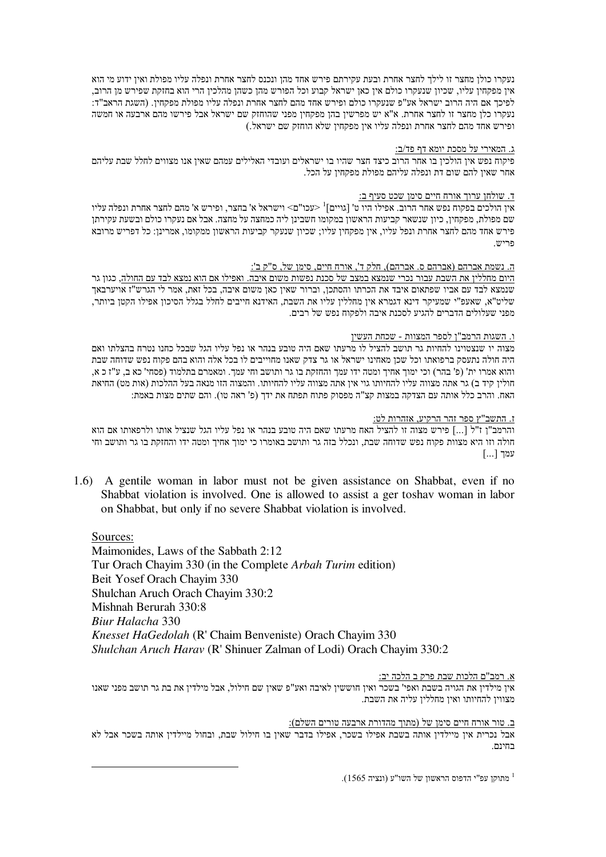נעקרו כולן מחצר זו לילך לחצר אחרת ובעת עקירתם פירש אחד מהן ונכנס לחצר אחרת ונפלה עליו מפולת ואין ידוע מי הוא אין מפקחין עליו, שכיון שנעקרו כולם אין כאן ישראל קבוע וכל הפורש מהן כשהן מהלכין הרי הוא בחזקת שפירש מן הרוב, לפיכך אם היה הרוב ישראל אע"פ שנעקרו כולם ופירש אחד מהם לחצר אחרת ונפלה עליו מפולת מפקחין. (השגת הראב"ד: נעקרו כלן מחצר זו לחצר אחרת. א"א יש מפרשין בהן מפקחין מפני שהוחזק שם ישראל אבל פירשו מהם ארבעה או חמשה ופירש אחד מהם לחצר אחרת ונפלה עליו אין מפקחין שלא הוחזק שם ישראל.)

# <u>ג. המאירי על מסכת יומא דף פד/ב:</u>

פיקוח נפש אין הולכין בו אחר הרוב כיצד חצר שהיו בו ישראלים ועובדי האלילים עמהם שאין אנו מצווים לחלל שבת עליהם אחר שאין להם שום דת ונפלה עליהם מפולת מפקחין על הכל.

# <u>ד. שולחן ערוך אורח חיים סימן שכט סעיף ב:</u>

אין הולכים בפקוח נפש אחר הרוב. אפילו היו ט' [גויים]<sup>1</sup> <עכו"ם> וישראל א' בחצר, ופירש א' מהם לחצר אחרת ונפלה עליו שם מפולת, מפקחין, כיון שנשאר קביעות הראשון במקומו חשבינן ליה כמחצה על מחצה. אבל אם נעקרו כולם ובשעת עקירתן פירש אחד מהם לחצר אחרת ונפל עליו, אין מפקחין עליו; שכיון שנעקר קביעות הראשון ממקומו, אמרינן: כל דפריש מרובא פריש.

# ה. נשמת אברהם (אברהם ס. אברהם), חלק ד', אורח חיים, סימו של, ס"ק ב':

<u>היום מחללין את השבת עבור נכרי שנמצא במצב של סכנת נפשות משום איבה. ואפילו אם הוא נמצא לבד עם החולה,</u> כגון גר שנמצא לבד עם אביו שפתאום איבד את הכרתו והסתכן, וברור שאין כאן משום איבה, בכל זאת, אמר לי הגרש"ז אויערבאך שליט"א, שאעפ"י שמעיקר דינא דגמרא אין מחללין עליו את השבת, האידנא חייבים לחלל בגלל הסיכון אפילו הקטן ביותר, מפני שעלולים הדברים להגיע לסכנת איבה ולפקוח נפש של רבים.

# <u>ו. השגות הרמב"ן לספר המצוות - שכחת העשין</u>

מצוה יו שנצטוינו להחיות גר תושב להציל לו מרעתו שאם היה טובע בנהר או נפל עליו הגל שבכל כחנו נטרח בהצלתו ואם היה חולה נתעסק ברפואתו וכל שכן מאחינו ישראל או גר צדק שאנו מחוייבים לו בכל אלה והוא בהם פקוח נפש שדוחה שבת והוא אמרו ית' (פ' בהר) וכי ימוך אחיך ומטה ידו עמך והחזקת בו גר ותושב וחי עמך. ומאמרם בתלמוד (פסחי' כא ב, ע"ז כ א, חולין קיד ב) גר אתה מצווה עליו להחיותו גוי אין אתה מצווה עליו להחיותו. והמצוה הזו מנאה בעל ההלכות (אות מט) החיאת האח. והרב כלל אותה עם הצדקה במצות קצ"ה מפסוק פתוח תפתח את ידך (פ' ראה טו). והם שתים מצות באמת:

# <u>ז. התשב"ץ ספר זהר הרקיע, אזהרות לט:</u>

והרמב"ן ז"ל [...] פירש מצוה זו להציל האח מרעתו שאם היה טובע בנהר או נפל עליו הגל שנציל אותו ולרפאותו אם הוא חולה וזו היא מצוות פקוח נפש שדוחה שבת, ונכלל בזה גר ותושב באומרו כי ימוך אחיך ומטה ידו והחזקת בו גר ותושב וחי עמך [...]

1.6) A gentile woman in labor must not be given assistance on Shabbat, even if no Shabbat violation is involved. One is allowed to assist a ger toshav woman in labor on Shabbat, but only if no severe Shabbat violation is involved.

Sources: Maimonides, Laws of the Sabbath 2:12 Tur Orach Chayim 330 (in the Complete *Arbah Turim* edition) Beit Yosef Orach Chayim 330 Shulchan Aruch Orach Chayim 330:2 Mishnah Berurah 330:8 *Biur Halacha* 330 *Knesset HaGedolah* (R' Chaim Benveniste) Orach Chayim 330 *Shulchan Aruch Harav* (R' Shinuer Zalman of Lodi) Orach Chayim 330:2

# <u>א. רמב"ם הלכות שבת פרק ב הלכה יב:</u>

אין מילדין את הגויה בשבת ואפי' בשכר ואין חוששין לאיבה ואע"פ שאין שם חילול, אבל מילדין את בת גר תושב מפני שאנו מצווין להחיותו ואין מחללין עליה את השבת.

## ב. טור אורח חיים סימן של (מתוך מהדורת ארבעה טורים השלם):

אבל נכרית אין מיילדין אותה בשבת אפילו בשכר, אפילו בדבר שאין בו חילול שבת, ובחול מיילדין אותה בשכר אבל לא רחיות

מתוקן עפ"י הדפוס הראשון של השו"ע (ונציה 1565).<br>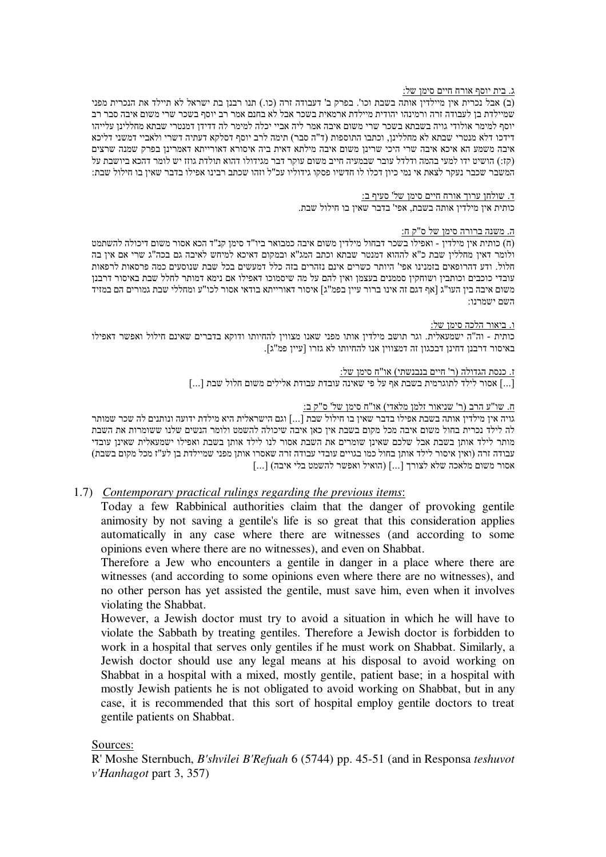# ג. בית יוסף אורח חיים סימו של:

(ב) אבל נכרית אין מיילדין אותה בשבת וכו'. בפרק ב' דעבודה זרה (כו.) תנו רבנן בת ישראל לא תיילד את הנכרית מפני שמיילדת בן לעבודה זרה ורמינהו יהודית מיילדת ארמאית בשכר אבל לא בחנם אמר רב יוסף בשכר שרי משום איבה סבר רב יוסף למימר אולודי גויה בשבתא בשכר שרי משום איבה אמר ליה אביי יכלה למימר לה דדידו דמנטרי שבתא מחללינו עלייהו דידכו דלא מנטרי שבתא לא מחללינן, וכתבו התוספות (ד"ה סבר) תימה לרב יוסף דסלקא דעתיה דשרי ולאביי דמשני דליכא איבה משמע הא איכא איבה שרי היכי שרינן משום איבה מילתא דאית ביה איסורא דאורייתא דאמרינן בפרק שמנה שרצים (קז:) הושיט ידו למעי בהמה ודלדל עובר שבמעיה חייב משום עוקר דבר מגידולו דהוא תולדת גוזז יש לומר דהכא ביושבת על המשבר שכבר נעקר לצאת אי נמי כיון דכלו לו חדשיו פסקו גידוליו עכ"ל וזהו שכתב רבינו אפילו בדבר שאין בו חילול שבת:

# ד. שולחן ערוך אורח חיים סימן של' סעיף ב:

כותית אין מילדין אותה בשבת, אפי' בדבר שאין בו חילול שבת.

# ה. משנה ברורה סימו של ס"ק ח:

(ח) כותית אין מילדין - ואפילו בשכר דבחול מילדין משום איבה כמבואר ביו"ד סימן קנ"ד הכא אסור משום דיכולה להשתמט ולומר דאיו מחלליו שבת כ"א לההוא דמנטר שבתא וכתב המג"א ובמקום דאיכא למיחש לאיבה גם בכה"ג שרי אם איו בה חלול. ודע דהרופאים בזמנינו אפי' היותר כשרים אינם נזהרים בזה כלל דמעשים בכל שבת שנוסעים כמה פרסאות לרפאות עובדי כוכבים וכותבין ושוחקין סממנים בעצמן ואין להם על מה שיסמוכו דאפילו אם נימא דמותר לחלל שבת באיסור דרבנן משום איבה בין העו"ג [אף דגם זה אינו ברור עיין בפמ"ג] איסור דאורייתא בודאי אסור לכו"ע ומחללי שבת גמורים הם במזיד השם ישמרנו:

# ו. ביאור הלכה סימו של:

כותית - וה"ה ישמעאלית. וגר תושב מילדין אותו מפני שאנו מצווין להחיותו ודוקא בדברים שאינם חילול ואפשר דאפילו באיסור דרבנן דחינן דבכגון זה דמצווין אנו להחיותו לא גזרו [עיין פמ"ג].

# ז. כנסת הגדולה (ר' חיים בנבנשתי) או"ח סימן של:

[...] אסור לילד לתוגרמית בשבת אף על פי שאינה עובדת עבודת אלילים משום חלול שבת [...]

# וח. שו"ע הרב (ר' שניאור זלמן מלאדי) או"ח סימן של' ס"ק ב:

גויה אין מילדין אותה בשבת אפילו בדבר שאין בו חילול שבת [...] וגם הישראלית היא מילדת ידועה ונותנים לה שכר שמותר לה לילד נכרית בחול משום איבה מכל מקום בשבת אין כאן איבה שיכולה להשמט ולומר הנשים שלנו ששומרות את השבת מותר לילד אותן בשבת אבל שלכם שאינן שומרים את השבת אסור לנו לילד אותן בשבת ואפילו ישמעאלית שאינן עובדי עבודה זרה (ואין איסור לילד אותן בחול כמו בגויים עובדי עבודה זרה שאסרו אותן מפני שמיילדת בן לע"ז מכל מקום בשבת) אסור משום מלאכה שלא לצורך [...] (הואיל ואפשר להשמט בלי איבה) [...]

# 1.7) *Contemporary practical rulings regarding the previous items*:

Today a few Rabbinical authorities claim that the danger of provoking gentile animosity by not saving a gentile's life is so great that this consideration applies automatically in any case where there are witnesses (and according to some opinions even where there are no witnesses), and even on Shabbat.

Therefore a Jew who encounters a gentile in danger in a place where there are witnesses (and according to some opinions even where there are no witnesses), and no other person has yet assisted the gentile, must save him, even when it involves violating the Shabbat.

However, a Jewish doctor must try to avoid a situation in which he will have to violate the Sabbath by treating gentiles. Therefore a Jewish doctor is forbidden to work in a hospital that serves only gentiles if he must work on Shabbat. Similarly, a Jewish doctor should use any legal means at his disposal to avoid working on Shabbat in a hospital with a mixed, mostly gentile, patient base; in a hospital with mostly Jewish patients he is not obligated to avoid working on Shabbat, but in any case, it is recommended that this sort of hospital employ gentile doctors to treat gentile patients on Shabbat.

# Sources:

R' Moshe Sternbuch, *B'shvilei B'Refuah* 6 (5744) pp. 45-51 (and in Responsa *teshuvot v'Hanhagot* part 3, 357)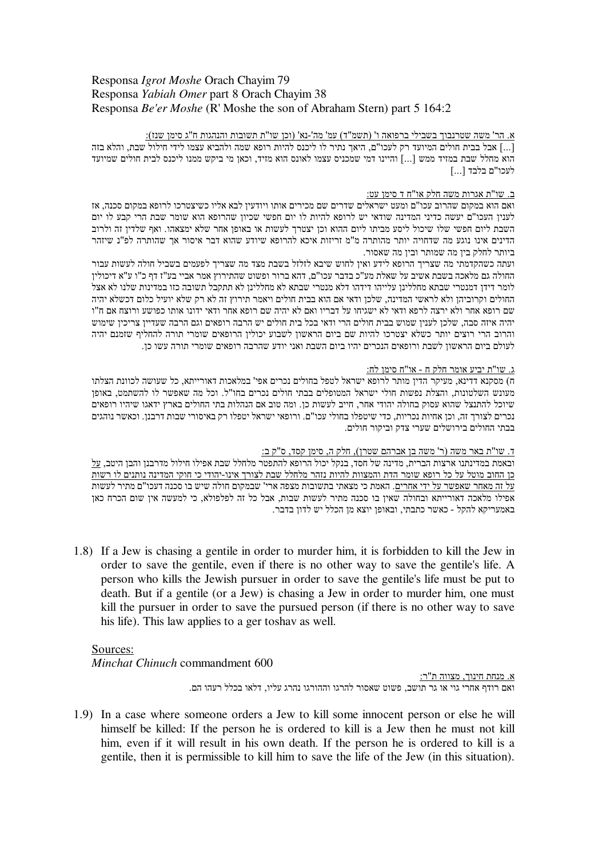# Responsa *Igrot Moshe* Orach Chayim 79 Responsa *Yabiah Omer* part 8 Orach Chayim 38 Responsa *Be'er Moshe* (R' Moshe the son of Abraham Stern) part 5 164:2

<u>א. הר' משה שטרנבוך בשבילי ברפואה ו' (תשמ"ד) עמ' מה'-נא' (וכן שו"ת תשובות והנהגות ח"ג סימן שנז):</u> ...] אבל בבית חולים המיועד רק לעכו"ם, היאך נתיר לו ליכנס להיות רופא שמה ולהביא עצמו לידי חילול שבת, והלא בזה הוא מחלל שבת במזיד ממש [...] והיינו דמי שמכניס עצמו לאונס הוא מזיד, וכאן מי ביקש ממנו ליכנס לבית חולים שמיועד לעכו"ם בלבד [...]

# ב. שו"ת אגרות משה חלק או"ח ד סימן עט:

ואם הוא במקום שהרוב עכו"ם ומעט ישראלים שדרים שם מכירים אותו ויודעין לבא אליו כשיצטרכו לרופא במקום סכנה, אז לענין העכו"ם יעשה כדיני המדינה שודאי יש לרופא להיות לו יום חפשי שכיון שהרופא הוא שומר שבת הרי קבע לו יום השבת ליום חפשי שלו שיכול ליסע מביתו ליום ההוא וכן יצטרך לעשות או באופן אחר שלא ימצאהו. ואף שלדין זה ולרוב הדינים אינו נוגע מה שדחויה יותר מהותרה מ"מ זריזות איכא להרופא שיודע שהוא דבר איסור אך שהותרה לפ"נ שיזהר ביותר לחלק בין מה שמותר ובין מה שאסור.

ועתה כשהקדמתי מה שצריך הרופא לידע ואין לחוש שיבא לזלזל בשבת מצד מה שצריך לפעמים בשביל חולה לעשות עבור החולה גם מלאכה בשבת אשיב על שאלת מע"כ בדבר עכו"ם, דהא ברור ופשוט שהתירוץ אמר אביי בע"ז דף כ"ו ע"א דיכולין לומר דידן דמנטרי שבתא מחללינן עלייהו דידהו דלא מנטרי שבתא לא מחללינן לא תתקבל תשובה כזו במדינות שלנו לא אצל החולים וקרוביהן ולא לראשי המדינה, שלכן ודאי אם הוא בבית חולים ויאמר תירוץ זה לא רק שלא יועיל כלום דכשלא יהיה שם רופא אחר ולא ירצה לרפא ודאי לא ישגיחו על דבריו ואם לא יהיה שם רופא אחר ודאי ידונו אותו כפושע ורוצח אם ח"ו יהיה איזה סבה, שלכן לענין שמוש בבית חולים הרי ודאי בכל בית חולים יש הרבה רופאים וגם הרבה שעדיין צריכין שימוש והרוב הרי רוצים יותר כשלא יצטרכו להיות שם ביום הראשון לשבוע יכולין הרופאים שומרי תורה להחליף שזמנם יהיה לעולם ביום הראשון לשבת ורופאים הנכרים יהיו ביום השבת ואני יודע שהרבה רופאים שומרי תורה עשו כן.

# ג. שו"ת יביע אומר חלק ח - או"ח סימן לח:

ח) מסקנא דדינא, מעיקר הדין מותר לרופא ישראל לטפל בחולים נכרים אפי' במלאכות דאורייתא, כל שעושה לכוונת הצלתו מעונש השלטונות, והצלת נפשות חולי ישראל המטופלים בבתי חולים נכרים בחו"ל. וכל מה שאפשר לו להשתמט, באופן שיוכל להתנצל שהוא עסוק בחולה יהודי אחר, חייב לעשות כן. ומה טוב אם הנהלות בתי החולים בארץ ידאגו שיהיו רופאים נכרים לצורך זה, וכן אחיות נכריות, כדי שיטפלו בחולי עכו"ם. ורופאי ישראל יטפלו רק באיסורי שבות דרבנן. וכאשר נוהגים בבתי החולים בירושלים שערי צדק וביקור חולים.

# <u>ד. שו"ת באר משה (ר' משה בן אברהם שטרן), חלק ה, סימן קסד, ס"ק ב:</u>

ובאמת במדינתנו ארצות הברית, מדינה של חסד, בנקל יכול הרופא להתפטר מלחלל שבת אפילו חילול מדרבנן והבן היטב, <u>על</u> <u>כן החוב מוטל על כל רופא שומר הדת והמצוות להיות נזהר מלחלל שבת לצורך אינו-יהודי כי חוקי המדינה נותנים לו רשות</u> <u>על זה מאחר שאפשר על ידי אחרים</u>. האמת כי מצאתי בתשובות מצפה ארי' שבמקום חולה שיש בו סכנה דעכו"ם מתיר לעשות אפילו מלאכה דאורייתא ובחולה שאין בו סכנה מתיר לעשות שבות, אבל כל זה לפלפולא, כי למעשה אין שום הכרח כאן באמעריקא להקל - כאשר כתבתי, ובאופן יוצא מן הכלל יש לדון בדבר.

1.8) If a Jew is chasing a gentile in order to murder him, it is forbidden to kill the Jew in order to save the gentile, even if there is no other way to save the gentile's life. A person who kills the Jewish pursuer in order to save the gentile's life must be put to death. But if a gentile (or a Jew) is chasing a Jew in order to murder him, one must kill the pursuer in order to save the pursued person (if there is no other way to save his life). This law applies to a ger toshav as well.

# Sources:

*Minchat Chinuch* commandment 600

א. מנחת חינוך, מצווה ת"ר: ואם רודף אחרי גוי או גר תושב, פשוט שאסור להרגו וההורגו נהרג עליו, דלאו בכלל רעהו הם.

1.9) In a case where someone orders a Jew to kill some innocent person or else he will himself be killed: If the person he is ordered to kill is a Jew then he must not kill him, even if it will result in his own death. If the person he is ordered to kill is a gentile, then it is permissible to kill him to save the life of the Jew (in this situation).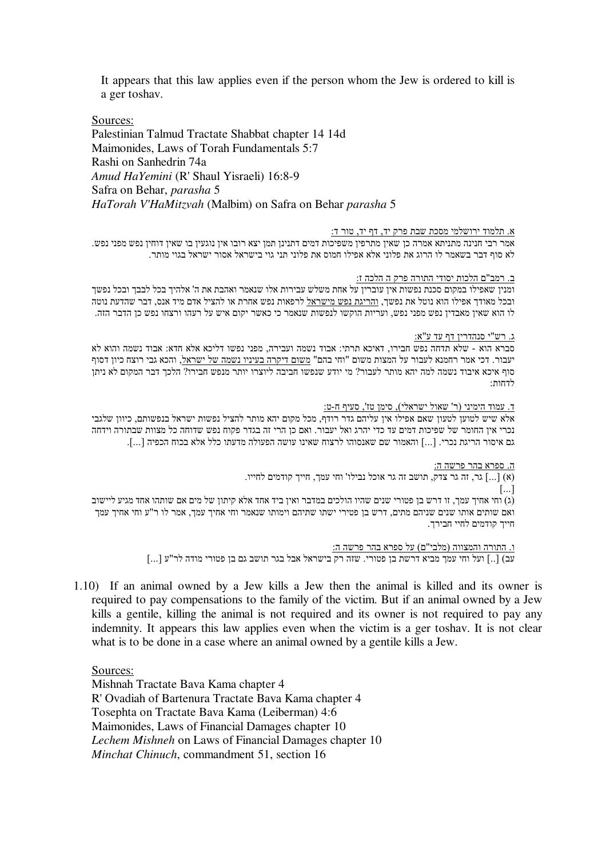It appears that this law applies even if the person whom the Jew is ordered to kill is a ger toshav.

Sources:

Palestinian Talmud Tractate Shabbat chapter 14 14d Maimonides, Laws of Torah Fundamentals 5:7 Rashi on Sanhedrin 74a *Amud HaYemini* (R' Shaul Yisraeli) 16:8-9 Safra on Behar, *parasha* 5 *HaTorah V'HaMitzvah* (Malbim) on Safra on Behar *parasha* 5

#### <u>א. תלמוד ירושלמי מסכת שבת פרק יד, דף יד, טור ד:</u>

אמר רבי חנינה מתניתא אמרה כן שאין מתרפין משפיכות דמים דתנינן תמן יצא רובו אין נוגעין בו שאין דוחין נפש מפני נפש. לא סוף דבר בשאמר לו הרוג את פלוני אלא אפילו חמוס את פלוני תני גוי בישראל אסור ישראל בגוי מותר.

# <u>ב. רמב"ם הלכות יסודי התורה פרק ה הלכה ז:</u>

ומנין שאפילו במקום סכנת נפשות אין עוברין על אחת משלש עבירות אלו שנאמר ואהבת את ה' אלהיך בכל לבבך ובכל נפשך ובכל מאודך אפילו הוא נוטל את נפשך, <u>והריגת נפש מישראל</u> לרפאות נפש אחרת או להציל אדם מיד אנס, דבר שהדעת נוטה לו הוא שאין מאבדין נפש מפני נפש, ועריות הוקשו לנפשות שנאמר כי כאשר יקום איש על רעהו ורצחו נפש כן הדבר הזה.

.ג. רש"י סנהדרין דף עד ע"א:

סברא הוא - שלא תדחה נפש חבירו, דאיכא תרתי: אבוד נשמה ועבירה, מפני נפשו דליכא אלא חדא: אבוד נשמה והוא לא יעבור. דכי אמר רחמנא לעבור על המצות משום "וחי בהם" משום דיקרה בעיניו נשמה של ישראל, והכא גבי רוצח כיון דסוף סוף איכא איבוד נשמה למה יהא מותר לעבור? מי יודע שנפשו חביבה ליוצרו יותר מנפש חבירו? הלכך דבר המקום לא ניתן לדחות

ד. עמוד הימיני (ר' שאול ישראלי), סימן טז', סעיף ח-ט:

אלא שיש לטוען לטעון שאם אפילו אין עליהם גדר רודף, מכל מקום יהא מותר להציל נפשות ישראל בנפשותם, כיוון שלגבי נכרי אין החומר של שפיכות דמים עד כדי יהרג ואל יעבור. ואם כן הרי זה בגדר פקוח נפש שדוחה כל מצוות שבתורה וידחה גם איסור הריגת נכרי. [...] והאמור שם שאנסוהו לרצוח שאינו עושה הפעולה מדעתו כלל אלא בכוח הכפיה [...].

<u>ה. ספרא בהר פרשה ה:</u>

ות הייך האב הייך הייך הייך הייך החייב האוכל החינה הייך הודמים החייו. ה $\left[ \, \ldots \, \right]$  (א) הייך ה  $\lceil ... \rceil$ (ג) וחי אחיך עמך, זו דרש בן פטורי שנים שהיו הולכים במדבר ואין ביד אחד אלא קיתון של מים אם שותהו אחד מגיע ליישוב ואם שותים אותו שנים שניהם מתים, דרש בן פטירי ישתו שתיהם וימותו שנאמר וחי אחיך עמך, אמר לו ר"ע וחי אחיך עמך חייך קודמים לחיי חבירך.

> <u>ו. התורה והמצווה (מלבי"ם) על ספרא בהר פרשה ה:</u> עב) [..] ועל וחי עמך מביא דרשת בן פטורי. שזה רק בישראל אבל בגר תושב גם בן פטורי מודה לר"ע [...]

1.10) If an animal owned by a Jew kills a Jew then the animal is killed and its owner is required to pay compensations to the family of the victim. But if an animal owned by a Jew kills a gentile, killing the animal is not required and its owner is not required to pay any indemnity. It appears this law applies even when the victim is a ger toshav. It is not clear what is to be done in a case where an animal owned by a gentile kills a Jew.

Sources:

Mishnah Tractate Bava Kama chapter 4 R' Ovadiah of Bartenura Tractate Bava Kama chapter 4 Tosephta on Tractate Bava Kama (Leiberman) 4:6 Maimonides, Laws of Financial Damages chapter 10 *Lechem Mishneh* on Laws of Financial Damages chapter 10 *Minchat Chinuch*, commandment 51, section 16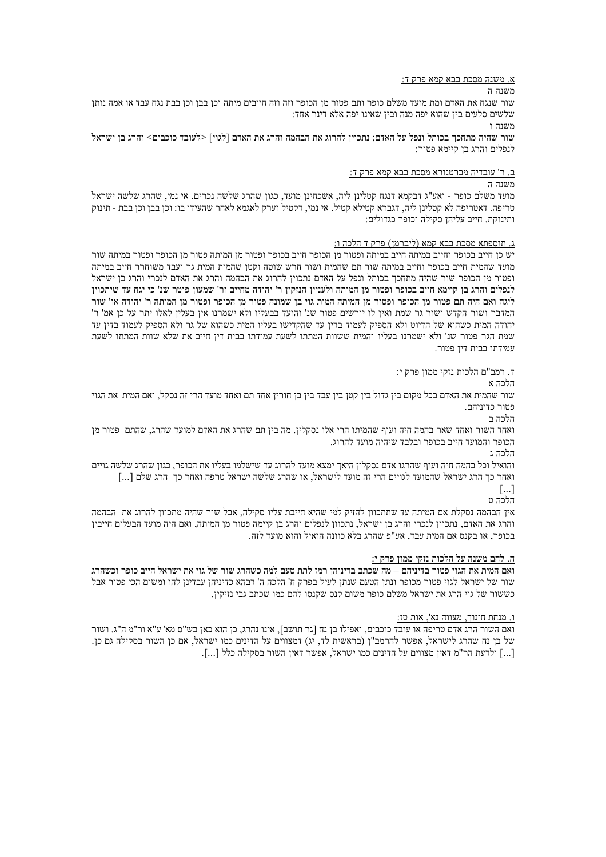#### <u>א. משנה מסכת בבא קמא פרק ד:</u>

#### משנה ה

שור שנגח את האדם ומת מועד משלם כופר ותם פטור מן הכופר וזה וזה חייבים מיתה וכן בבן וכן בבת נגח עבד או אמה נותן שלשים סלעים בין שהוא יפה מנה ובין שאינו יפה אלא דינר אחד:

משנה ו

שור שהיה מתחכך בכותל ונפל על האדם; נתכוין להרוג את הבהמה והרג את האדם [לגוי] <לעובד כוכבים> והרג בן ישראל לנפלים והרג בן קיימא פטור:

### <u>ב. ר' עובדיה מברטנורא מסכת בבא קמא פרק ד:</u>

משנה ה

מועד משלם כופר - ואע"ג דבקמא דנגח קטלינן ליה, אשכחינן מועד, כגון שהרג שלשה נכרים. אי נמי, שהרג שלשה ישראל טריפה. דאטריפה לא קטלינן ליה, דגברא קטילא קטיל. אי נמי, דקטיל וערק לאגמא לאחר שהעידו בו: וכן בבן וכן בבת - תינוק ותינוקת. חייב עליהו סקילה וכופר כגדולים:

#### <u>ג. תוספתא מסכת בבא קמא (ליברמן) פרק ד הלכה ו:</u>

יש כן חייב בכופר וחייב במיתה חייב במיתה ופטור מן הכופר חייב בכופר ופטור מן המיתה פטור מן הכופר ופטור במיתה שור מועד שהמית חייב בכופר וחייב במיתה שור תם שהמית ושור חרש שוטה וקטן שהמית המית גר ועבד משוחרר חייב במיתה ופטור מן הכופר שור שהיה מתחכך בכותל ונפל על האדם נתכוין להרוג את הבהמה והרג את האדם לנכרי והרג בן ישראל לנפלים והרג בן קיימא חייב בכופר ופטור מן המיתה ולעניין הנזקין ר' יהודה מחייב ור' שמעון פוטר שנ' כי יגח עד שיתכוין ליגח ואם היה תם פטור מן הכופר ופטור מן המיתה המית גוי בן שמונה פטור מן הכופר ופטור מן המיתה ר' יהודה או' שור המדבר ושור הקדש ושור גר שמת ואין לו יורשים פטור שנ' והועד בבעליו ולא ישמרנו אין בעלין לאלו יתר על כן אמ' ר' יהודה המית כשהוא של הדיוט ולא הספיק לעמוד בדין עד שהקדישו בעליו המית כשהוא של גר ולא הספיק לעמוד בדין עד שמת הגר פטור שנ' ולא ישמרנו בעליו והמית ששוות המתתו לשעת עמידתו בבית דין חייב את שלא שוות המתתו לשעת עמידתו בבית דין פטור.

#### ד. רמב"ם הלכות נזקי ממון פרק י:

#### הלכה א

שור שהמית את האדם בכל מקום בין גדול בין קטן בין עבד בין בן חורין אחד תם ואחד מועד הרי זה נסקל, ואם המית את הגוי פטור כדיניהם.

הלכה ב

ואחד השור ואחד שאר בהמה חיה ועוף שהמיתו הרי אלו נסקלין. מה בין תם שהרג את האדם למועד שהרג, שהתם פטור מן הכופר והמועד חייב בכופר ובלבד שיהיה מועד להרוג.

הלכה ג

והואיל וכל בהמה חיה ועוף שהרגו אדם נסקלין היאך ימצא מועד להרוג עד שישלמו בעליו את הכופר, כגון שהרג שלשה גויים ואחר כך הרג ישראל שהמועד לגויים הרי זה מועד לישראל, או שהרג שלשה ישראל טרפה ואחר כך הרג שלם [...]

> $[...]$ הלרה וז

אין הבהמה נסקלת אם המיתה עד שתתכוון להזיק למי שהיא חייבת עליו סקילה, אבל שור שהיה מתכוון להרוג את הבהמה והרג את האדם, נתכוון לנכרי והרג בן ישראל, נתכוון לנפלים והרג בן קיימה פטור מן המיתה, ואם היה מועד הבעלים חייבין בכופר, או בקנס אם המית עבד, אע"פ שהרג בלא כוונה הואיל והוא מועד לזה.

#### <u>ה. לחם משנה על הלכות נזקי ממון פרק י:</u>

ואם המית את הגוי פטור בדיניהם – מה שכתב בדיניהן רמז לתת טעם למה כשהרג שור של גוי את ישראל חייב כופר וכשהרג שור של ישראל לגוי פטור מכופר ונתן הטעם שנתן לעיל בפרק ח' הלכה ה' דבהא כדיניהן עבדינן להו ומשום הכי פטור אבל כששור של גוי הרג את ישראל משלם כופר משום קנס שקנסו להם כמו שכתב גבי נזיקין.

# <u>ו. מנחת חינוך, מצווה נא', אות ט</u>ז:

ואם השור הרג אדם טריפה או עובד כוכבים, ואפילו בן נח [גר תושב], אינו נהרג, כן הוא כאן בש"ס מא' ע"א ור"מ ה"ג. ושור של בן נח שהרג לישראל, אפשר להרמב"ן (בראשית לד, יג) דמצווים על הדינים כמו ישראל, אם כן השור בסקילה גם כן. [...] ולדעת הר"מ דאין מצווים על הדינים כמו ישראל, אפשר דאין השור בסקילה כלל [...].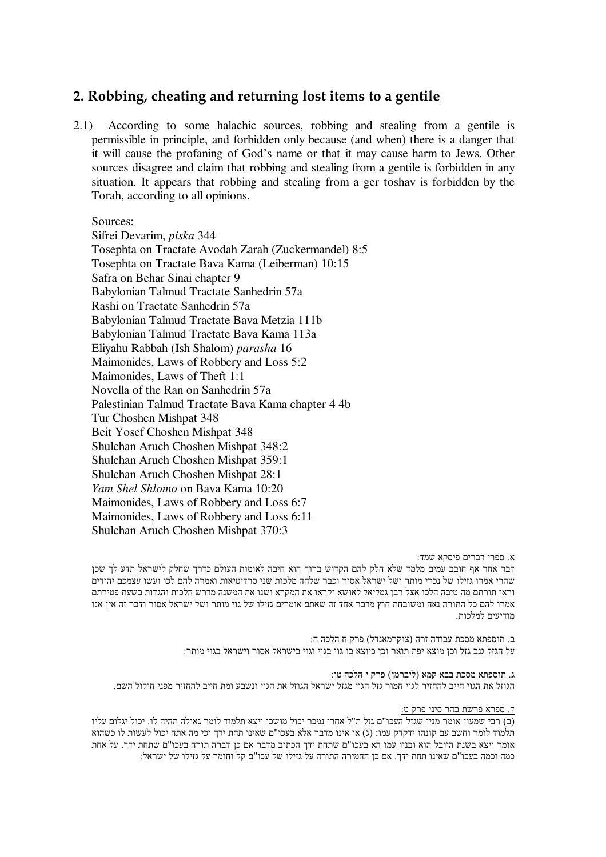# **2. Robbing, cheating and returning lost items to a gentile**

2.1) According to some halachic sources, robbing and stealing from a gentile is permissible in principle, and forbidden only because (and when) there is a danger that it will cause the profaning of God's name or that it may cause harm to Jews. Other sources disagree and claim that robbing and stealing from a gentile is forbidden in any situation. It appears that robbing and stealing from a ger toshav is forbidden by the Torah, according to all opinions.

# Sources:

Sifrei Devarim, *piska* 344 Tosephta on Tractate Avodah Zarah (Zuckermandel) 8:5 Tosephta on Tractate Bava Kama (Leiberman) 10:15 Safra on Behar Sinai chapter 9 Babylonian Talmud Tractate Sanhedrin 57a Rashi on Tractate Sanhedrin 57a Babylonian Talmud Tractate Bava Metzia 111b Babylonian Talmud Tractate Bava Kama 113a Eliyahu Rabbah (Ish Shalom) *parasha* 16 Maimonides, Laws of Robbery and Loss 5:2 Maimonides, Laws of Theft 1:1 Novella of the Ran on Sanhedrin 57a Palestinian Talmud Tractate Bava Kama chapter 4 4b Tur Choshen Mishpat 348 Beit Yosef Choshen Mishpat 348 Shulchan Aruch Choshen Mishpat 348:2 Shulchan Aruch Choshen Mishpat 359:1 Shulchan Aruch Choshen Mishpat 28:1 *Yam Shel Shlomo* on Bava Kama 10:20 Maimonides, Laws of Robbery and Loss 6:7 Maimonides, Laws of Robbery and Loss 6:11 Shulchan Aruch Choshen Mishpat 370:3

## <u>א. ספרי דברים פיסקא שמד:</u>

דבר אחר אף חובב עמים מלמד שלא חלק להם הקדוש ברוך הוא חיבה לאומות העולם כדרך שחלק לישראל תדע לך שכן שהרי אמרו גזילו של נכרי מותר ושל ישראל אסור וכבר שלחה מלכות שני סרדיטיאות ואמרה להם לכו ועשו עצמכם יהודים וראו תורתם מה טיבה הלכו אצל רבן גמליאל לאושא וקראו את המקרא ושנו את המשנה מדרש הלכות והגדות בשעת פטירתם אמרו להם כל התורה נאה ומשובחת חוץ מדבר אחד זה שאתם אומרים גזילו של גוי מותר ושל ישראל אסור ודבר זה אין אנו מודיעים למלכות.

> <u>ב. תוספתא מסכת עבודה זרה (צוקרמאנדל) פרק ח הלכה ה:</u> על הגזל גנב גזל וכן מוצא יפת תואר וכן כיוצא בו גוי בגוי וגוי בישראל אסור וישראל בגוי מותר:

<u>ג. תוספתא מסכת בבא קמא (ליברמן) פרק י הלכה טו:</u> הגוזל את הגוי חייב להחזיר לגוי חמור גזל הגוי מגזל ישראל הגוול את הגוי ונשבע ומת חייב להחזיר מפני חילול השם.

<u>ד. ספרא פרשת בהר סיני פרק ט:</u>

(ב) רבי שמעוז אומר מניו שגזל העכו"ם גזל ת"ל אחרי נמכר יכול מושכו ויצא תלמוד לומר גאולה תהיה לו. יכול יגלום עליו תלמוד לומר וחשב עם קונהו ידקדק עמו: (ג) או אינו מדבר אלא בעכו"ם שאינו תחת ידך וכי מה אתה יכול לעשות לו כשהוא אומר ויצא בשנת היובל הוא ובניו עמו הא בעכו"ם שתחת ידך הכתוב מדבר אם כן דברה תורה בעכו"ם שתחת ידך. על אחת כמה וכמה בעכו"ם שאינו תחת ידך. אם כן החמירה התורה על גזילו של עכו"ם קל וחומר על גזילו של ישראל: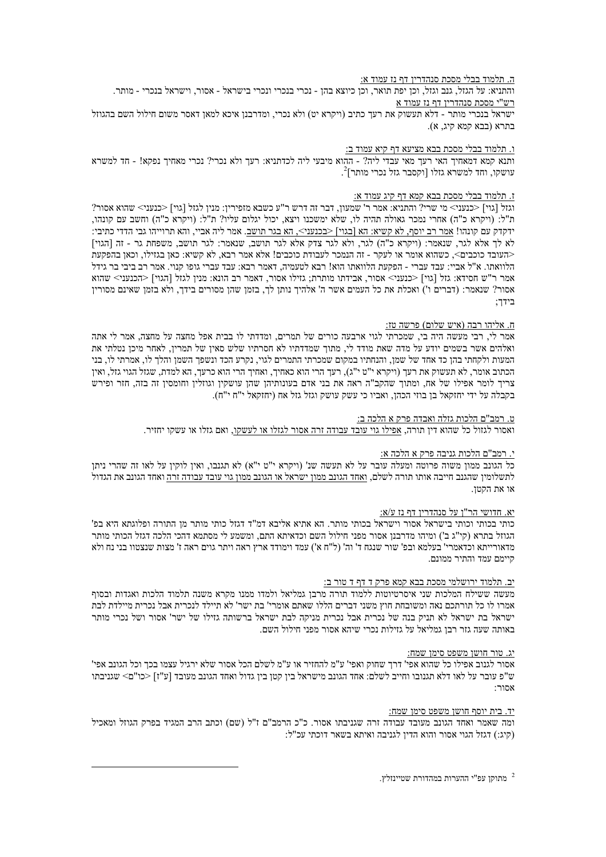#### <u>ה. תלמוד בבלי מסכת סנהדרין דף נז עמוד א:</u>

והתניא: על הגזל, גנב וגזל, וכן יפת תואר, וכן כיוצא בהן - נכרי בנכרי ונכרי בישראל - אסור, וישראל בנכרי - מותר. רש"י מסכת סנהדרין דף נז עמוד א ישראל בנכרי מותר - דלא תעשוק את רעך כתיב (ויקרא יט) ולא נכרי, ומדרבנן איכא למאן דאסר משום חילול השם בהגוזל בתרא (בבא קמא קיג, א).

#### <u>ו. תלמוד בבלי מסכת בבא מציעא דף קיא עמוד ב:</u>

ותנא קמא דמאחיך האי רעך מאי עבדי ליה? - ההוא מיבעי ליה לכדתניא: רעך ולא נכרי? נכרי מאחיך נפקא! - חד למשרא  $^{2}$ עושקו, וחד למשרא גזלו [וקסבר גזל נכרי מותר]<sup>2</sup>.

#### ז. תלמוד בבלי מסכת בבא קמא דף קיג עמוד א:

וגזל [גוי] <כנעני> מי שרי? והתניא: אמר ר' שמעון, דבר זה דרש ר"ע כשבא מזפירין: מנין לגזל [גוי] <כנעני> שהוא אסור? ת"ל: (ויקרא כ"ה) אחרי נמכר גאולה תהיה לו, שלא ימשכנו ויצא, יכול יגלום עליו? ת"ל: (ויקרא כ"ה) וחשב עם קונהו, ידקדק עם קונהו! אמר רב יוסף. לא קשיא: הא [בגוי] <בכנעני>. הא בגר תושב. אמר ליה אביי. והא תרוייהו גבי הדדי כתיבי: לא לך אלא לגר, שנאמר: (ויקרא כ"ה) לגר, ולא לגר צדק אלא לגר תושב, שנאמר: לגר תושב, משפחת גר - זה [הגוי] <העובד כוכבים>. כשהוא אומר או לעקר - זה הנמכר לעבודת כוכבים! אלא אמר רבא. לא קשיא: כאן בגזילו, וכאן בהפקעת הלוואתו. א"ל אביי: עבד עברי - הפקעת הלוואתו הוא! רבא לטעמיה, דאמר רבא: עבד עברי גופו קנוי. אמר רב ביבי בר גידל אמר ר"ש חסידא: גזל [גוי] <כנעני> אסור, אבידתו מותרת; גזילו אסור, דאמר רב הונא: מנין לגזל [הגוי] <הכנעני> שהוא אסור? שנאמר: (דברים ו') ואכלת את כל העמים אשר ה' אלהיך נותן לך, בזמן שהן מסורים בידך, ולא בזמן שאינם מסורין בידך;

#### ח. אליהו רבה (איש שלום) פרשה טז:

אמר לי, רבי מעשה היה בי, שמכרתי לגוי ארבעה כורים של תמרים, ומדדתי לו בבית אפל מחצה על מחצה, אמר לי אתה ואלהים אשר בשמים יודע על מדה שאת מודד לי, מתוך שמדדתיו לא חסרתיו שלש סאין של תמרין, לאחר מיכן נטלתי את המעות ולקחתי בהן כד אחד של שמן, והנחתיו במקום שמכרתי התמרים לגוי, נקרע הכד ונשפך השמן והלך לו, אמרתי לו, בני הכתוב אומר, לא תעשוק את רעד (ויקרא י"ט י"ג), רעד הרי הוא כאחיך, ואחיך הרי הוא כרעך, הא למדת, שגזל הגוי גזל, ואין צריך לומר אפילו של אח, ומתוך שהקב"ה ראה את בני אדם בעונותיהן שהן עושקין וגוזלין וחומסין זה בזה, חזר ופירש בקבלה על ידי יחזקאל בן בוזי הכהן, ואביו כי עשק עושק וגזל גזל אח (יחזקאל י"ח י"ח).

#### ט. רמב"ם הלכות גזלה ואבדה פרק א הלכה ב:

ואסור לגזול כל שהוא דיו תורה. אפילו גוי עובד עבודה זרה אסור לגזלו או לעשקו, ואם גזלו או עשקו יחזיר.

#### י. רמב"ם הלכות גניבה פרק א הלכה א:

כל הגונב ממון משוה פרוטה ומעלה עובר על לא תעשה שנ' (ויקרא י"ט י"א) לא תגנבו. ואין לוקין על לאו זה שהרי ניתן לתשלומין שהגנב חייבה אותו תורה לשלם, ואחד הגונב ממון ישראל או הגונב ממון גוי עובד עבודה זרה ואחד הגונב את הגדול או את הקטן.

#### יא. חדושי הר"ן על סנהדרין דף נז ע/א:

כותי בכותי וכותי בישראל אסור וישראל בכותי מותר. הא אתיא אליבא דמ"ד דגזל כותי מותר מן התורה ופלוגתא היא בפ" הגוזל בתרא (קי"ג ב') ומיהו מדרבנן אסור מפני חילול השם וכדאיתא התם, ומשמע לי מסתמא דהכי הלכה דגזל הכותי מותר מדאורייתא וכדאמרי' בעלמא ובפ' שור שנגח ד' וה' (ל"ח א') עמד וימודד ארץ ראה ויתר גוים ראה ז' מצות שנצטוו בני נח ולא קיימם עמד והתיר ממונם.

#### יב. תלמוד ירושלמי מסכת בבא קמא פרק ד דף ד טור ב:

מעשה ששילח המלכות שני איסרטיוטות ללמוד תורה מרבן גמליאל ולמדו ממנו מקרא משנה תלמוד הלכות ואגדות ובסוף אמרו לו כל תורתכם נאה ומשובחת חוץ משני דברים הללו שאתם אומרי' בת ישר' לא תיילד לנכרית אבל נכרית מיילדת לבת ישראל בת ישראל לא תניק בנה של נכרית אבל נכרית מניקה לבת ישראל ברשותה גזילו של ישר' אסור ושל נכרי מותר באותה שעה גזר רבן גמליאל על גזילות נכרי שיהא אסור מפני חילול השם.

#### יג. טור חושן משפט סימן שמח:

אסור לגנוב אפילו כל שהוא אפי' דרך שחוק ואפי' ע"מ להחזיר או ע"מ לשלם הכל אסור שלא ירגיל עצמו בכך וכל הגונב אפי' ש"פ עובר על לאו דלא תגנובו וחייב לשלם: אחד הגונב מישראל בין קטן בין גדול ואחד הגונב מעובד [ע"ז] <כו"ם> שגניבתו אחורי

#### יד. בית יוסף חושן משפט סימן שמח:

ומה שאמר ואחד הגווב מעובד עבודה זרה שגניבתו אסור. כ"כ הרמב"ם ז"ל (שם) וכתב הרב המגיד בפרק הגוזל ומאכיל (קיג:) דגזל הגוי אסור והוא הדין לגניבה ואיתא בשאר דוכתי עכ"ל:

. מתוקן עפ"י ההערות במהדורת שטיינזלץ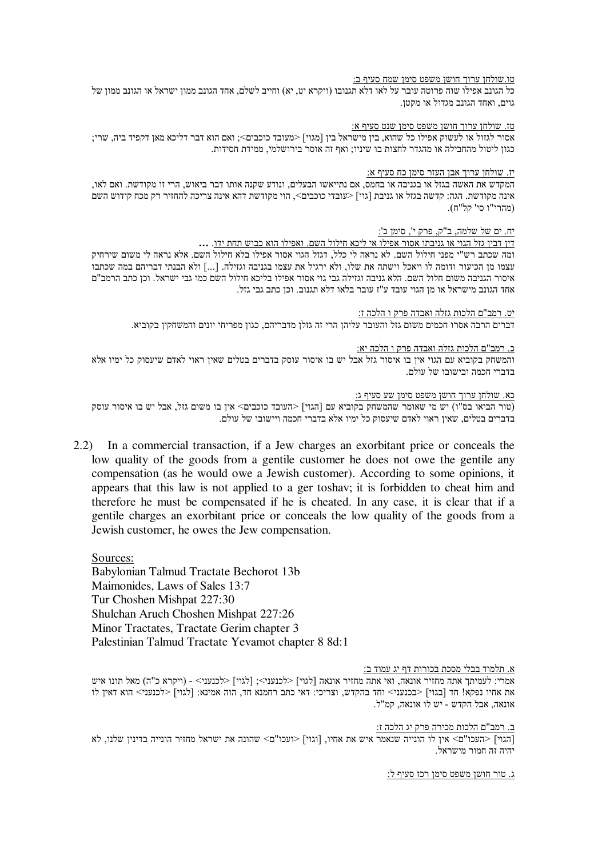# <u>טו.שולחן ערוך חושן משפט סימן שמח סעיף ב:</u>

כל הגונב אפילו שוה פרוטה עובר על לאו דלא תגנובו (ויקרא יט, יא) וחייב לשלם, אחד הגונב ממון ישראל או הגונב ממון של גוים, ואחד הגונב מגדול או מקטן.

# <u>טז. שולחן ערוך חושן משפט סימן שנט סעיף א:</u>

אסור לגזול או לעשוק אפילו כל שהוא, בין מישראל בין [מגוי] <מעובד כוכבים>; ואם הוא דבר דליכא מאן דקפיד ביה, שרי; כגון ליטול מהחבילה או מהגדר לחצות בו שיניו; ואף זה אוסר בירושלמי, ממידת חסידות.

# <u>יז. שולחן ערוך אבן העזר סימן כח סעיף א:</u>

המקדש את האשה בגזל או בגניבה או בחמס. אם נתייאשו הבעלים, ונודע שקנה אותו דבר ביאוש. הרי זו מקודשת. ואם לאו,  $\sim$ ובה הקודשת. הגה: קדשה בגזל או גניבת [גוי] <עובדי כוכבים>, הוי מקודשת דהא אינה צריכה להחזיר רק מכח קידוש השם (מהרי"ו סי' קל"ח).

## <u>יח. ים של שלמה, ב"ק, פרק י', סימן כ':</u>

**…**            !

ומה שכתב רש"י מפני חילול השם. לא נראה לי כלל, דגזל הגוי אסור אפילו בלא חילול השם. אלא נראה לי משום שירחיק עצמו מן הכיעור ודומה לו ויאכל וישתה את שלו, ולא ירגיל את עצמו בגניבה וגזילה. [...] ולא הבנתי דבריהם במה שכתבו איסור הגניבה משום חלול השם. הלא גניבה וגזילה גבי גוי אסור אפילו בליכא חילול השם כמו גבי ישראל. וכן כתב הרמב"ם . אחד הגונב מישראל או מן הגוי עובד ע"ז עובר בלאו דלא תגנוב. וכן כתב גבי גזל

<u>יט. רמב"ם הלכות גזלה ואבדה פרק ו הלכה ז:</u>

דברים הרבה אסרו חכמים משום גזל והעובר עליהן הרי זה גזלן מדבריהם, כגון מפריחי יונים והמשחקין בקוביא.

# <u>כ. רמב"ם הלכות גזלה ואבדה פרק ו הלכה יא:</u>

והמשחק בקוביא עם הגוי אין בו איסור גזל אבל יש בו איסור עוסק בדברים בטלים שאין ראוי לאדם שיעסוק כל ימיו אלא בדברי חכמה ובישובו של עולם.

<u>כא. שולחן ערוך חושן משפט סימן שע סעיף ג:</u>

וואר ביאו בס"ו) יש מי שאומר שהמשחק בקוביא עם [הגוי] <העובד כוכבים> אין בו משום גזל, אבל יש בו איסור עוסק ( בדברים בטלים, שאין ראוי לאדם שיעסוק כל ימיו אלא בדברי חכמה ויישובו של עולם.

2.2) In a commercial transaction, if a Jew charges an exorbitant price or conceals the low quality of the goods from a gentile customer he does not owe the gentile any compensation (as he would owe a Jewish customer). According to some opinions, it appears that this law is not applied to a ger toshav; it is forbidden to cheat him and therefore he must be compensated if he is cheated. In any case, it is clear that if a gentile charges an exorbitant price or conceals the low quality of the goods from a Jewish customer, he owes the Jew compensation.

Sources: Babylonian Talmud Tractate Bechorot 13b Maimonides, Laws of Sales 13:7 Tur Choshen Mishpat 227:30 Shulchan Aruch Choshen Mishpat 227:26 Minor Tractates, Tractate Gerim chapter 3 Palestinian Talmud Tractate Yevamot chapter 8 8d:1

א. תלמוד בבל<u>י מסכת בכורות דף יג עמוד ב:</u>

אמרי: לעמיתך אתה מחזיר אונאה, ואי אתה מחזיר אונאה [לגוי] <לכנעני>; [לגוי] <לכנעני> - (ויקרא כ"ה) מאל תונו איש את אחיו נפקא! חד [בגוי] <בכנעני> וחד בהקדש, וצריכי: דאי כתב רחמנא חד, הוה אמינא: [לגוי] <לכנעני> הוא דאין לו אונאה, אבל הקדש - יש לו אונאה, קמ"ל.

<u>ב. רמב"ם הלכות מכירה פרק יג הלכה ז:</u>

האוי] <העכו"ם> אין לו הונייה שנאמר איש את אחיו, [וגוי] <ועכו"ם> שהונה את ישראל מחזיר הונייה בדינין שלנו, לא יהיה זה חמור מישראל.

<u>ג. טור חושן משפט סימן רכז סעיף ל:</u>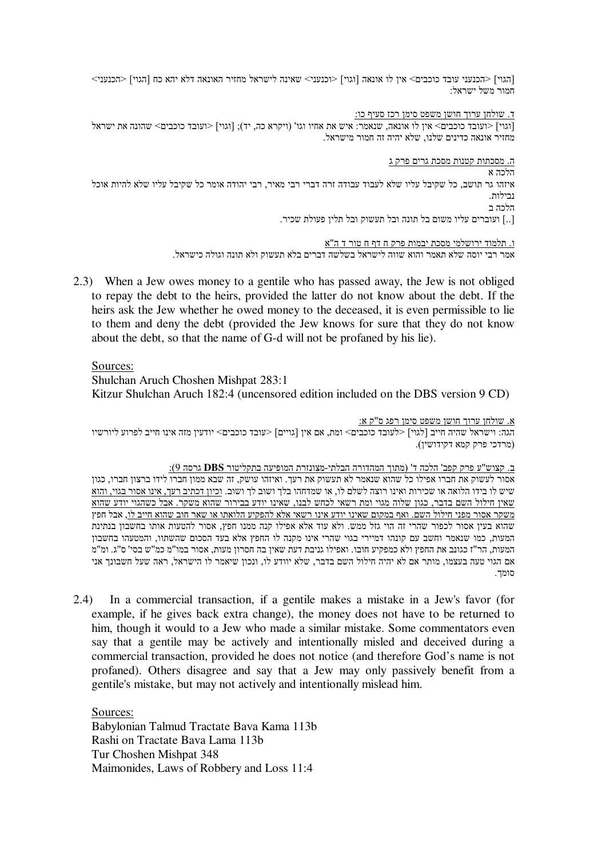|הגוי] <הכנעני עובד כוכבים> אין לו אונאה [וגוי] <וכנעני> שאינה לישראל מחזיר האונאה דלא יהא כח [הגוי] <הכנעני ≺וכבים> אין לו חמור משל ישראל:

<u>ד. שולחן ערוך חושן משפט סימן רכז סעיף כו:</u>

[וגוי] <ועובד כוכבים> שהונה את ישראל " את אחיו וגו" (ויקרא כה, יד); [וגוי] <ועובד כוכבים> שהונה את ישראל " (ואונאה, שנאמר: איש את אחיו וגו" (ויקרא כה, יד); מחזיר אונאה כדינים שלנו, שלא יהיה זה חמור מישראל.

<u>ה. מסכתות קטנות מסכת גרים פרק ג</u>

הלכה א איזהו גר תושב. כל שקיבל עליו שלא לעבוד עבודה זרה דברי רבי מאיר, רבי יהודה אומר כל שקיבל עליו שלא להיות אוכל נבילות. הלכה ב

[..] ועוברים עליו משום בל תונה ובל תעשוק ובל תלין פעולת שכיר.

<u>ו. תלמוד ירושלמי מסכת יבמות פרק ח דף ח טור ד ה"א</u> אמר רבי יוסה שלא תאמר והוא שווה לישראל בשלשה דברים בלא תעשוק ולא תונה וגולה כישראל.

2.3) When a Jew owes money to a gentile who has passed away, the Jew is not obliged to repay the debt to the heirs, provided the latter do not know about the debt. If the heirs ask the Jew whether he owed money to the deceased, it is even permissible to lie to them and deny the debt (provided the Jew knows for sure that they do not know about the debt, so that the name of G-d will not be profaned by his lie).

# Sources:

Shulchan Aruch Choshen Mishpat 283:1 Kitzur Shulchan Aruch 182:4 (uncensored edition included on the DBS version 9 CD)

<u>א. שולחן ערוך חושן משפט סימן רפג ס"ק א:</u> הגה: וישראל שהיה חייב [לגוי] <לעובד כוכבים> ומת, אם אין [גויים] <עובד כוכבים> יודעין מזה אינו חייב לפרוע ליורשיו (מרדכי פרק קמא דקידושין).

<u>ב. קצוש"ע פרק קפב' הלכה ד' (מתוך המהדורה הבלתי-מצונזרת המופיעה בתקליטור **DBS** גרסה 9):</u> אסור לעשוק את חברו אפילו כל שהוא שנאמר לא תעשוק את רעך. ואיזהו עושק, זה שבא ממון חברו לידו ברצון חברו, כגון שיש לו בידו הלואה או שכירות ואינו רוצה לשלם לו, או שמדחהו בלך ושוב לך ושוב. <u>וכיון דכתיב רעך, אינו אסור בגוי, והוא</u> שאין חילול השם בדבר, כגון שלוה מגוי ומת רשאי לכחש לבנו, שאינו יודע בבירור שהוא משקר. אבל כשהגוי יודע שהוא משקר אסור מפני חילול השם. ואף במקום שאינו יודע אינו רשאי אלא להפקיע הלואתו או שאר חוב שהוא חייב <u>לו,</u> אבל חפץ שהוא בעין אסור לכפור שהרי זה הוי גזל ממש. ולא עוד אלא אפילו קנה ממנו חפץ, אסור להטעות אותו בחשבון בנתינת המעות, כמו שנאמר וחשב עם קונהו דמיירי בגוי שהרי אינו מקנה לו החפץ אלא בעד הסכום שהשתוו, והמטעהו בחשבון המעות, הר"ז כגונב את החפץ ולא כמפקיע חובו. ואפילו גניבת דעת שאין בה חסרון מעות, אסור במו"מ כמ"ש בסי' ס"ג. ומ"מ אם הגוי טעה בעצמו, מותר אם לא יהיה חילול השם בדבר, שלא יוודע לו, ונכון שיאמר לו הישראל, ראה שעל חשבונך אני סומך.

2.4) In a commercial transaction, if a gentile makes a mistake in a Jew's favor (for example, if he gives back extra change), the money does not have to be returned to him, though it would to a Jew who made a similar mistake. Some commentators even say that a gentile may be actively and intentionally misled and deceived during a commercial transaction, provided he does not notice (and therefore God's name is not profaned). Others disagree and say that a Jew may only passively benefit from a gentile's mistake, but may not actively and intentionally mislead him.

Sources: Babylonian Talmud Tractate Bava Kama 113b Rashi on Tractate Bava Lama 113b Tur Choshen Mishpat 348 Maimonides, Laws of Robbery and Loss 11:4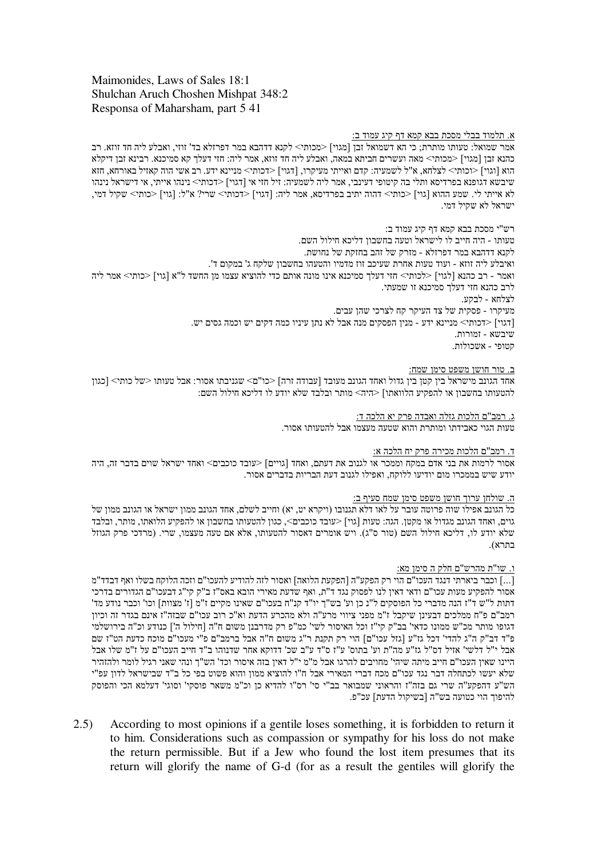# Maimonides, Laws of Sales 18:1 Shulchan Aruch Choshen Mishpat 348:2 Responsa of Maharsham, part 5 41

# <u>א. תלמוד בבלי מסכת בבא קמא דף קיג עמוד ב:</u>

אמר שמואל: טעותו מותרת; כי הא דשמואל זבן [מגוי] <מכותי> לקנא דדהבא במר דפרזלא בד' זוזי, ואבלע ליה חד זוזא. רב כהנא זבן [מגוי] <מכותי> מאה ועשרים חביתא במאה, ואבלע ליה חד זוזא, אמר ליה: חזי דעלך קא סמיכנא. רבינא זבן דיקלא הוא [וגוי] <וכותי> לצלחא, א"ל לשמעיה: קדם ואייתי מעיקרו, [דגוי] <דכותי> מניינא ידע. רב אשי הוה קאזיל באורחא, חזא שיבשא דגופנא בפרדיסא ותלי בה קיטופי דעינבי, אמר ליה לשמעיה: זיל חזי אי [דגוי] <דכותי> נינהו אייתי, אי דישראל נינהו לא אייתי לי. שמע ההוא [גוי] <כותי> דהוה יתיב בפרדיסא, אמר ליה: [דגוי] <דכותי> שרי? א"ל: [גוי] <כותי> שקיל דמי, ישראל לא שקיל דמי.

רש"י מסכת בבא קמא דף קיג עמוד ב: טעותו - היה חייב לו לישראל וטעה בחשבון דליכא חילול השם. לקנא דדהבא במר דפרזלא - מזרק של זהב בחזקת של נחושת. ואיבלע ליה זוזא - ועוד טעות אחרת שעיכב זוז מדמיו והטעהו בחשבון שלקח ג' במקום ד'. ואמר - רב כהנא [לגוי] <לכותי> חזי דעלך סמיכנא אינו מונה אותם כדי להוציא עצמו מן החשד ל"א [גוי] <כותי> אמר ליה לרב כהנא חזי דעלך סמיכנא זו שמעתי. לצלחא - לבקע. מעיקרו - פסקית של צד העיקר קח לצרכי שהן עבים. [דגוי] <דכותי> מניינא ידע - מנין הפסקים מנה אבל לא נתן עיניו כמה דקים יש וכמה גסים יש.  $1$  (שיר $1$ ישא - האורות קטופי - אשכולות.

# <u>ב. טור חושן משפט סימן שמח:</u>

אחד הגונב מישראל בין קטן בין גדול ואחד הגונב מעובד [עבודה זרה] <כו"ם> שגניבתו אסור: אבל טעותו <של כותי> [כגון להטעותו בחשבון או להפקיע הלוואתו] <היה> מותר ובלבד שלא יודע לו דליכא חילול השם:

> <u>ג. רמב"ם הלכות גזלה ואבדה פרק יא הלכה ד:</u> טעות הגוי כאבידתו ומותרת והוא שטעה מעצמו אבל להטעותו אסור.

# <u>ד. רמב"ם הלכות מכירה פרק יח הלכה א:</u>

אסור לרמות את בני אדם במקח וממכר או לגנוב את דעתם. ואחד [גויים] <עובד כוכבים> ואחד ישראל שוים בדבר זה. היה יודע שיש בממכרו מום יודיעו ללוקח, ואפילו לגנוב דעת הבריות בדברים אסור.

# <u>ה. שולחן ערוך חושן משפט סימן שמח סעיף ב:</u>

כל הגונב אפילו שוה פרוטה עובר על לאו דלא תגנובו (ויקרא יט, יא) וחייב לשלם, אחד הגונב ממון ישראל או הגונב ממון של גוים, ואחד הגונב מגדול או מקטן. הגה: טעות [גוי] >עובד כוכבים>, כגון להטעותו בחשבון או להפקיע הלואתו, מותר, ובלבד שלא יודע לו, דליכא חילול השם (טור ס"ג). ויש אומרים דאסור להטעותו, אלא אם טעה מעצמו, שרי. (מרדכי פרק הגוזל בתרא).

## ו. שו"ת מהרש"ם חלק ה סימן מא:

[…] וכבר ביארתי דנגד העכו"ם הוי רק הפקע"ה [הפקעת הלואה] ואסור לזה להודיע להעכו"ם וזכה הלוקח בשלו ואף דבדד"מ| אסור להפקיע מעות עכו"ם ודאי דאין לנו לפסוק נגד ד"ת, ואף שדעת מאירי הובא באס"ז ב"ק קי"ג דבעכו"ם הגדורים בדרכי דתות ל"ש ד"ז הנה מדברי כל הפוסקים ל"נ כן וע' בש"ך יו"ד קנ"ח בעכו"ם שאינו מקיים ז"מ [ז' מצוות] וכו' וכבר נודע מד' רמב"ם פ"ח ממלכים דבעינן שיקבל ז"מ מפני ציווי מרע"ה ולא מהכרע הדעת וא"כ רוב עכו"ם שבזה"ז אינם בגדר זה וכיון דגופו מותר מכ"ש ממונו כדאי' בב"ק קי"ז וכל האיסור לשי' כמ"פ רק מדרבנן משום ח"ה [חילול ה'] כנודע וכ"ה בירושלמי פ"ד דב"ק ה"ג להדי' דכל גז"ע [גזל עכו"ם] הוי רק תקנת ר"ג משום ח"ה אבל ברמב"ם פ"י מעכו"ם מוכח כדעת הט"ז שם אבל י"ל דלשי' אזיל דס"ל גז"ע מה"ת וע' בתוס' ע"ז ס"ד ע"ב שכ' דדוקא אחר שדנוהו ב"ד חייב העכו"ם על ז"מ שלו אבל היינו שאין העכו"ם חייב מיתה שיהי' מחויבים להרגו אבל מ"מ י"ל דאין בזה איסור וכד' הש"ך ונהי שאני רגיל לומר ולהזהיר שלא יעשו לכתחלה דבר נגד עכו"ם מכח דברי המאירי אבל ח"ו להוציא ממון והוא פשוט בפי כל ב"ד שבישראל לדון עפ"י הש"ע דהפקע"ה שרי גם בזה"ז והראוני שמבואר בב"י סי' רס"ו להדיא כן וכ"מ משאר פוסקי' וסוגי' דעלמא הכי והפוסק להיפוך הוי כטועה בש"ה [בשיקול הדעת] עכ"פ.

2.5) According to most opinions if a gentile loses something, it is forbidden to return it to him. Considerations such as compassion or sympathy for his loss do not make the return permissible. But if a Jew who found the lost item presumes that its return will glorify the name of G-d (for as a result the gentiles will glorify the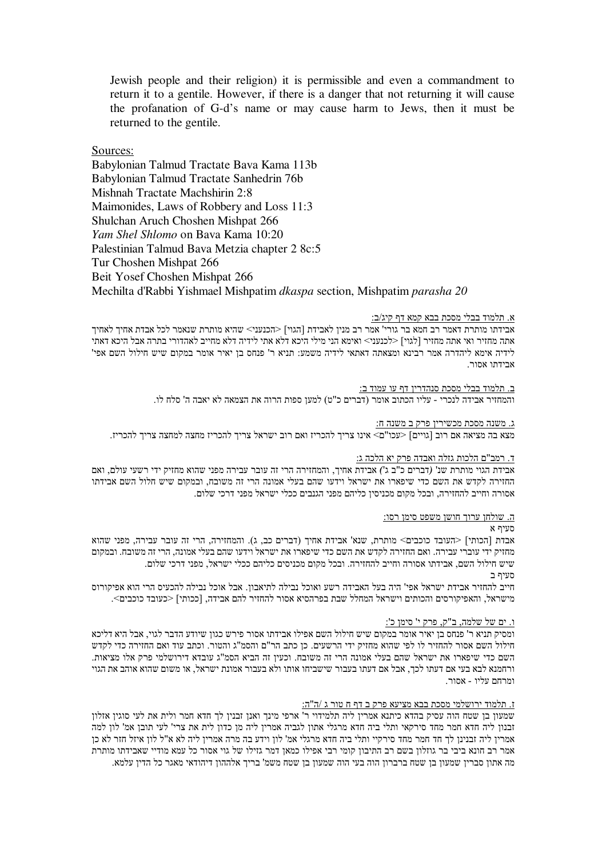Jewish people and their religion) it is permissible and even a commandment to return it to a gentile. However, if there is a danger that not returning it will cause the profanation of G-d's name or may cause harm to Jews, then it must be returned to the gentile.

Sources:

Babylonian Talmud Tractate Bava Kama 113b Babylonian Talmud Tractate Sanhedrin 76b Mishnah Tractate Machshirin 2:8 Maimonides, Laws of Robbery and Loss 11:3 Shulchan Aruch Choshen Mishpat 266 *Yam Shel Shlomo* on Bava Kama 10:20 Palestinian Talmud Bava Metzia chapter 2 8c:5 Tur Choshen Mishpat 266 Beit Yosef Choshen Mishpat 266 Mechilta d'Rabbi Yishmael Mishpatim *dkaspa* section, Mishpatim *parasha 20*

### א. תלמוד בבלי מסכת בבא קמא דף קיג/ב:

אבידתו מותרת דאמר רב חמא בר גורי' אמר רב מנין לאבידת [הגוי] <הכנעני> שהיא מותרת שנאמר לכל אבדת אחיך לאחיך אתה מחזיר ואי אתה מחזיר [לגוי] <לכנעני> ואימא הני מילי היכא דלא אתי לידיה דלא מחייב לאהדורי בתרה אבל היכא דאתי לידיה אימא ליהדרה אמר רבינא ומצאתה דאתאי לידיה משמע: תניא ר' פנחס בן יאיר אומר במקום שיש חילול השם אפי' ארידתו אחור

> ב. תלמוד בבלי מסכת סנהדרין דף עו עמוד ב: והמחזיר אבידה לנכרי - עליו הכתוב אומר (דברים כ"ט) למען ספות הרוה את הצמאה לא יאבה ה' סלח לו.

# <u>ג. משנה מסכת מכשירין פרק ב משנה ח:</u>

מצא בה מציאה אם רוב [גויים] <עכו"ם> אינו צריד להכריז ואם רוב ישראל צריד להכריז מחצה למחצה צריד להכריז.

# <u>ד. רמב"ם הלכות גזלה ואבדה פרק יא הלכה ג:</u>

אבידת הגוי מותרת שנ' (דברים כ"ב ג') אבידת אחיך, והמחזירה הרי זה עובר עבירה מפני שהוא מחזיק ידי רשעי עולם, ואם החזירה לקדש את השם כדי שיפארו את ישראל וידעו שהם בעלי אמונה הרי זה משובח, ובמקום שיש חלול השם אבידתו אסורה וחייב להחזירה, ובכל מקום מכניסין כליהם מפני הגנבים ככלי ישראל מפני דרכי שלום.

## <u>ה. שולחן ערוך חושן משפט סימן רסו:</u>

# מעיף א

אבדת [הכותי] <העובד כוכבים> מותרת, שנא' אבידת אחיך (דברים כב, ג). והמחזירה, הרי זה עובר עבירה, מפני שהוא מחזיק ידי עוברי עבירה. ואם החזירה לקדש את השם כדי שיפארו את ישראל וידעו שהם בעלי אמונה, הרי זה משובח. ובמקום שיש חילול השם, אבידתו אסורה וחייב להחזירה. ובכל מקום מכניסים כליהם ככלי ישראל, מפני דרכי שלום. סעיף ב

חייב להחזיר אבידת ישראל אפי' היה בעל האבידה רשע ואוכל נבילה לתיאבון. אבל אוכל נבילה להכעיס הרי הוא אפיקורוס מישראל, והאפיקורסים והכותים וישראל המחלל שבת בפרהסיא אסור להחזיר להם אבידה, [ככותי] <כעובד כוכבים>.

# <u>ו. ים של שלמה, ב"ק, פרק י' סימן כ':</u>

ומסיק תניא ר' פנחס בן יאיר אומר במקום שיש חילול השם אפילו אבידתו אסור פירש כגון שיודע הדבר לגוי, אבל היא דליכא חילול השם אסור להחזיר לו לפי שהוא מחזיק ידי הרשעים. כן כתב הר"ם והסמ"ג והטור. וכתב עוד ואם החזירה כדי לקדש השם כדי שיפארו את ישראל שהם בעלי אמונה הרי זה משובח. וכעין זה הביא הסמ"ג עובדא דירושלמי פרק אלו מציאות. ורחמנא לבא בעי אם דעתו לכך, אבל אם דעתו בעבור שישביחו אותו ולא בעבור אמונת ישראל, או משום שהוא אוהב את הגוי ומרחם עליו - אסור.

# <u>ז. תלמוד ירושלמי מסכת בבא מציעא פרק ב דף ח טור ג /ה"ה:</u>

שמעון בן שטח הוה עסיק בהדא כיתנא אמרין ליה תלמידוי ר' ארפי מינך ואנן זבנין לך חדא חמר ולית את לעי סוגין אזלון זבנון ליה חדא חמר מחד סירקאי ותלי ביה חדא מרגלי אתון לגביה אמרין ליה מן כדון לית את צרי' לעי תובן אמ' לון למה אמרין ליה זבנינן לך חד חמר מחד סירקיי ותלי ביה חדא מרגלי אמ' לון וידע בה מרה אמרין ליה לא א"ל לון איזל חזר לא כן אמר רב חונא ביבי בר גוזלון בשם רב התיבון קומי רבי אפילו כמאן דמר גזילו של גוי אסור כל עמא מודיי שאבידתו מותרת מה אתון סברין שמעון בן שטח ברברון הוה בעי הוה שמעון בן שטח משמ' בריך אלההון דיהודאי מאגר כל הדין עלמא.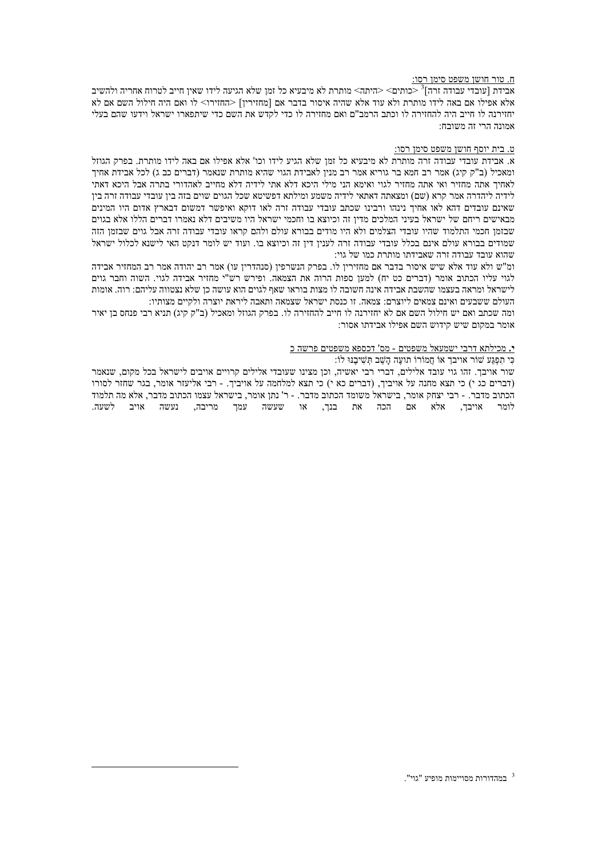#### ח. טור חושן משפט סימן רסו:

אבידת [עובדי עבודה זרה]<sup>3</sup><כותים> <היתה> מותרת לא מיבעיא כל זמן שלא הגיעה לידו שאין חייב לטרוח אחריה ולהשיב אלא אפילו אם באה לידו מותרת ולא עוד אלא שהיה איסור בדבר אם [מחזירין] <החזירו> לו ואם היה חילול השם אם לא יחזירנה לו חייב היה להחזירה לו וכתב הרמב"ם ואם מחזירה לו כדי לקדש את השם כדי שיתפארו ישראל וידעו שהם בעלי אמונה הרי זה משובח:

### ט. בית יוסף חושן משפט סימן רסו:

א. אבידת עובדי עבודה זרה מותרת לא מיבעיא כל זמן שלא הגיע לידו וכו' אלא אפילו אם באה לידו מותרת. בפרק הגוזל ומאכיל (ב"ק קיג) אמר רב חמא בר גוריא אמר רב מנין לאבידת הגוי שהיא מותרת שנאמר (דברים כב ג) לכל אבידת אחיך לאחיך אתה מחזיר ואי אתה מחזיר לגוי ואימא הני מילי היכא דלא אתי לידיה דלא מחייב לאהדורי בתרה אבל היכא דאתי לידיה ליהדרה אמר קרא (שם) ומצאתה דאתאי לידיה משמע ומילתא דפשיטא שכל הגוים שוים בזה בין עובדי עבודה זרה בין שאינם עובדים דהא לאו אחיך נינהו ורבינו שכתב עובדי עבודה זרה לאו דוקא ואיפשר דמשום דבארץ אדום היו המינים מבאישים ריחם של ישראל בעיני המלכים מדין זה וכיוצא בו וחכמי ישראל היו משיבים דלא נאמרו דברים הללו אלא בגוים שבזמו חכמי התלמוד שהיו עובדי הצלמים ולא היו מודים בבורא עולם ולהם קראו עובדי עבודה זרה אבל גוים שבזמו הזה שמודים בבורא עולם אינם בכלל עובדי עבודה זרה לענין דין זה וכיוצא בו. ועוד יש לומר דנקט האי לישנא לכלול ישראל שהוא עובד עבודה זרה שאבידתו מותרת כמו של גוי:

ומ"ש ולא עוד אלא שיש איסור בדבר אם מחזיריו לו. בפרק הנשרפיו (סנהדריו עו) אמר רב יהודה אמר רב המחזיר אבידה לגוי עליו הכתוב אומר (דברים כט יח) למען ספות הרוה את הצמאה. ופירש רש"י מחזיר אבידה לגוי. השוה וחבר גוים לישראל ומראה בעצמו שהשבת אבידה אינה חשובה לו מצות בוראו שאף לגוים הוא עושה כן שלא נצטווה עליהם: רוה. אומות העולם ששבעים ואינם צמאים ליוצרם: צמאה. זו כנסת ישראל שצמאה ותאבה ליראת יוצרה ולקיים מצותיו:

ומה שכתב ואם יש חילול השם אם לא יחזירנה לו חייב להחזירה לו. בפרק הגוזל ומאכיל (ב"ק קיג) תניא רבי פנחס בן יאיר אומר במקום שיש קידוש השם אפילו אבידתו אסור:

#### י. מכילתא דרבי ישמעאל משפטים - מס' דכספא משפטים פרשה כ

#### כי תפגע שור אויבך או חמורו תועה השב תשיבנו לו:

שור אויבך. זהו גוי עובד אלילים, דברי רבי יאשיה, וכן מצינו שעובדי אלילים קרויים אויבים לישראל בכל מקום. שנאמר (דברים כג י) כי תצא מחנה על אויביך, (דברים כא י) כי תצא למלחמה על אויביך. - רבי אליעזר אומר, בגר שחזר לסורו הכתוב מדבר. - רבי יצחק אומר, בישראל משומד הכתוב מדבר. - ר' נתן אומר, בישראל עצמו הכתוב מדבר, אלא מה תלמוד .<br>לומר אויבך, אלא אם הכה את בנך, או שעשה עמך מריבה, נעשה אויב לשעה.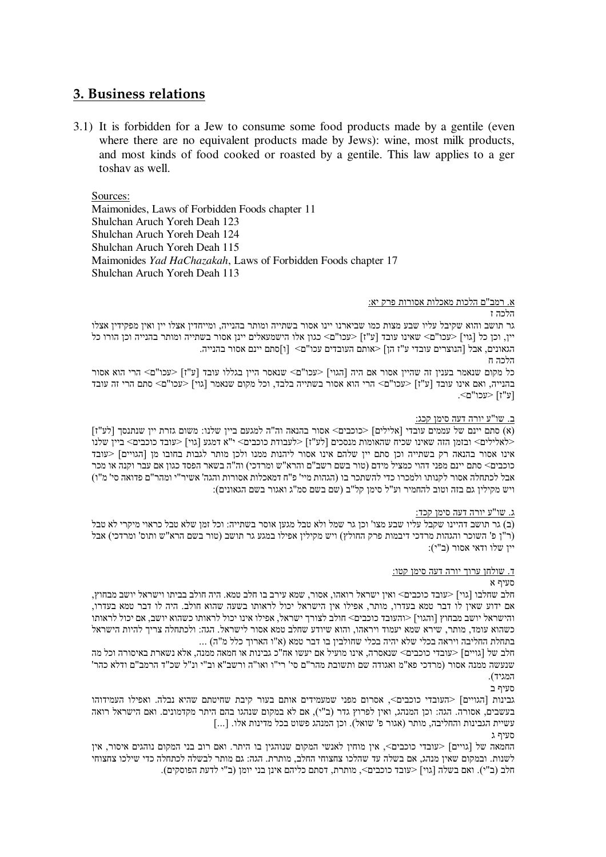# 3. Business relations

3.1) It is forbidden for a Jew to consume some food products made by a gentile (even where there are no equivalent products made by Jews): wine, most milk products, and most kinds of food cooked or roasted by a gentile. This law applies to a ger toshav as well.

Sources:

Maimonides, Laws of Forbidden Foods chapter 11 Shulchan Aruch Yoreh Deah 123 Shulchan Aruch Yoreh Deah 124 Shulchan Aruch Yoreh Deah 115 Maimonides Yad HaChazakah, Laws of Forbidden Foods chapter 17 Shulchan Aruch Yoreh Deah 113

# א. רמב"ם הלכות מאכלות אסורות פרק יא:

## הלכה ז

גר תושב והוא שקיבל עליו שבע מצות כמו שביארנו יינו אסור בשתייה ומותר בהנייה, ומייחדין אצלו יין ואין מפקידין אצלו יין. וכן כל [גוי] <עכו"ם> שאינו עובד [ע"ז] <עכו"ם> כגון אלו הישמעאלים יינן אסור בשתייה ומותר בהנייה וכן הורו כל הגאונים, אבל [הנוצרים עובדי ע"ז הן] <אותם העובדים עכו"ם> [ו]סתם יינם אסור בהנייה.

הלכה ח

כל מקום שנאמר בענין זה שהיין אסור אם היה [הגוי] <עכו"ם> שנאסר היין בגללו עובד [ע"ז] <עכו"ם> הרי הוא אסור בהנייה, ואם אינו עובד [ע"ז] <עכו"ם> הרי הוא אסור בשתייה בלבד, וכל מקום שנאמר [גוי] <עכו"ם> סתם הרי זה עובד [ע"ז] <עכו"ם>.

## ב. שו"ע יורה דעה סימן קכג:

(א) סתם יינם של עממים עובדי [אלילים] <כוכבים> אסור בהנאה וה"ה למגעם ביין שלנו: משום גזרת יין שנתנסך [לע"ז] <לאלילים> ובזמן הזה שאינו שכיח שהאומות מנסכים [לע"ז] <לעבודת כוכבים> י"א דמגע [גוי] <עובד כוכבים> ביין שלנו אינו אסור בהנאה רק בשתייה וכו סתם ייו שלהם אינו אסור ליהנות ממנו ולכו מותר לגבות בחובו מו [הגויים] <עובד כוכבים> סתם יינם מפני דהוי כמציל מידם (טור בשם רשב"ם והרא"ש ומרדכי) וה"ה בשאר הפסד כגון אם עבר וקנה או מכר אבל לכתחלה אסור לקנותו ולמכרו כדי להשתכר בו (הגהות מיי' פ"ח דמאכלות אסורות והגה' אשיר"י ומהר"ם פדואה סי' מ"ו) ויש מקילין גם בזה וטוב להחמיר וע"ל סימן קל"ב (שם בשם סמ"ג ואגור בשם הגאונים):

#### <u>ג. שו"ע יורה דעה סימן קכד:</u>

(ב) גר תושב דהיינו שקבל עליו שבע מצו' וכן גר שמל ולא טבל מגען אוסר בשתייה: וכל זמן שלא טבל כראוי מיקרי לא טבל (ר"ן פ' השוכר והגהות מרדכי דיבמות פרק החולץ) ויש מקילין אפילו במגע גר תושב (טור בשם הרא"ש ותוס' ומרדכי) אבל יין שלו ודאי אסור (ב"י):

## ד. שולחן ערוך יורה דעה סימן קטו:

# סעיף א

חלב שחלבו [גוי] <עובד כוכבים> ואין ישראל רואהו, אסור, שמא עירב בו חלב טמא. היה חולב בביתו וישראל יושב מבחוץ, אם ידוע שאין לו דבר טמא בעדרו, מותר, אפילו אין הישראל יכול לראותו בשעה שהוא חולב. היה לו דבר טמא בעדרו, והישראל יושב מבחוץ [והגוי] <והעובד כוכבים> חולב לצורך ישראל, אפילו אינו יכול לראותו כשהוא יושב, אם יכול לראותו כשהוא עומד, מותר, שירא שמא יעמוד ויראהו, והוא שיודע שחלב טמא אסור לישראל. הגה: ולכתחלה צריך להיות הישראל בתחלת החליבה ויראה בכלי שלא יהיה בכלי שחולבין בו דבר טמא (א"ו הארוך כלל מ"ה) ...

חלב של [גויים] <עובדי כוכבים> שנאסרה, אינו מועיל אם יעשו אח"כ גבינות או חמאה ממנה, אלא נשארת באיסורה וכל מה שנעשה ממנה אסור (מרדכי פא"מ ואגודה שם ותשובת מהר"ם סי' רי"ו ואו"ה ורשב"א וב"י ונ"ל שכ"ד הרמב"ם ודלא כהר' המגיד)

סעיף ב

גבינות [הגויים] <העובדי כוכבים>, אסרום מפני שמעמידים אותם בעור קיבת שחיטתם שהיא נבלה. ואפילו העמידוהו בעשבים, אסורה. הגה: וכן המנהג, ואין לפרוץ גדר (ב"י), אם לא במקום שנהגו בהם היתר מקדמונים. ואם הישראל רואה עשיית הגבינות והחליבה, מותר (אגור פ' שואל). וכן המנהג פשוט בכל מדינות אלו. [...]

סעיף ג

החמאה של [גויים] <עובדי כוכבים>, אין מוחין לאנשי המקום שנוהגין בו היתר. ואם רוב בני המקום נוהגים איסור, אין לשנות. ובמקום שאין מנהג, אם בשלה עד שהלכו צחצוחי החלב, מותרת. הגה: גם מותר לבשלה לכתחלה כדי שילכו צחצוחי חלב (ב"י). ואם בשלה [גוי] <עובד כוכבים>, מותרת, דסתם כליהם אינן בני יומן (ב"י לדעת הפוסקים).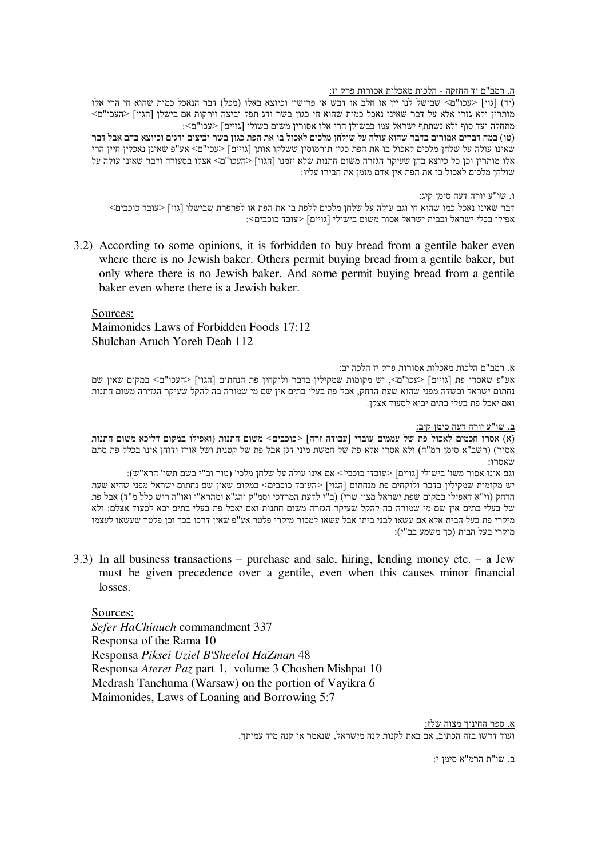# <u>ה. רמב"ם יד החזקה - הלכות מאכלות אסורות פרק יז:</u>

(יד) [גוי] <עכו"ם> שבישל לנו יין או חלב או דבש או פרישין וכיוצא באלו (מכל) דבר הנאכל כמות שהוא חי הרי אלו מותרין ולא גזרו אלא על דבר שאינו נאכל כמות שהוא חי כגון בשר ודג תפל וביצה וירקות אם בישלן [הגוי] <העכו"ם> וויים] מתחלה העד הוף היא השראל הרי הרי הודי המורין משום בשולי המיים] מתחלה העבו"ם (גויים השלון הא (טו) במה דברים אמורים בדבר שהוא עולה על שולחן מלכים לאכול בו את הפת כגון בשר וביצים ודגים וכיוצא בהם אבל דבר שאינו עולה על שלחן מלכים לאכול בו את הפת כגון תורמוסין ששלקו אותן [גויים] <עכו"ם> אע"פ שאינן נאכלין חיין הרי ' אלו מותרין וכן כל כיוצא בהן שעיקר הגזרה משום חתנות שלא יזמנו [הגוי] <העכו"ם<br/>> אצלו בסעודה ודבר שאינו עולה על שולחן מלכים לאכול בו את הפת אין אדם מזמן את חבירו עליו:

ו. שו"ע יורה דעה סימן קיג:

דבר שאינו נאכל כמו שהוא חי וגם עולה על שלחן מלכים ללפת בו את הפת או לפרפרת שבישלו [גוי] <עובד כוכבים> אפילו בכלי ישראל ובבית ישראל אסור משום בישולי [גויים] <עובד כוכבים>:

3.2) According to some opinions, it is forbidden to buy bread from a gentile baker even where there is no Jewish baker. Others permit buying bread from a gentile baker, but only where there is no Jewish baker. And some permit buying bread from a gentile baker even where there is a Jewish baker.

Sources:

Maimonides Laws of Forbidden Foods 17:12 Shulchan Aruch Yoreh Deah 112

# <u>א. רמב"ם הלכות מאכלות אסורות פרק יז הלכה יב:</u>

אע"פ שאסרו פת [גויים] <עכו"ם>, יש מקומות שמקילין בדבר ולוקחין פת הנחתום [הגוי] <העכו"ם> במקום שאין שם נחתום ישראל ובשדה מפני שהוא שעת הדחק, אבל פת בעלי בתים אין שם מי שמורה בה להקל שעיקר הגזירה משום חתנות ואם יאכל פת בעלי בתים יבוא לסעוד אצלן.

ב. שו"ע יורה דעה סימן קיב:

(א) אסרו חכמים לאכול פת של עממים עובדי [עבודה זרה] <כוכבים> משום חתנות (ואפילו במקום דליכא משום חתנות) אסור) (רשב"א סימן רמ"ח) ולא אסרו אלא פת של חמשת מיני דגן אבל פת של קטנית ושל אורז ודוחן אינו בכלל פת סתם :שאסרו

וגם אינו אסור משו' בישולי [גויים] <עובדי כוכבי'> אם אינו עולה על שלחן מלכי' (טור וב"י בשם תשו' הרא"ש): יש מקומות שמקילין בדבר ולוקחים פת מנחתום [הגוי] <העובד כוכבים> במקום שאין שם נחתום ישראל מפני שהיא שעת הדחק (וי"א דאפילו במקום שפת ישראל מצוי שרי) (ב"י לדעת המרדכי וסמ"ק והג"א ומהרא"י ואו"ה ריש כלל מ"ד) אבל פת של בעלי בתים אין שם מי שמורה בה להקל שעיקר הגזרה משום חתנות ואם יאכל פת בעלי בתים יבא לסעוד אצלם: ולא מיקרי פת בעל הבית אלא אם עשאו לבני ביתו אבל עשאו למכור מיקרי פלטר אע"פ שאין דרכו בכך וכן פלטר שעשאו לעצמו מיקרי בעל הבית (כד משמע בב"י):

3.3) In all business transactions – purchase and sale, hiring, lending money etc. – a Jew must be given precedence over a gentile, even when this causes minor financial losses.

Sources:

*Sefer HaChinuch* commandment 337 Responsa of the Rama 10 Responsa *Piksei Uziel B'Sheelot HaZman* 48 Responsa *Ateret Paz* part 1, volume 3 Choshen Mishpat 10 Medrash Tanchuma (Warsaw) on the portion of Vayikra 6 Maimonides, Laws of Loaning and Borrowing 5:7

> <u>א. ספר החינוך מצוה שלז:</u> ועוד דרשו בזה הכתוב, אם באת לקנות קנה מישראל, שנאמר או קנה מיד עמיתך.

> > ב. שו"ת הרמ"א סימן י: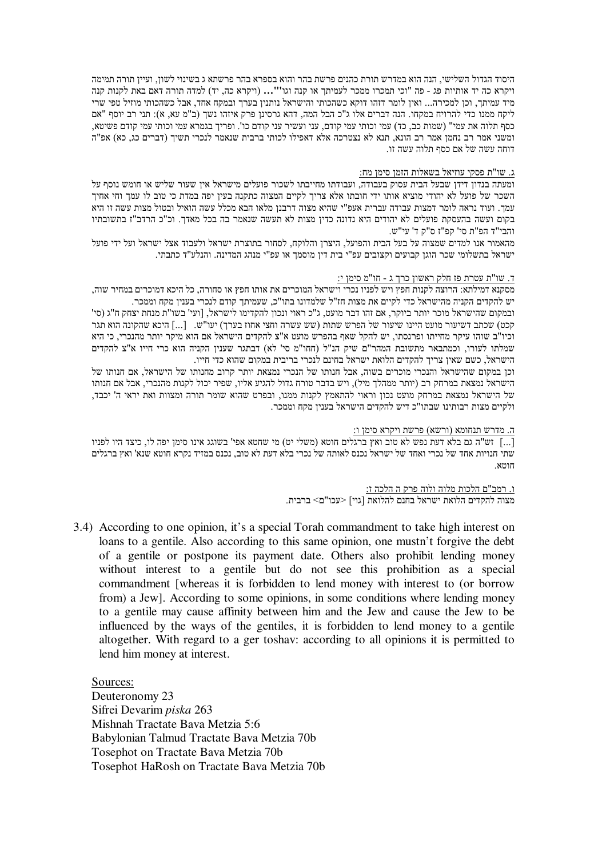היסוד הגדול השלישי, הנה הוא במדרש תורת כהנים פרשת בהר והוא בספרא בהר פרשתא ג בשינוי לשון, ועיין תורה תמימה ויקרא כה יד אותיות פג - פה "וכי תמכרו ממכר לעמיתך או קנה וגו''**'...** (ויקרא כה, יד) למדה תורה דאם באת לקנות קנה מיד עמיתך, וכן למכירה... ואין לומר דזהו דוקא כשהכותי והישראל נותנין בערך ובמקח אחד, אבל כשהכותי מוזיל טפי שרי ליקח ממנו כדי להרויח במקחו. הנה דברים אלו ג"כ הבל המה, דהא גרסינן פרק איזהו נשך (ב"מ עא, א): תני רב יוסף "אם כסף תלוה את עמי" (שמות כב, כד) עמי וכותי עמי קודם, עני ועשיר עני קודם כו'. ופריך בגמרא עמי וכותי עמי קודם פשיטא, ומשני אמר רב נחמן אמר רב הונא, תנא לא נצטרכה אלא דאפילו לכותי ברבית שנאמר לנכרי תשיך (דברים כג, כא) אפ"ה דוחה עשה של אם כסף תלוה עשה זו.

# <u>ג. שו"ת פסקי עוזיאל בשאלות הזמן סימן מח:</u>

ומעתה בנדון דידן שבעל הבית עסוק בעבודה, ועבודתו מחייבתו לשכור פועלים מישראל אין שעור שליש או חומש נוסף על השכר של פועל לא יהודי מוציא אותו ידי חובתו אלא צריך לקיים המצוה כתקנה בעין יפה במדת כי טוב לו עמך וחי אחיך עמך. ועוד נראה לומר דמצות עבודה עברית אעפ"י שהיא מצוה דרבנן מלאו הבא מכלל עשה הואיל ובטול מצות עשה זו היא בקום ועשה בהעסקת פועלים לא יהודים היא נדונה כדין מצות לא תעשה שנאמר בה בכל מאדך. וכ"כ הרדב"ז בתשובתיו והבי"ד הפ"ת סי' קפ"ז ס"ק ד' עי"ש.

מהאמור אנו למדים שמצוה על בעל הבית והפועל, היצרן והלוקח, לסחור בתוצרת ישראל ולעבוד אצל ישראל ועל ידי פועל ישראל בתשלומי שכר הוגן קבועים וקצובים עפ"י בית דין מוסמך או עפ"י מנהג המדינה. והנלע"ד כתבתי.

#### <u>ד. שו"ת עטרת פז חלק ראשון כרך ג - חו"מ סימן י:</u>

מסקנא דמילתא: הרוצה לקנות חפץ ויש לפניו נכרי וישראל המוכרים את אותו חפץ או סחורה, כל היכא דמוכרים במחיר שוה, יש להקדים הקניה מהישראל כדי לקיים את מצות חז"ל שלמדונו בתו"כ, שעמיתך קודם לנכרי בענין מקח וממכר.

ובמקום שהישראל מוכר יותר ביוקר, אם זהו דבר מועט, ג"כ ראוי ונכון להקדימו לישראל, [ועי' בשו"ת מנחת יצחק ח"ג (סי' קכט) שכתב דשיעור מועט היינו שיעור של הפרש שתות (שש עשרה וחצי אחוז בערך) יעו"ש. [...] היכא שהקונה הוא תגר וכיו"ב שוהו עיקר מחייתו ופרנסתו, יש להקל שאף בהפרש מועט א"צ להקדים הישראל אם הוא מיקר יותר מהנכרי, כי היא שמלתו לעורו, וכמתבאר מתשובת המהר"ם שיק הנ"ל (חחו"מ סי' לא) דבתגר שענין הקניה הוא כרי חייו א"צ להקדים הישראל, כשם שאין צריך להקדים הלואת ישראל בחינם לנכרי בריבית במקום שהוא כדי חייו.

וכן במקום שהישראל והנכרי מוכרים בשוה, אבל חנותו של הנכרי נמצאת יותר קרוב מחנותו של הישראל, אם חנותו של הישראל נמצאת במרחק רב (יותר ממהלך מיל), ויש בדבר טורח גדול להגיע אליו, שפיר יכול לקנות מהנכרי, אבל אם חנותו של הישראל נמצאת במרחק מועט נכון וראוי להתאמץ לקנות ממנו, ובפרט שהוא שומר תורה ומצוות ואת יראי ה' יכבד, ולקיים מצות רבותינו שבתו"כ דיש להקדים הישראל בענין מקח וממכר.

<u>ה. מדרש תנחומא (ורשא) פרשת ויקרא סימן ו:</u>

יש"ה גם בלא דעת נפש לא טוב ואץ ברגלים חוטא (משלי יט) מי שחטא אפי' בשוגג אינו סימן יפה לו, כיצד היו לפניו "חו $\ldots$ שתי חנויות אחד של נכרי ואחד של ישראל נכנס לאותה של נכרי בלא דעת לא טוב, נכנס במזיד נקרא חוטא שנא' ואץ ברגלים חווא

> <u>ו. רמב"ם הלכות מלוה ולוה פרק ה הלכה ז:</u> מצוה להקדים הלואת ישראל בחנם להלואת [גוי] <עכו"ם> ברבית.

3.4) According to one opinion, it's a special Torah commandment to take high interest on loans to a gentile. Also according to this same opinion, one mustn't forgive the debt of a gentile or postpone its payment date. Others also prohibit lending money without interest to a gentile but do not see this prohibition as a special commandment [whereas it is forbidden to lend money with interest to (or borrow from) a Jew]. According to some opinions, in some conditions where lending money to a gentile may cause affinity between him and the Jew and cause the Jew to be influenced by the ways of the gentiles, it is forbidden to lend money to a gentile altogether. With regard to a ger toshav: according to all opinions it is permitted to lend him money at interest.

Sources: Deuteronomy 23 Sifrei Devarim *piska* 263 Mishnah Tractate Bava Metzia 5:6 Babylonian Talmud Tractate Bava Metzia 70b Tosephot on Tractate Bava Metzia 70b Tosephot HaRosh on Tractate Bava Metzia 70b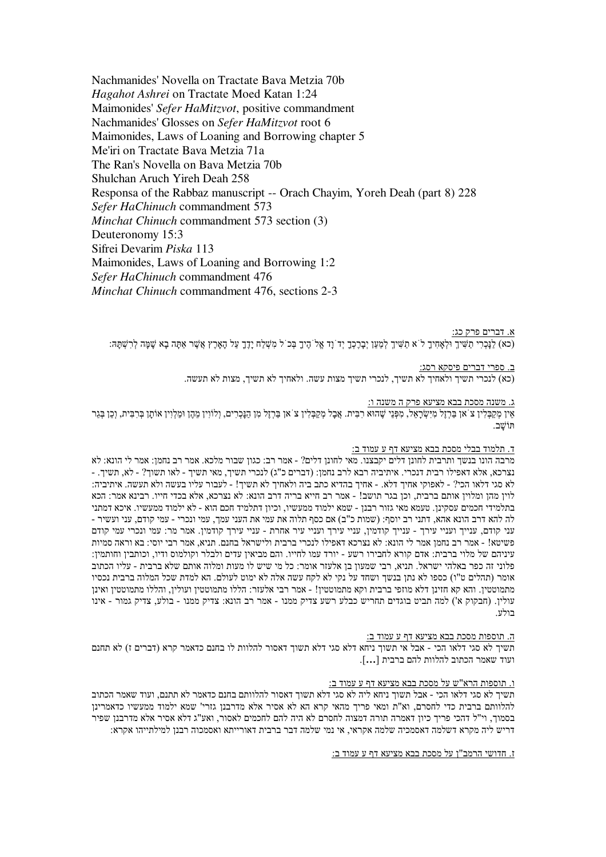Nachmanides' Novella on Tractate Baya Metzia 70b Hagahot Ashrei on Tractate Moed Katan 1:24 Maimonides' Sefer HaMitzvot, positive commandment Nachmanides' Glosses on Sefer HaMitzvot root 6 Maimonides, Laws of Loaning and Borrowing chapter 5 Me'iri on Tractate Bava Metzia 71a The Ran's Novella on Bava Metzia 70b Shulchan Aruch Yireh Deah 258 Responsa of the Rabbaz manuscript -- Orach Chayim, Yoreh Deah (part 8) 228 Sefer HaChinuch commandment 573 Minchat Chinuch commandment 573 section (3) Deuteronomy 15:3 Sifrei Devarim Piska 113 Maimonides, Laws of Loaning and Borrowing 1:2 Sefer HaChinuch commandment 476 *Minchat Chinuch* commandment 476, sections 2-3

א. דברים פרק כג: (כא) לַנַּכְרִי תַשִּׁיךָ וּלְאָחִיךָ לֹ א תַשִּׁיךָ לְמַעַן יִבְרָכְךָ יִד נַד אֱל הֵיךָ בְּכ ל מִשְלַח יָדָךְ עַל הָאָרֶץ אֲשֶׁר אָתָה בָא שָׁמָּה לְרְשָׁתָּה:

ב. ספרי דברים פיסקא רסג:

(כא) לנכרי תשיך ולאחיך לא תשיך, לנכרי תשיך מצות עשה. ולאחיך לא תשיך, מצות לא תעשה.

ג. משנה מסכת בבא מציעא פרק ה משנה ו:

אין מקבלין צ`אן בּרְזֵל מישׂרַאל, מפּני שֶׁהוּא רבּית. אבל מקבלין צ`אן בּרְזַל מן הנַכְרים, ולווין מהֶן וּמלוין אוֹתַן בִּרבּית, וכן בַּגר חושב.

# ד. תלמוד בבלי מסכת בבא מציעא דף ע עמוד ב:

מרבה הונו בנשך ותרבית לחונן דלים יקבצנו. מאי לחונן דלים? - אמר רב: כגון שבור מלכא. אמר רב נחמן: אמר לי הונא: לא - נצרכא, אלא דאפילו רבית דנכרי. איתיביה רבא לרב נחמן: (דברים כ"ג) לנכרי תשיך, מאי תשיך - לאו תשוך? - לא, תשיך. לא סגי דלאו הכי? - לאפוקי אחיך דלא. - אחיך בהדיא כתב ביה ולאחיך לא תשיך! - לעבור עליו בעשה ולא תעשה. איתיביה: לוין מהן ומלוין אותם ברבית, וכן בגר תושב! - אמר רב חייא בריה דרב הונא: לא נצרכא, אלא בכדי חייו. רבינא אמר: הכא בתלמידי חכמים עסקינן. טעמא מאי גזור רבנן - שמא ילמוד ממעשיו, וכיון דתלמיד חכם הוא - לא ילמוד ממעשיו. איכא דמתני לה להא דרב הונא אהא, דתני רב יוסף: (שמות כ"ב) אם כסף תלוה את עמי את העני עמך, עמי ונכרי - עמי קודם, עני ועשיר -עני קודם, ענייך ועניי עירך - עניי עירך ועניי עירך עניי עירך עניי עירך אחרת - עניי ערך אמר מר: עמי ונכרי עמי קודם פשיטא! - אמר רב נחמן אמר לי הונא: לא נצרכא דאפילו לנכרי ברבית ולישראל בחנם. תניא, אמר רבי יוסי: בא וראה סמיות עיניהם של מלוי ברבית: אדם קורא לחבירו רשע - יורד עמו לחייו. והם מביאין עדים ולבלר וקולמוס ודיו, וכותבין וחותמין: פלוני זה כפר באלהי ישראל. תניא, רבי שמעון בן אלעזר אומר: כל מי שיש לו מעות ומלוה אותם שלא ברבית - עליו הכתוב אומר (תהלים ט"ו) כספו לא נתן בנשך ושחד על נקי לא לקח עשה אלה לא ימוט לעולם. הא למדת שכל המלוה ברבית נכסיו מתמוטטין. והא קא חזינן דלא מוזפי ברבית וקא מתמוטטין! - אמר רבי אלעזר: הללו מתמוטטין ועולין, והללו מתמוטטין ואינן עולין. (חבקוק א') למה תביט בוגדים תחריש כבלע רשע צדיק ממנו - אמר רב הונא: צדיק ממנו - בולע, צדיק גמור - אינו רולזי

ה. תוספות מסכת בבא מציעא דף ע<br/> עמוד ב

תשיך לא סגי דלאו הכי - אבל אי תשוך ניחא דלא סגי דלא תשוך דאסור להלוות לו בחנם כדאמר קרא (דברים ז) לא תחנם ועוד שאמר הכתוב להלוות להם ברבית [...].

#### ו. תוספות הרא"ש על מסכת בבא מציעא דף ע עמוד ב:

תשיך לא סגי דלאו הכי - אבל תשוך ניחא ליה לא סגי דלא תשוך דאסור להלוותם בחנם כדאמר לא תתנם, ועוד שאמר הכתוב להלוותם ברבית כדי לחסרם, וא"ת ומאי פריך מהאי קרא הא לא אסיר אלא מדרבנן גזרי' שמא ילמוד ממעשיו כדאמרינן בסמוך. וי"ל דהכי פריך כיון דאמרה תורה דמצוה לחסרם לא היה להם לחכמים לאסור, ואע"ג דלא אסיר אלא מדרבנן שפיר דריש ליה מקרא דשלמה דאסמכיה שלמה אקראי, אי נמי שלמה דבר ברבית דאורייתא ואסמכוה רבנן למילתייהו אקרא:

ז. חדושי הרמב"ן על מסכת בבא מציעא דף ע עמוד ב: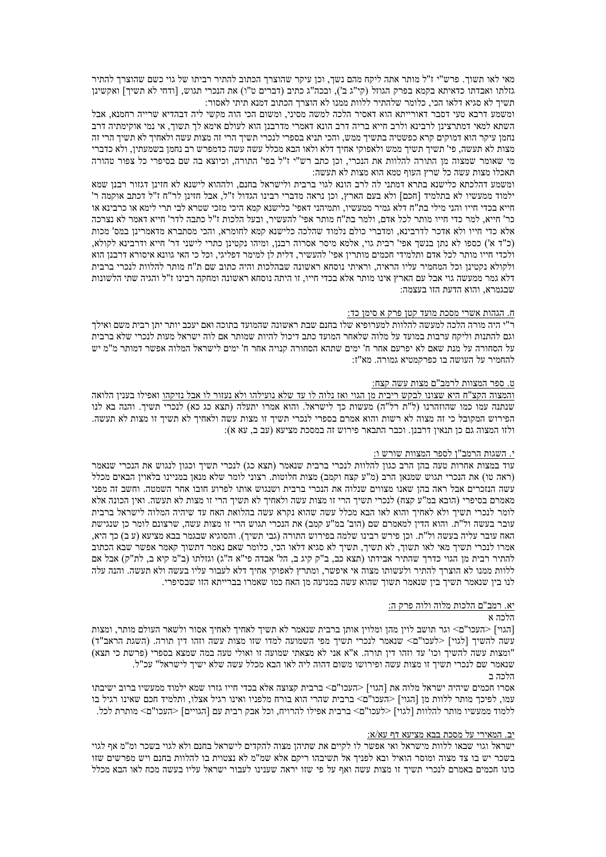מאי לאו תשוך. פרש"י ז"ל מותר אתה ליקח מהם נשך, וכן עיקר שהוצרך הכתוב להתיר רביתו של גוי כשם שהוצרך להתיר גזלתו ואבדתו כדאיתא בקמא בפרק הגוזל (קי"ג ב'), ובכה"ג כתיב (דברים ט"ו) את הנכרי תגוש, [ודחי לא תשיך] ואקשינן תשיך לא סגיא דלאו הכי, כלומר שלהתיר ללוות ממנו לא הוצרך הכתוב דמנא תיתי לאסור:

ומשמע דרבא טעי דסבר דאורייתא הוא דאסיר הלכה למשה מסיני, ומשום הכי הוה מקשי ליה דבהדיא שרייה רחמנא, אבל השתא למאי דמתרצינן לרבינא ולרב חייא בריה דרב הונא דאמרי מדרבנן הוא לעולם אימא לך תשוך, אי נמי אוקימתיה דרב נחמן עיקר הוא דמוקים קרא כפשטיה בתשיך ממש, והכי תניא בספרי לנכרי תשיך הרי זה מצות עשה ולאחיך לא תשיך הרי זה מצות לא תעשה, פי' תשיך תשיך ממש ולאפוקי אחיך דלא ולאו הבא מכלל עשה עשה כדמפרש רב נחמן בשמעתין, ולא כדברי מי שאומר שמצוה מן התורה להלוות את הנכרי, וכן כתב רש"י ז"ל בפי' התורה, וכיוצא בה שם בסיפרי כל צפור טהורה תאכלו מצות עשה כל שרץ העוף טמא הוא מצות לא תעשה:

ומשמע דהלכתא כלישנא בתרא דמתני לה לרב הונא לגוי ברבית ולישראל בחנם. ולההוא לישנא לא חזינן דגזור רבנן שמא ילמוד ממעשיו לא בתלמיד [חכם] ולא בעם הארץ, וכן נראה מדברי רבינו הגדול ז"ל, אבל חזינן לר"ח ז"ל דכתב אוקמה ר' חייא בכדי חייו והני מילי בת"ח דלא גמיר ממעשיו, ותמיהני דאפי' כלישנא קמא היכי מזכי שטרא לבי תרי לימא או כרבינא או כר' חייא. למר כדי חייו מותר לכל אדם. ולמר בת"ח מותר אפי' להעשיר. ובעל הלכות ז"ל כתבה לדר' חייא דאמר לא נצרכה אלא כדי חייו ולא אדכר לדרבינא. ומדברי כולם נלמוד שהלכה כלישנא קמא לחומרא. והכי מסתברא מדאמרינו במס' מכות (כ"ד א') כספו לא נתן בנשך אפי' רבית גוי, אלמא מיסר אסרוה רבנן, ומיהו נקטינן כתרי לישני דר' חייא ודרבינא לקולא, ולכדי חייו מותר לכל אדם ותלמידי חכמים מותרין אפי' להעשיר, דלית לן למימר דפליגי, וכל כי האי גוונא איסורא דרבנן הוא ולקולא נקטינו וכל המחמיר עליו הראיה. וראיתי נוסחא ראשונה שבהלכות והיה כתוב שם ת"ח מותר להלוות לנכרי ברבית דלא גמר ממעשה גוי אבל עם הארץ אינו מותר אלא בכדי חייו, זו היתה נוסחא ראשונה ומחקה רבינו ז"ל והגיה שתי הלשונות שבגמרא, והוא הדעת הזו בעצמה:

#### <u>ח. הגהות אשרי מסכת מועד קטן פרק א סימן כד:</u>

ר"י היה מורה הלכה למעשה להלוות למערופיא שלו בחנם שבת ראשונה שהמועד בתוכה ואם יעכב יותר יתן רבית משם ואילך וגם להתנות וליקח ערבות במועד על מלוה שלאחר המועד כתב דיכול להיות שמותר אם לוה ישראל מעות לנכרי שלא ברבית על הסחורה על מנת שאם לא יפרעם אחר ח' ימים שתהא הסחורה קנויה אחר ח' ימים לישראל המלוה אפשר דמותר מ"מ יש להחמיר על העושה בו כפרקמטיא גמורה. מא"ז:

# ט. ספר המצוות לרמב"ם מצות עשה קצח:

<u>והמצוה הקצ"ח היא שצונו לבקש ריבית מן הגוי ואז נלוה לו עד שלא נועילהו ולא נעזור לו אבל נזיקהו</u> ואפילו בענין הלואה שנתנה עמו כמו שהוזהרנו (ל"ת רל"ה) מעשות כך לישראל. והוא אמרו יתעלה (תצא כג כא) לנכרי תשיך. והנה בא לנו הפירוש המקובל כי זה מצוה לא רשות והוא אמרם בספרי לנכרי תשיך זו מצות עשה ולאחיך לא תשיך זו מצות לא תעשה. ולזו המצוה גם כן תנאין דרבנן. וכבר התבאר פירוש זה במסכת מציעא (עב ב, עא א):

#### י. השגות הרמב"ן לספר המצוות שורש ו:

עוד במצות אחרות טעה בהן הרב כגון להלוות לנכרי ברבית שנאמר (תצא כג) לנכרי תשיך וכגון לנגוש את הנכרי שנאמר (ראה טו) את הנכרי תגוש שמנאו הרב (מ"ע קצח וקמב) מצות חלוטות. רצוני לומר שלא מנאו במניינו בלאויו הבאים מכלל עשה הנזכרים אבל ראה בהן שאנו מצווים שנלוה את הנכרי ברבית ושנגוש אותו לפרוע חובו אחר השמטה. וחשב זה מפני מאמרם בסיפרי (הובא במ"ע קצח) לנכרי תשיך הרי זו מצות עשה ולאחיך לא תשיך הרי זו מצות לא תעשה. ואין הכונה אלא לומר לנכרי תשיך ולא לאחיך והוא לאו הבא מכלל עשה שהוא נקרא עשה בהלואת האח עד שיהיה המלוה לישראל ברבית עובר בעשה ול"ת. והוא הדין למאמרם שם (הוב' במ"ע קמב) את הנכרי תגוש הרי זו מצות עשה, שרצונם לומר כן שנגישת האח עובר עליה בעשה ול"ת. וכן פירש רבינו שלמה בפירוש התורה (גבי תשיך). והסוגיא שבגמר בבא מציעא (ע ב) כך היא, אמרו לנכרי תשיך מאי לאו תשוך, לא תשיך, תשיך לא סגיא דלאו הכי, כלומר שאם נאמר דתשוך קאמר אפשר שבא הכתוב להתיר רבית מן הגוי כדרך שהתיר אבידתו (תצא כב, ב"ק קיג ב, הל' אבדה פי"א ה"ג) וגזלתו (ב"מ קיא ב, לת"ק) אבל אם ללוות ממנו לא הוצרך להתיר ולעשותו מצוה אי איפשר, ומתרץ לאפוקי אחיך דלא לעבור עליו בעשה ולא תעשה. והנה עלה לנו בין שנאמר תשיך בין שנאמר תשוך שהוא עשה במניעה מן האח כמו שאמרו בברייתא הזו שבסיפרי.

### יא. רמב"ם הלכות מלוה ולוה פרק ה:

# הלרה א

[הגוי] <העכו"ם> וגר תושב לוין מהן ומלוין אותן ברבית שנאמר לא תשיך לאחיך לאחיך אסור ולשאר העולם מותר, ומצות עשה להשיר [לגוי] <לעכו"ם> שנאמר לנכרי תשיך מפי השמועה למדו שזו מצות עשה וזהו דיו תורה. (השגת הראב"ד) "ומצות עשה להשיך וכו' עד וזהו דין תורה. א"א אני לא מצאתי שמועה זו ואולי טעה במה שמצא בספרי (פרשת כי תצא) שנאמר שם לנכרי תשיך זו מצות עשה ופירושו משום דהוה ליה לאו הבא מכלל עשה שלא ישיך לישראל" עכ"ל. הלרה ר

אסרו חכמים שיהיה ישראל מלוה את [הגוי] <העכו"ם> ברבית קצוצה אלא בכדי חייו גזרו שמא ילמוד ממעשיו ברוב ישיבתו עמו, לפיכך מותר ללוות מן [הגוי] <העכו"ם> ברבית שהרי הוא בורח מלפניו ואינו רגיל אצלו, ותלמיד חכם שאינו רגיל בו ללמוד ממעשיו מותר להלוות [לגוי] <לעכו"ם> ברבית אפילו להרויח. וכל אבק רבית עם [הגויים] <העכו"ם> מותרת לכל.

#### <u>יב. המאירי על מסכת בבא מציעא דף עא/א:</u>

ישראל וגוי שבאו ללוות מישראל ואי אפשר לו לקיים את שתיהן מצוה להקדים לישראל בחנם ולא לגוי בשכר ומ"מ אף לגוי בשכר יש בו צד מצוה ומוסר הואיל ובא לפניך אל תשיבהו ריקם אלא שמ"מ לא נצטוית בו להלוות בחנם ויש מפרשים שזו כונו חכמים באמרם לנכרי תשיך זו מצות עשה ואף על פי שזו יראה שענינו לעבור ישראל עליו בעשה מכח לאו הבא מכלל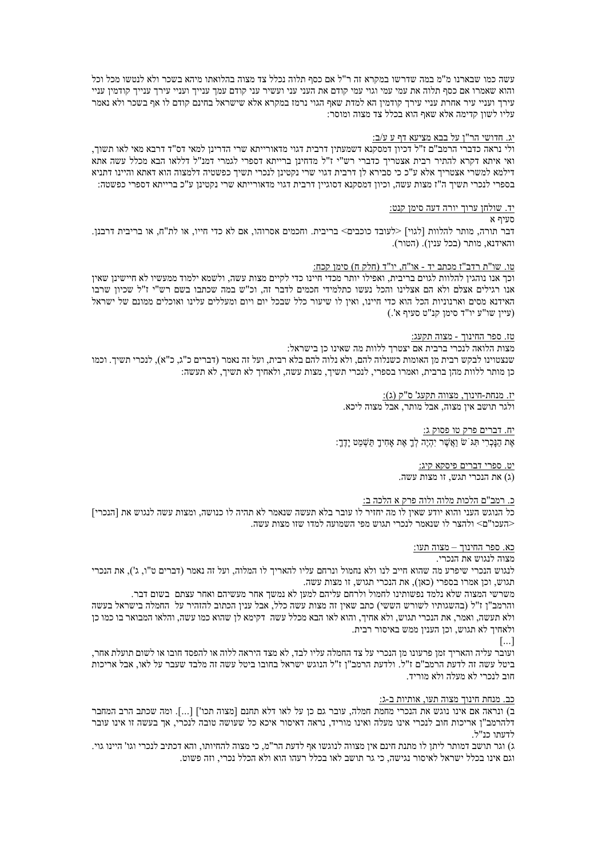עשה כמו שבארנו מ"מ במה שדרשו במקרא זה ר"ל אם כסף תלוה נכלל צד מצוה בהלואתו מיהא בשכר ולא לנטשו מכל וכל והוא שאמרו אם כסף תלוה את עמי עמי וגוי עמי קודם את העני עני ועשיר עני קודם עמד ענייר ועניי עירד ענייד קודמין עניי עירך ועניי עיר אחרת עניי עירך קודמין הא למדת שאף הגוי נרמז במקרא אלא שישראל בחינם קודם לו אף בשכר ולא נאמר עליו לשון קדימה אלא שאף הוא בכלל צד מצוה ומוסר:

#### <u>יג. חדושי הר"ן על בבא מציעא דף ע ע/ב:</u>

ולי נראה כדברי הרמב"ם ז"ל דכיון דמסקנא דשמעתין דרבית דגוי מדאורייתא שרי הדרינן למאי דס"ד דרבא מאי לאו תשוך, ואי איתא דקרא להתיר רבית אצטריך כדברי רש"י ז"ל מדחינן ברייתא דספרי לגמרי דמנ"ל דללאו הבא מכלל עשה אתא דילמא למשרי אצטריך אלא ע"כ כי סבירא לן דרבית דגוי שרי נקטינן לנכרי תשיך כפשטיה דלמצוה הוא דאתא והיינו דתניא בספרי לנכרי תשיך ה"ז מצות עשה, וכיון דמסקנא דסוגיין דרבית דגוי מדאורייתא שרי נקטינן ע"כ ברייתא דספרי כפשטה:

#### יד. שולח<u>ן</u> ערוך יורה דעה סימן קנט:

#### חזיר א

דבר תורה. מותר להלוות [לגוי] <לעובד כוכבים> בריבית. וחכמים אסרוהו. אם לא כדי חייו. או לת"ח. או בריבית דרבנז. והאידנא, מותר (בכל ענין). (הטור).

### טו. שו"ת רדב"ז מכתב יד - או"ח. יו"ד (חלק ח) סימו קכח:

וכך אנו נוהגין להלוות לגוים בריבית, ואפילו יותר מכדי חיינו כדי לקיים מצות עשה, ולשמא ילמוד ממעשיו לא חיישינן שאין אנו רגילים אצלם ולא הם אצלינו והכל נעשו כתלמידי חכמים לדבר זה, וכ"ש במה שכתבו בשם רש"י ז"ל שכיון שרבו האידנא מסים וארנוניות הכל הוא כדי חיינו. ואין לו שיעור כלל שבכל יום ויום ומעללים עלינו ואוכלים ממונם של ישראל (עיין שו"ע יו"ד סימן קנ"ט סעיף א'.)

# טז. ספר החינוך - מצוה תקעג:

מצות הלואה לנכרי ברבית אם יצטרך ללוות מה שאינו כן בישראל: שנצטוינו לבקש רבית מן האומות כשנלוה להם. ולא נלוה להם בלא רבית, ועל זה נאמר (דברים כ"ג, כ"א), לנכרי תשיך. וכמו כן מותר ללוות מהן ברבית, ואמרו בספרי, לנכרי תשיך, מצות עשה, ולאחיך לא תשיך, לא תעשה:

# יז. מנחת-חינוך, מצווה תקעג' ס"ק (ג): ולגר תושב איו מצוה. אבל מותר, אבל מצוה ליכא,

יח. דברים פרק טו פסוק ג: אַת הנַכְרי תּג שׂ ואֲשֶׁר יהָיֵה לְךָ אֶת אחיך תּשָׁמט יַדְךָ:

> יט. ספרי דברים פיסקא קיג: (ג) את הנכרי תגש, זו מצות עשה,

# כ. רמב"ם הלכות מלוה ולוה פרק א הלכה ב:

כל הנוגש העני והוא יודע שאיז לו מה יחזיר לו עובר בלא תעשה שנאמר לא תהיה לו כנושה. ומצות עשה לנגוש את [הנכרי] <העכו"ם> ולהצר לו שנאמר לנכרי תגוש מפי השמועה למדו שזו מצות עשה.

#### <u>כא. ספר החינוך – מצוה תעו:</u>

# מצוה לנגוש את הנכרי.

לנגוש הנכרי שיפרע מה שהוא חייב לנו ולא נחמול ונרחם עליו להאריך לו המלוה, ועל זה נאמר (דברים ט"ו, ג'), את הנכרי תגוש, וכן אמרו בספרי (כאן), את הנכרי תגוש, זו מצות עשה.

משרשי המצוה שלא נלמד נפשותינו לחמול ולרחם עליהם למען לא נמשך אחר מעשיהם ואחר עצתם בשום דבר. והרמב"ן ז"ל (בהשגותיו לשורש הששי) כתב שאין זה מצות עשה כלל, אבל ענין הכתוב להזהיר על |החמלה בישראל בעשה ולא תעשה, ואמר, את הנכרי תגוש, ולא אחיך, והוא לאו הבא מכלל עשה. דקימא לן שהוא כמו עשה, והלאו המבואר בו כמו כן ולאחיך לא תגוש, וכן הענין ממש באיסור רבית.

# $\lceil ... \rceil$

ועובר עליה והאריך זמן פרעונו מן הנכרי על צד החמלה עליו לבד, לא מצד היראה ללוה או להפסד חובו או לשום תועלת אחר, ביטל עשה זה לדעת הרמב"ם ז"ל. ולדעת הרמב"ן ז"ל הנוגש ישראל בחובו ביטל עשה זה מלבד שעבר על לאו, אבל אריכות חוב לנכרי לא מעלה ולא מוריד.

#### כב. מנחת חינוך מצוה תעו, אותיות ב-ג:

ב) ונראה אם אינו נוגש את הנכרי מחמת חמלה. עובר גם כן על לאו דלא תחנם [מצוה תכו'] [...]. ומה שכתב הרב המחבר דלהרמב"ו אריכות חוב לנכרי אינו מעלה ואינו מוריד. נראה דאיסור איכא כל שעושה טובה לנכרי. אד בעשה זו אינו עובר לדעתו כנ"ל.

ג) וגר תושב דמותר ליתו לו מתנת חינם אין מצווה לנוגשו אף לדעת הר"מ. כי מצוה להחיותו, והא דכתיב לנכרי וגו' היינו גוי. וגם אינו בכלל ישראל לאיסור נגישה. כי גר תושב לאו בכלל רעהו הוא ולא הכלל נכרי. וזה פשוט.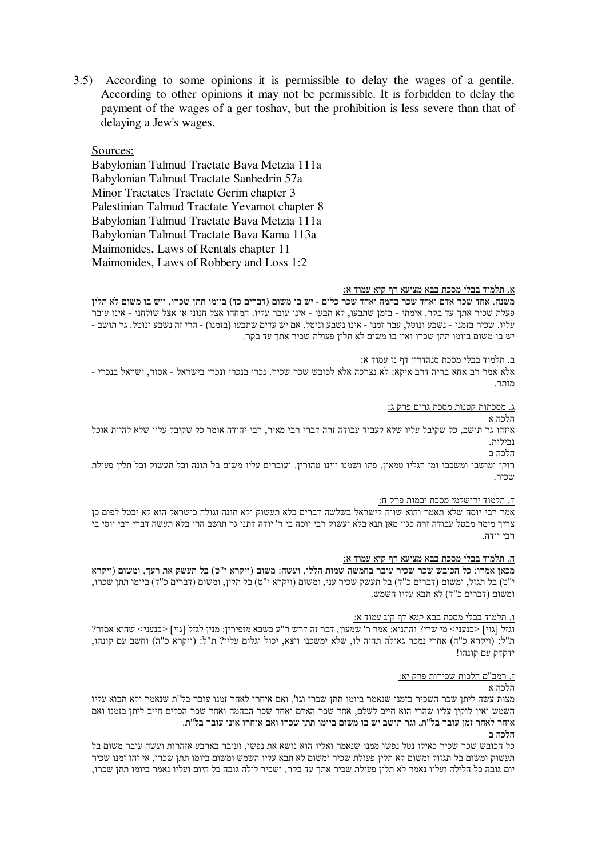3.5) According to some opinions it is permissible to delay the wages of a gentile. According to other opinions it may not be permissible. It is forbidden to delay the payment of the wages of a ger toshav, but the prohibition is less severe than that of delaying a Jew's wages.

# Sources:

Babylonian Talmud Tractate Bava Metzia 111a Babylonian Talmud Tractate Sanhedrin 57a Minor Tractates Tractate Gerim chapter 3 Palestinian Talmud Tractate Yevamot chapter 8 Babylonian Talmud Tractate Bava Metzia 111a Babylonian Talmud Tractate Bava Kama 113a Maimonides, Laws of Rentals chapter 11 Maimonides, Laws of Robbery and Loss 1:2

# א. תלמוד בבלי מסכת בבא מציעא דף קיא עמוד א:

משנה. אחד שכר אדם ואחד שכר בהמה ואחד שכר כלים - יש בו משום (דברים כד) ביומו תתן שכרו, ויש בו משום לא תלין פעלת שכיר אתך עד בקר. אימתי - בזמן שתבעו, לא תבעו - אינו עובר עליו. המחהו אצל חנוני או אצל שולחני - אינו עובר שליו. שכיר בזמנו - נשבע ונוטל, עבר זמנו - אינו נשבע ונוטל. אם יש עדים שתבעו (בזמנו) - הרי זה נשבע ונוטל. גר תושב -יש בו משום ביומו תתן שכרו ואין בו משום לא תלין פעולת שכיר אתך עד בקר.

#### ב. תלמוד בבלי מסכת סנהדרין דף נז עמוד א:

אלא אמר רב אחא בריה דרב איקא: לא נצרכה אלא לכובש שכר שכיר. נכרי בנכרי ונכרי בישראל - אסור. ישראל בנכרי -מוחר

<u>ג. מסכתות קטנות מסכת גרים פרק ג:</u>

הלכה א

איזהו גר תושב. כל שקיבל עליו שלא לעבוד עבודה זרה דברי רבי מאיר, רבי יהודה אומר כל שקיבל עליו שלא להיות אוכל נבילות

הלכה ב

רוקו ומושבו ומשכבו ומי רגליו טמאין, פתו ושמנו ויינו טהורין. ועוברים עליו משום בל תונה ובל תעשוק ובל תלין פעולת שכיר.

#### <u>ד. תלמוד ירושלמי מסכת יבמות פרק ח:</u>

אמר רבי יוסה שלא תאמר והוא שווה לישראל בשלשה דברים בלא תעשוק ולא תונה וגולה כישראל הוא לא יבטל לפום כן צריך מימר מבטל עבודה זרה כגוי מאן תנא בלא יעשוק רבי יוסה בי ר' יודה דתני גר תושב הרי בלא תעשה דברי רבי יוסי בי ררי יודה.

#### <u>ה. תלמוד בבלי מסכת בבא מציעא דף קיא עמוד א:</u>

מכאן אמרו: כל הכובש שכר שכיר עובר בחמשה שמות הללו, ועשה: משום (ויקרא י"ט) בל תעשק את רעך, ומשום (ויקרא י"ט) בל תגזל, ומשום (דברים כ"ד) בל תעשק שכיר עני, ומשום (ויקרא י"ט) בל תלין, ומשום (דברים כ"ד) ביומו תתן שכרו, ומשום (דברים כ"ד) לא תבא עליו השמש.

#### ו. תלמוד בבלי מסכת בבא קמא דף קיג עמוד א:

 $?$ וגזל [גוי] <כנעני> מי שרי? והתניא: אמר ר' שמעון, דבר זה דרש ר"ע כשבא מזפירין: מנין לגזל [גוי] <כנעני> שהוא אסור ת"ל: (ויקרא כ"ה) אחרי נמכר גאולה תהיה לו, שלא ימשכנו ויצא, יכול יגלום עליו? ת"ל: (ויקרא כ"ה) וחשב עם קונהו, ידקדק עם קונהו!

#### <u>ז. רמב"ם הלכות שכירות פרק יא:</u> הלרה א

מצות עשה ליתן שכר השכיר בזמנו שנאמר ביומו תתן שכרו וגו', ואם איחרו לאחר זמנו עובר בל"ת שנאמר ולא תבוא עליו השמש ואין לוקין עליו שהרי הוא חייב לשלם. אחד שכר האדם ואחד שכר הבהמה ואחד שכר הכלים חייב ליתן בזמנו ואם איחר לאחר זמו עובר בל"ת. וגר תושב יש בו משום ביומו תתו שכרו ואם איחרו אינו עובר בל"ת. הלכה ב

כל הכובש שכר שכיר כאילו נטל נפשו ממנו שנאמר ואליו הוא נושא את נפשו, ועובר בארבע אזהרות ועשה עובר משום בל תעשוק ומשום בל תגזול ומשום לא תלין פעולת שכיר ומשום לא תבא עליו השמש ומשום ביומו תתן שכרו, אי זהו זמנו שכיר יום גובה כל הלילה ועליו נאמר לא תלין פעולת שכיר אתך עד בקר, ושכיר לילה גובה כל היום ועליו נאמר ביומו תתן שכרו,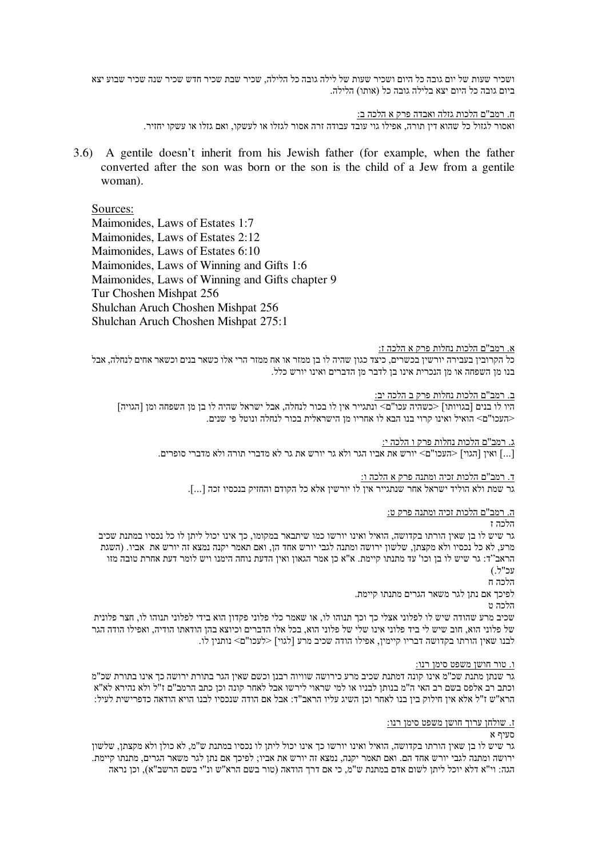ושכיר שעות של יום גובה כל היום ושכיר שעות של לילה גובה כל הלילה, שכיר שבת שכיר חדש שכיר שנה שכיר שבוע יצא ביום גובה כל היום יצא בלילה גובה כל (אותו) הלילה.

<u>ח. רמב"ם הלכות גזלה ואבדה פרק א הלכה ב:</u>

ואסור לגזול כל שהוא דין תורה, אפילו גוי עובד עבודה זרה אסור לגזלו או לעשקו, ואם גזלו או עשקו יחזיר.

3.6) A gentile doesn't inherit from his Jewish father (for example, when the father converted after the son was born or the son is the child of a Jew from a gentile woman).

# Sources:

Maimonides, Laws of Estates 1:7 Maimonides, Laws of Estates 2:12 Maimonides, Laws of Estates 6:10 Maimonides, Laws of Winning and Gifts 1:6 Maimonides, Laws of Winning and Gifts chapter 9 Tur Choshen Mishpat 256 Shulchan Aruch Choshen Mishpat 256 Shulchan Aruch Choshen Mishpat 275:1

#### <u>א. רמב"ם הלכות נחלות פרק א הלכה ז:</u>

כל הקרובין בעבירה יורשין בכשרים, כיצד כגון שהיה לו בן ממזר או אח ממזר הרי אלו כשאר בנים וכשאר אחים לנחלה, אבל בנו מן השפחה או מן הנכרית אינו בן לדבר מן הדברים ואינו יורש כלל.

#### <u>ב. רמב"ם הלכות נחלות פרק ב הלכה יב:</u>

היו לו בנים [בגויותו] <כשהיה עכו"ם> ונתגייר אין לו בכור לנחלה, אבל ישראל שהיה לו בן מן השפחה ומן [הגויה] <העכו"ם> הואיל ואינו קרוי בנו הבא לו אחריו מן הישראלית בכור לנחלה ונוטל פי שנים.

<u>ג. רמב"ם הלכות נחלות פרק ו הלכה י:</u>

[...] ואין [הגוי] <העכו"ם> יורש את אביו הגר ולא גר יורש את גר לא מדברי תורה ולא מדברי סופרים.

<u>ד. רמב"ם הלכות זכיה ומתנה פרק א הלכה ו:</u>

גר שמת ולא הוליד ישראל אחר שנתגייר אין לו יורשין אלא כל הקודם והחזיק בנכסיו זכה [...].

ה. רמב"ם הלכות זכיה ומתנה פרק ט:

# הלרה ז

גר שיש לו בן שאין הורתו בקדושה, הואיל ואינו יורשו כמו שיתבאר במקומו, כך אינו יכול ליתן לו כל נכסיו במתנת שכיב מרע, לא כל נכסיו ולא מקצתן, שלשון ירושה ומתנה לגבי יורש אחד הן, ואם תאמר יקנה נמצא זה יורש את אביו. (השגת הראב"ד: גר שיש לו בן וכו' עד מתנתו קיימת. א"א כן אמר הגאון ואין הדעת נוחה הימנו ויש לומר דעת אחרת טובה מזו 'עכ"ל.)

הלכה ח

לפיכך אם נתן לגר משאר הגרים מתנתו קיימת.

הלכה ט

שכיב מרע שהודה שיש לו לפלוני אצלי כך וכך תנוהו לו, או שאמר כלי פלוני פקדון הוא בידי לפלוני תנוהו לו, חצר פלונית של פלוני הוא, חוב שיש לי ביד פלוני אינו שלי של פלוני הוא, בכל אלו הדברים וכיוצא בהן הודאתו הודיה, ואפילו הודה הגר לבנו שאין הורתו בקדושה דבריו קיימין, אפילו הודה שכיב מרע [לגוי] <לעכו"ם> נותנין לו.

#### <u>ו. טור חושן משפט סימן רנו:</u>

גר שנתן מתנת שכ"מ אינו קונה דמתנת שכיב מרע כירושה שוויוה רבנן וכשם שאין הגר בתורת ירושה כך אינו בתורת שכ"מ וכתב רב אלפס בשם רב האי ה"מ בנותן לבניו או למי שראוי לירשו אבל לאחר קונה וכן כתב הרמב"ם ז"ל ולא נהירא לא"א הרא"ש ז"ל אלא אין חילוק בין בנו לאחר וכן השיג עליו הראב"ד: אבל אם הודה שנכסיו לבנו הויא הודאה כדפרישית לעיל:

#### <u>ז. שולחן ערוך חושן משפט סימן רנו:</u>

מעיף א

גר שיש לו בז שאין הורתו בקדושה. הואיל ואינו יורשו כד אינו יכול ליתן לו נכסיו במתנת ש"מ. לא כולן ולא מקצתן. שלשון ירושה ומתנה לגבי יורש אחד הם. ואם תאמר יקנה, נמצא זה יורש את אביו; לפיכך אם נתן לגר משאר הגרים, מתנתו קיימת. הגה: וי"א דלא יוכל ליתן לשום אדם במתנת ש"מ, כי אם דרך הודאה (טור בשם הרא"ש ונ"י בשם הרשב"א), וכן נראה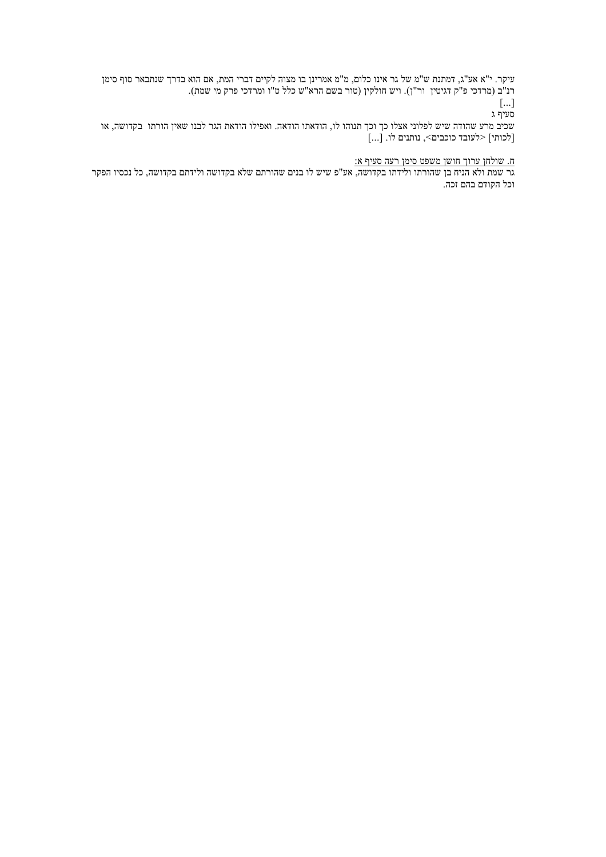עיקר. י"א אע"ג, דמתנת ש"מ של גר אינו כלום, מ"מ אמרינן בו מצוה לקיים דברי המת, אם הוא בדרך שנתבאר סוף סימן רנ"ב (מרדכי פ"ק דגיטין |ור"ן). ויש חולקין (טור בשם הרא"ש כלל ט"ו ומרדכי פרק מי שמת).

 $\lceil \dots \rceil$ סעיף ג

שכיב מרע שהודה שיש לפלוני אצלו כך וכך תנוהו לו, הודאתו הודאה. ואפילו הודאת הגר לבנו שאין הורתו בקדושה, או [לכותי] <לעובד כוכבים>, נותנים לו. [...]

# <u>ח. שולחן ערוך חושן משפט סימן רעה סעיף א:</u>

.<br>גר שמת ולא הניח בן שהורתו ולידתו בקדושה, אע"פ שיש לו בנים שהורתם שלא בקדושה ולידתם בקדושה, כל נכסיו הפקר וכל הקודם בהם זכה.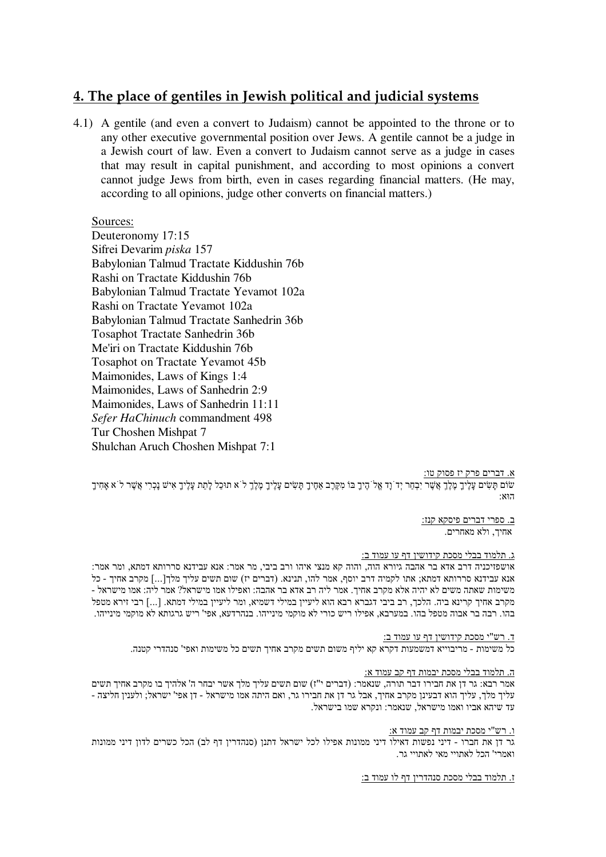# 4. The place of gentiles in Jewish political and judicial systems

4.1) A gentile (and even a convert to Judaism) cannot be appointed to the throne or to any other executive governmental position over Jews. A gentile cannot be a judge in a Jewish court of law. Even a convert to Judaism cannot serve as a judge in cases that may result in capital punishment, and according to most opinions a convert cannot judge Jews from birth, even in cases regarding financial matters. (He may, according to all opinions, judge other converts on financial matters.)

# Sources:

Deuteronomy 17:15 Sifrei Devarim piska 157 Babylonian Talmud Tractate Kiddushin 76b Rashi on Tractate Kiddushin 76b Babylonian Talmud Tractate Yevamot 102a Rashi on Tractate Yevamot 102a Babylonian Talmud Tractate Sanhedrin 36b **Tosaphot Tractate Sanhedrin 36b** Me'iri on Tractate Kiddushin 76b **Tosaphot on Tractate Yevamot 45b** Maimonides, Laws of Kings 1:4 Maimonides, Laws of Sanhedrin 2:9 Maimonides, Laws of Sanhedrin 11:11 Sefer HaChinuch commandment 498 Tur Choshen Mishpat 7 Shulchan Aruch Choshen Mishpat 7:1

## א. דברים פרק יז פסוק טו:

שום תשים עליך מלך אשר יבחר יד וד אל היך בו מקרב אחיך תשים עליך מלך ל א תוכל לתת עליך איש נכרי אשר ל א אחיך הואן

> ב. ספרי דברים פיסקא קנז: אחיך, ולא מאחרים.

# ג. תלמוד בבלי מסכת קידושין דף עו עמוד ב:

אושפזיכניה דרב אדא בר אהבה גיורא הוה, והוה קא מנצי איהו ורב ביבי, מר אמר: אנא עבידנא סררותא דמתא, ומר אמר: אנא עבידנא סררותא דמתא; אתו לקמיה דרב יוסף, אמר להו, תנינא. (דברים יז) שום תשים עליך מלך[...] מקרב אחיך - כל - משימות שאתה משים לא יהיה אלא מקרב אחיך. אמר ליה רב אדא בר אהבה: ואפילו אמו מישראל? אמר ליה: אמו מישראל מקרב אחיך קרינא ביה. הלכך, רב ביבי דגברא רבא הוא ליעיין במילי דשמיא, ומר ליעיין במילי דמתא. [...] רבי זירא מטפל בהו. רבה בר אבוה מטפל בהו. במערבא, אפילו ריש כורי לא מוקמי מינייהו. בנהרדעא, אפי' ריש גרגותא לא מוקמי מינייהו.

ד. רש"י מסכת קידושין דף עו עמוד ב:

כל משימות - מריבוייא דמשמעות דקרא קא יליף משום תשים מקרב אחיך תשים כל משימות ואפי' סנהדרי קטנה.

#### <u>ה. תלמוד בבלי מסכת יבמות דף קב עמוד א:</u>

אמר רבא: גר דן את חבירו דבר תורה, שנאמר: (דברים י"ז) שום תשים עליך מלך אשר יבחר ה' אלהיך בו מקרב אחיך תשים עליך מלך, עליך הוא דבעינן מקרב אחיך, אבל גר דן את חבירו גר, ואם היתה אמו מישראל - דן אפי' ישראל; ולענין חליצה -. עד שיהא אביו ואמו מישראל, שנאמר: ונקרא שמו בישראל

ו. רש"י מסכת יבמות דף קב עמוד א:

גר דן את חברו - דיני נפשות דאילו דיני ממונות אפילו לכל ישראל דתנו (סנהדרין דף לב) הכל כשרים לדון דיני ממונות ואמרי' הכל לאתויי מאי לאתויי גר.

ז. תלמוד בבלי מסכת סנהדרין דף לו עמוד ב: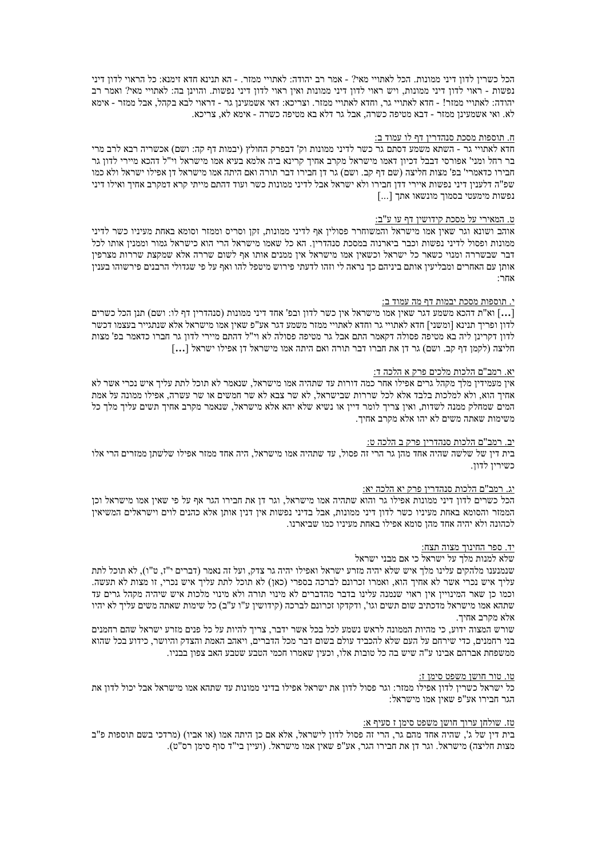הכל כשרין לדון דיני ממונות. הכל לאתויי מאי? - אמר רב יהודה: לאתויי ממזר. - הא תנינא חדא זימנא: כל הראוי לדון דיני נפשות - ראוי לדון דיני ממונות, ויש ראוי לדון דיני ממונות ואין ראוי לדון דיני נפשות. והוינן בה: לאתויי מאי? ואמר רב יהודה: לאתויי ממזר! - חדא לאתויי גר, וחדא לאתויי ממזר. וצריכא: דאי אשמעינן גר - דראוי לבא בקהל, אבל ממזר - אימא לא. ואי אשמעינן ממזר - דבא מטיפה כשרה, אבל גר דלא בא מטיפה כשרה - אימא לא, צריכא.

#### <u>ה. תוספות מסכת סנהדרין דף לו עמוד ב:</u>

חדא לאתויי גר - השתא משמע דסתם גר כשר לדיני ממונות וק' דבפרק החולץ (יבמות דף קה: ושם) אכשריה רבא לרב מרי בר רחל ומני' אפורסי דבבל דכיון דאמו מישראל מקרב אחיך קרינא ביה אלמא בעיא אמו מישראל וי"ל דהכא מיירי לדון גר חבירו כדאמרי' בפ' מצות חליצה (שם דף קב. ושם) גר דן חבירו דבר תורה ואם היתה אמו מישראל דן אפילו ישראל ולא כמו שפ"ה דלענין דיני נפשות איירי דדן חבירו ולא ישראל אבל לדיני ממונות כשר ועוד דהתם מייתי קרא דמקרב אחיך ואילו דיני ופשות מימעטי בסמוך מונשאו אתך [...]

#### ט. המאירי על מסכת קידושיו דף עו ע"ב:

אוהב ושונא וגר שאין אמו מישראל והמשוחרר פסולין אף לדיני ממונות, זקן וסריס וממזר וסומא באחת מעיניו כשר לדיני ממונות ופסול לדיני נפשות וכבר ביארנוה במסכת סנהדרין. הא כל שאמו מישראל הרי הוא כישראל גמור וממנין אותו לכל דבר שבשררה ומנוי כשאר כל ישראל וכשאין אמו מישראל אין ממנים אותו אף לשום שררה אלא שמקצת שררות מצרפין אותן עם האחרים ומבליעין אותם ביניהם כך נראה לי וזהו לדעתי פירוש מיטפל להו ואף על פי שגדולי הרבנים פירשוהו בענין אחר∵

#### <u>י. תוספות מסכת יבמות דף מה עמוד ב:</u>

[…] וא"ת דהכא משמע דגר שאין אמו מישראל אין כשר לדון ובפ' אחד דיני ממונות (סנהדרין דף לו: ושם) תנן הכל כשרים [ לדון ופריך תנינא [ומשני] חדא לאתויי גר וחדא לאתויי ממזר משמע דגר אע"פ שאין אמו מישראל אלא שנתגייר בעצמו דכשר לדון דקרינן ליה בא מטיפה פסולה דקאמר התם אבל גר מטיפה פסולה לא וי"ל דהתם מיירי לדון גר חברו כדאמר בפ' מצות חליצה (לקמן דף קב. ושם) גר דן את חברו דבר תורה ואם היתה אמו מישראל דן אפילו ישראל […]

# יא. רמב"ם הלכות מלכים פרק א הלכה ד:

אין מעמידין מלך מקהל גרים אפילו אחר כמה דורות עד שתהיה אמו מישראל, שנאמר לא תוכל לתת עליך איש נכרי אשר לא אחיך הוא, ולא למלכות בלבד אלא לכל שררות שבישראל, לא שר צבא לא שר חמשים או שר עשרה, אפילו ממונה על אמת המים שמחלק ממנה לשדות, ואין צריך לומר דיין או נשיא שלא יהא אלא מישראל, שנאמר מקרב אחיך תשים עליך מלך כל משימות שאתה משים לא יהו אלא מקרב אחיך.

#### יב. רמב"ם הלכות סנהדרין פרק ב הלכה ט:

בית דין של שלשה שהיה אחד מהן גר הרי זה פסול, עד שתהיה אמו מישראל, היה אחד ממזר אפילו שלשתן ממזרים הרי אלו כשיריו לדוו.

# <u>יג. רמב"ם הלכות סנהדרין פרק יא הלכה יא:</u>

הכל כשרים לדון דיני ממונות אפילו גר והוא שתהיה אמו מישראל, וגר דן את חבירו הגר אף על פי שאין אמו מישראל וכן הממזר והסומא באחת מעיניו כשר לדון דיני ממונות, אבל בדיני נפשות אין דנין אותן אלא כהנים לוים וישראלים המשיאין לכהונה ולא יהיה אחד מהן סומא אפילו באחת מעיניו כמו שביארנו.

#### <u>יד. ספר החינוך מצוה תצח:</u>

#### שלא למנות מלך על ישראל כי אם מבני ישראל

שנמנענו מלהקים עלינו מלך איש שלא יהיה מזרע ישראל ואפילו יהיה גר צדק, ועל זה נאמר (דברים י"ז, ט"ו), לא תוכל לתת עליך איש נכרי אשר לא אחיך הוא, ואמרו זכרונם לברכה בספרי (כאן) לא תוכל לתת עליך איש נכרי, זו מצות לא תעשה. וכמו כן שאר המינויין אין ראוי שנמנה עלינו בדבר מהדברים לא מינוי תורה ולא מינוי מלכות איש שיהיה מקהל גרים עד שתהא אמו מישראל מדכתיב שום תשים וגו', ודקדקו זכרונם לברכה (קידושין ע"ו ע"ב) כל שימות שאתה משים עליך לא יהיו אלא מקרב אחיך.

שורש המצוה ידוע, כי מהיות הממונה לראש נשמע לכל בכל אשר ידבר, צריך להיות על כל פנים מזרע ישראל שהם רחמנים בני רחמנים, כדי שירחם על העם שלא להכביד עולם בשום דבר מכל הדברים, ויאהב האמת והצדק והיושר, כידוע בכל שהוא ממשפחת אברהם אבינו ע"ה שיש בה כל טובות אלו, וכעין שאמרו חכמי הטבע שטבע האב צפון בבניו.

#### טו. טור חושו משפט סימן ז:

כל ישראל כשרין לדון אפילו ממזר: וגר פסול לדון את ישראל אפילו בדיני ממונות עד שתהא אמו מישראל אבל יכול לדון את הגר חבירו אע"פ שאין אמו מישראל:

#### טז. שולחן ערוך חושן משפט סימן ז סעיף א:

בית דין של ג', שהיה אחד מהם גר, הרי זה פסול לדון לישראל, אלא אם כן היתה אמו (או אביו) (מרדכי בשם תוספות פ"ב מצות חליצה) מישראל. וגר דן את חבירו הגר, אע"פ שאין אמו מישראל. (ועיין בי"ד סוף סימן רס"ט).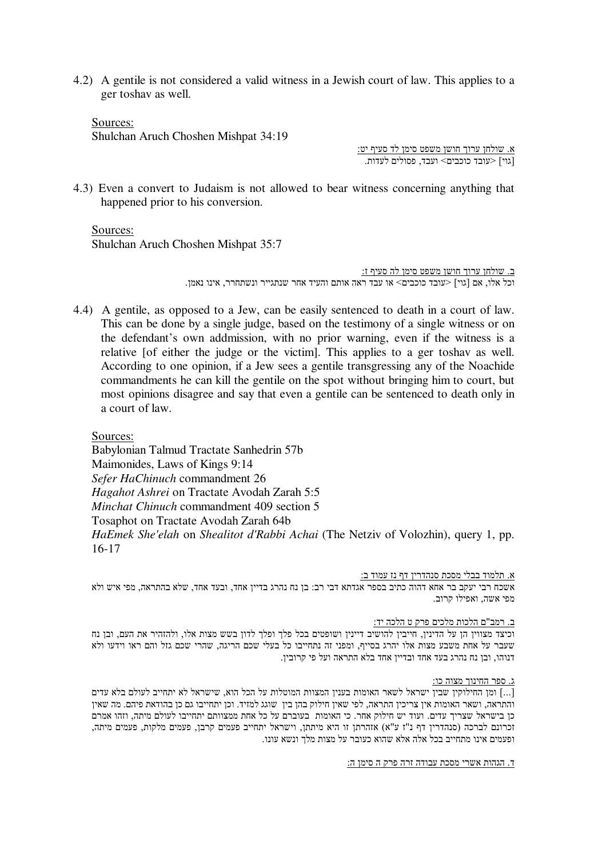4.2) A gentile is not considered a valid witness in a Jewish court of law. This applies to a ger toshav as well.

Sources: Shulchan Aruch Choshen Mishpat 34:19

<u>א. שולחן ערוך חושן משפט סימן לד סעיף יט:</u> [גוי] <עובד כוכבים> ועבד, פסולים לעדות.

4.3) Even a convert to Judaism is not allowed to bear witness concerning anything that happened prior to his conversion.

Sources: Shulchan Aruch Choshen Mishpat 35:7

> <u>ב. שולחן ערוך חושן משפט סימן לה סעיף ז:</u> וכל אלו, אם [גוי] <עובד כוכבים> או עבד ראה אותם והעיד אחר שנתגייר ונשתחרר, אינו נאמן.

4.4) A gentile, as opposed to a Jew, can be easily sentenced to death in a court of law. This can be done by a single judge, based on the testimony of a single witness or on the defendant's own addmission, with no prior warning, even if the witness is a relative [of either the judge or the victim]. This applies to a ger toshav as well. According to one opinion, if a Jew sees a gentile transgressing any of the Noachide commandments he can kill the gentile on the spot without bringing him to court, but most opinions disagree and say that even a gentile can be sentenced to death only in a court of law.

Sources:

Babylonian Talmud Tractate Sanhedrin 57b Maimonides, Laws of Kings 9:14 *Sefer HaChinuch* commandment 26 *Hagahot Ashrei* on Tractate Avodah Zarah 5:5 *Minchat Chinuch* commandment 409 section 5 Tosaphot on Tractate Avodah Zarah 64b *HaEmek She'elah* on *Shealitot d'Rabbi Achai* (The Netziv of Volozhin), query 1, pp. 16-17

א. תלמוד בבלי מסכת סנהדרין דף נז עמוד ב:

אשכח רבי יעקב בר אחא דהוה כתיב בספר אגדתא דבי רב: בן נח נהרג בדיין אחד, ובעד אחד, שלא בהתראה, מפי איש ולא מפי אשה, ואפילו קרוב.

#### <u>ב. רמב"ם הלכות מלכים פרק ט הלכה יד:</u>

וכיצד מצווין הן על הדינין, חייבין להושיב דיינין ושופטים בכל פלך ופלך לדון בשש מצות אלו, ולהזהיר את העם, ובן נח שעבר על אחת משבע מצות אלו יהרג בסייף, ומפני זה נתחייבו כל בעלי שכם הריגה, שהרי שכם גזל והם ראו וידעו ולא דנוהו, ובן נח נהרג בעד אחד ובדיין אחד בלא התראה ועל פי קרובין.

<u>ג. ספר החינוך מצוה כו:</u>

[...] ומן החילוקין שבין ישראל לשאר האומות בענין המצוות המוטלות על הכל הוא, שישראל לא יתחייב לעולם בלא עדים והתראה, ושאר האומות אין צריכין התראה, לפי שאין חילוק בהן בין שוגג למזיד. וכן יתחייבו גם כן בהודאת פיהם. מה שאין כן בישראל שצריך עדים. ועוד יש חילוק אחר. כי האומות בעוברם על כל אחת ממצוותם יתחייבו לעולם מיתה, וזהו אמרם זכרונם לברכה (סנהדרין דף נ"ז ע"א) אזהרתן זו היא מיתתן, וישראל יתחייב פעמים קרבן, פעמים מלקות, פעמים מיתה, ופעמים אינו מתחייב בכל אלה אלא שהוא כעובר על מצות מלך ונשא עונו.

<u>ד. הגהות אשרי מסכת עבודה זרה פרק ה סימן ה:</u>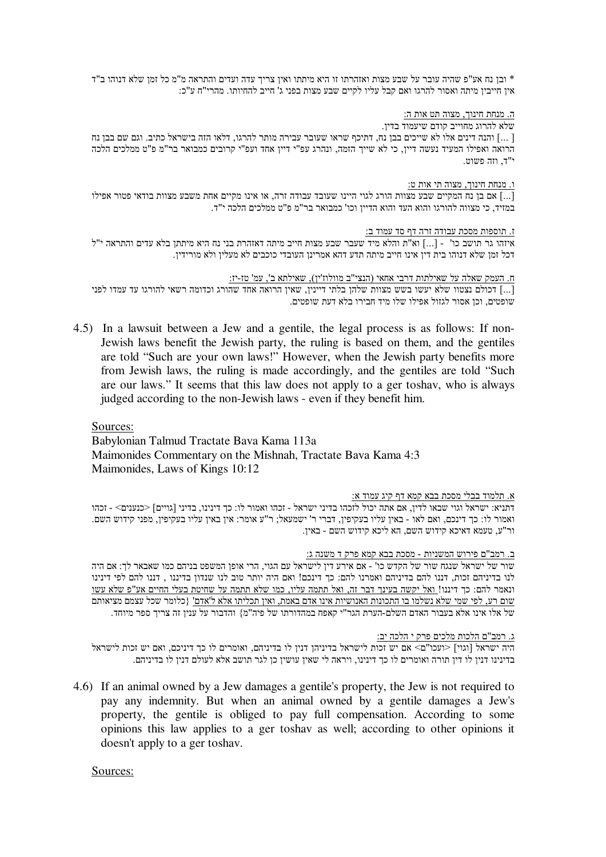ובן נח אע"פ שהיה עובר על שבע מצות ואזהרתו זו היא מיתתו ואין צריך עדה ועדים והתראה מ"מ כל זמן שלא דנוהו ב"ד + " אין חייבין מיתה ואסור להרגו ואם קבל עליו לקיים שבע מצות בפני ג' חייב להחיותו. מהרי"ח ע"כ:

## ה. מנחת חינוך, מצוה תט אות ה:

שלא להרוג מחוייב קודם שיעמוד בדיו.

ן והנה דינים אלו לא שייכים בבן נח, דתיכף שראו שעובר עבירה מותר להרגו, דלאו הזה בישראל כתיב. וגם שם בבן נח [... הרואה ואפילו המעיד נעשה דיין, כי לא שייך הזמה, ונהרג עפ"י דיין אחד ועפ"י קרובים כמבואר בר"מ פ"ט ממלכים הלכה י"ד, וזה פשוט.

## ו. מנחת חינוך, מצוה תי אות ט:

[...] אם בן נח המקיים שבע מצוות הורג לגוי היינו שעובד עבודה זרה, או אינו מקיים אחת משבע מצוות בודאי פטור אפילו במזיד, כי מצווה להורגו והוא העד והוא הדיין וכו' כמבואר בר"מ פ"ט ממלכים הלכה י"ד.

# <u>ז. תוספות מסכת עבודה זרה דף סד עמוד ב:</u>

י"ל גידים והתראה י"ל (הא"ת והלא מיד שעבר שבע מצות חייב מיתה דאזהרת בני נח היא מיתתן בלא עדים והתראה י"ל או"ל " דכל זמן שלא דנוהו בית דין אינו חייב מיתה תדע דהא אמרינן העובדי כוכבים לא מעלין ולא מורידין.

# ח. העמק שאלה על שאילתות דרבי אחאי (הנצי"ב מוולוז'ין), שאילתא ב', עמ' טז-יז:

[...] דכולם נצטוו שלא יעשו בשש מצוות שלהן בלתי דיינין, שאין הרואה אחד שהורג וכדומה רשאי להורגו עד עמדו לפני שופטים, וכן אסור לגזול אפילו שלו מיד חבירו בלא דעת שופטים.

4.5) In a lawsuit between a Jew and a gentile, the legal process is as follows: If non-Jewish laws benefit the Jewish party, the ruling is based on them, and the gentiles are told "Such are your own laws!" However, when the Jewish party benefits more from Jewish laws, the ruling is made accordingly, and the gentiles are told "Such are our laws." It seems that this law does not apply to a ger toshav, who is always judged according to the non-Jewish laws - even if they benefit him.

# Sources:

Babylonian Talmud Tractate Bava Kama 113a Maimonides Commentary on the Mishnah, Tractate Bava Kama 4:3 Maimonides, Laws of Kings 10:12

## א. תלמוד בבלי מסכת בבא קמא דף קיג עמוד א:

דתניא: ישראל וגוי שבאו לדין, אם אתה יכול לזכהו בדיני ישראל - זכהו ואמור לו: כך דינינו, בדיני [גויים] <כנענים> - זכהו ואמור לו: כך דינכם, ואם לאו - באין עליו בעקיפין, דברי ר' ישמעאל; ר"ע אומר: אין באין עליו בעקיפין, מפני קידוש השם. ור"ע, טעמא דאיכא קידוש השם, הא ליכא קידוש השם - באין.

## <u>ב. רמב"ם פירוש המשניות - מסכת בבא קמא פרק ד משנה ג:</u>

שור של ישראל שנגח שור של הקדש כו' - אם אירע דין לישראל עם הגוי, הרי אופן המשפט בניהם כמו שאבאר לך: אם היה לנו בדיניהם זכות, דננו להם בדיניהם ואמרנו להם: כך דינכם! ואם היה יותר טוב לנו שנדון בדיננו , דננו להם לפי דינינו ונאמר להם: כך דיננו!<u> ואל יקשה בעינך דבר זה, ואל תתמה עליו, כמו שלא תתמה על שחיטת בעלי החיים אע"פ שלא עשו</u> <u>שום רע, לפי שמי שלא נשלמו בו התכונות האנושיות אינו אדם באמת, ואין תכליתו אלא ל'אדם'</u> {כלומר שכל עצמם מציאותם של אלו אינו אלא בעבור האדם השלם-הערת הגר"י קאפח במהדורתו של פיה"מ} והדבור על ענין זה צריך ספר מיוחד.

<u>ג. רמב"ם הלכות מלכים פרק י הלכה יב:</u>

היה ישראל [וגוי] <ועכו"ם> אם יש זכות לישראל בדיניהן דנין לו בדיניהם, ואומרים לו כך דיניכם, ואם יש זכות לישראל בדינינו דנין לו דין תורה ואומרים לו כך דינינו, ויראה לי שאין עושין כן לגר תושב אלא לעולם דנין לו בדיניהם.

4.6) If an animal owned by a Jew damages a gentile's property, the Jew is not required to pay any indemnity. But when an animal owned by a gentile damages a Jew's property, the gentile is obliged to pay full compensation. According to some opinions this law applies to a ger toshav as well; according to other opinions it doesn't apply to a ger toshav.

Sources: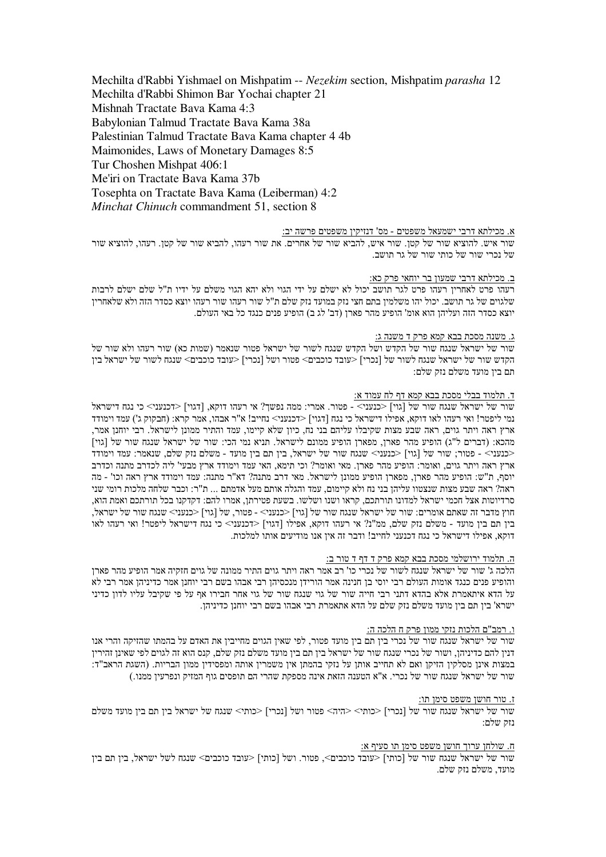Mechilta d'Rabbi Yishmael on Mishpatim -- *Nezekim* section, Mishpatim *parasha* 12 Mechilta d'Rabbi Shimon Bar Yochai chapter 21 Mishnah Tractate Bava Kama 4:3 Babylonian Talmud Tractate Bava Kama 38a Palestinian Talmud Tractate Bava Kama chapter 4 4b Maimonides, Laws of Monetary Damages 8:5 Tur Choshen Mishpat 406:1 Me'iri on Tractate Bava Kama 37b Tosephta on Tractate Bava Kama (Leiberman) 4:2 *Minchat Chinuch* commandment 51, section 8

#### <u>א. מכילתא דרבי ישמעאל משפטים - מס' דנזיקין משפטים פרשה יב:</u>

שור איש. להוציא שור של קטן. שור איש, להביא שור של אחרים. את שור רעהו, להביא שור של קטן. רעהו, להוציא שור של נכרי שור של כותי שור של גר תושב.

#### <u>ב. מכילתא דרבי שמעון בר יוחאי פרק כא:</u>

רעהו פרט לאחרין רעהו פרט לגר תושב יכול לא ישלם על ידי הגוי ולא יהא הגוי משלם על ידיו ת"ל שלם ישלם לרבות שלגוים של גר תושב. יכול יהו משלמין בתם חצי נזק במועד נזק שלם ת"ל שור רעהו שור רעהו יוצא כסדר הזה ולא שלאחרין יוצא כסדר הזה ועליהן הוא אומ' הופיע מהר פארן (דב' לג ב) הופיע פנים כנגד כל באי העולם.

#### <u>ג. משנה מסכת בבא קמא פרק ד משנה ג:</u>

שור של ישראל שנגח שור של הקדש ושל הקדש שנגח לשור של ישראל פטור שנאמר (שמות כא) שור רעהו ולא שור של הקדש שור של ישראל שנגח לשור של [נכרי] <עובד כוכבים> פטור ושל [נכרי] <עובד כוכבים> שנגח לשור של ישראל בין תם ביו מועד משלם נזק שלם:

## <u>ד. תלמוד בבלי מסכת בבא קמא דף לח עמוד א:</u>

שור של ישראל שנגח שור של [גוי] <כנעני> - פטור. אמרי: ממה נפשך? אי רעהו דוקא, [דגוי] <דכנעני> כי נגח דישראל נמי ליפטר! ואי רעהו לאו דוקא, אפילו דישראל כי נגח [דגוי] <דכנעני> נחייב! א"ר אבהו, אמר קרא: (חבקוק ג') עמד וימודד ארץ ראה ויתר גוים, ראה שבע מצות שקיבלו עליהם בני נח, כיון שלא קיימו, עמד והתיר ממונן לישראל. רבי יוחנן אמר, מהכא: (דברים ל"ג) הופיע מהר פארן, מפארן הופיע ממונם לישראל. תניא נמי הכי: שור של ישראל שנגח שור של [גוי] בנעני> - פטור; שור של [גוי] <כנעני> שנגח שור של ישראל, בין תם בין מועד - משלם נזק שלם, שנאמר: עמד וימודד $\,$ ארץ ראה ויתר גוים, ואומר: הופיע מהר פארן. מאי ואומר? וכי תימא, האי עמד וימודד ארץ מבעי' ליה לכדרב מתנה וכדרב יוסף, ת"ש: הופיע מהר פארן, מפארן הופיע ממונן לישראל. מאי דרב מתנה? דא"ר מתנה: עמד וימודד ארץ ראה וכו' - מה ראה? ראה שבע מצות שנצטוו עליהן בני נח ולא קיימום, עמד והגלה אותם מעל אדמתם ... ת"ר: וכבר שלחה מלכות רומי שני סרדיוטות אצל חכמי ישראל למדונו תורתכם, קראו ושנו ושלשו. בשעת פטירתן, אמרו להם: דקדקנו בכל תורתכם ואמת הוא, חוץ מדבר זה שאתם אומרים: שור של ישראל שנגח שור של [גוי] <כנעני> - פטור, של [גוי] <כנעני> שנגח שור של ישראל, בין תם בין מועד - משלם נזק שלם, ממ"נ? אי רעהו דוקא, אפילו [דגוי] <דכנעני> כי נגח דישראל ליפטר! ואי רעהו לאו דוקא, אפילו דישראל כי נגח דכנעני לחייב! ודבר זה אין אנו מודיעים אותו למלכות.

#### <u>ה. תלמוד ירושלמי מסכת בבא קמא פרק ד דף ד טור ב:</u>

הלכה ג' שור של ישראל שנגח לשור של נכרי כו' רב אמר ראה ויתר גוים התיר ממונה של גוים חזקיה אמר הופיע מהר פארן והופיע פנים כנגד אומות העולם רבי יוסי בן חנינה אמר הורידן מנכסיהן רבי אבהו בשם רבי יוחנן אמר כדיניהן אמר רבי לא על הדא איתאמרת אלא בהדא דתני רבי חייה שור של גוי שנגח שור של גוי אחר חבירו אף על פי שקיבל עליו לדון כדיני ישרא' בין תם בין מועד משלם נזק שלם על הדא אתאמרת רבי אבהו בשם רבי יוחנן כדיניהן.

#### <u>ו. רמב"ם הלכות נזקי ממון פרק ח הלכה ה:</u>

שור של ישראל שנגח שור של נכרי בין תם בין מועד פטור, לפי שאין הגוים מחייבין את האדם על בהמתו שהזיקה והרי אנו דנין להם כדיניהן, ושור של נכרי שנגח שור של ישראל בין תם בין מועד משלם נזק שלם, קנס הוא זה לגוים לפי שאינן זהירין במצות אינן מסלקין הזיקן ואם לא תחייב אותן על נזקי בהמתן אין משמרין אותה ומפסידין ממון הבריות. (השגת הראב"ד: שור של ישראל שנגח שור של נכרי. א"א הטענה הזאת אינה מספקת שהרי הם תופסים גוף המזיק ונפרעין ממנו.)

#### <u>ז. טור חושן משפט סימן תו:</u>

שור של ישראל שנגח שור של [נכרי] <כותי> <היה> פטור ושל [נכרי] <כותי> שנגח של ישראל בין תם בין מועד משלם וזה שלה

#### <u>ח. שולחן ערוך חושן משפט סימן תו סעיף א:</u>

שור של ישראל שנגח שור של [כותי] <עובד כוכבים>, פטור. ושל [כותי] <עובד כוכבים> שנגח לשל ישראל, בין תם בין מועד, משלם נזק שלם.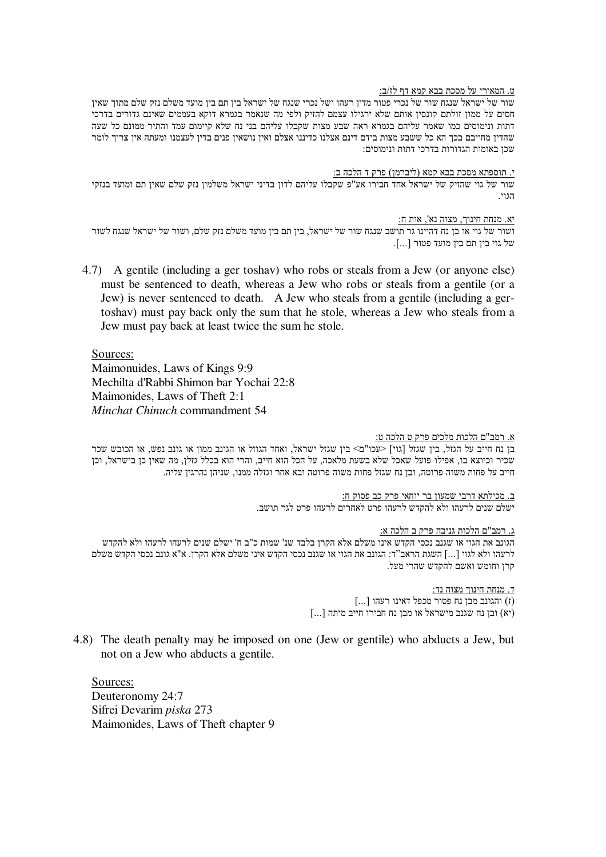# ט. המאירי על מסכת בבא קמא דף לז/ב:

שור של ישראל שנגח שור של נכרי פטור מדין רעהו ושל נכרי שנגח של ישראל בין תם בין מועד משלם נזק שלם מתוך שאין חסים על ממון זולתם קונסין אותם שלא ירגילו עצמם להזיק ולפי מה שנאמר בגמרא דוקא בעממים שאינם גדורים בדרכי דתות ונימוסים כמו שאמר עליהם בגמרא ראה שבע מצות שקבלו עליהם בני נח שלא קיימום עמד והתיר ממונם כל שעה שהדין מחייבם בכך הא כל ששבע מצות בידם דינם אצלנו כדיננו אצלם ואין נושאין פנים בדין לעצמנו ומעתה אין צריך לומר שכן באומות הגדורות בדרכי דתות ונימוסים:

<u>י. תוספתא מסכת בבא קמא (ליברמן) פרק ד הלכה ב:</u> שור של גוי שהזיק של ישראל אחד חבירו אע"פ שקבלו עליהם לדון בדיני ישראל משלמין נזק שלם שאין תם ומועד בנזקי הגוי.

יא. מנחת חינוך, מצוה נא', אות ח:

ושור של גוי או בז נח דהיינו גר תושב שנגח שור של ישראל. ביו תם ביו מועד משלם נזק שלם. ושור של ישראל שנגח לשור של גוי בין תם בין מועד פטור [...].

4.7) A gentile (including a ger toshav) who robs or steals from a Jew (or anyone else) must be sentenced to death, whereas a Jew who robs or steals from a gentile (or a Jew) is never sentenced to death. A Jew who steals from a gentile (including a gertoshav) must pay back only the sum that he stole, whereas a Jew who steals from a Jew must pay back at least twice the sum he stole.

Sources: Maimonuides, Laws of Kings 9:9 Mechilta d'Rabbi Shimon bar Yochai 22:8 Maimonides, Laws of Theft 2:1

*Minchat Chinuch* commandment 54

# <u>א. רמב"ם הלכות מלכים פרק ט הלכה ט:</u>

בן נח חייב על הגזל, בין שגזל [גוי] <עכו"ם> בין שגזל ישראל, ואחד הגוזל או הגונב ממון או גונב נפש, או הכובש שכר שכיר וכיוצא בו, אפילו פועל שאכל שלא בשעת מלאכה, על הכל הוא חייב, והרי הוא בכלל גזלן, מה שאין כן בישראל, וכן חייב על פחות משוה פרוטה, ובן נח שגזל פחות משוה פרוטה ובא אחר וגזלה ממנו, שניהן נהרגין עליה.

> <u>ב. מכילתא דרבי שמעון בר יוחאי פרק כב פסוק ח:</u> ישלם שנים לרעהו ולא להקדש לרעהו פרט לאחרים לרעהו פרט לגר תושב.

# <u>ג. רמב"ם הלכות גניבה פרק ב הלכה א:</u>

הגונב את הגוי או שגנב נכסי הקדש אינו משלם אלא הקרן בלבד שנ' שמות כ"ב ח' ישלם שנים לרעהו לרעהו ולא להקדש ית הקרן. א"א גונב לכסי הקדש משלם הראב"ד: הגונב את הגוי או שגנב נכסי הקדש אינו משלם אלא הקרן. א"א גונב נכסי הקדש משלם קרן וחומש ואשם להקדש שהרי מעל.

> <u>ד. מנחת חינוך מצוה נד:</u> (ז) והגונב מבן נח פטור מכפל דאינו רעהו [...] (יא) ובן נח שגנב מישראל או מבן נח חבירו חייב מיתה [...]

4.8) The death penalty may be imposed on one (Jew or gentile) who abducts a Jew, but not on a Jew who abducts a gentile.

Sources: Deuteronomy 24:7 Sifrei Devarim *piska* 273 Maimonides, Laws of Theft chapter 9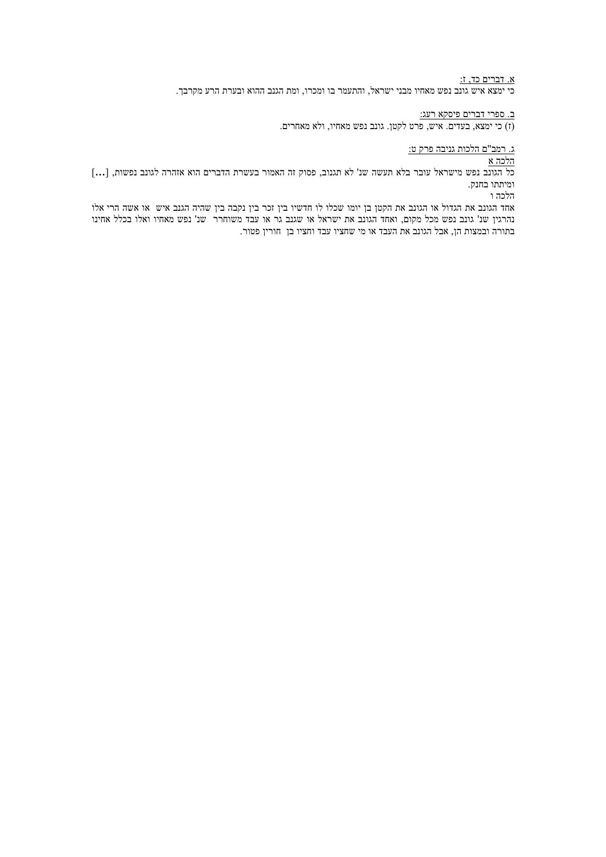<u>א. דברים כד, ז:</u>

.<br>כי ימצא איש גונב נפש מאחיו מבני ישראל, והתעמר בו ומכרו, ומת הגנב ההוא ובערת הרע מקרבך.

<u>ב. ספרי דברים פיסקא רעג:</u>

(ז) כי ימצא, בעדים. איש, פרט לקטן. גונב נפש מאחיו, ולא מאחרים.

<u>ג. רמב"ם הלכות גניבה פרק ט:</u>

<u>הלכה א</u>

כל הגונב נפש מישראל עובר בלא תעשה שנ' לא תגנוב, פסוק זה האמור בעשרת הדברים הוא אזהרה לגונב נפשות, [...] ומיתתו בחנק.

הלכה ו

אחד הגונב את הגדול או הגונב את הקטן בן יומו שכלו לו חדשיו בין זכר בין נקבה בין שהיה הגנב איש או אשה הרי אלו נהרגין שנ' גונב נפש מכל מקום. ואחד הגונב את ישראל או שגנב גר או עבד משוחרר |שנ' נפש מאחיו ואלו בכלל אחינו בתורה ובמצות הן, אבל הגונב את העבד או מי שחציו עבד וחציו בן | חורין פטור.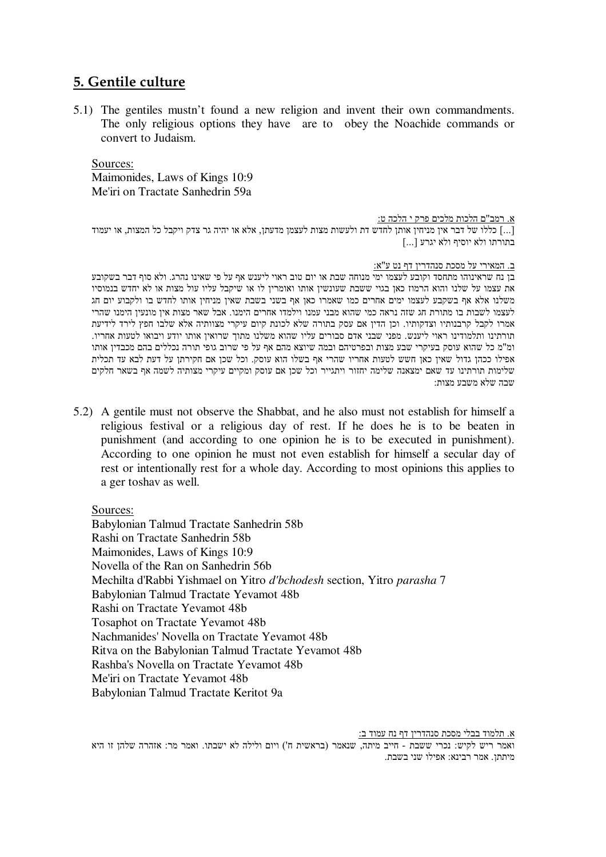# **5. Gentile culture**

5.1) The gentiles mustn't found a new religion and invent their own commandments. The only religious options they have are to obey the Noachide commands or convert to Judaism.

Sources: Maimonides, Laws of Kings 10:9 Me'iri on Tractate Sanhedrin 59a

<u>א. רמב"ם הלכות מלכים פרק י הלכה ט:</u>

ה'...] כללו של דבר אין מניחין אותן לחדש דת ולעשות מצות לעצמן מדעתן. אלא או יהיה גר צדק ויקבל כל המצות. או יעמוד ם בתורתו ולא יוסיף ולא יגרע

ב. המאירי על מסכת סנהדרין דף נט ע"א:

בן נח שראינוהו מתחסד וקובע לעצמו ימי מנוחה שבת או יום טוב ראוי ליענש אף על פי שאינו נהרג. ולא סוף דבר בשקובע את עצמו על שלנו והוא הרמוז כאן בגוי ששבת שעונשין אותו ואומרין לו או שיקבל עליו עול מצות או לא יחדש בנמוסיו משלנו אלא אף בשקבע לעצמו ימים אחרים כמו שאמרו כאן אף בשני בשבת שאין מניחין אותו לחדש בו ולקבוע יום חג לעצמו לשבות בו מתורת חג שזה נראה כמי שהוא מבני עמנו וילמדו אחרים הימנו. אבל שאר מצות אין מונעין הימנו שהרי אמרו לקבל קרבנותיו וצדקותיו. וכן הדין אם עסק בתורה שלא לכונת קיום עיקרי מצוותיה אלא שלבו חפץ לירד לידיעת תורתינו ותלמודינו ראוי ליענש. מפני שבני אדם סבורים עליו שהוא משלנו מתוך שרואין אותו יודע ויבואו לטעות אחריו. ומ"מ כל שהוא עוסק בעיקרי שבע מצות ובפרטיהם ובמה שיוצא מהם אף על פי שרוב גופי תורה נכללים בהם מכבדין אותו אפילו ככהן גדול שאין כאן חשש לטעות אחריו שהרי אף בשלו הוא עוסק. וכל שכן אם חקירתן על דעת לבא עד תכלית שלימות תורתינו עד שאם ימצאנה שלימה יחזור ויתגייר וכל שכן אם עוסק ומקיים עיקרי מצותיה לשמה אף בשאר חלקים שבה שלא משבע מצות:

5.2) A gentile must not observe the Shabbat, and he also must not establish for himself a religious festival or a religious day of rest. If he does he is to be beaten in punishment (and according to one opinion he is to be executed in punishment). According to one opinion he must not even establish for himself a secular day of rest or intentionally rest for a whole day. According to most opinions this applies to a ger toshav as well.

Sources:

Babylonian Talmud Tractate Sanhedrin 58b Rashi on Tractate Sanhedrin 58b Maimonides, Laws of Kings 10:9 Novella of the Ran on Sanhedrin 56b Mechilta d'Rabbi Yishmael on Yitro *d'bchodesh* section, Yitro *parasha* 7 Babylonian Talmud Tractate Yevamot 48b Rashi on Tractate Yevamot 48b Tosaphot on Tractate Yevamot 48b Nachmanides' Novella on Tractate Yevamot 48b Ritva on the Babylonian Talmud Tractate Yevamot 48b Rashba's Novella on Tractate Yevamot 48b Me'iri on Tractate Yevamot 48b Babylonian Talmud Tractate Keritot 9a

א. תלמוד בבלי מסכת סנהדרין דף נח עמוד ב: ואמר ריש לקיש: נכרי ששבת - חייב מיתה, שנאמר (בראשית ח') ויום ולילה לא ישבתו. ואמר מר: אזהרה שלהן זו היא מיתתן. אמר רבינא: אפילו שני בשבת.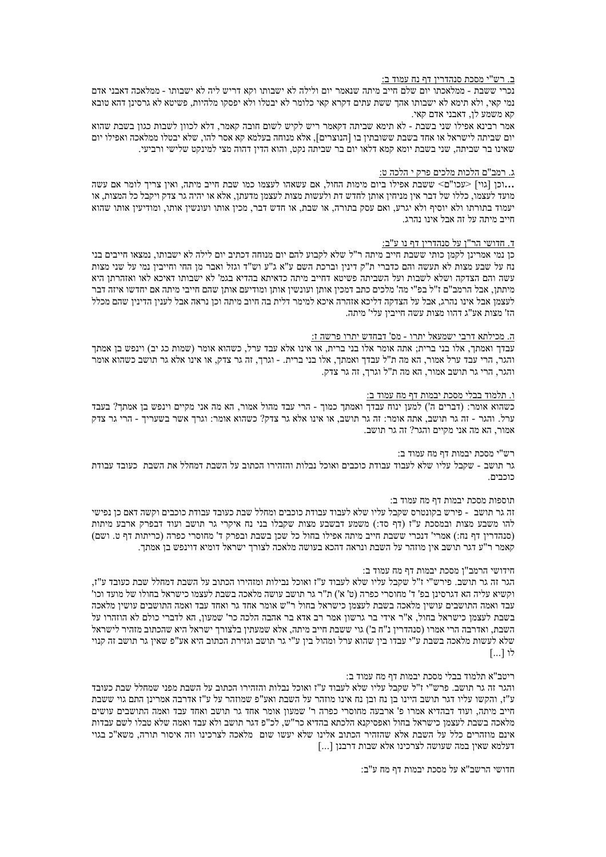#### <u>ב. רש"י מסכת סנהדרין דף נח עמוד ב:</u>

נכרי ששבת - ממלאכתו יום שלם חייב מיתה שנאמר יום ולילה לא ישבותו וקא דריש ליה לא ישבותו - ממלאכה דאבני אדם נמי קאי, ולא תימא לא ישבותו אהך ששת עתים דקרא קאי כלומר לא יבטלו ולא יפסקו מלהיות, פשיטא לא גרסינן דהא טובא קא משמע לן, דאבני אדם קאי.

אמר רבינא אפילו שני בשבת - לא תימא שביתה דקאמר ריש לקיש לשום חובה קאמר. דלא לכווז לשבות כגוז בשבת שהוא יום שביתה לישראל או אחד בשבת ששובתין בו [הנוצרים], אלא מנוחה בעלמא קא אסר להו, שלא יבטלו ממלאכה ואפילו יום שאינו בר שביתה, שני בשבת יומא קמא דלאו יום בר שביתה נקט, והוא הדין דהוה מצי למינקט שלישי ורביעי.

### <u>ג. רמב"ם הלכות מלכים פרק י הלכה ט:</u>

...וכן [גוי] <עכו"ם> ששבת אפילו ביום מימות החול. אם עשאהו לעצמו כמו שבת חייב מיתה, ואין צריך לומר אם עשה מועד לעצמו, כללו של דבר אין מניחין אותן לחדש דת ולעשות מצות לעצמן מדעתן, אלא או יהיה גר צדק ויקבל כל המצות, או יעמוד בתורתו ולא יוסיף ולא יגרע, ואם עסק בתורה, או שבת, או חדש דבר, מכין אותו ועונשין אותו, ומודיעין אותו שהוא חייב מיתה על זה אבל אינו נהרג.

#### ד. חדושי הר"ן על סנהדרין דף נו ע"ב:

כן נמי אמרינו לקמו כותי ששבת חייב מיתה ר"ל שלא לקבוע להם יום מנוחה דכתיב יום לילה לא ישבותו. נמצאו חייבים בני נח על שבע מצות לא תעשה והם כדברי ת"ק דיניו וברכת השם ע"א ג"ע וש"ד וגזל ואבר מו החי וחייביו נמי על שני מצות עשה והם הצדקה ושלא לשבות ועל השביתה פשיטא דחייב מיתה כדאיתא בהדיא בגמ' לא ישבותו דאיכא לאו ואזהרתן היא מיתתן, אבל הרמב"ם ז"ל בפ"י מה' מלכים כתב דמכין אותן ועונשין אותן ומודיעם אותן שהם חייבי מיתה אם יחדשו איזה דבר לעצמן אבל אינו נהרג, אבל על הצדקה דליכא אזהרה איכא למימר דלית בה חיוב מיתה וכן נראה אבל לענין הדינין שהם מכלל הז' מצות אע"ג דהוו מצות עשה חייבין עלי' מיתה.

#### ה. מכילתא דרבי ישמעאל יתרו - מס' דבחדש יתרו פרשה ז:

עבדך ואמתך, אלו בני ברית; אתה אומר אלו בני ברית, או אינו אלא עבד ערל, כשהוא אומר (שמות כג יב) וינפש בן אמתך והגר, הרי עבד ערל אמור, הא מה ת"ל עבדך ואמתך, אלו בני ברית. - וגרך, זה גר צדק, או אינו אלא גר תושב כשהוא אומר והגר, הרי גר תושב אמור, הא מה ת"ל וגרך, זה גר צדק.

### <u>ו. תלמוד בבלי מסכת יבמות דף מח עמוד ב:</u>

כשהוא אומר: (דברים ה') למען ינוח עבדך ואמתך כמוך - הרי עבד מהול אמור, הא מה אני מקיים וינפש בן אמתך? בעבד ערל. והגר - זה גר תושב, אתה אומר: זה גר תושב, או אינו אלא גר צדק? כשהוא אומר: וגרך אשר בשעריך - הרי גר צדק אמור, הא מה אני מקיים והגר? זה גר תושב.

#### רש"י מסכת יבמות דף מח עמוד ב:

גר תושב - שקבל עליו שלא לעבוד עבודת כוכבים ואוכל נבלות והזהירו הכתוב על השבת דמחלל את השבת כעובד עבודת רוריה

#### תוספות מסכת יבמות דף מח עמוד ב:

זה גר תושב - פירש בקונטרס שקבל עליו שלא לעבוד עבודת כוכבים ומחלל שבת כעובד עבודת כוכבים וקשה דאם כז נפישי להו משבע מצות ובמסכת ע"ז (דף סד:) משמע דבשבע מצות שקבלו בני נח איקרי גר תושב ועוד דבפרק ארבע מיתות (סנהדרין דף נח:) אמרי' דנכרי ששבת חייב מיתה אפילו בחול כל שכן בשבת ובפרק ד' מחוסרי כפרה (כריתות דף ט. ושם) קאמר ר"ע דגר תושב אין מוזהר על השבת ונראה דהכא בעושה מלאכה לצורך ישראל דומיא דוינפש בן אמתך.

#### חידושי הרמב"ן מסכת יבמות דף מח עמוד ב:

הגר זה גר תושב. פירש"י ז"ל שקבל עליו שלא לעבוד ע"ז ואוכל נבילות ומזהירו הכתוב על השבת דמחלל שבת כעובד ע"ז. וקשיא עליה הא דגרסינן בפ' ד' מחוסרי כפרה (ט' א') ת"ר גר תושב עושה מלאכה בשבת לעצמו כישראל בחולו של מועד וכו' עבד ואמה התושבים עושין מלאכה בשבת לעצמן כישראל בחול ר"ש אומר אחד גר ואחד עבד ואמה התושבים עושין מלאכה בשבת לעצמן כישראל בחול, א"ר אידי בר גרשון אמר רב אדא בר אהבה הלכה כר' שמעון, הא לדברי כולם לא הוזהרו על השבת, ואדרבה הרי אמרו (סנהדרין נ"ח ב') גוי ששבת חייב מיתה, אלא שמעתין בלצורך ישראל היא שהכתוב מזהיר לישראל שלא לעשות מלאכה בשבת ע"י עבדו בין שהוא ערל ומהול בין ע"י גר תושב וגזירת הכתוב היא אע"פ שאין גר תושב זה קנוי לו [...]

### ריטב"א תלמוד בבלי מסכת יבמות דף מח עמוד ב:

והגר זה גר תושב. פרש"י ז"ל שקבל עליו שלא לעבוד ע"ז ואוכל נבלות והזהירו הכתוב על השבת מפני שמחלל שבת כעובד ע"ז, והקשו עליו דגר תושב היינו בן נח ובן נח אינו מוזהר על השבת ואע"פ שמוזהר על ע"ז אדרבה אמרינן התם גוי ששבת חייב מיתה, ועוד דבהדיא אמרו פ' ארבעה מחוסרי כפרה ר' שמעון אומר אחד גר תושב ואחד עבד ואמה התושבים עושים מלאכה בשבת לעצמו כישראל בחול ואפסיקנא הלכתא בהדיא כר"ש. לכ"פ דגר תושב ולא עבד ואמה שלא טבלו לשם עבדות אינם מוזהרים כלל על השבת אלא שהזהיר הכתוב אלינו שלא יעשו שום מלאכה לצרכינו וזה איסור תורה, משא"כ בגוי  $\left[\ldots\right]$ דעלמא שאין במה שעושה לצרכינו אלא שבות דרבנן

חדושי הרשב"א על מסכת יבמות דף מח ע"ב: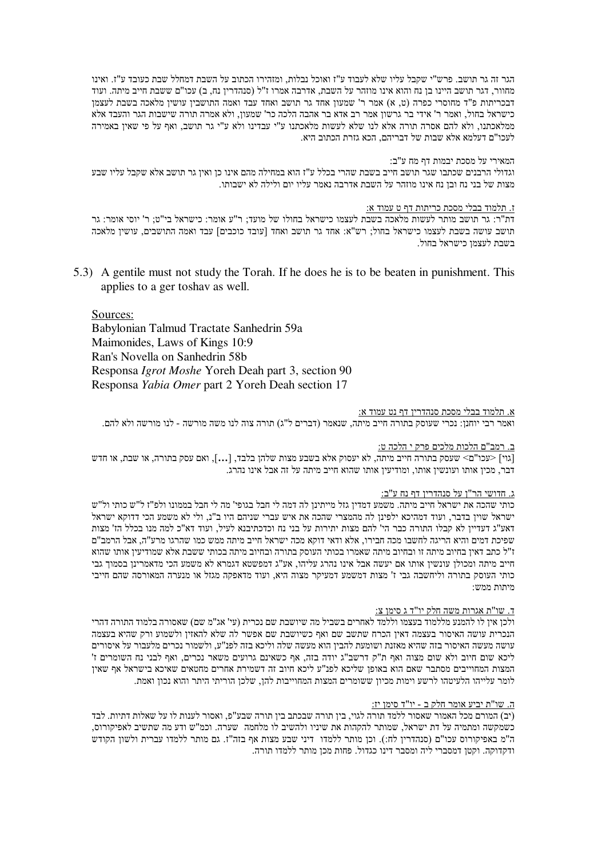הגר זה גר תושב. פרש"י שקבל עליו שלא לעבוד ע"ז ואוכל נבלות, ומזהירו הכתוב על השבת דמחלל שבת כעובד ע"ז. ואינו מחוור, דגר תושב היינו בן נח והוא אינו מוזהר על השבת, אדרבה אמרו ז"ל (סנהדרין נח, ב) עכו"ם ששבת חייב מיתה. ועוד דבכריתות פ"ד מחוסרי כפרה (ט, א) אמר ר' שמעון אחד גר תושב ואחד עבד ואמה התושבין עושין מלאכה בשבת לעצמן כישראל בחול, ואמר ר' אידי בר גרשון אמר רב אדא בר אהבה הלכה כר' שמעון, ולא אמרה תורה שישבות הגר והעבד אלא ממלאכתנו. ולא להם אסרה תורה אלא לנו שלא לעשות מלאכתנו ע"י עבדינו ולא ע"י גר תושב. ואף על פי שאיז באמירה לעכו"ם דעלמא אלא שבות של דבריהם, הכא גזרת הכתוב היא.

### המאירי על מסכת יבמות דף מח ע"ב:

וגדולי הרבנים שכתבו שגר תושב חייב בשבת שהרי בכלל ע"ז הוא במחילה מהם אינו כן ואין גר תושב אלא שקבל עליו שבע מצות של בני נח ובן נח אינו מוזהר על השבת אדרבה נאמר עליו יום ולילה לא ישבותו.

#### ז. תלמוד בבלי מסכת כריתות דף ט עמוד א:

דת"ר: גר תושב מותר לעשות מלאכה בשבת לעצמו כישראל בחולו של מועד: ר"ע אומר: כישראל בי"ט: ר' יוסי אומר: גר תושב עושה בשבת לעצמו כישראל בחול: רש"א: אחד גר תושב ואחד [עובד כוכבים] עבד ואמה התושבים. עושיו מלאכה בשבת לעצמו כישראל בחול.

5.3) A gentile must not study the Torah. If he does he is to be beaten in punishment. This applies to a ger toshay as well.

# Sources:

Babylonian Talmud Tractate Sanhedrin 59a Maimonides, Laws of Kings 10:9 Ran's Novella on Sanhedrin 58b Responsa *Igrot Moshe* Yoreh Deah part 3, section 90 Responsa Yabia Omer part 2 Yoreh Deah section 17

### א. תלמוד בבלי מסכת סנהדרין דף נט עמוד א:

ואמר רבי יוחנן: נכרי שעוסק בתורה חייב מיתה, שנאמר (דברים ל"ג) תורה צוה לנו משה מורשה - לנו מורשה ולא להם.

# ב. רמב"ם הלכות מלכים פרק י הלכה ט:

[גוי] <עכו"ם> שעסק בתורה חייב מיתה, לא יעסוק אלא בשבע מצות שלהן בלבד, […], ואם עסק בתורה, או שבת, או חדש דבר, מכין אותו ועונשין אותו, ומודיעין אותו שהוא חייב מיתה על זה אבל אינו נהרג.

### <u>ג. חדושי הר"ן על סנהדרין דף נח ע"ב:</u>

כותי שהכה את ישראל חייב מיתה. משמע דמדין גזל מייתינן לה דמה לי חבל בגופי' מה לי חבל בממונו ולפ"ז ל"ש כותי ול"ש ישראל שוין בדבר, ועוד דמהיכא ילפינן לה מהמצרי שהכה את איש עברי שניהם היו ב"נ, ולי לא משמע הכי דדוקא ישראל דאע"ג דעדיין לא קבלו התורה כבר הי' להם מצות יתירות על בני נח וכדכתיבנא לעיל. ועוד דא"כ למה מנו בכלל הז' מצות שפיכת דמים והיא הריגה לחשבו מכה חבירו, אלא ודאי דוקא מכה ישראל חייב מיתה ממש כמו שהרגו מרע"ה, אבל הרמב"ם ז"ל כתב דאין בחיוב מיתה זו ובחיוב מיתה שאמרו בכותי העוסק בתורה ובחיוב מיתה בכותי ששבת אלא שמודיעין אותו שהוא חייב מיתה ומכולן עונשין אותו אם יעשה אבל אינו נהרג עליהו. אע"ג דמפשטא דגמרא לא משמע הכי מדאמרינן בסמוך גבי כותי העוסק בתורה וליחשבה גבי ז' מצות דמשמע דמעיקר מצוה היא, ועוד מדאפקה מגזל או מנערה המאורסה שהם חייבי  $\cdot$ מיחוח ממ

# ד. שו"<u>ת אגרות משה חלק יו"ד ג סימן צ:</u>

ולכו איז לו להמנע מללמוד בעצמו וללמד לאחרים בשביל מה שיושבת שם נכרית (עי' אג"מ שם) שאסורה בלמוד התורה דהרי הנכרית עושה האיסור בעצמה דאין הכרח שתשב שם ואף כשיושבת שם אפשר לה שלא להאזין ולשמוע ורק שהיא בעצמה עושה מעשה האיסור בזה שהיא מאזנת ושומעת להבין הוא מעשה שלה וליכא בזה לפנ"ע, ולשמור נכרים מלעבור על איסורים ליכא שום חיוב ולא שום מצוה ואף ת"ק דרשב"ג יודה בזה, אף כשאינם גרועים משאר נכרים, ואף לבני נח השומרים ז' המצות המחוייבים מסתבר שאם הוא באופן שליכא לפנ"ע ליכא חיוב זה דשמירת אחרים מחטאים שאיכא בישראל אף שאין לומר עלייהו הלעיטהו לרשע וימות מכיון ששומרים המצות המחוייבות להן, שלכן הוריתי היתר והוא נכון ואמת.

### ה. שו"ת יביע אומר חלק ב - יו"ד סימן יז:

(יב) המורם מכל האמור שאסור ללמד תורה לגוי, בין תורה שבכתב בין תורה שבע"פ, ואסור לענות לו על שאלות דתיות. לבד כשמקשה ומתמיה על דת ישראל, שמותר להקהות את שיניו ולהשיב לו מלחמה |שערה. וכמ"ש ודע מה שתשיב לאפיקורוס, ה"מ באפיקורוס עכו"ם (סנהדרין לח:). וכן מותר ללמדו דיני שבע מצות אף בזה"ז. גם מותר ללמדו עברית ולשון הקודש ודקדוקה. וקטן דמסברי ליה ומסבר דינו כגדול. פחות מכן מותר ללמדו תורה.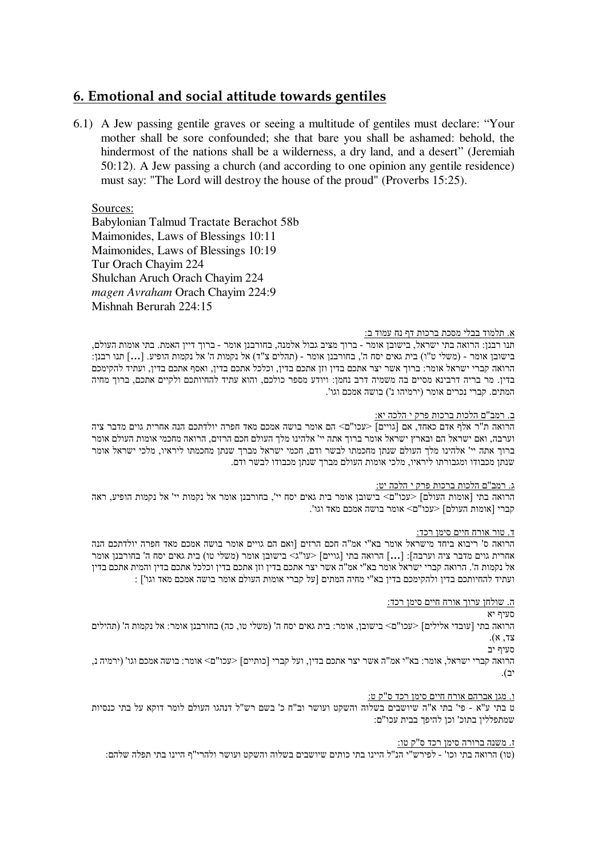# **6. Emotional and social attitude towards gentiles**

6.1) A Jew passing gentile graves or seeing a multitude of gentiles must declare: "Your mother shall be sore confounded; she that bare you shall be ashamed: behold, the hindermost of the nations shall be a wilderness, a dry land, and a desert" (Jeremiah 50:12). A Jew passing a church (and according to one opinion any gentile residence) must say: "The Lord will destroy the house of the proud" (Proverbs 15:25).

Sources:

Babylonian Talmud Tractate Berachot 58b Maimonides, Laws of Blessings 10:11 Maimonides, Laws of Blessings 10:19 Tur Orach Chayim 224 Shulchan Aruch Orach Chayim 224 *magen Avraham* Orach Chayim 224:9 Mishnah Berurah 224:15

# א. תלמוד בבלי מסכת ברכות דף נח עמוד ב:

תנו רבנן: הרואה בתי ישראל, בישובן אומר - ברוך מציב גבול אלמנה, בחורבנן אומר - ברוך דיין האמת. בתי אומות העולם, בישובן אומר - (משלי ט"ו) בית גאים יסח ה', בחורבנן אומר - (תהלים צ"ד) אל נקמות ה' אל נקמות הופיע. […] תנו רבנן: הרואה קברי ישראל אומר: ברוך אשר יצר אתכם בדין וזן אתכם בדין, וכלכל אתכם בדין, ואסף אתכם בדין, ועתיד להקימכם בדין. מר בריה דרבינא מסיים בה משמיה דרב נחמן: ויודע מספר כולכם, והוא עתיד להחיותכם ולקיים אתכם, ברוך מחיה המתים. קברי נכרים אומר (ירמיהו נ') בושה אמכם וגו'.

# <u>ב. רמב"ם הלכות ברכות פרק י הלכה יא:</u>

הרואה ת"ר אלף אדם כאחד, אם [גויים] <עכו"ם> הם אומר בושה אמכם מאד חפרה יולדתכם הנה אחרית גוים מדבר ציה וערבה, ואם ישראל הם ובארץ ישראל אומר ברוך אתה יי' אלהינו מלך העולם חכם הרזים, הרואה מחכמי אומות העולם אומר ברוך אתה יי' אלהינו מלך העולם שנתן מחכמתו לבשר ודם, חכמי ישראל מברך שנתן מחכמתו ליראיו, מלכי ישראל אומר שנתן מכבודו ומגבורתו ליראיו, מלכי אומות העולם מברך שנתן מכבודו לבשר ודם.

# <u>ג. רמב"ם הלכות ברכות פרק י הלכה יט:</u>

הרואה בתי [אומות העולם] <עכו"ם> בישובן אומר בית גאים יסח יי', בחורבנן אומר אל נקמות יי' אל נקמות הופיע, ראה קברי [אומות העולם] <עכו"ם> אומר בושה אמכם מאד וגו'.

# ד. טור אורח חיים סימן רכד:

הרואה ס' ריבוא ביחד מישראל אומר בא"י אמ"ה חכם הרזים [ואם הם גויים אומר בושה אמכם מאד חפרה יולדתכם הנה אחרית גוים מדבר ציה וערבה]: [...] הרואה בתי [גויים] <עו"ג> בישובן אומר (משלי טו) בית גאים יסח ה' בחורבנן אומר אל נקמות ה'. הרואה קברי ישראל אומר בא"י אמ"ה אשר יצר אתכם בדין וזן אתכם בדין וכלכל אתכם בדין והמית אתכם בדין ועתיד להחיותכם בדין ולהקימכם בדין בא"י מחיה המתים [על קברי אומות העולם אומר בושה אמכם מאד וגו'] :

# ה. שולחן ערוך אורח חיים סימן רכד:

סעיף יא

הרואה בתי [עובדי אלילים] <עכו"ם> בישובן, אומר: בית גאים יסח ה' (משלי טו, כה) בחורבנן אומר: אל נקמות ה' (תהילים  $(x, 7y)$ 

סעיף יב

הרואה קברי ישראל, אומר: בא"י אמ"ה אשר יצר אתכם בדין, ועל קברי [כותיים] <עכו"ם> אומר: בושה אמכם וגו' (ירמיה נ, יב).

# ו. מגן אברהם אורח חיים סימן רכד ס"ק ט:

ט בתי ע"א - פי' בתי א"ה שיושבים בשלוה והשקט ועושר וב"ח כ' בשם רש"ל דנהגו העולם לומר דוקא על בתי כנסיות שמתפללין בתוכ' וכן להיפך בבית עכו"ם:

# ז. משנה ברורה סימן רכד ס"ק טו:

(טו) הרואה בתי וכו' - לפירש"י הנ"ל היינו בתי כותים שיושבים בשלוה והשקט ועושר ולהרי"ף היינו בתי תפלה שלהם: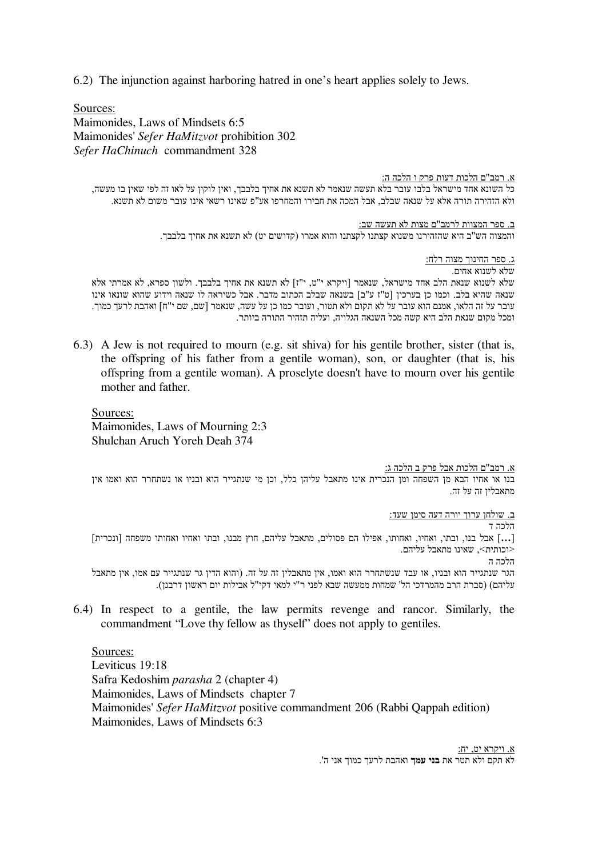6.2) The injunction against harboring hatred in one's heart applies solely to Jews.

Sources:

Maimonides, Laws of Mindsets 6:5 Maimonides' *Sefer HaMitzvot* prohibition 302 *Sefer HaChinuch* commandment 328

<u>א. רמב"ם הלכות דעות פרק ו הלכה ה:</u> כל השונא אחד מישראל בלבו עובר בלא תעשה שנאמר לא תשנא את אחיך בלבבך, ואין לוקין על לאו זה לפי שאין בו מעשה, ולא הזהירה תורה אלא על שנאה שבלב, אבל המכה את חבירו והמחרפו אע"פ שאינו רשאי אינו עובר משום לא תשנא.

> <u>ב. ספר המצוות לרמב"ם מצות לא תעשה שב:</u> והמצוה הש"ב היא שהזהירנו משנוא קצתנו לקצתנו והוא אמרו (קדושים יט) לא תשנא את אחיך בלבבך.

> > <u>ג. ספר החינוך מצוה רלח:</u>

שלא לשנוא אחים. שלא לשנוא שנאת הלב אחד מישראל, שנאמר [ויקרא י"ט, י"ז] לא תשנא את אחיך בלבבך. ולשון ספרא, לא אמרתי אלא שנאה שהיא בלב. וכמו כן בערכין [ט"ז ע"ב] בשנאה שבלב הכתוב מדבר. אבל כשיראה לו שנאה וידוע שהוא שונאו אינו עובר על זה הלאו, אמנם הוא עובר על לא תקום ולא תטור, ועובר כמו כן על עשה, שנאמר [שם, שם י"ח] ואהבת לרעך כמוך. ומכל מקום שנאת הלב היא קשה מכל השנאה הגלויה, ועליה תזהיר התורה ביותר.

6.3) A Jew is not required to mourn (e.g. sit shiva) for his gentile brother, sister (that is, the offspring of his father from a gentile woman), son, or daughter (that is, his offspring from a gentile woman). A proselyte doesn't have to mourn over his gentile mother and father.

Sources: Maimonides, Laws of Mourning 2:3 Shulchan Aruch Yoreh Deah 374

<u>א. רמב"ם הלכות אבל פרק ב הלכה ג:</u>

בנו או אחיו הבא מן השפחה ומן הנכרית אינו מתאבל עליהן כלל, וכן מי שנתגייר הוא ובניו או נשתחרר הוא ואמו אין מתאבלין זה על זה.

ב. שולחן ערוך יורה דעה סימן שעד:

הלכה ד

[...] אבל בנו, ובתו, ואחיו, ואחותו, אפילו הם פסולים, מתאבל עליהם, חוץ מבנו, ובתו ואחיו ואחותו משפחה [ונכרית] <וכותית>. שאינו מתאבל עליהם. הלכה ה

הגר שנתגייר הוא ובניו, או עבד שנשתחרר הוא ואמו, אין מתאבלין זה על זה. (והוא הדין גר שנתגייר עם אמו, אין מתאבל עליהם) (סברת הרב מהמרדכי הל' שמחות ממעשה שבא לפני ר"י למאי דקי"ל אבילות יום ראשון דרבנן).

6.4) In respect to a gentile, the law permits revenge and rancor. Similarly, the commandment "Love thy fellow as thyself" does not apply to gentiles.

Sources: Leviticus 19:18 Safra Kedoshim *parasha* 2 (chapter 4) Maimonides, Laws of Mindsets chapter 7 Maimonides' *Sefer HaMitzvot* positive commandment 206 (Rabbi Qappah edition) Maimonides, Laws of Mindsets 6:3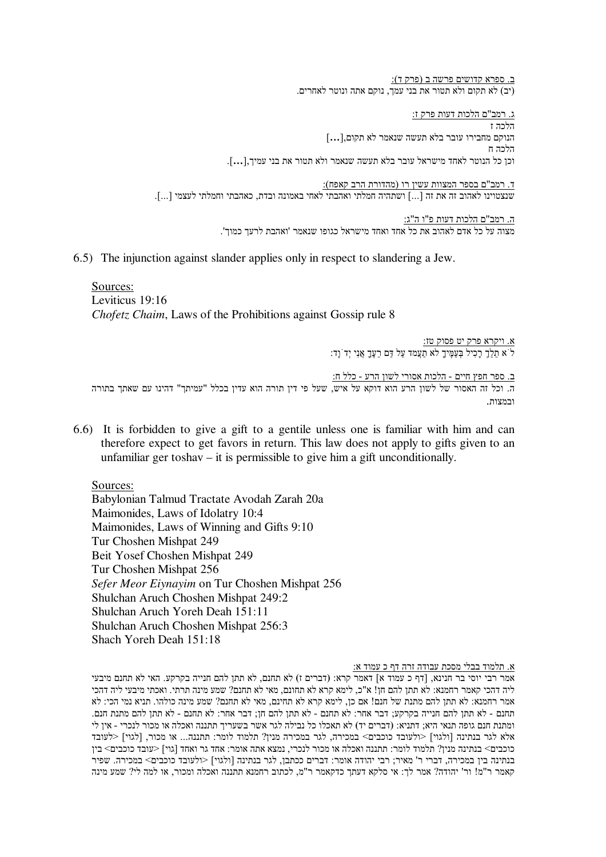<u>ב. ספרא קדושים פרשה ב (פרק ד):</u> (יב) לא תקום ולא תטור את בני עמך, נוקם אתה ונוטר לאחרים.

<u>ג. רמב"ם הלכות דעות פרק ז:</u> הלכה ז הנוקם מחבירו עובר בלא תעשה שנאמר לא תקום,[.**..**] הלכה ח וכן כל הנוטר לאחד מישראל עובר בלא תעשה שנאמר ולא תטור את בני עמיך,[...].

<u>ד. רמב"ם בספר המצוות עשין רו (מהדורת הרב קאפח):</u> שנצטוינו לאהוב זה את זה [...] ושתהיה חמלתי ואהבתי לאחי באמונה ובדת, כאהבתי וחמלתי לעצמי [...].

> <u>ה. רמב"ם הלכות דעות פ"ו ה"ג:</u> מצוה על כל אדם לאהוב את כל אחד ואחד מישראל כגופו שנאמר 'ואהבת לרעך כמוך'.

6.5) The injunction against slander applies only in respect to slandering a Jew.

Sources: Leviticus 19:16 *Chofetz Chaim*, Laws of the Prohibitions against Gossip rule 8

> <u>א. ויקרא פרק יט פסוק טז:</u>  $\mathbf{F}$ ר' הַעֲלֶךְ הַעֲמֶיךָ לֹא הַעֲמֹד לֹא הַעֲמֶיךָ לֹא הַעֲמֶיךָ לֹא הַעֲמֶיךָ לֹא

<u>ב. ספר חפץ חיים - הלכות אסורי לשון הרע - כלל ח:</u> ה. וכל זה האסור של לשון הרע הוא דוקא על איש, שעל פי דין תורה הוא עדין בכלל "עמיתך" דהינו עם שאתך בתורה ובמצות

6.6) It is forbidden to give a gift to a gentile unless one is familiar with him and can therefore expect to get favors in return. This law does not apply to gifts given to an unfamiliar ger toshav – it is permissible to give him a gift unconditionally.

Sources: Babylonian Talmud Tractate Avodah Zarah 20a Maimonides, Laws of Idolatry 10:4 Maimonides, Laws of Winning and Gifts 9:10 Tur Choshen Mishpat 249 Beit Yosef Choshen Mishpat 249 Tur Choshen Mishpat 256 *Sefer Meor Eiynayim* on Tur Choshen Mishpat 256 Shulchan Aruch Choshen Mishpat 249:2 Shulchan Aruch Yoreh Deah 151:11 Shulchan Aruch Choshen Mishpat 256:3 Shach Yoreh Deah 151:18

א. תלמוד בבלי מסכת עבודה זרה דף כ עמוד א:

אמר רבי יוסי בר חנינא, [דף כ עמוד א] דאמר קרא: (דברים ז) לא תחנם, לא תתן להם חנייה בקרקע. האי לא תחנם מיבעי ליה דהכי קאמר רחמנא: לא תתן להם חן! א"כ, לימא קרא לא תחונם, מאי לא תחנם? שמע מינה תרתי. ואכתי מיבעי ליה דהכי אמר רחמנא: לא תתן להם מתנת של חנם! אם כן, לימא קרא לא תחינם, מאי לא תחנם? שמע מינה כולהו. תניא נמי הכי: לא תחנם - לא תתן להם חנייה בקרקע; דבר אחר: לא תחנם - לא תתן להם חן; דבר אחר: לא תחנם - לא תתן להם מתנת חנם. ומתנת חנם גופה תנאי היא; דתניא: (דברים יד) לא תאכלו כל נבילה לגר אשר בשעריך תתננה ואכלה או מכור לנכרי - אין לי אלא לגר בנתינה [ולגוי] <ולעובד כוכבים> במכירה, לגר במכירה מנין? תלמוד לומר: תתננה... או מכור, [לגוי] <לעובד כוכבים> בנתינה מנין? תלמוד לומר: תתננה ואכלה או מכור לנכרי, נמצא אתה אומר: אחד גר ואחד [גוי] <עובד כוכבים> בין בנתינה בין במכירה, דברי ר' מאיר; רבי יהודה אומר: דברים ככתבן, לגר בנתינה [ולגוי] <ולעובד כוכבים> במכירה. שפיר קאמר ר"מ! ור' יהודה? אמר לך: אי סלקא דעתך כדקאמר ר"מ, לכתוב רחמנא תתננה ואכלה ומכור, או למה לי? שמע מינה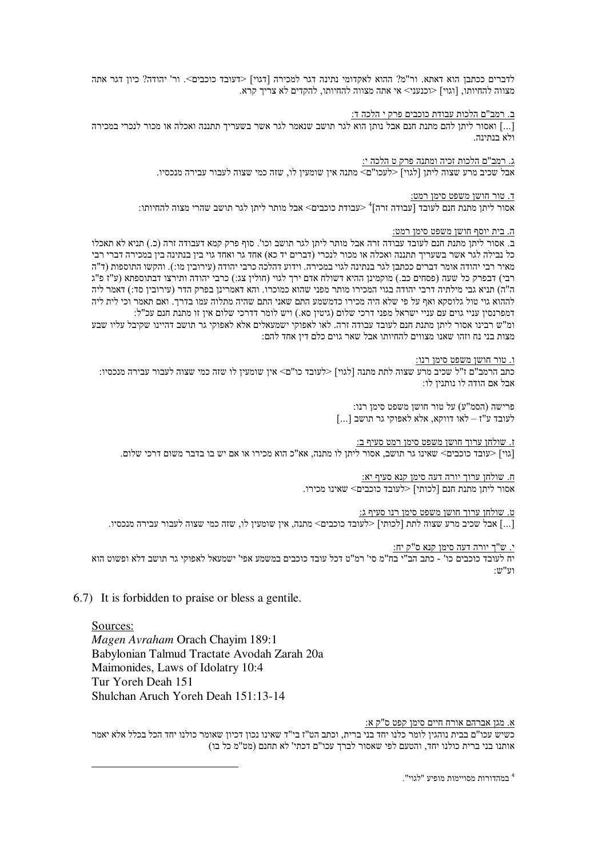לדברים ככתבן הוא דאתא. ור"מ? ההוא לאקדומי נתינה דגר למכירה [דגוי] <דעובד כוכבים>. ור' יהודה? כיון דגר אתה מצווה להחיותו. [וגוי] <וכנעני> אי אתה מצווה להחיותו. להקדים לא צריד קרא.

ב. רמב"ם הלכות עבודת כוכבים פרק י הלכה ד:

[…] ואסור ליתו להם מתנת חנם אבל נותו הוא לגר תושב שנאמר לגר אשר בשעריד תתננה ואכלה או מכור לנכרי במכירה ולא בנתינה.

> ג. רמב"ם הלכות זכיה ומתנה פרק ט הלכה י: אבל שכיב מרע שצוה ליתן [לגוי] <לעכו"ם> מתנה אין שומעין לו, שזה כמי שצוה לעבור עבירה מנכסיו.

> > ד. טור חושן משפט סימן רמט:

אסור ליתן מתנת חנם לעובד [עבודה זרה]<sup>4</sup> <עבודת כוכבים> אבל מותר ליתן לגר תושב שהרי מצוה להחיותו:

# ה. בית יוסף חושו משפט סימו רמט:

ב. אסור ליתן מתנת חנם לעובד עבודה זרה אבל מותר ליתן לגר תושב וכו'. סוף פרק קמא דעבודה זרה (כ.) תניא לא תאכלו כל נבילה לגר אשר בשעריך תתננה ואכלה או מכור לנכרי (דברים יד כא) אחד גר ואחד גוי בין בנתינה בין במכירה דברי רבי מאיר רבי יהודה אומר דברים ככתבו לגר בנתינה לגוי במכירה. וידוע דהלכה כרבי יהודה (עירוביו מו:). והקשו התוספות (ד"ה רבי) דבפרק כל שעה (פסחים כב.) מוקמינן ההיא דשולח אדם ירך לגוי (חולין צג:) כרבי יהודה ותירצו דבתוספתא (ע"ז פ"ג ה"ה) תניא גבי מילתיה דרבי יהודה בגוי המכירו מותר מפני שהוא כמוכרו. והא דאמרינן בפרק הדר (עירובין סד:) דאמר ליה לההוא גוי טול גלוסקא ואף על פי שלא היה מכירו כדמשמע התם שאני התם שהיה מתלוה עמו בדרך. ואם תאמר וכי לית ליה דמפרנסין עניי גוים עם עניי ישראל מפני דרכי שלום (גיטין סא.) ויש לומר דדרכי שלום אין זו מתנת חנם עכ"ל: ומ"ש רבינו אסור ליתן מתנת חנם לעובד עבודה זרה. לאו לאפוקי ישמעאלים אלא לאפוקי גר תושב דהיינו שקיבל עליו שבע מצות בני נח וזהו שאנו מצווים להחיותו אבל שאר גוים כלם דיו אחד להם:

ו. טור חושו משפט סימו רנו:

כתב הרמב"ם ז"ל שכיב מרע שצוה לתת מתנה ∏לגוי] <לעובד כו"ם> איו שומעיו לו שזה כמי שצוה לעבור עבירה מנכסיו: אבל אם הודה לו נותנין לו:

> פרישה (הסמ"ע) על טור חושן משפט סימן רנו:  $\left[\ldots\right]$ בושב לעובד הושב לאו לאפוקי לאו לעובד לאו

ז. שולחו ערוד חושו משפט סימו רמט סעיף ב: [גוי] <עובד כוכבים> שאינו גר תושב, אסור ליתן לו מתנה, אא"כ הוא מכירו או אם יש בו בדבר משום דרכי שלום.

> ח. שולחו ערוד יורה דעה סימו קנא סעיף יא: אסור ליתן מתנת חנם [לכותי] <לעובד כוכבים> שאינו מכירו.

ט. שולחו ערוד חושו משפט סימו רנו סעיף ג:

[...] אבל שכיב מרע שצוה לתת [לכותי] <לעובד כוכבים> מתנה, אין שומעין לו, שזה כמי שצוה לעבור עבירה מנכסיו.

י. ש"ך יורה דעה סימן קנא ס"ק יח:

יח לעובד כוכבים כו' - כתב הב"י בח"מ סי' רמ"ט דכל עובד כוכבים במשמע אפי' ישמעאל לאפוקי גר תושב דלא ופשוט הוא  $:\mathbb{U}$ יש

6.7) It is forbidden to praise or bless a gentile.

Sources: Magen Avraham Orach Chayim 189:1 Babylonian Talmud Tractate Avodah Zarah 20a Maimonides, Laws of Idolatry 10:4 Tur Yoreh Deah 151 Shulchan Aruch Yoreh Deah 151:13-14

א. מגן אברהם אורח חיים סימן קפט ס"ק א:

כשיש עכו"ם בבית נוהגין לומר כלנו יחד בני ברית, וכתב הט"ז בי"ד שאינו נכון דכיון שאומר כולנו יחד הכל בכלל אלא יאמר אותנו בני ברית כולנו יחד, והטעם לפי שאסור לברך עכו"ם דכתי' לא תחנם (מט"מ כל בו)

<sup>4</sup> במהדורות מסויימות מופיע "לגוי".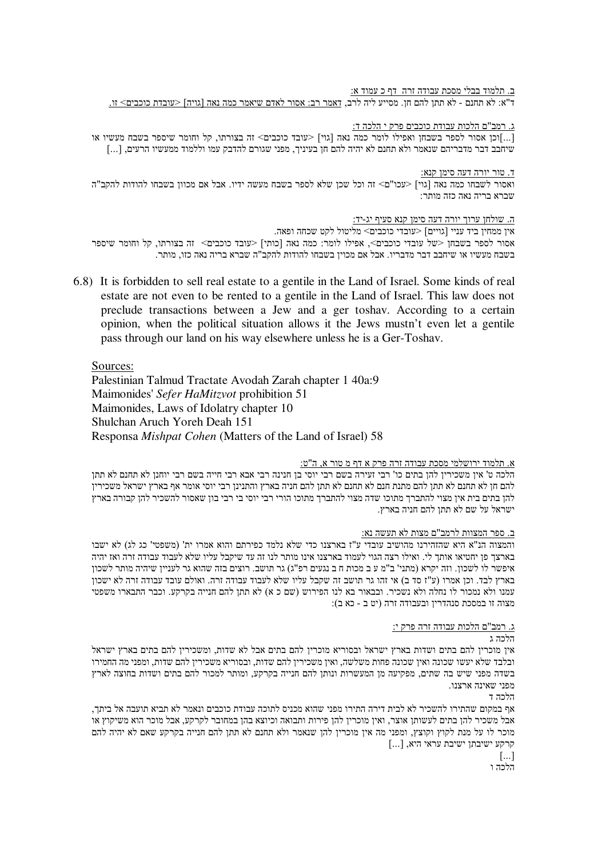ב. תלמוד בבלי מסכת עבודה זרה "דף כ עמוד א: ד"א: לא תחנם - לא תתן להם חן. מסייע ליה לרב, דאמר רב: אסור לאדם שיאמר כמה נאה [גויה] <עובדת כוכבים> זו.

ג. רמב"ם הלכות עבודת כוכבים פרק י הלכה ד:

[...]וכן אסור לספר בשבחן ואפילו לומר כמה נאה [גוי] <עובד כוכבים> זה בצורתו, קל וחומר שיספר בשבח מעשיו או שיחבב דבר מדבריהם שנאמר ולא תחנם לא יהיה להם חן בעיניך, מפני שגורם להדבק עמו וללמוד ממעשיו הרעים, [...]

<u>ד. טור יורה דעה סימן קנא:</u> ואסור לשבחו כמה נאה [גוי] <עכו"ם> זה וכל שכן שלא לספר בשבח מעשה ידיו. אבל אם מכוון בשבחו להודות להקב"ה שברא בריה נאה כזה מותר:

ה. שולחן ערוך יורה דעה סימן קנא סעיף יג-יד:

איו ממחיו ביד עניי [גויים] <עובדי כוכבים> מליטול לקט שכחה ופאה. אסור לספר בשבחן <של עובדי כוכבים>, אפילו לומר: כמה נאה [כותי] <עובד כוכבים> זה בצורתו, קל וחומר שיספר בשבח מעשיו או שיחבב דבר מדבריו. אבל אם מכוין בשבחו להודות להקב"ה שברא בריה נאה כזו, מותר.

6.8) It is forbidden to sell real estate to a gentile in the Land of Israel. Some kinds of real estate are not even to be rented to a gentile in the Land of Israel. This law does not preclude transactions between a Jew and a ger toshav. According to a certain opinion, when the political situation allows it the Jews must n't even let a gentile pass through our land on his way elsewhere unless he is a Ger-Toshav.

Sources:

Palestinian Talmud Tractate Avodah Zarah chapter 1 40a:9 Maimonides' Sefer HaMitzvot prohibition 51 Maimonides, Laws of Idolatry chapter 10 Shulchan Aruch Yoreh Deah 151 Responsa *Mishpat Cohen* (Matters of the Land of Israel) 58

# א. תלמוד ירושלמי מסכת עבודה זרה פרק א דף מ טור א, ה"ט:

הלכה ט' אין משכירין להן בתים כו' רבי זעירה בשם רבי יוסי בן חנינה רבי אבא רבי חייה בשם רבי יוחנן לא תחנם לא תתן להם חן לא תחנם לא תתן להם מתנת חנם לא תחנם לא תתן להם חניה בארץ והתנינן רבי יוסי אומר אף בארץ ישראל משכירין להן בתים בית אין מצוי להתברך מתוכו שדה מצוי להתברך מתוכו הורי רבי יוסי בי רבי בון שאסור להשכיר להן קבורה בארץ ישראל על שם לא תתן להם חניה בארץ.

# ב. ספר המצוות לרמב"ם מצות לא תעשה נא:

והמצוה הנ"א היא שהזהירנו מהושיב עובדי ע"ז בארצנו כדי שלא נלמד כפירתם והוא אמרו ית' (משפטי' כג לג) לא ישבו בארצך פן יחטיאו אותך לי. ואילו רצה הגוי לעמוד בארצנו אינו מותר לנו זה עד שיקבל עליו שלא לעבוד עבודה זרה ואז יהיה איפשר לו לשכון. וזה יקרא (מתני' ב"מ ע ב מכות ח ב נגעים רפ"ג) גר תושב. רוצים בזה שהוא גר לעניין שיהיה מותר לשכון בארץ לבד. וכו אמרו (ע"ז סד ב) אי זהו גר תושב זה שקבל עליו שלא לעבוד עבודה זרה. ואולם עובד עבודה זרה לא ישכוז עמנו ולא נמכור לו נחלה ולא נשכיר. ובבאור בא לנו הפירוש (שם כ א) לא תתן להם חנייה בקרקע. וכבר התבארו משפטי מצוה זו במסכת סנהדרין ובעבודה זרה (יט ב - כא ב):

<u>ג. רמב"ם הלכות עבודה זרה פרק י:</u>

הלכה ג

אין מוכרין להם בתים ושדות בארץ ישראל ובסוריא מוכרין להם בתים אבל לא שדות. ומשכירין להם בתים בארץ ישראל ובלבד שלא יעשו שכונה ואין שכונה פחות משלשה, ואין משכירין להם שדות, ובסוריא משכירין להם שדות, ומפני מה החמירו בשדה מפני שיש בה שתים, מפקיעה מן המעשרות ונותן להם חנייה בקרקע, ומותר למכור להם בתים ושדות בחוצה לארץ מפני שאינה ארצנו.

הלכה ד

אף במקום שהתירו להשכיר לא לבית דירה התירו מפני שהוא מכניס לתוכה עבודת כוכבים ונאמר לא תביא תועבה אל ביתך, אבל משכיר להו בתים לעשותו אוצר. ואיז מוכריז להז פירות ותבואה וכיוצא בהז במחובר לקרקע. אבל מוכר הוא משיקוץ או מוכר לו על מנת לקוץ וקוצץ, ומפני מה אין מוכרין להן שנאמר ולא תחנם לא תתן להם חנייה בקרקע שאם לא יהיה להם הרקע ישיבתו ישיבת עראי היא, [...]

> $\left[\ldots\right]$ הלכה ו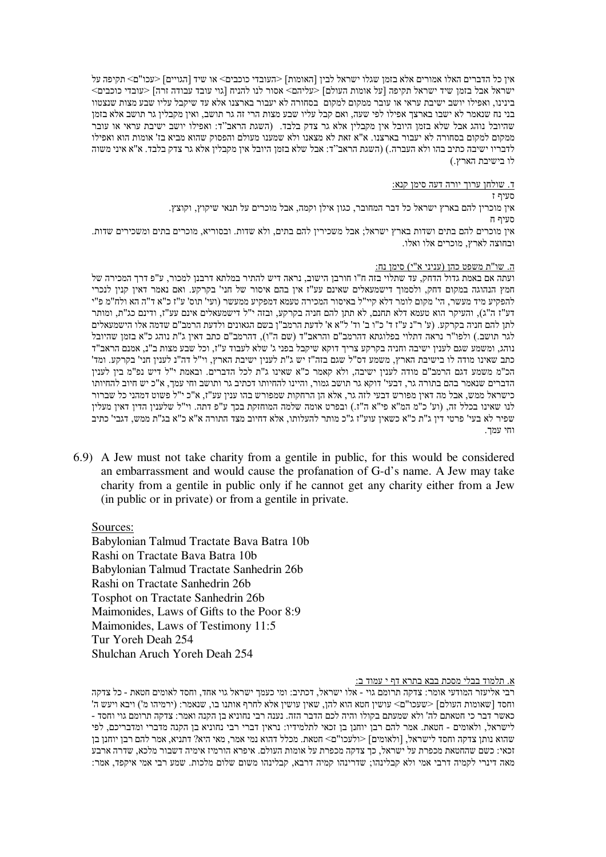אין כל הדברים האלו אמורים אלא בזמן שגלו ישראל לבין [האומות] <העובדי כוכבים> או שיד [הגויים] <עכו"ם> תקיפה על ישראל אבל בזמן שיד ישראל תקיפה [על אומות העולם] <עליהם> אסור לנו להניח [גוי עובד עבודה זרה] <עובדי כוכבים> בינינו, ואפילו יושב ישיבת עראי או עובר ממקום למקום בסחורה לא יעבור בארצנו אלא עד שיקבל עליו שבע מצות שנצטוו בני נח שנאמר לא ישבו בארצך אפילו לפי שעה, ואם קבל עליו שבע מצות הרי זה גר תושב, ואין מקבלין גר תושב אלא בזמן שהיובל נוהג אבל שלא בזמן היובל אין מקבלין אלא גר צדק בלבד. (השגת הראב''ד: ואפילו יושב ישיבת עראי או עובר ממקום למקום בסחורה לא יעבור בארצנו. א"א זאת לא מצאנו ולא שמענו מעולם והפסוק שהוא מביא בז' אומות הוא ואפילו לדבריו ישיבה כתיב בהו ולא העברה.) (השגת הראב"ד: אבל שלא בזמן היובל אין מקבלין אלא גר צדק בלבד. א"א איני משוה לו בישיבת הארץ.)

ד. שולחו ערוד יורה דעה סימו קנא:

! # אין מוכרין להם בארץ ישראל כל דבר המחובר, כגון אילן וקמה, אבל מוכרים על תנאי שיקוץ, וקוצץ.  $\pi$  תווית איז מוכרים להם בתים ושדות בארץ ישראל: אבל משכיריו להם בתים. ולא שדות. ובסוריא. מוכרים בתים ומשכירים שדות. ובחוצה לארץ. מוכרים אלו ואלו.

# <u>ה. שו"ת משפט כהן (עניני א"י) סימן נח:</u>

ועתה אם באמת גדול הדחק, עד שתלוי בזה ח"ו חורבן הישוב, נראה דיש להתיר במלתא דרבנן למכור, ע"פ דרך המכירה של חמץ הנהוגה במקום דחק, ולסמוך דישמעאלים שאינם עע"ז אין בהם איסור של חני' בקרקע. ואם נאמר דאין קנין לנכרי להפקיע מיד מעשר, הי' מקום לומר דלא קיי"ל באיסור המכירה טעמא דמפקיע ממעשר (ועי' תוס' ע"ז כ"א ד"ה הא ולח"מ פ"י דע"ז ה"ג), והעיקר הוא טעמא דלא תחנם, לא תתן להם חניה בקרקע, ובזה י"ל דישמעאלים אינם עע"ז, ודינם כג"ת, ומותר לתן להם חניה בקרקע. (ע' ר"נ ע"ז ד' כ"ו ב' וד' ל"א א' לדעת הרמב"ן בשם הגאונים ולדעת הרמב"ם שדמה אלו הישמעאלים לגר תושב.) ולפו"ר נראה דתלוי בפלוגתא דהרמב"ם והראב"ד (שם ה"ו), דהרמב"ם כתב דאין ג"ת נוהג כ"א בזמן שהיובל נוהג, ומשמע שגם לענין ישיבה וחניה בקרקע צריך דוקא שיקבל בפני ג' שלא לעבוד ע"ז, וכל שבע מצות ב"נ, אמנם הראב"ד כתב שאינו מודה לו בישיבת הארץ, משמע דס"ל שגם בזה"ז יש ג"ת לענין ישיבת הארץ, וי"ל דה"נ לענין חני' בקרקע. ומד' הכ"מ משמע דגם הרמב"ם מודה לענין ישיבה, ולא קאמר כ"א שאינו ג"ת לכל הדברים. ובאמת י"ל דיש נפ"מ בין לענין הדברים שנאמר בהם בתורה גר, דבעי' דוקא גר תושב גמור, והיינו להחיותו דכתיב גר ותושב וחי עמך, א"כ יש חיוב להחיותו כישראל ממש, אבל מה דאין מפורש דבעי לזה גר, אלא הן הרחקות שמפורש בהו ענין עע"ז, א"כ י"ל פשוט דמהני כל שברור לנו שאינו בכלל זה, (וע' כ"מ המ"א פי"א ה"ז.) ובפרט אומה שלמה המוחזקת בכך ע"פ דתה. וי"ל שלענין הדין דאין מעלין שפיר לא בעי' פרטי דין ג"ת כ"א כשאין עוע"ז ג"כ מותר להעלותו, אלא דחיוב מצד התורה א"א כ"א בג"ת ממש, דגבי' כתיב וחי עמד.

6.9) A Jew must not take charity from a gentile in public, for this would be considered an embarrassment and would cause the profanation of G-d's name. A Jew may take charity from a gentile in public only if he cannot get any charity either from a Jew (in public or in private) or from a gentile in private.

Sources:

Babylonian Talmud Tractate Bava Batra 10b Rashi on Tractate Bava Batra 10b Babylonian Talmud Tractate Sanhedrin 26b Rashi on Tractate Sanhedrin 26b Tosphot on Tractate Sanhedrin 26b Maimonides, Laws of Gifts to the Poor 8:9 Maimonides, Laws of Testimony 11:5 Tur Yoreh Deah 254 Shulchan Aruch Yoreh Deah 254

# א. תלמוד בבלי מסכת בבא <u>בתרא דף י עמוד ב:</u>

רבי אליעזר המודעי אומר: צדקה תרומם גוי - אלו ישראל, דכתיב: ומי כעמך ישראל גוי אחד, וחסד לאומים חטאת - כל צדקה וחסד [שאומות העולם] <שעכו"ם> עושין חטא הוא להן, שאין עושין אלא לחרף אותנו בו, שנאמר: (ירמיהו מ') ויבא ויעש ה' כאשר דבר כי חטאתם לה' ולא שמעתם בקולו והיה לכם הדבר הזה. נענה רבי נחוניא בן הקנה ואמר: צדקה תרומם גוי וחסד -לישראל, ולאומים - חטאת. אמר להם רבן יוחנן בן זכאי לתלמידיו: נראין דברי רבי נחוניא בן הקנה מדברי ומדבריכם, לפי שהוא נותן צדקה וחסד לישראל, [ולאומים] <ולעכו"ם> חטאת. מכלל דהוא נמי אמר, מאי היא? דתניא, אמר להם רבן יוחנן בן זכאי: כשם שהחטאת מכפרת על ישראל, כך צדקה מכפרת על אומות העולם. איפרא הורמיז אימיה דשבור מלכא, שדרה ארבע מאה דינרי לקמיה דרבי אמי ולא קבלינהו; שדרינהו קמיה דרבא, קבלינהו משום שלום מלכות. שמע רבי אמי איקפד, אמר: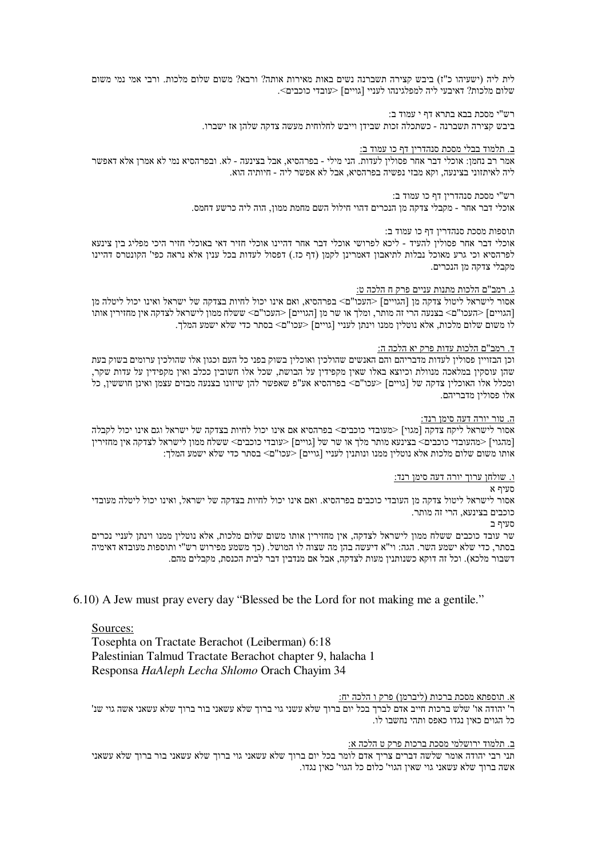לית ליה (ישעיהו כ"ז) ביבש קצירה תשברנה נשים באות מאירות אותה? ורבא? משום שלום מלכות. ורבי אמי נמי משום  $\le$ שלום מלכות? דאיבעי ליה למפלגינהו לעניי [גויים] מלכות באיבעי ליה

רש"י מסכת בבא בתרא דף י עמוד ב:

ביבש קצירה תשברנה - כשתכלה זכות שבידו וייבש לחלוחית מעשה צדקה שלהו אז ישברו.

### <u>ב. תלמוד בבלי מסכת סנהדרין דף כו עמוד ב:</u>

אמר רב נחמן: אוכלי דבר אחר פסולין לעדות. הני מילי - בפרהסיא, אבל בצינעה - לא. ובפרהסיא נמי לא אמרן אלא דאפשר ליה לאיתזוני בצינעה, וקא מבזי נפשיה בפרהסיא, אבל לא אפשר ליה - חיותיה הוא.

> רש"י מסכת סנהדרין דף כו עמוד ב: אוכלי דבר אחר - מקבלי צדקה מן הנכרים דהוי חילול השם מחמת ממון, הוה ליה כרשע דחמס.

### תוספות מסכת סנהדריו דף כו עמוד ב:

אוכלי דבר אחר פסוליו להעיד - ליכא לפרושי אוכלי דבר אחר דהיינו אוכלי חזיר דאי באוכלי חזיר היכי מפליג ביו צינעא לפרהסיא וכי גרע מאוכל נבלות לתיאבון דאמרינן לקמן (דף כז.) דפסול לעדות בכל ענין אלא נראה כפי' הקונטרס דהיינו מקבלי צדקה מו הנכרים

### <u>ג. רמב"ם הלכות מתנות עניים פרק ח הלכה ט:</u>

אסור לישראל ליטול צדקה מן [הגויים] <העכו"ם> בפרהסיא, ואם אינו יכול לחיות בצדקה של ישראל ואינו יכול ליטלה מן [הגויים] <העכו"ם> בצנעה הרי זה מותר, ומלך או שר מן [הגויים] <העכו"ם> ששלח ממון לישראל לצדקה אין מחזירין אותו לו משום שלום מלכות, אלא נוטלין ממנו וינתן לעניי [גויים] <עכו"ם> בסתר כדי שלא ישמע המלך.

# ד. רמב"ם הלכו<u>ת עדות פרק יא הלכה ה:</u>

וכן הבזויין פסולין לעדות מדבריהם והם האנשים שהולכין ואוכלין בשוק בפני כל העם וכגון אלו שהולכין ערומים בשוק בעת שהו עוסקין במלאכה מנוולת וכיוצא באלו שאין מקפידין על הבושת, שכל אלו חשובין ככלב ואין מקפידין על עדות שקר, ומכלל אלו האוכלין צדקה של [גויים] <עכו"ם> בפרהסיא אע"פ שאפשר להן שיזונו בצנעה מבזים עצמן ואינן חוששין, כל אלו פסולין מדבריהם.

#### ה. טור יורה דעה סימן רנד:

אסור לישראל ליקח צדקה [מגוי] <מעובדי כוכבים> בפרהסיא אם אינו יכול לחיות בצדקה של ישראל וגם אינו יכול לקבלה [מהגוי] <מהעובדי כוכבים> בצינעא מותר מלד או שר של [גויים] <עובדי כוכבים> ששלח ממוז לישראל לצדקה איז מחזיריו אותו משום שלום מלכות אלא נוטלין ממנו ונותנין לעניי [גויים] <עכו"ם> בסתר כדי שלא ישמע המלך:

#### ו. שולחן ערוך יורה דעה סימן רנד:

סעיף א

אסור לישראל ליטול צדקה מן העובדי כוכבים בפרהסיא. ואם אינו יכול לחיות בצדקה של ישראל, ואינו יכול ליטלה מעובדי כוכבים בצינעא, הרי זה מותר.

סעיף ב

שר עובד כוכבים ששלח ממון לישראל לצדקה, אין מחזירין אותו משום שלום מלכות, אלא נוטלין ממנו וינתן לעניי נכרים בסתר, כדי שלא ישמע השר. הגה: וי"א דיעשה בהן מה שצוה לו המושל. (כך משמע מפירוש רש"י ותוספות מעובדא דאימיה דשבור מלכא). וכל זה דוקא כשנותנין מעות לצדקה, אבל אם מנדבין דבר לבית הכנסת, מקבלים מהם.

6.10) A Jew must pray every day "Blessed be the Lord for not making me a gentile."

# Sources:

Tosephta on Tractate Berachot (Leiberman) 6:18 Palestinian Talmud Tractate Berachot chapter 9, halacha 1 Responsa HaAleph Lecha Shlomo Orach Chayim 34

### א. תוספתא מסכת ברכות (ליברמו) פרק ו הלכה יח:

ר' יהודה או' שלש ברכות חייב אדם לברך בכל יום ברוך שלא עשני גוי ברוך שלא עשאני בור ברוך שלא עשאני אשה גוי שנ' כל הגוים כאיו נגדו כאפס ותהי נחשבו לו

# ב. תלמוד ירושלמי מסכת ברכות פרק ט הלכה א:

תני רבי יהודה אומר שלשה דברים צריך אדם לומר בכל יום ברוך שלא עשאני גוי ברוך שלא עשאני בור ברוך שלא עשאני אשה ברוך שלא עשאני גוי שאין הגוי' כלום כל הגוי' כאין נגדו.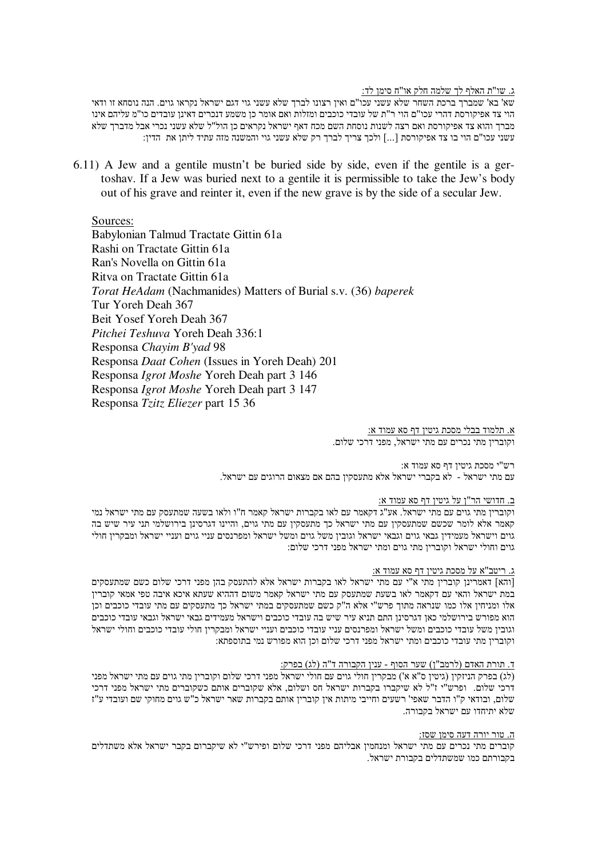ג. שו"ת האלף לד שלמה חלק או"ח סימו לד:

שא' בא' שמברך ברכת השחר שלא עשני עכו"ם ואין רצונו לברך שלא עשני גוי דגם ישראל נקראו גוים. הנה נוסחא זו ודאי הוי צד אפיקורסת דהרי עכו"ם הוי ר"ת של עובדי כוכבים ומזלות ואם אומר כן משמע דנכרים דאינן עובדים כו"מ עליהם אינו מברך והוא צד אפיקורסת ואם רצה לשנות נוסחת השם מכח דאף ישראל נקראים כן הול"ל שלא עשני נכרי אבל מדברך שלא עשני עכו"ם הוי בו צד אפיקורסת [...] ולכך צריך לברך רק שלא עשני גוי והמשנה מזה עתיד ליתן את הדין:

6.11) A Jew and a gentile mustn't be buried side by side, even if the gentile is a gertoshav. If a Jew was buried next to a gentile it is permissible to take the Jew's body out of his grave and reinter it, even if the new grave is by the side of a secular Jew.

Sources:

Babylonian Talmud Tractate Gittin 61a Rashi on Tractate Gittin 61a Ran's Novella on Gittin 61a Ritva on Tractate Gittin 61a Torat HeAdam (Nachmanides) Matters of Burial s.v. (36) baperek Tur Yoreh Deah 367 Beit Yosef Yoreh Deah 367 Pitchei Teshuva Yoreh Deah 336:1 Responsa Chayim B'yad 98 Responsa Daat Cohen (Issues in Yoreh Deah) 201 Responsa *Igrot Moshe* Yoreh Deah part 3 146 Responsa *Igrot Moshe* Yoreh Deah part 3 147 Responsa Tzitz Eliezer part 15 36

> א. תלמוד בבלי מסכת גיטין דף סא עמוד א: וקובריו מתי נכרים עם מתי ישראל, מפני דרכי שלום.

רש"י מסכת גיטין דף סא עמוד א: עם מתי ישראל - לא בקברי ישראל אלא מתעסקיו בהם אם מצאום הרוגים עם ישראל.

### ב. חדושי הר"ן על גיטין דף סא עמוד א:

וקובריז מתי גוים עם מתי ישראל. אע"ג דקאמר עם לאו בקברות ישראל קאמר ח"ו ולאו בשעה שמתעסק עם מתי ישראל נמי קאמר אלא לומר שכשם שמתעסקין עם מתי ישראל כך מתעסקין עם מתי גוים, והיינו דגרסינן בירושלמי תני עיר שיש בה גוים וישראל מעמידין גבאי גוים וגבאי ישראל וגובין משל גוים ומשל ישראל ומפרנסים עניי גוים ועניי ישראל ומבקרין חולי גוים וחולי ישראל וקוברין מתי גוים ומתי ישראל מפני דרכי שלום:

# ג. ריטב"א על מסכת גיטין דף סא עמוד א:

[והא] דאמרינן קוברין מתי א"י עם מתי ישראל לאו בקברות ישראל אלא להתעסק בהן מפני דרכי שלום כשם שמתעסקים במת ישראל והאי עם דקאמר לאו בשעת שמתעסק עם מתי ישראל קאמר משום דההיא שעתא איכא איבה טפי אמאי קוברין אלו ומניחין אלו כמו שנראה מתוך פרש"י אלא ה"ק כשם שמתעסקים במתי ישראל כך מתעסקים עם מתי עובדי כוכבים וכן .<br>הוא מפורש בירושלמי כאן דגרסינן התם תניא עיר שיש בה עובדי כוכבים וישראל מעמידים גבאי ישראל וגבאי עובדי כוכבים וגובין משל עובדי כוכבים ומשל ישראל ומפרנסים עניי עובדי כוכבים ועניי ישראל ומבקרין חולי עובדי כוכבים וחולי ישראל וקוברין מתי עובדי כוכבים ומתי ישראל מפני דרכי שלום וכן הוא מפורש נמי בתוספתא:

### ד. תורת האדם (לרמב"ן) שער הסוף - ענין הקבורה ד"ה (לג) בפרק:

(לג) בפרק הניזקין (גיטין ס"א א') מבקרין חולי גוים עם חולי ישראל מפני דרכי שלום וקוברין מתי גוים עם מתי ישראל מפני דרכי שלום. ופרש"י ז"ל לא שיקברו בקברות ישראל חס ושלום. אלא שקוברים אותם כשקוברים מתי ישראל מפני דרכי שלום, ובודאי ק"ו הדבר שאפי' רשעים וחייבי מיתות אין קוברין אותם בקברות שאר ישראל כ"ש גוים מחוקי שם ועובדי ע"ז שלא יתיחדו עם ישראל בקבורה.

### ה. טור יורה דעה סימן שסז:

קוברים מתי נכרים עם מתי ישראל ומנחמין אבליהם מפני דרכי שלום ופירש"י לא שיקברום בקבר ישראל אלא משתדלים בקבורתם כמו שמשתדלים בקבורת ישראל.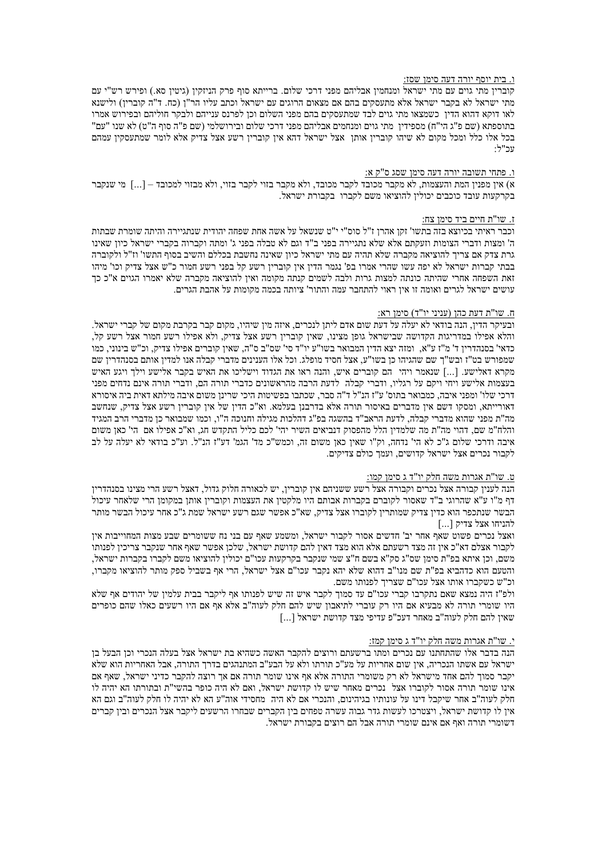### ו. בית יוסף יורה דעה סימן שסז:

קוברין מתי גוים עם מתי ישראל ומנחמין אבליהם מפני דרכי שלום. ברייתא סוף פרק הניזקין (גיטין סא.) ופירש רש"י עם מתי ישראל לא בקבר ישראל אלא מתעסקים בהם אם מצאום הרוגים עם ישראל וכתב עליו הר"ן (כח. ד"ה קוברין) ולישנא לאו דוקא דהוא הדין כשמצאו מתי גוים לבד שמתעסקים בהם מפני השלום וכן לפרנס ענייהם ולבקר חוליהם ובפירוש אמרו בתוספתא (שם פ"ג הי"ח) מספידין מתי גוים ומנחמים אבליהם מפני דרכי שלום ובירושלמי (שם פ"ה סוף ה"ט) לא שנו "עם" בכל אלו כלל ומכל מקום לא שיהו קוברין אותן אצל ישראל דהא אין קוברין רשע אצל צדיק אלא לומר שמתעסקין עמהם יור"ל

### <u>ו. פתחי תשובה יורה דעה סימן שסג ס"ק א:</u>

א) אין מפנין המת והעצמות, לא מקבר מכובד לקבר מכובד, ולא מקבר בזוי לקבר בזוי, ולא מבזוי למכובד – [...] מי שנקבר בקרקעות עובד כוכבים יכולין להוציאו משם לקברו בקבורת ישראל.

### ז. שו"ת חיים ביד סימן צח:

וכבר ראיתי בכיוצא בזה בתשו' זקן אהרן ז"ל סוס"י י"ט שנשאל על אשה אחת שפחה יהודית שנתגיירה והיתה שומרת שבתות ה' ומצות ודברי הצומות וזעקתם אלא שלא נתגיירה בפני ב"ד וגם לא טבלה בפני ג' ומתה וקברוה בקברי ישראל כיון שאינו גרת צדק אם צריך להוציאה מקברה שלא תהיה עם מתי ישראל כיון שאינה נחשבת בכללם והשיב בסוף התשו' וז"ל ולקוברה בבתי קברות ישראל לא יפה עשו שהרי אמרו בפ' נגמר הדין אין קוברין רשע קל בפני רשע חמור כ"ש אצל צדיק וכו' מיהו זאת השפחה אחרי שהיתה כונתה למצות גרות ולבה לשמים קנתה מקומה ואין להוציאה מקברה שלא יאמרו הגוים א"כ כך עושים ישראל לגרים ואומה זו אין ראוי להתחבר עמה והתור' ציותה בכמה מקומות על אהבת הגרים.

#### <u>ח. שו"ת דעת כהן (עניני יו"ד) סימן רא:</u>

ובעיקר הדין, הנה בודאי לא יעלה על דעת שום אדם ליתן לנכרים, איזה מין שיהיו, מקום קבר בקרבת מקום של קברי ישראל. והלא אפילו במדריגות הקדושה שבישראל גופן מצינו, שאין קוברין רשע אצל צדיק, ולא אפילו רשע חמור אצל רשע קל, כדאי' בסנהדרין ד' מ"ז ע"א, ומזה יצא הדין המבואר בשו"ע יו"ד סי' שס"ב ס"ה, שאין קוברים אפילו צדיק, וכ"ש בינוני, כמו שמפורש בט"ז ובש"ך שם שהגיהו כן בשו"ע, אצל חסיד מופלג. וכל אלו הענינים מדברי קבלה אנו למדין אותם בסנהדרין שם מקרא דאלישע. [...] שנאמר ויהי הם קוברים איש, והנה ראו את הגדוד וישליכו את האיש בקבר אלישע וילך ויגע האיש בעצמות אלישע ויחי ויקם על רגליו, ודברי קבלה לדעת הרבה מהראשונים כדברי תורה הם, ודברי תורה אינם נדחים מפני דרכי שלו' ומפני איבה, כמבואר בתוס' ע"ז הנ"ל ד"ה סבר, שכתבו בפשיטות היכי שרינן משום איבה מילתא דאית ביה איסורא דאורייתא, ומסקו דשם אין מדברים באיסור תורה אלא בדרבנן בעלמא. וא"כ הדין של אין קוברין רשע אצל צדיק, שנחשב מה"ת מפני שהוא מדברי קבלה, לדעת הראב"ד בהשגה בפ"ג דהלכות מגילה וחנוכה ה"ו, וכמו שמבואר כן מדברי הרב המגיד והלח"מ שם, דהוי מה"ת מה שלמדין הלל מהפסוק דנביאים השיר יהי' לכם כליל התקדש חג, וא"כ אפילו אם הי' כאן משום איבה ודרכי שלום ג"כ לא הי' נדחה, וק"ו שאין כאן משום זה, וכמש"כ מד' הגמ' דע"ז הנ"ל. וע"כ בודאי לא יעלה על לב לקבור נכרים אצל ישראל קדושים, ועמך כולם צדיקים.

### <u>ט. שו"ת אגרות משה חלק יו"ד ג סימן קמו:</u>

הנה לענין קבורה אצל נכרים וקבורה אצל רשע ששניהם אין קוברין, יש לכאורה חלוק גדול, דאצל רשע הרי מצינו בסנהדרין דף מ"ו ע"א שהרוגי ב"ד שאסור לקוברם בקברות אבותם היו מלקטין את העצמות וקוברין אותן במקומן הרי שלאחר עיכול הבשר שנתכפר הוא כדין צדיק שמותרין לקוברו אצל צדיק, שא"כ אפשר שגם רשע ישראל שמת ג"כ אחר עיכול הבשר מותר להניחו אצל צדיק [...]

ואצל נכרים פשוט שאף אחר יב' חדשים אסור לקבור ישראל, ומשמע שאף עם בני נח ששומרים שבע מצות המחוייבות אין לקבור אצלם דא"כ אין זה מצד רשעתם אלא הוא מצד דאין להם קדושת ישראל, שלכן אפשר שאף אחר שנקבר צריכין לפנותו משם, וכן איתא בפ"ת סימן שס"ג סק"א בשם ח"צ שמי שנקבר בקרקעות עכו"ם יכולין להוציאו משם לקברו בקברות ישראל, והטעם הוא כדהביא בפ"ת שם מנו"ב דהוא שלא יהא נקבר עכו"ם אצל ישראל, הרי אף בשביל ספק מותר להוציאו מקברו, וכ"ש כשקברו אותו אצל עכו"ם שצריך לפנותו משם.

ולפ"ז היה נמצא שאם נתקרבו קברי עכו"ם עד סמוך לקבר איש זה שיש לפנותו אף ליקבר בבית עלמין של יהודים אף שלא היו שומרי תורה לא מבעיא אם היו רק עוברי לתיאבון שיש להם חלק לעוה"ב אלא אף אם היו רשעים כאלו שהם כופרים [...] שאין להם חלק לעוה"ב מאחר דעכ"פ עדיפי מצד קדושת ישראל

### י. שו"ת אגרות משה חלק יו"ד ג סימן קמז:

הנה בדבר אלו שהתחתנו עם נכרים ומתו ברשעתם ורוצים להקבר האשה כשהיא בת ישראל אצל בעלה הנכרי וכן הבעל בן ישראל עם אשתו הנכריה, אין שום אחריות על מע"כ תורתו ולא על הבע"ב המתנהגים בדרך התורה, אבל האחריות הוא שלא יקבר סמוך להם אחד מישראל לא רק משומרי התורה אלא אף אינו שומר תורה אם אך רוצה להקבר כדיני ישראל, שאף אם אינו שומר תורה אסור לקוברו אצל נכרים מאחר שיש לו קדושת ישראל, ואם לא היה כופר בהשי"ת ובתורתו הא יהיה לו חלק לעוה"ב אחר שיקבל דינו על עונותיו בגיהינום, והנכרי אם לא היה מחסידי אוה"ע הא לא יהיה לו חלק לעוה"ב וגם הא אין לו קדושת ישראל, ויצטרכו לעשות גדר גבוה עשרה טפחים בין הקברים שבחרו הרשעים ליקבר אצל הנכרים ובין קברים דשומרי תורה ואף אם אינם שומרי תורה אבל הם רוצים בקבורת ישראל.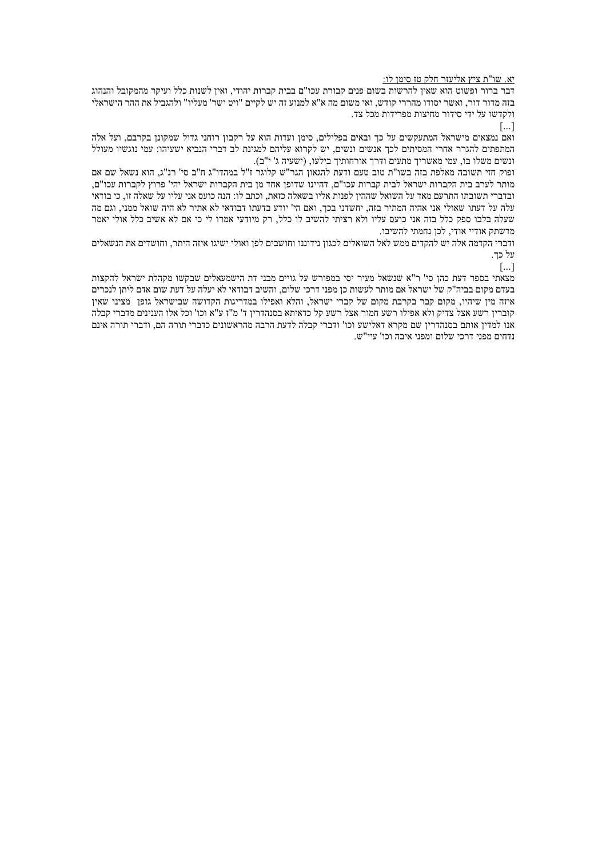### יא. שו"ת ציץ אליעזר חלק טז סימן לו:

דבר ברור ופשוט הוא שאיו להרשות בשום פנים קבורת עכו"ם בבית קברות יהודי. ואיו לשנות כלל ועיקר מהמקובל והנהוג בזה מדור דור, ואשר יסודו מהררי קודש, ואי משום מה א"א למנוע זה יש לקיים "ויט ישר' מעליו" ולהגביל את ההר הישראלי ולקדשו על ידי סידור מחיצות מפרידות מכל צד.

 $\left[\ldots\right]$ 

ואם נמצאים מישראל המתעקשים על כך ובאים בפלילים, סימן ועדות הוא על רקבון רוחני גדול שמקונן בקרבם, ועל אלה המתפתים להגרר אחרי המסיתים לכך אנשים ונשים, יש לקרוא עליהם למגינת לב דברי הנביא ישעיהו: עמי נוגשיו מעולל ונשים משלו בו, עמי מאשריך מתעים ודרך אורחותיך בילעו, (ישעיה ג' י"ב).

ופוק חזי תשובה מאלפת בזה בשו"ת טוב טעם ודעת להגאון הגר"ש קלוגר ז"ל במהדו"ג ח"ב סי' רנ"ג, הוא נשאל שם אם מותר לערב בית הקברות ישראל לבית קברות עכו"ם. דהיינו שדופן אחד מן בית הקברות ישראל יהי' פרוץ לקברות עכו"ם. ובדברי תשובתו התרעם מאד על השואל שההין לפנות אליו בשאלה כזאת, וכתב לו: הנה כועס אני עליו על שאלה זו, כי בודאי עלה על דעתו שאולי אני אהיה המתיר בזה, יחשדני בכך, ואם הי' יודע בדעתו דבודאי לא אתיר לא היה שואל ממני, וגם מה שעלה בלבו ספק כלל בזה אני כועס עליו ולא רציתי להשיב לו כלל. רק מיודעי אמרו לי כי אם לא אשיב כלל אולי יאמר מדשתק אודיי אודי. לכו נחמתי להשיבו.

ודברי הקדמה אלה יש להקדים ממש לאל השואלים לכגוז נידוננו וחושבים לפו ואולי ישיגו איזה היתר. וחושדים את הנשאלים על כד.

 $\left[\ldots\right]$ 

מצאתי בספר דעת כהן סי' ר"א שנשאל מעיר יסי במפורש על גויים מבני דת הישמעאלים שבקשו מקהלת ישראל להקצות בעדם מקום בביה"ק של ישראל אם מותר לעשות כן מפני דרכי שלום. והשיב דבודאי לא יעלה על דעת שום אדם ליתן לנכרים איזה מין שיהיו, מקום קבר בקרבת מקום של קברי ישראל, והלא ואפילו במדריגות הקדושה שבישראל גופן מצינו שאין קוברין רשע אצל צדיק ולא אפילו רשע חמור אצל רשע קל כדאיתא בסנהדרין ד' מ"ז ע"א וכו' וכל אלו הענינים מדברי קבלה אנו למדין אותם בסנהדרין שם מקרא דאלישע וכו' ודברי קבלה לדעת הרבה מהראשונים כדברי תורה הם, ודברי תורה אינם נדחים מפני דרכי שלום ומפני איבה וכו' עיי"ש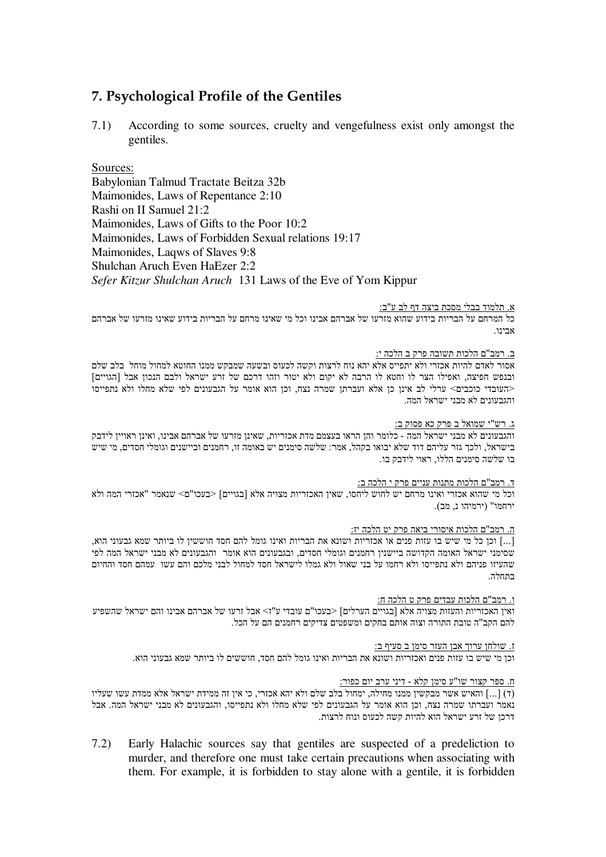# **7. Psychological Profile of the Gentiles**

7.1) According to some sources, cruelty and vengefulness exist only amongst the gentiles.

Sources: Babylonian Talmud Tractate Beitza 32b Maimonides, Laws of Repentance 2:10 Rashi on II Samuel 21:2 Maimonides, Laws of Gifts to the Poor 10:2 Maimonides, Laws of Forbidden Sexual relations 19:17 Maimonides, Laqws of Slaves 9:8 Shulchan Aruch Even HaEzer 2:2 *Sefer Kitzur Shulchan Aruch* 131 Laws of the Eve of Yom Kippur

# א. תלמוד בבלי מסכת ביצה דף לב ע"ב:

כל המרחם על הבריות בידוע שהוא מזרעו של אברהם אבינו וכל מי שאינו מרחם על הבריות בידוע שאינו מזרעו של אברהם אריוו

# <u>ב. רמב"ם הלכות תשובה פרק ב הלכה י:</u>

אסור לאדם להיות אכזרי ולא יתפייס אלא יהא נוח לרצות וקשה לכעוס ובשעה שמבקש ממנו החוטא למחול מוחל בלב שלם ובנפש חפיצה, ואפילו הצר לו וחטא לו הרבה לא יקום ולא יטור וזהו דרכם של זרע ישראל ולבם הנכון אבל [הגויים] <העובדי כוכבים> ערלי לב אינן כן אלא ועברתן שמרה נצח, וכן הוא אומר על הגבעונים לפי שלא מחלו ולא נתפייסו והגבעונים לא מבני ישראל המה.

# <u>ג. רש"י שמואל ב פרק כא פסוק ב:</u>

והגבעונים לא מבני ישראל המה - כלומר והן הראו בעצמם מדת אכזריות, שאינן מזרעו של אברהם אבינו, ואינן ראויין לידבק בישראל, ולכך גזר עליהם דוד שלא יבואו בקהל, אמר: שלשה סימנים יש באומה זו, רחמנים וביישנים וגומלי חסדים, מי שיש בו שלשה סימנים הללו, ראוי לידבק בו.

# <u>ד. רמב"ם הלכות מתנות עניים פרק י הלכה ב:</u>

וכל מי שהוא אכזרי ואינו מרחם יש לחוש ליחסו, שאין האכזריות מצויה אלא [בגויים] <בעכו"ם> שנאמר "אכזרי המה ולא ירחמו" (ירמיהו נ, מב).

# <u>ה. רמב"ם הלכות איסורי ביאה פרק יט הלכה יז:</u>

, הכן כל מי שיש בו עזות פנים או אכזריות ושונא את הבריות ואינו גומל להם חסד חוששין לו ביותר שמא גבעוני הוא, "ה-שסימני ישראל האומה הקדושה ביישנין רחמנים וגומלי חסדים, ובגבעונים הוא אומר והגבעונים לא מבני ישראל המה לפי שהעיזו פניהם ולא נתפייסו ולא רחמו על בני שאול ולא גמלו לישראל חסד למחול לבני מלכם והם עשו עמהם חסד והחיום רתחלה

# <u>ו. רמב"ם הלכות עבדים פרק ט הלכה ח:</u>

ואין האכזריות והעזות מצויה אלא [בגויים הערלים] <בעכו"ם עובדי ע"ז> אבל זרעו של אברהם אבינו והם ישראל שהשפיע להם הקב"ה טובת התורה וצוה אותם בחקים ומשפטים צדיקים רחמנים הם על הכל.

# ז. שולחן ערוך אבן העזר סימן ב סעיף ב:

וכן מי שיש בו עזות פנים ואכזריות ושונא את הבריות ואינו גומל להם חסד, חוששים לו ביותר שמא גבעוני הוא.

# <u>ח. ספר קצור שו"ע סימן קלא - דיני ערב יום כפור:</u>

(ד) האיש אשר מבקשין ממנו מחילה, ימחול בלב שלם ולא יהא אכזרי, כי אין זה ממידת ישראל אלא ממדת עשו שעליו (1) והאיש נאמר ועברתו שמרה נצח, וכן הוא אומר על הגבעונים לפי שלא מחלו ולא נתפייסו, והגבעונים לא מבני ישראל המה. אבל דרכן של זרע ישראל הוא להיות קשה לכעוס ונוח לרצות.

7.2) Early Halachic sources say that gentiles are suspected of a predeliction to murder, and therefore one must take certain precautions when associating with them. For example, it is forbidden to stay alone with a gentile, it is forbidden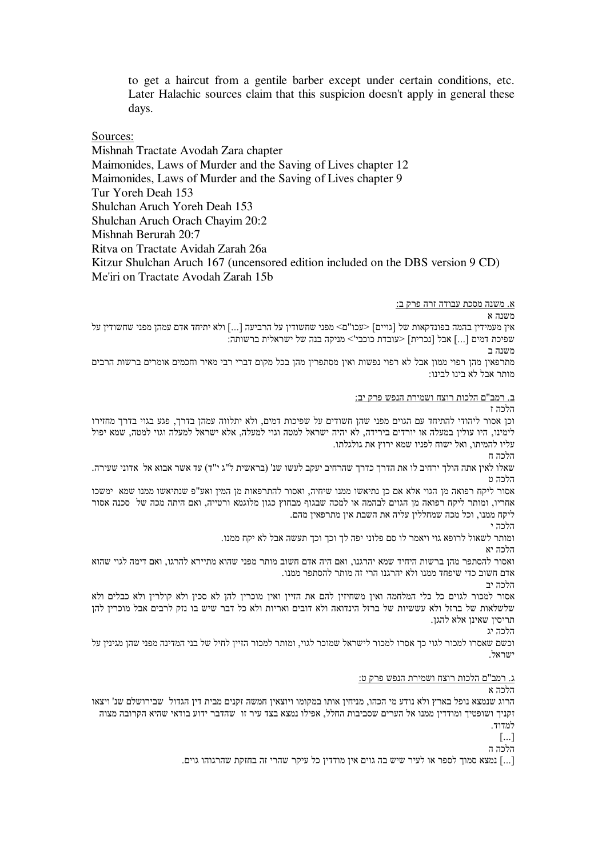to get a haircut from a gentile barber except under certain conditions, etc. Later Halachic sources claim that this suspicion doesn't apply in general these days.

Sources:

Mishnah Tractate Avodah Zara chapter Maimonides, Laws of Murder and the Saving of Lives chapter 12 Maimonides, Laws of Murder and the Saving of Lives chapter 9 Tur Yoreh Deah 153 Shulchan Aruch Yoreh Deah 153 Shulchan Aruch Orach Chayim 20:2 Mishnah Berurah 20:7 Ritva on Tractate Avidah Zarah 26a Kitzur Shulchan Aruch 167 (uncensored edition included on the DBS version 9 CD) Me'iri on Tractate Avodah Zarah 15b

<u>א. משנה מסכת עבודה זרה פרק ב:</u>

 $\,$ אנה א

אין מעמידין בהמה בפונדקאות של [גויים] <עכו"ם> מפני שחשודין על הרביעה [...] ולא יתיחד אדם עמהן מפני שחשודין על שפיכת דמים [...] אבל [נכרית] <עובדת כוכבי'> מניקה בנה של ישראלית ברשותה:

משנה ב מתרפאין מהן רפוי ממון אבל לא רפוי נפשות ואין מסתפרין מהן בכל מקום דברי רבי מאיר וחכמים אומרים ברשות הרבים

מותר אבל לא בינו לבינו:

<u>ב. רמב"ם הלכות רוצח ושמירת הנפש פרק יב:</u>

וכן אסור ליהודי להתיחד עם הגוים מפני שהן חשודים על שפיכות דמים, ולא יתלווה עמהן בדרך, פגע בגוי בדרך מחזירו לימינו, היו עולין במעלה או יורדים בירידה, לא יהיה ישראל למטה וגוי למעלה, אלא ישראל למעלה וגוי למטה, שמא יפול עליו להמיתו, ואל ישוח לפניו שמא ירוץ את גולגלתו.

הלכה ח

הלרה ז

שאלו לאין אתה הולך ירחיב לו את הדרך כדרך שהרחיב יעקב לעשו שנ' (בראשית ל"ג י"ד) עד אשר אבוא אל אדוני שעירה. הלכה ט

אסור ליקח רפואה מן הגוי אלא אם כן נתיאשו ממנו שיחיה, ואסור להתרפאות מן המין ואע"פ שנתיאשו ממנו שמא ימשכו אחריו, ומותר ליקח רפואה מן הגוים לבהמה או למכה שבגוף מבחוץ כגון מלוגמא ורטייה, ואם היתה מכה של סכנה אסור ליקח ממנו, וכל מכה שמחללין עליה את השבת אין מתרפאין מהם.

הלכה י

ומותר לשאול לרופא גוי ויאמר לו סם פלוני יפה לך וכך וכך תעשה אבל לא יקח ממנו.

הלכה יא

ואסור להסתפר מהן ברשות היחיד שמא יהרגנו, ואם היה אדם חשוב מותר מפני שהוא מתיירא להרגו, ואם דימה לגוי שהוא אדם חשוב כדי שיפחד ממנו ולא יהרגנו הרי זה מותר להסתפר ממנו.

הלכה יב

אסור למכור לגוים כל כלי המלחמה ואין משחיזין להם את הזיין ואין מוכרין להן לא סכין ולא קולרין ולא כבלים ולא שלשלאות של ברזל ולא עששיות של ברזל הינדואה ולא דובים ואריות ולא כל דבר שיש בו נזק לרבים אבל מוכרין להן " תריסיו שאינו אלא להגו.

הלכה יג

וכשם שאסרו למכור לגוי כך אסרו למכור לישראל שמוכר לגוי, ומותר למכור הזיין לחיל של בני המדינה מפני שהן מגינין על ישראל

<u>ג. רמב"ם הלכות רוצח ושמירת הנפש פרק ט:</u>

הלרה א

הרוג שנמצא נופל בארץ ולא נודע מי הכהו, מניחין אותו במקומו ויוצאין חמשה זקנים מבית דין הגדול שבירושלם שנ' ויצאו זקניך ושופטיך ומודדין ממנו אל הערים שסביבות החלל, אפילו נמצא בצד עיר זו שהדבר ידוע בודאי שהיא הקרובה מצוה למדוד.

 $\lceil \dots \rceil$ 

הלכה ה

[...] נמצא סמוך לספר או לעיר שיש בה גוים אין מודדין כל עיקר שהרי זה בחזקת שהרגוהו גוים.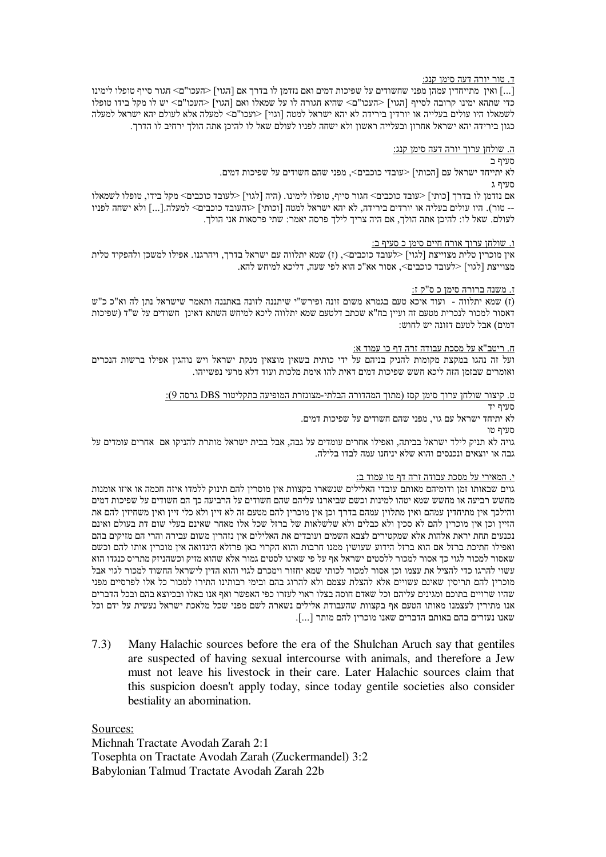# <u>ד. טור יורה דעה סימן קנג:</u>

...] ואין מתייחדין עמהן מפני שחשודים על שפיכות דמים ואם נזדמן לו בדרך אם [הגוי] <העכו"ם> חגור סייף טופלו לימינו כדי שתהא ימינו קרובה לסייף [הגוי] <העכו"ם> שהיא חגורה לו על שמאלו ואם [הגוי] <העכו"ם> יש לו מקל בידו טופלו לשמאלו היו עולים בעלייה או יורדין בירידה לא יהא ישראל למטה [וגוי] <ועכו"ם> למעלה אלא לעולם יהא ישראל למעלה כגון בירידה יהא ישראל אחרון ובעלייה ראשון ולא ישחה לפניו לעולם שאל לו להיכן אתה הולך ירחיב לו הדרך.

# <u>ה. שולחן ערוך יורה דעה סימן קנג:</u>

סעיף ב

לא יתייחד ישראל עם [הכותי] <עובדי כוכבים>, מפני שהם חשודים על שפיכות דמים. סעיף ג

אם נזדמן לו בדרך [כותי] <עובד כוכבים> חגור סייף, טופלו לימינו. (היה [לגוי] <לעובד כוכבים> מקל בידו, טופלו לשמאלו -- טור). היו עולים בעליה או יורדים בירידה, לא יהא ישראל למטה [וכותי] <והעובד כוכבים> למעלה.[...] ולא ישחה לפניו לעולם. שאל לו: להיכן אתה הולך, אם היה צריך לילך פרסה יאמר: שתי פרסאות אני הולך.

### ו - שולחו ערוד אורח חיים סימו כ-סעיף ב

אין מוכרין טלית מצוייצת [לגוי] <לעובד כוכבים>, (ז) שמא יתלווה עם ישראל בדרך, ויהרגנו. אפילו למשכן ולהפקיד טלית מצוייצת [לגוי] <לעובד כוכבים>, אסור אא"כ הוא לפי שעה, דליכא למיחש להא.

# <u>ז. משנה ברורה סימן כ ס"ק ז:</u>

וז) שמא יתלווה - ועוד איכא טעם בגמרא משום זונה ופירש"י שיתננה לזונה באתננה ותאמר שישראל נתן לה וא"כ כ"ש דאסור למכור לנכרית מטעם זה ועיין בח"א שכתב דלטעם שמא יתלווה ליכא למיחש השתא דאינן חשודים על ש"ד (שפיכות דמים) אבל לטעם דזונה יש לחוש:

### ח. ריטב"א על מסכת עבודה זרה דף כו עמוד א:

ועל זה נהגו במקצת מקומות להניק בניהם על ידי כותית בשאין מוצאין מנקת ישראל ויש נוהגין אפילו ברשות הנכרים ואומרים שבזמן הזה ליכא חשש שפיכות דמים דאית להו אימת מלכות ועוד דלא מרעי נפשייהו.

# <u>ט. קיצור שולחן ערוך סימן קסז (מתוך המהדורה הבלתי-מצונזרת המופיעה בתקליטור DBS גרסה 9):</u>

סעיף יד לא יתיחד ישראל עם גוי, מפני שהם חשודים על שפיכות דמים.

סעיף טו

גויה לא תניק לילד ישראל בביתה, ואפילו אחרים עומדים על גבה, אבל בבית ישראל מותרת להניקו אם אחרים עומדים על גבה או יוצאים ונכנסים והוא שלא יניחנו עמה לבדו בלילה.

# י. המאירי על מסכת עבודה זרה דף טו עמוד ב:

גוים שבאותו זמן ודומיהם מאותם עובדי האלילים שנשארו בקצוות אין מוסרין להם תינוק ללמדו איזה חכמה או איזו אומנות מחשש רביעה או מחשש שמא יטהו למינות וכשם שביארנו עליהם שהם חשודים על הרביעה כך הם חשודים על שפיכות דמים והילכך אין מתיחדין עמהם ואין מתלוין עמהם בדרך וכן אין מוכרין להם מטעם זה לא זיין ולא כלי זיין ואין משחיזין להם את הזיין וכן אין מוכרין להם לא סכין ולא כבלים ולא שלשלאות של ברזל שכל אלו מאחר שאינם בעלי שום דת בעולם ואינם נכנעים תחת יראת אלהות אלא שמקטירים לצבא השמים ועובדים את האלילים אין נזהרין משום עבירה והרי הם מזיקים בהם ואפילו חתיכת ברזל אם הוא ברזל הידוע שעושין ממנו חרבות והוא הקרוי כאן פרזלא הינדואה אין מוכרין אותו להם וכשם שאסור למכור לגוי כך אסור למכור ללסטים ישראל אף על פי שאינו לסטים גמור אלא שהוא מזיק וכשהניזק מתריס כנגדו הוא עשוי להרגו כדי להציל את עצמו וכן אסור למכור לכותי שמא יחזור וימכרם לגוי והוא הדין לישראל החשוד למכור לגוי אבל מוכרין להם תריסין שאינם עשויים אלא להצלת עצמם ולא להרוג בהם ובימי רבותינו התירו למכור כל אלו לפרסיים מפני שהיו שרויים בתוכם ומגינים עליהם וכל שאדם חוסה בצלו ראוי לעזרו כפי האפשר ואף אנו באלו ובכיוצא בהם ובכל הדברים אנו מתירין לעצמנו מאותו הטעם אף בקצוות שהעבודת אלילים נשארה לשם מפני שכל מלאכת ישראל נעשית על ידם וכל שאנו נעזרים בהם באותם הדברים שאנו מוכרין להם מותר [...].

7.3) Many Halachic sources before the era of the Shulchan Aruch say that gentiles are suspected of having sexual intercourse with animals, and therefore a Jew must not leave his livestock in their care. Later Halachic sources claim that this suspicion doesn't apply today, since today gentile societies also consider bestiality an abomination.

Sources:

Michnah Tractate Avodah Zarah 2:1 Tosephta on Tractate Avodah Zarah (Zuckermandel) 3:2 Babylonian Talmud Tractate Avodah Zarah 22b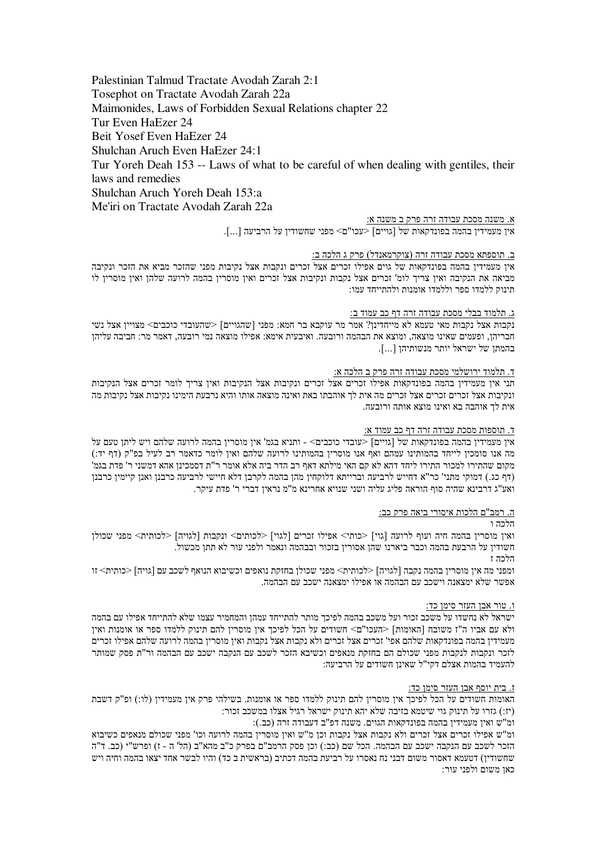Palestinian Talmud Tractate Avodah Zarah 2:1 Tosephot on Tractate Avodah Zarah 22a Maimonides, Laws of Forbidden Sexual Relations chapter 22 Tur Even HaEzer 24 Beit Yosef Even HaEzer 24 Shulchan Aruch Even HaEzer 24:1 Tur Yoreh Deah 153 -- Laws of what to be careful of when dealing with gentiles, their laws and remedies Shulchan Aruch Yoreh Deah 153:a Me'iri on Tractate Avodah Zarah 22a

א. משנה מסכת עבודה זרה פרק ב משנה א:

איו מעמידיו בהמה בפונדקאות של [גויים] <עכו"ם> מפני שחשודיו על הרביעה [...].

### ב. תוספתא מסכת עבודה זרה (צוקרמאנדל) פרק ג הלכה ב:

איו מעמידיו בהמה בפונדקאות של גוים אפילו זכרים אצל זכרים ונקבות אצל נקיבות מפני שהזכר מביא את הזכר ונקיבה מביאה את הנקיבה ואין צריך לומ' זכרים אצל נקבות ונקיבות אצל זכרים ואין מוסרין בהמה לרועה שלהן ואין מוסרין לו תינוק ללמדו ספר וללמדו אומנות ולהתייחד עמו:

### <u>ג. תלמוד בבלי מסכת עבודה זרה דף כב עמוד ב:</u>

נקבות אצל נקבות מאי טעמא לא מייחדינן? אמר מר עוקבא בר חמא: מפני [שהגויים] <שהעובדי כוכבים> מצויין אצל נשי חבריהן, ופעמים שאינו מוצאה, ומוצא את הבהמה ורובעה. ואיבעית אימא: אפילו מוצאה נמי רובעה, דאמר מר: חביבה עליהן בהמתן של ישראל יותר מנשותיהן [...].

# ד. תלמוד ירושלמי מסכת עבודה זרה פרק ב הלכה א:

תני אין מעמידין בהמה בפונדקאות אפילו זכרים אצל זכרים ונקיבות אצל הנקיבות ואין צריך לומר זכרים אצל הנקיבות ונקיבות אצל זכרים זכרים אצל זכרים מה אית לך אוהבתו באת ואינה מוצאה אותו והיא נרבעת הימינו נקיבות אצל נקיבות מה אית לך אוהבה בא ואינו מוצא אותה ורובעה.

### ד. תוספות מסכת עבודה זרה דף כב עמוד א:

איו מעמידיו בהמה בפונדקאות של [גויים] <עובדי כוכבים> - ותניא בגמ' איו מוסריו בהמה לרועה שלהם ויש ליתו טעם על מה אנו סומכין לייחד בהמותינו עמהם ואף אנו מוסרין בהמותינו לרועה שלהם ואין לומר כדאמר רב לעיל בפ"ק (דף יד:) מקום שהתירו למכור התירו ליחד דהא לא קם האי מילתא דאף רב הדר ביה אלא אומר ר"ת דסמכינן אהא דמשני ר' פדת בגמ' (דף כג.) דמוקי מתני' כר"א דחייש לרביעה וברייתא דלוקחיו מהו בהמה לקרבו דלא חיישי לרביעה כרבנו ואנו קיימיו כרבנו ואע"ג דרבינא שהיה סוף הוראה פליג עליה ושני שנויא אחרינא מ"מ נראין דברי ר' פדת עיקר.

### ה. רמב"ם הלכות איסורי ביאה פרק כב:

# הלרה ו

ואין מוסרין בהמה חיה ועוף לרועה [גוי] <כותי> אפילו זכרים [לגוי] <לכותים> ונקבות [לגויה] <לכותית> מפני שכולן חשודין על הרבעת בהמה וכבר ביארנו שהן אסורין בזכור ובבהמה ונאמר ולפני עור לא תתן מכשול. הלכה ז

ומפני מה אין מוסרין בהמה נקבה [לגויה] <לכותית> מפני שכולן בחזקת נואפים וכשיבוא הנואף לשכב עם [גויה] <כותית> זו אפשר שלא ימצאנה וישכב עם הבהמה או אפילו ימצאנה ישכב עם הבהמה.

### ו. טור אבו העזר סימו כד:

ישראל לא נחשדו על משכב זכור ועל משכב בהמה לפיכד מותר להתייחד עמהו והמחמיר עצמו שלא להתייחד אפילו עם בהמה ולא עם אביו ה"ז משובח [האומות] <העכו"ם> חשודים על הכל לפיכך אין מוסרין להם תינוק ללמדו ספר או אומנות ואין מעמידין בהמה בפונדקאות שלהם אפי' זכרים אצל זכרים ולא נקבות אצל נקבות ואין מוסרין בהמה לרועה שלהם אפילו זכרים לזכר ונקבות לנקבות מפני שכולם הם בחזקת מנאפים וכשיבא הזכר לשכב עם הנקבה ישכב עם הבהמה ור"ת פסק שמותר להעמיד בהמות אצלם דקי"ל שאינן חשודים על הרביעה:

### ז. בית יוסף אבו העזר סימו כד:

האומות חשודים על הכל לפיכך אין מוסרין להם תינוק ללמדו ספר או אומנות. בשילהי פרק אין מעמידין (לו:) ופ"ק דשבת (יז:) גזרו על תינוק גוי שיטמא בזיבה שלא יהא תינוק ישראל רגיל אצלו במשכב זכור:

ומ"ש ואיו מעמידיו בהמה בפונדקאות הגוים. משנה דפ"ב דעבודה זרה (כב.):

ומ"ש אפילו זכרים אצל זכרים ולא נקבות אצל נקבות וכן מ"ש ואין מוסרין בהמה לרועה וכו' מפני שכולם מנאפים כשיבוא הזכר לשכב עם הנקבה ישכב עם הבהמה. הכל שם (כב:) וכן פסק הרמב"ם בפרק כ"ב מהא"ב (הל' ה - ז) ופרש"י (כב. ד"ה שחשודין) דטעמא דאסור משום דבני נח נאסרו על רביעת בהמה דכתיב (בראשית ב כד) והיו לבשר אחד יצאו בהמה וחיה ויש כאן משום ולפני עור: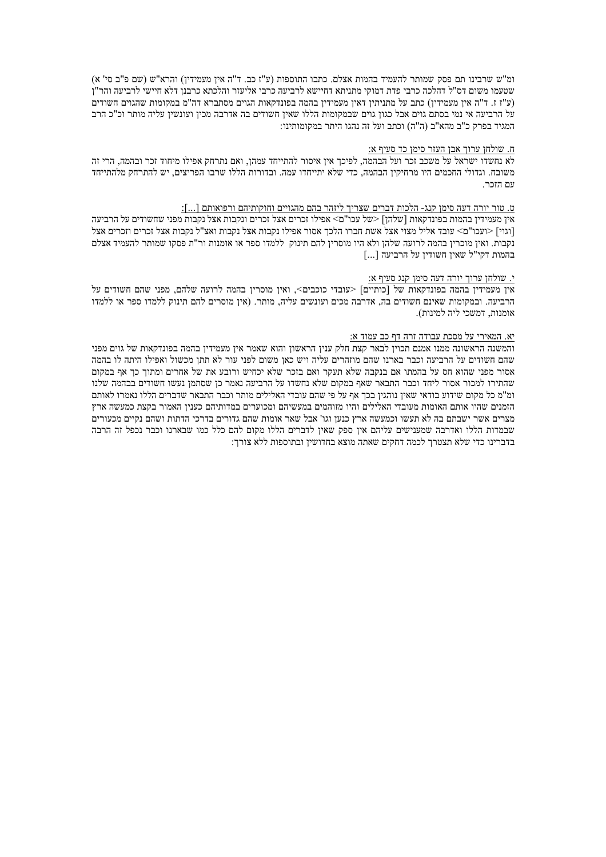ומ"ש שרבינו תם פסק שמותר להעמיד בהמות אצלם. כתבו התוספות (ע"ז כב. ד"ה אין מעמידין) והרא"ש (שם פ"ב סי' א) שטעמו משום דס"ל דהלכה כרבי פדת דמוקי מתניתא דחיישא לרביעה כרבי אליעזר והלכתא כרבנו דלא חיישי לרביעה והר"ז (ע"ז ז. ד"ה אין מעמידין) כתב על מתניתין דאין מעמידין בהמה בפונדקאות הגוים מסתברא דה"מ במקומות שהגוים חשודים על הרביעה אי נמי בסתם גוים אבל כגון גוים שבמקומות הללו שאין חשודים בה אדרבה מכין ועונשין עליה מותר וכ"כ הרב המגיד בפרק כ"ב מהא"ב (ה"ה) וכתב ועל זה נהגו היתר במקומותינו:

# ח. שולחו ערוך אבן העזר סימן כד סעיף א:

לא נחשדו ישראל על משכב זכר ועל הבהמה, לפיכך אין איסור להתייחד עמהן, ואם נתרחק אפילו מיחוד זכר ובהמה, הרי זה משובח. וגדולי החכמים היו מרחיקין הבהמה, כדי שלא יתייחדו עמה. ובדורות הללו שרבו הפריצים, יש להתרחק מלהתייחד עם הזכר.

#### ט. טור יורה דעה סימן קנג- הלכות דברים שצריך ליזהר בהם מהגויים וחוקותיהם ורפואותם […]:

אין מעמידין בהמות בפונדקאות [שלהן] <של עכו"ם> אפילו זכרים אצל זכרים ונקבות אצל נקבות מפני שחשודים על הרביעה [וגוי] <ועכו"ם> עובד אליל מצוי אצל אשת חברו הלכד אסור אפילו נקבות אצל נקבות ואצ"ל נקבות אצל זכרים וזכרים אצל נקבות. ואיז מוכריז בהמה לרועה שלהו ולא היו מוסריז להם תינוק. ללמדו ספר או אומנות ור"ת פסקו שמותר להעמיד אצלם בהמות דקי"ל שאיו חשודיו על הרביעה […]

### <u>י. שולחן ערוך יורה דעה סימן קנג סעיף א:</u>

אין מעמידין בהמה בפונדקאות של [כותיים] <עובדי כוכבים>, ואין מוסרין בהמה לרועה שלהם, מפני שהם חשודים על הרביעה. ובמקומות שאינם חשודים בה, אדרבה מכים ועונשים עליה, מותר. (אין מוסרים להם תינוק ללמדו ספר או ללמדו אומנות, דמשכי ליה למינות).

#### יא. המאירי על מסכת עבודה זרה דף כב עמוד א:

והמשנה הראשונה ממנו אמנם תכוין לבאר קצת חלק ענין הראשון והוא שאמר אין מעמידין בהמה בפונדקאות של גוים מפני שהם חשודים על הרביעה וכבר בארנו שהם מוזהרים עליה ויש כאן משום לפני עור לא תתן מכשול ואפילו היתה לו בהמה אסור מפני שהוא חס על בהמתו אם בנקבה שלא תעקר ואם בזכר שלא יכחיש ורובע את של אחרים ומתוד כד אף במקום שהתירו למכור אסור ליחד וכבר התבאר שאף במקום שלא נחשדו על הרביעה נאמר כן שסתמן נעשו חשודים בבהמה שלנו ומ"מ כל מקום שידוע בודאי שאין נוהגין בכך אף על פי שהם עובדי האלילים מותר וכבר התבאר שדברים הללו נאמרו לאותם הזמנים שהיו אותם האומות מעובדי האלילים והיו מזוהמים במעשיהם ומכוערים במדותיהם כענין האמור בקצת כמעשה ארץ מצרים אשר ישבתם בה לא תעשו וכמעשה ארץ כנען וגו' אבל שאר אומות שהם גדורים בדרכי הדתות ושהם נקיים מכעורים שבמדות הללו ואדרבה שמענישים עליהם אין ספק שאין לדברים הללו מקום להם כלל כמו שבארנו וכבר נכפל זה הרבה בדברינו כדי שלא תצטרד לכמה דחקים שאתה מוצא בחדושיו ובתוספות ללא צורד: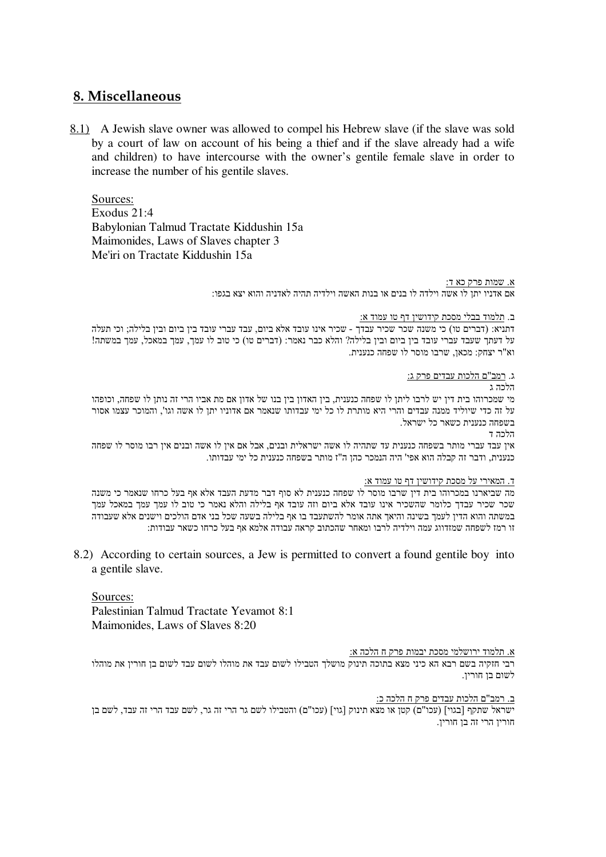# **8. Miscellaneous**

8.1) A Jewish slave owner was allowed to compel his Hebrew slave (if the slave was sold by a court of law on account of his being a thief and if the slave already had a wife and children) to have intercourse with the owner's gentile female slave in order to increase the number of his gentile slaves.

Sources: Exodus 21:4 Babylonian Talmud Tractate Kiddushin 15a Maimonides, Laws of Slaves chapter 3 Me'iri on Tractate Kiddushin 15a

> <u>א. שמות פרק כא ד:</u> אם אדניו יתן לו אשה וילדה לו בנים או בנות האשה וילדיה תהיה לאדניה והוא יצא בגפו:

> > ב. תלמוד בבלי מסכת קידושין דף טו עמוד א:

דתניא: (דברים טו) כי משנה שכר שכיר עבדך - שכיר אינו עובד אלא ביום, עבד עברי עובד בין ביום ובין בלילה; וכי תעלה על דעתך שעבד עברי עובד בין ביום ובין בלילה? והלא כבר נאמר: (דברים טו) כי טוב לו עמך, עמך במאכל, עמך במשתה! וא"ר יצחק: מכאן, שרבו מוסר לו שפחה כנענית.

ג. <u>רמב"ם הלכות עבדים פרק ג:</u>

הלכה ג

מי שמכרוהו בית דין יש לרבו ליתן לו שפחה כנענית, בין האדון בין בנו של אדון אם מת אביו הרי זה נותן לו שפחה, וכופהו על זה כדי שיוליד ממנה עבדים והרי היא מותרת לו כל ימי עבדותו שנאמר אם אדוניו יתן לו אשה וגו', והמוכר עצמו אסור בשפחה כנענית כשאר כל ישראל.

הלכה ד

אין עבד עברי מותר בשפחה כנענית עד שתהיה לו אשה ישראלית ובנים, אבל אם אין לו אשה ובנים אין רבו מוסר לו שפחה כנענית, ודבר זה קבלה הוא אפי' היה הנמכר כהן ה"ז מותר בשפחה כנענית כל ימי עבדותו.

# <u>ד. המאירי על מסכת קידושין דף טו עמוד א:</u>

מה שביארנו במכרוהו בית דין שרבו מוסר לו שפחה כנענית לא סוף דבר מדעת העבד אלא אף בעל כרחו שנאמר כי משנה שכר שכיר עבדך כלומר שהשכיר אינו עובד אלא ביום וזה עובד אף בלילה והלא נאמר כי טוב לו עמך עמך במאכל עמך במשתה והוא הדין לעמך בשינה והיאך אתה אומר להשתעבד בו אף בלילה בשעה שכל בני אדם הולכים וישנים אלא שעבודה זו רמז לשפחה שמזדווג עמה וילדיה לרבו ומאחר שהכתוב קראה עבודה אלמא אף בעל כרחו כשאר עבודות:

8.2) According to certain sources, a Jew is permitted to convert a found gentile boy into a gentile slave.

Sources: Palestinian Talmud Tractate Yevamot 8:1 Maimonides, Laws of Slaves 8:20

# <u>א. תלמוד ירושלמי מסכת יבמות פרק ח הלכה א:</u>

רבי חזקיה בשם רבא הא כיני מצא בתוכה תינוק מושלך הטבילו לשום עבד את מוהלו לשום עבד לשום בן חורין את מוהלו לשום בן חורין.

<u>ב. רמב"ם הלכות עבדים פרק ח הלכה כ:</u>

ישראל שתקף [בגוי] (עכו"ם) קטן או מצא תינוק [גוי] (עכו"ם) והטבילו לשם גר הרי זה גר, לשם עבד הרי זה עבד, לשם בן חוריו הרי זה בו חוריו.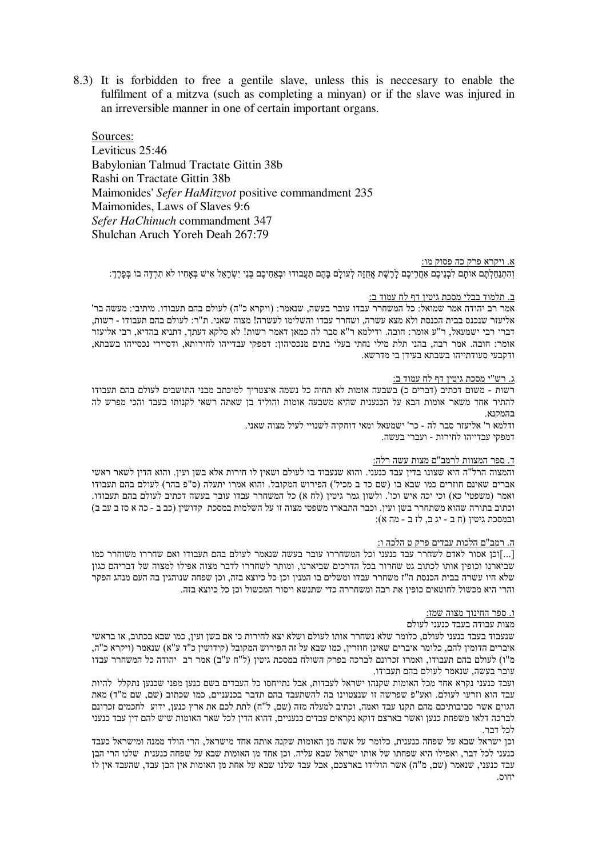8.3) It is forbidden to free a gentile slave, unless this is necessary to enable the fulfilment of a mitzva (such as completing a minyan) or if the slave was injured in an irreversible manner in one of certain important organs.

Sources: Leviticus 25:46 Babylonian Talmud Tractate Gittin 38b Rashi on Tractate Gittin 38b Maimonides' Sefer HaMitzvot positive commandment 235 Maimonides, Laws of Slaves 9:6 Sefer HaChinuch commandment 347 Shulchan Aruch Yoreh Deah 267:79

#### א. ויקרא פרק כה פסוק מו:

וְהִתְנַחַלְתֶּם אותָם לִבְנֵיכֶם אַחֲרֵיכֶם לָרֶשֶׁת אֲחֻזָּה לְעולָם בָּהֶם תַּעֲבודוּ וּבְאַחֵיכֶם בִּנֵי יִשְׂרָאֵל אִישׁ בִּאַחִיו לֹא תִרְדֵּה בוֹ בִּפַּרֵךְ:

### ב. תלמוד בבלי מסכת גיטין דף לח עמוד ב:

אמר רב יהודה אמר שמואל: כל המשחרר עבדו עובר בעשה. שנאמר: (ויקרא כ"ה) לעולם בהם תעבודו. מיתיבי: מעשה בר' אליעזר שנכנס בבית הכנסת ולא מצא עשרה. ושחרר עבדו והשלימו לעשרה! מצוה שאני. ת"ר: לעולם בהם תעבודו - רשות. דברי רבי ישמעאל, ר"ע אומר: חובה. ודילמא ר"א סבר לה כמאן דאמר רשות! לא סלקא דעתך, דתניא בהדיא, רבי אליעזר אומר: חובה. אמר רבה, בהני תלת מילי נחתי בעלי בתים מנכסיהון: דמפקי עבדייהו לחירותא, ודסיירי נכסייהו בשבתא, ודקבעי סעודתייהו בשבתא בעידן בי מדרשא.

#### ג. רש"י מסכת גיטין דף לח עמוד ב:

רשות - משום דכתיב (דברים כ) בשבעה אומות לא תחיה כל נשמה איצטריך למיכתב מבני התושבים לעולם בהם תעבודו להתיר אחד משאר אומות הבא על הכנענית שהיא משבעה אומות והוליד בן שאתה רשאי לקנותו בעבד והכי מפרש לה בהמקנא.

ודלמא ר' אליעזר סבר לה - כר' ישמעאל ומאי דוחקיה לשנויי לעיל מצוה שאני. דמפקי עבדייהו לחירות - ועברי בעשה.

# ד. ספר המצוות לרמב"ם מצות עשה רלה:

והמצוה הרל"ה היא שצונו בדין עבד כנעני. והוא שנעבוד בו לעולם ושאין לו חירות אלא בשן ועין. והוא הדין לשאר ראשי אברים שאינם חוזרים כמו שבא בו (שם כד ב מכיל') הפירוש המקובל. והוא אמרו יתעלה (ס"פ בהר) לעולם בהם תעבודו ואמר (משפטי' כא) וכי יכה איש וכו'. ולשון גמר גיטין (לח א) כל המשחרר עבדו עובר בעשה דכתיב לעולם בהם תעבודו. וכתוב בתורה שהוא משתחרר בשן ועין. וכבר התבארו משפטי מצוה זו על השלמות במסכת קדושין (כב ב - כה א סז ב עב ב) ובמסכת גיטין (ח ב - יג ב, לז ב - מה א):

### ה. רמב"ם הלכות עבדים פרק ט הלכה ו:

[...]וכו אסור לאדם לשחרר עבד כנעני וכל המשחררו עובר בעשה שנאמר לעולם בהם תעבודו ואם שחררו משוחרר כמו שביארנו וכופין אותו לכתוב גט שחרור בכל הדרכים שביארנו, ומותר לשחררו לדבר מצוה אפילו למצוה של דבריהם כגון שלא היו עשרה בבית הכנסת ה"ז משחרר עבדו ומשלים בו המנין וכן כל כיוצא בזה, וכן שפחה שנוהגין בה העם מנהג הפקר והרי היא מכשול לחוטאים כופין את רבה ומשחררה כדי שתנשא ויסור המכשול וכן כל כיוצא בזה.

#### ו. ספר החינוך מצוה שמז:

# מצות עבודה בעבד כנעני לעולם

שנעבוד בעבד כנעני לעולם, כלומר שלא נשחרר אותו לעולם ושלא יצא לחירות כי אם בשן ועין, כמו שבא בכתוב, או בראשי איברים הדומין להם, כלומר איברים שאינן חוזרין, כמו שבא על זה הפירוש המקובל (קידושין כ"ד ע"א) שנאמר (ויקרא כ"ה, מ"ו) לעולם בהם תעבודו, ואמרו זכרונם לברכה בפרק השולח במסכת גיטין (ל"ח ע"ב) אמר רב יהודה כל המשחרר עבדו עובר בעשה, שנאמר לעולם בהם תעבודו.

ועבד כנעני נקרא אחד מכל האומות שקנהו ישראל לעבדות. אבל נתייחסו כל העבדים בשם כנען מפני שכנען נתקלל |להיות עבד הוא וזרעו לעולם. ואע"פ שפרשה זו שנצטוינו בה להשתעבד בהם תדבר בכנעניים, כמו שכתוב (שם, שם מ"ד) מאת הגוים אשר סביבותיכם מהם תקנו עבד ואמה, וכתיב למעלה מזה (שם, ל"ח) לתת לכם את ארץ כנען, ידוע לחכמים זכרונם לברכה דלאו משפחת כנען ואשר בארצם דוקא נקראים עבדים כנעניים, דהוא הדין לכל שאר האומות שיש להם דין עבד כנעני לכל דבר.

וכו ישראל שבא על שפחה כנענית. כלומר על אשה מן האומות שקנה אותה אחד מישראל. הרי הולד ממנה ומישראל כעבד כנעני לכל דבר, ואפילו היא שפחתו של אותו ישראל שבא עליה. וכן אחד מן האומות שבא על שפחה כנענית שלנו הרי הבן עבד כנעני. שנאמר (שם, מ"ה) אשר הולידו בארצכם, אבל עבד שלנו שבא על אחת מן האומות אין הבן עבד, שהעבד אין לו יחות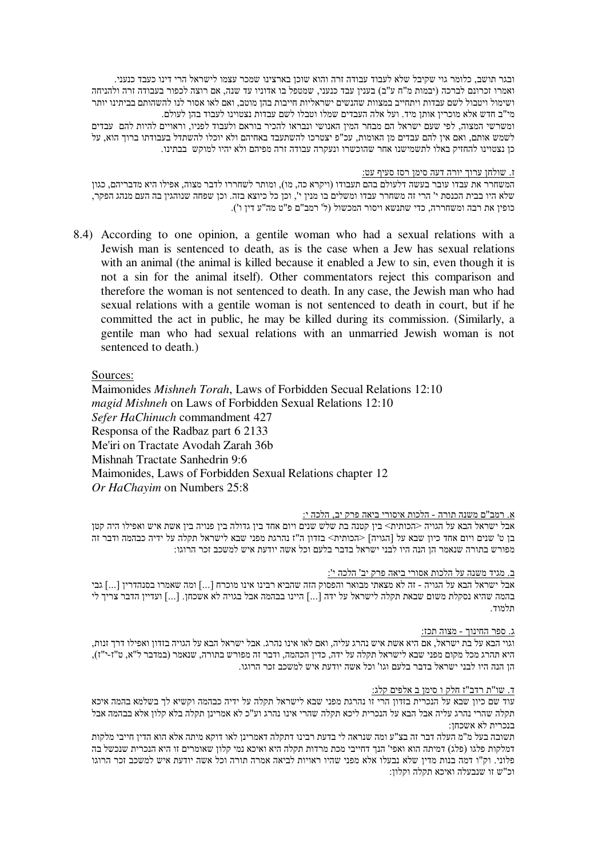ובגר תושב, כלומר גוי שקיבל שלא לעבוד עבודה זרה והוא שוכן בארצינו שמכר עצמו לישראל הרי דינו כעבד כנעני. ואמרו זכרונם לברכה (יבמות מ"ח ע"ב) בענין עבד כנעני, שמטפל בו אדוניו עד שנה, אם רוצה לכפור בעבודה זרה ולהניחה ושימול ויטבול לשם עבדות ויתחייב במצוות שהנשים ישראליות חייבות בהן מוטב, ואם לאו אסור לנו להשהותם בביתינו יותר מי"ב חדש אלא מוכרין אותן מיד. ועל אלה העבדים שמלו וטבלו לשם עבדות נצטוינו לעבוד בהן לעולם. ומשרשי המצוה, לפי שעם ישראל הם מבחר המין האנושי ונבראו להכיר בוראם ולעבוד לפניו, וראויים להיות להם עבדים לשמש אותם, ואם אין להם עבדים מן האומות, עכ"פ יצטרכו להשתעבד באחיהם ולא יוכלו להשתדל בעבודתו ברוך הוא, על כן נצטוינו להחזיק באלו לתשמישנו אחר שהוכשרו ונעקרה עבודה זרה מפיהם ולא יהיו למוקש בבתינו.

<u>ז. שולחן ערוך יורה דעה סימן רסז סעיף עט:</u>

המשחרר את עבדו עובר בעשה דלעולם בהם תעבודו (ויקרא כה, מו), ומותר לשחררו לדבר מצוה, אפילו היא מדבריהם, כגון שלא היו בבית הכנסת י' הרי זה משחרר עבדו ומשלים בו מנין י', וכן כל כיוצא בזה. וכן שפחה שנוהגין בה העם מנהג הפקר, כופין את רבה ומשחררה, כדי שתנשא ויסור המכשול (ל' רמב"ם פ"ט מה"ע דין ו').

8.S) According to one opinion, a gentile woman who had a sexual relations with a Jewish man is sentenced to death, as is the case when a Jew has sexual relations with an animal (the animal is killed because it enabled a Jew to sin, even though it is not a sin for the animal itself). Other commentators reject this comparison and therefore the woman is not sentenced to death. In any case, the Jewish man who had sexual relations with a gentile woman is not sentenced to death in court, but if he committed the act in public, he may be killed during its commission. (Similarly, a gentile man who had sexual relations with an unmarried Jewish woman is not sentenced to death.)

Sources:

Maimonides *Mishneh Torah*, Laws of Forbidden Secual Relations 12:10 *magid Mishneh* on Laws of Forbidden Sexual Relations 12:10 *Sefer HaChinuch* commandment 427 Responsa of the Radbaz part 6 2133 Me'iri on Tractate Avodah Zarah 36b Mishnah Tractate Sanhedrin 9:6 Maimonides, Laws of Forbidden Sexual Relations chapter 12 *Or HaChayim* on Numbers 25:8

# <u>א. רמב"ם משנה תורה - הלכות איסורי ביאה פרק יב, הלכה י:</u>

אבל ישראל הבא על הגויה <הכותית> בין קטנה בת שלש שנים ויום אחד בין גדולה בין פנויה בין אשת איש ואפילו היה קטן בן ט' שנים ויום אחד כיון שבא על [הגויה] <הכותית> בזדון ה"ז נהרגת מפני שבא לישראל תקלה על ידיה כבהמה ודבר זה מפורש בתורה שנאמר הן הנה היו לבני ישראל בדבר בלעם וכל אשה יודעת איש למשכב זכר הרוגו:

<u>ב. מגיד משנה על הלכות אסורי ביאה פרק יב' הלכה י':</u>

אבל ישראל הבא על הגויה - זה לא מצאתי מבואר והפסוק הזה שהביא רבינו אינו מוכרח [...] ומה שאמרו בסנהדרין [...] גבי בהמה שהיא נסקלת משום שבאת תקלה לישראל על ידה [...] היינו בבהמה אבל בגויה לא אשכחן. [...] ועדיין הדבר צריך לי תלמוד.

### <u>ג. ספר החינוך - מצוה תכז:</u>

וגוי הבא על בת ישראל, אם היא אשת איש נהרג עליה, ואם לאו אינו נהרג. אבל ישראל הבא על הגויה בזדון ואפילו דרך זנות, היא תהרג מכל מקום מפני שבא לישראל תקלה על ידה, כדין הכהמה, ודבר זה מפורש בתורה, שנאמר (במדבר ל"א, ט"ז-י"ז), הן הנה היו לבני ישראל בדבר בלעם וגו' וכל אשה יודעת איש למשכב זכר הרוגו.

### <u>ד. שו"ת רדב"ז חלק ו סימן ב אלפים קלג:</u>

עוד שם כיון שבא על הנכרית בזדון הרי זו נהרגת מפני שבא לישראל תקלה על ידיה כבהמה וקשיא לך בשלמא בהמה איכא תקלה שהרי נהרג עליה אבל הבא על הנכרית ליכא תקלה שהרי אינו נהרג וע"כ לא אמרינן תקלה בלא קלון אלא בבהמה אבל בנכרית לא אשכחן:

תשובה בעל מ"מ העלה דבר זה בצ"ע ומה שנראה לי בדעת רבינו דתקלה דאמרינן לאו דוקא מיתה אלא הוא הדין חייבי מלקות דמלקות פלגו (פלג) דמיתה הוא ואפי' הנך דחייבי מכת מרדות תקלה היא ואיכא נמי קלון שאומרים זו היא הנכרית שנכשל בה פלוני. וק"ו דמה בנות מדין שלא נבעלו אלא מפני שהיו ראויות לביאה אמרה תורה וכל אשה יודעת איש למשכב זכר הרוגו וכ"ש זו שנבעלה ואיכא תקלה וקלון: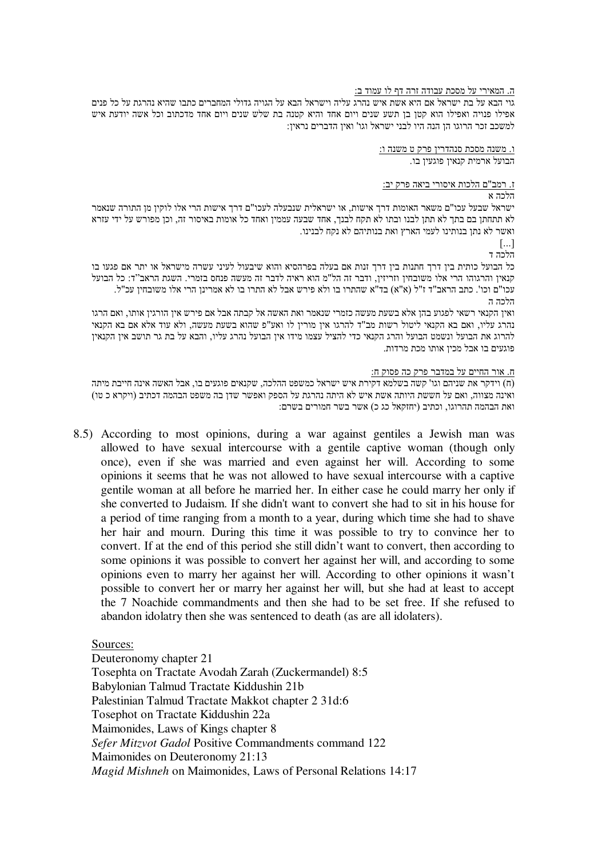# ה. המאירי על מסכת עבודה זרה דף לו עמוד ב:

גוי הבא על בת ישראל אם היא אשת איש נהרג עליה וישראל הבא על הגויה גדולי המחברים כתבו שהיא נהרגת על כל פנים אפילו פנויה ואפילו הוא קטן בן תשע שנים ויום אחד והיא קטנה בת שלש שנים ויום אחד מדכתוב וכל אשה יודעת איש למשכב זכר הרוגו הו הנה היו לבני ישראל וגו' ואיו הדברים נראיו:

> <u>ו. משנה מסכת סנהדרין פרק ט משנה ו:</u> הבועל ארמית קנאין פוגעין בו.

# <u>ז. רמב"ם הלכות איסורי ביאה פרק יב:</u>

## הלכה א

ישראל שבעל עכו"ם משאר האומות דרך אישות, או ישראלית שנבעלה לעכו"ם דרך אישות הרי אלו לוקין מן התורה שנאמר לא תתחתן בם בתך לא תתן לבנו ובתו לא תקח לבנך, אחד שבעה עממין ואחד כל אומות באיסור זה, וכן מפורש על ידי עזרא ואשר לא נתו בנותינו לעמי הארץ ואת בנותיהם לא נקח לבנינו.

 $\lceil ... \rceil$ 

הלכה ד

כל הבועל כותית בין דרך חתנות בין דרך זנות אם בעלה בפרהסיא והוא שיבעול לעיני עשרה מישראל או יתר אם פגעו בו קנאין והרגוהו הרי אלו משובחין וזריזין, ודבר זה הל"מ הוא ראיה לדבר זה מעשה פנחס בזמרי. השגת הראב"ד: כל הבועל עכו"ם וכו'. כתב הראב"ד ז"ל (א"א) בד"א שהתרו בו ולא פירש אבל לא התרו בו לא אמרינן הרי אלו משובחין עכ"ל. הלכה ה

ואין הקנאי רשאי לפגוע בהן אלא בשעת מעשה כזמרי שנאמר ואת האשה אל קבתה אבל אם פירש אין הורגין אותו, ואם הרגו נהרג עליו, ואם בא הקנאי ליטול רשות מב"ד להרגו אין מורין לו ואע"פ שהוא בשעת מעשה, ולא עוד אלא אם בא הקנאי להרוג את הבועל ונשמט הבועל והרג הקנאי כדי להציל עצמו מידו אין הבועל נהרג עליו, והבא על בת גר תושב אין הקנאין פוגעים בו אבל מכין אותו מכת מרדות.

# <u>ח. אור החיים על במדבר פרק כה פסוק ח:</u>

(ח) וידקר את שניהם וגו' קשה בשלמא דקירת איש ישראל כמשפט ההלכה, שקנאים פוגעים בו, אבל האשה אינה חייבת מיתה ואינה מצווה, ואם על חששת היותה אשת איש לא היתה נהרגת על הספק ואפשר שדן בה משפט הבהמה דכתיב (ויקרא כ טו) ואת הבהמה תהרוגו, וכתיב (יחזקאל כג כ) אשר בשר חמורים בשרם:

8.5) According to most opinions, during a war against gentiles a Jewish man was allowed to have sexual intercourse with a gentile captive woman (though only once), even if she was married and even against her will. According to some opinions it seems that he was not allowed to have sexual intercourse with a captive gentile woman at all before he married her. In either case he could marry her only if she converted to Judaism. If she didn't want to convert she had to sit in his house for a period of time ranging from a month to a year, during which time she had to shave her hair and mourn. During this time it was possible to try to convince her to convert. If at the end of this period she still didn't want to convert, then according to some opinions it was possible to convert her against her will, and according to some opinions even to marry her against her will. According to other opinions it wasn't possible to convert her or marry her against her will, but she had at least to accept the 7 Noachide commandments and then she had to be set free. If she refused to abandon idolatry then she was sentenced to death (as are all idolaters).

Sources:

Deuteronomy chapter 21 Tosephta on Tractate Avodah Zarah (Zuckermandel) 8:5 Babylonian Talmud Tractate Kiddushin 21b Palestinian Talmud Tractate Makkot chapter 2 31d:6 Tosephot on Tractate Kiddushin 22a Maimonides, Laws of Kings chapter 8 *Sefer Mitzvot Gadol* Positive Commandments command 122 Maimonides on Deuteronomy 21:13 *Magid Mishneh* on Maimonides, Laws of Personal Relations 14:17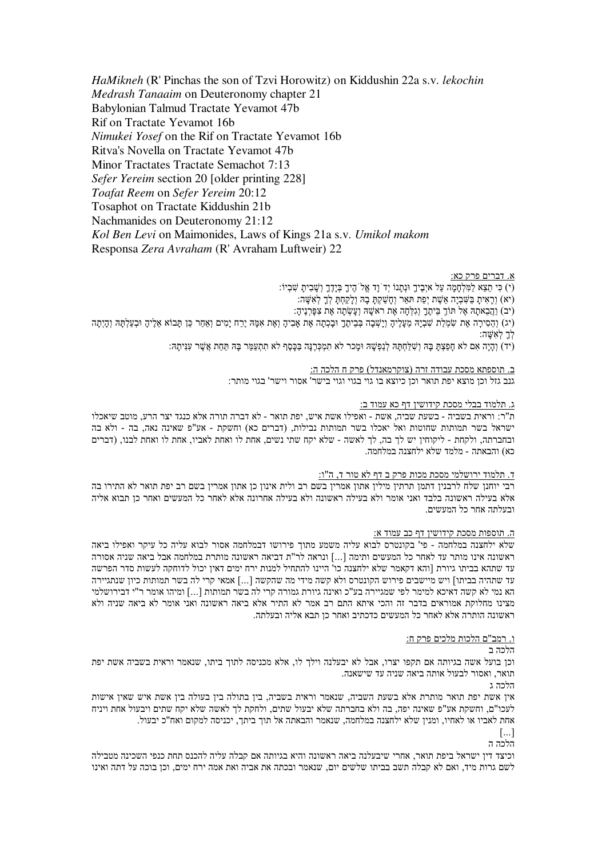*HaMikneh* (R' Pinchas the son of Tzvi Horowitz) on Kiddushin 22a s.v. *lekochin* Medrash Tanaaim on Deuteronomy chapter 21 Babylonian Talmud Tractate Yevamot 47b Rif on Tractate Yevamot 16b Nimukei Yosef on the Rif on Tractate Yevamot 16b Ritva's Novella on Tractate Yevamot 47b Minor Tractates Tractate Semachot 7:13 Sefer Yereim section 20 [older printing 228] Toafat Reem on Sefer Yereim 20:12 Tosaphot on Tractate Kiddushin 21b Nachmanides on Deuteronomy 21:12 Kol Ben Levi on Maimonides, Laws of Kings 21a s.v. Umikol makom Responsa Zera Avraham (R' Avraham Luftweir) 22

### א. דברים פרק כא:

(י) כִּי תֵצֵא לַמִּלְחָמָה עַל איִבֵיךָ וּנְתַנוֹ יִד וַד אֱל הֶיךָ בְּיַדֶךָ וְשָׁבִיתָ שְׁבִיוֹ: (יא) וראית בשביה אשת יפת תאר וחשקת בה ולקחת לך לאשה: (יב) וַהֲבָאתָה אֱל תּוֹךָ בֵּיְתֵךָ וְגִלְחָה אֶת ראשֶׁה וְעָשְׂתָה אֶת צְפָּרְנֵיהָ: (יג) וְהֵסִירָה אֶת שִׂמְלַת שִׁבְיָהּ מֵעָלֶיהָ וְיָשְׁבָה בְּבֵיתֶךָ וּבָכְתָה אֶת אָבִיהָ וְאֶת אִמָּהּ יֶרַח יָמִים וְאַחַר כֵּן תָּבוֹא אֵלֶיהָ וּבְעַלְתָּהּ וְהָיְתָה לר לאשה:

(יד) וְהֵיַה אם לֹא חַפִּצְתַּ בַּהּ וְשׁלֹחָתַּהּ לְנִפְשָׁהּ וּמֵכֹר לֹא תִמְכָּרֶנֵּה בּכֵּסֶף לֹא תִתְעֹמֹר בַּהּ תִּחַת אֲשֶׁר עִנּיתַהּ:

ב. תוספתא מסכת עבודה זרה (צוקרמאנדל) פרק ח הלכה ה: .<br>גנב גזל וכן מוצא יפת תואר וכן כיוצא בו גוי בגוי וגוי בישר' אסור וישר' בגוי מותר:

### ג. תלמוד בבלי מסכת קידושין דף כא עמוד ב:

ת"ר: וראית בשביה - בשעת שביה, אשת - ואפילו אשת איש, יפת תואר - לא דברה תורה אלא כנגד יצר הרע, מוטב שיאכלו ישראל בשר תמותות שחוטות ואל יאכלו בשר תמותות נבילות, (דברים כא) וחשקת - אע"פ שאינה נאה, בה - ולא בה ובחברתה, ולקחת - ליקוחין יש לך בה, לך לאשה - שלא יקח שתי נשים, אחת לו ואחת לאביו, אחת לו ואחת לבנו, (דברים כא) והבאתה - מלמד שלא ילחצנה במלחמה.

#### ד. תלמוד ירושלמי מסכת מכות פרק ב דף לא טור ד, ה"ו:

רבי יוחנן שלח לרבנין דתמן תרתין מילין אתון אמרין בשם רב ולית אינון כן אתון אמרין בשם רב יפת תואר לא התירו בה אלא בעילה ראשונה בלבד ואני אומר ולא בעילה ראשונה ולא בעילה אחרונה אלא לאחר כל המעשים ואחר כן תבוא אליה ובעלתה אחר כל המעשים.

#### ה. תוספות מסכת קידושין דף כב עמוד א:

שלא ילחצנה במלחמה - פי' בקונטרס לבוא עליה משמע מתוד פירושו דבמלחמה אסור לבוא עליה כל עיקר ואפילו ביאה ראשונה אינו מותר עד לאחר כל המעשים ותימה [...] ונראה לר"ת דביאה ראשונה מותרת במלחמה אבל ביאה שניה אסורה עד שתהא בביתו גיורת [והא דקאמר שלא ילחצנה כו' היינו להתחיל למנות ירח ימים דאין יכול לדוחקה לעשות סדר הפרשה עד שתהיה בביתו] ויש מיישבים פירוש הקונטרס ולא קשה מידי מה שהקשה [...] אמאי קרי לה בשר תמותות כיון שנתגיירה הא נמי לא קשה דאיכא למימר לפי שמגיירה בע"כ ואינה גיורת גמורה קרי לה בשר תמותות […] ומיהו אומר ר"י דבירושלמי מצינו מחלוקת אמוראים בדבר זה והכי איתא התם רב אמר לא התיר אלא ביאה ראשונה ואני אומר לא ביאה שניה ולא ראשונה הותרה אלא לאחר כל המעשים כדכתיב ואחר כן תבא אליה ובעלתה.

### ו. רמב"ם הלכות מלכים פרק ח:

### הלכה ב

וכן בועל אשה בגיותה אם תקפו יצרו, אבל לא יבעלנה וילך לו, אלא מכניסה לתוך ביתו, שנאמר וראית בשביה אשת יפת תואר, ואסור לבעול אותה ביאה שניה עד שישאנה.

#### הלכה ג

אין אשת יפת תואר מותרת אלא בשעת השביה. שנאמר וראית בשביה, בין בתולה בין בעולה בין אשת איש שאין אישות לעכו"ם, וחשקת אע"פ שאינה יפה, בה ולא בחברתה שלא יבעול שתים, ולחקת לך לאשה שלא יקח שתים ויבעול אחת ויניח אחת לאביו או לאחיו. ומניו שלא ילחצנה במלחמה. שנאמר והבאתה אל תוד ביתר. יכניסה למקום ואח"כ יבעול.

# $\left[\ldots\right]$

הלרה ה

וכיצד דין ישראל ביפת תואר, אחרי שיבעלנה ביאה ראשונה והיא בגיותה אם קבלה עליה להכנס תחת כנפי השכינה מטבילה לשם גרות מיד, ואם לא קבלה תשב בביתו שלשים יום, שנאמר ובכתה את אביה ואת אמה ירח ימים, וכן בוכה על דתה ואינו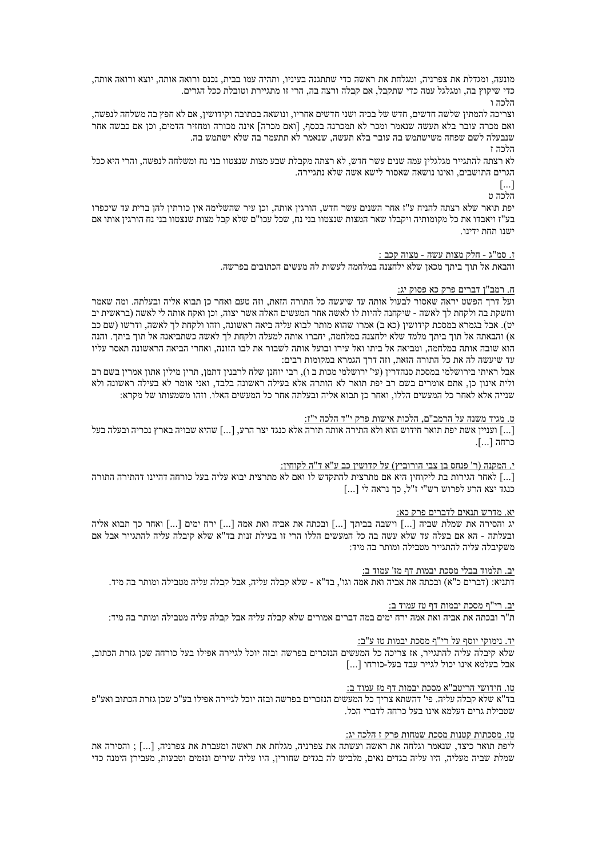מונעה, ומגדלת את צפרניה, ומגלחת את ראשה כדי שתתגנה בעיניו, ותהיה עמו בבית, נכנס ורואה אותה, יוצא ורואה אותה, כדי שיקוץ בה, ומגלגל עמה כדי שתקבל, אם קבלה ורצה בה, הרי זו מתגיירת וטובלת ככל הגרים.

הלכה ו

וצריכה להמתין שלשה חדשים, חדש של בכיה ושני חדשים אחריו, ונושאה בכתובה וקידושין, אם לא חפץ בה משלחה לנפשה, ואם מכרה עובר בלא תעשה שנאמר ומכר לא תמכרנה בכסף. [ואם מכרה] אינה מכורה ומחזיר הדמים. וכו אם כבשה אחר שנבעלה לשם שפחה משישתמש בה עובר בלא תעשה, שנאמר לא תתעמר בה שלא ישתמש בה. הלרה ז

לא רצתה להתגייר מגלגלין עמה שנים עשר חדש. לא רצתה מקבלת שבע מצות שנצטוו בני נח ומשלחה לנפשה. והרי היא ככל הגרים התושבים, ואינו נושאה שאסור לישא אשה שלא נתגיירה.

> $\lceil$ ...] הלכה ט

יפת תואר שלא רצתה להניח ע"ז אחר השנים עשר חדש, הורגין אותה, וכן עיר שהשלימה אין כורתין להן ברית עד שיכפרו בע"ז ויאבדו את כל מקומותיה ויקבלו שאר המצות שנצטוו בני נח. שכל עכו"ם שלא קבל מצות שנצטוו בני נח הורגין אותו אם ישנו תחת ידינו

ז. סמ"ג - חלק מצות עשה - מצוה קכב :

והבאת אל תוד ביתר מכאו שלא ילחצנה במלחמה לעשות לה מעשים הכתובים בפרשה

# ח. רמב"ן דברים פרק כא פסוק יג:

ועל דרך הפשט יראה שאסור לבעול אותה עד שיעשה כל התורה הזאת. וזה טעם ואחר כן תבוא אליה ובעלתה. ומה שאמר וחשקת בה ולקחת לך לאשה - שיקחנה להיות לו לאשה אחר המעשים האלה אשר יצוה, וכן ואקח אותה לי לאשה (בראשית יב יט). אבל בגמרא במסכת קידושין (כא ב) אמרו שהוא מותר לבוא עליה ביאה ראשונה, וזהו ולקחת לך לאשה, ודרשו (שם כב א) והבאתה אל תוך ביתך מלמד שלא ילחצנה במלחמה, יחברו אותה למעלה ולקחת לך לאשה כשתביאנה אל תוך ביתר. והנה הוא שובה אותה במלחמה, ומביאה אל ביתו ואל עירו ובועל אותה לשבור את לבו הזונה, ואחרי הביאה הראשונה תאסר עליו עד שיעשה לה את כל התורה הזאת, וזה דרך הגמרא במקומות רבים:

אבל ראיתי בירושלמי במסכת סנהדריו (עי' ירושלמי מכות ב ו). רבי יוחנו שלח לרבניו דתמו. תריו מיליו אתוו אמריו בשם רב ולית אינון כן, אתם אומרים בשם רב יפת תואר לא הותרה אלא בעילה ראשונה בלבד, ואני אומר לא בעילה ראשונה ולא שנייה אלא לאחר כל המעשים הללו, ואחר כן תבוא אליה ובעלתה אחר כל המעשים האלו. וזהו משמעותו של מקרא:

### ט. מגיד משנה על הרמב"ם, הלכות אישות פרק י"ד הלכה י"ז:

[...] ועניין אשת יפת תואר חידוש הוא ולא התירה אותה תורה אלא כנגד יצר הרע. [...] שהיא שבויה בארץ נכריה ובעלה בעל כרחה […].

י. המקנה (ר' פנחס בן צבי הורוביץ) על קדושין כב ע"א ד"ה לקוחין:

[…] לאחר הגירות בת ליקוחיו היא אם מתרצית להתקדש לו ואם לא מתרצית יבוא עליה בעל כורחה דהיינו דהתירה התורה. כנגד יצא הרע לפרוש רש"י ז"ל, כך נראה לי [...]

### יא. מדרש תנאים לדברים פרק כא:

יג והסירה את שמלת שביה [...] וישבה בביתך [...] ובכתה את אביה ואת אמה [...] ירח ימים [...] ואחר כך תבוא אליה ובעלתה - הא אם בעלה עד שלא עשה בה כל המעשים הללו הרי זו בעילת זנות בד"א שלא קיבלה עליה להתגייר אבל אם משקיבלה עליה להתגייר מטבילה ומותר בה מיד:

יב. תלמוד בבלי מסכת יבמות דף מז' עמוד ב:

דתניא: (דברים כ"א) ובכתה את אביה ואת אמה וגו', בד"א - שלא קבלה עליה, אבל קבלה עליה מטבילה ומותר בה מיד.

יב. רי"ף מסכת יבמות דף טז עמוד ב:

ת"ר ובכתה את אביה ואת אמה ירח ימים במה דברים אמורים שלא קבלה עליה אבל קבלה עליה מטבילה ומותר בה מיד:

# יד. נימוקי יוסף על רי"ף מסכת יבמות טז ע"ב:

שלא קיבלה עליה להתגייר, אז צריכה כל המעשים הנזכרים בפרשה ובזה יוכל לגיירה אפילו בעל כורחה שכן גזרת הכתוב, אבל בעלמא אינו יכול לגייר עבד בעל-כורחו [...]

טו. חידושי הריטב"א מסכת יבמות דף מז עמוד ב:

בד"א שלא קבלה עליה. פי' דהשתא צריך כל המעשים הנזכרים בפרשה ובזה יוכל לגיירה אפילו בע"כ שכן גזרת הכתוב ואע"פ שטבילת גרים דעלמא אינו בעל כרחה לדברי הכל.

# טז. מסכתות קטנות מסכת שמחו<u>ת פרק ז הלכה יג:</u>

ליפת תואר כיצד, שנאמר וגלחה את ראשה ועשתה את צפרניה, מגלחת את ראשה ומעברת את צפרניה, [...] ; והסירה את שמלת שביה מעליה. היו עליה בגדים נאים. מלביש לה בגדים שחוריו. היו עליה שירים ונזמים וטבעות. מעבירו הימנה כדי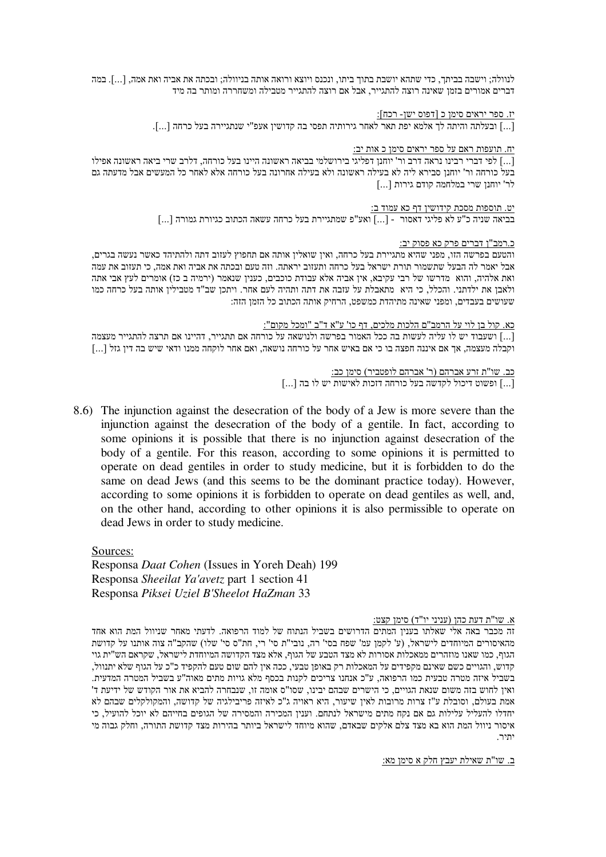לנוולה; וישבה בביתך, כדי שתהא יושבת בתוך ביתו, ונכנס ויוצא ורואה אותה בניוולה; ובכתה את אביה ואת אמה, […]. במה דברים אמורים בזמן שאינה רוצה להתגייר, אבל אם רוצה להתגייר מטבילה ומשחררה ומותר בה מיד

יז. ספר יראים סימן כ [דפוס ישן- רכח]:

[...] ובעלתה והיתה לך אלמא יפת תאר לאחר גירותיה תפסי בה קדושין אעפ"י שנתגיירה בעל כרחה [...].

יח. תועפות ראם על ספר יראים סימן כ<br/> אות יב:

[...] לפי דברי רבינו נראה דרב ור' יוחנן דפליגי בירושלמי בביאה ראשונה היינו בעל כורחה, דלרב שרי ביאה ראשונה אפילו בעל כורחה ור' יוחנן סבירא ליה לא בעילה ראשונה ולא בעילה אחרונה בעל כורחה אלא לאחר כל המעשים אבל מדעתה גם לר' יוחנו שרי במלחמה קודם גירות [...]

> יט. תוספות מסכת קידושין דף כא עמוד ב: בביאה שניה כ"ע לא פליגי דאסור - [...] ואע"פ שמתגיירת בעל כרחה עשאה הכתוב כגיורת גמורה [...]

> > כ.רמב"ן דברים פרק כא פסוק יב:

והטעם בפרשה הזו, מפני שהיא מתגיירת בעל כרחה, ואין שואלין אותה אם תחפוץ לעזוב דתה ולהתיהד כאשר נעשה בגרים. אבל יאמר לה הבעל שתשמור תורת ישראל בעל כרחה ותעזוב יראתה. וזה טעם ובכתה את אביה ואת אמה. כי תעזוב את עמה ואת אלהיה, והוא מדרשו של רבי עקיבא, אין אביה אלא עבודת כוכבים, כענין שנאמר (ירמיה ב כז) אומרים לעץ אבי אתה ולאבן את ילדתני. והכלל, כי היא מתאבלת על עזבה את דתה ותהיה לעם אחר. ויתכן שב"ד מטבילין אותה בעל כרחה כמו שעושים בעבדים, ומפני שאינה מתיהדת כמשפט, הרחיק אותה הכתוב כל הזמן הזה:

כא. קול בן לוי על הרמב"ם הלכות מלכים, דף כו' ע"א ד"ב "ומכל מקום":

[...] ושעבוד יש לו עליה לעשות בה ככל האמור בפרשה ולנושאה על כורחה אם תתגייר, דהיינו אם תרצה להתגייר מעצמה וקבלה מעצמה, אך אם איננה חפצה בו כי אם באיש אחר על כורחה נושאה, ואם אחר לוקחה ממנו ודאי שיש בה דין גזל [...]

> כב. שו"ת זרע אברהם (ר' אברהם לופטביר) סימן כב:  $\left[\ldots\right]$ ופשוט דיכול לקדשה בעל כורחה דזכות לאישות יש לו בה [...]

8.6) The injunction against the desecration of the body of a Jew is more severe than the injunction against the desecration of the body of a gentile. In fact, according to some opinions it is possible that there is no injunction against desecration of the body of a gentile. For this reason, according to some opinions it is permitted to operate on dead gentiles in order to study medicine, but it is forbidden to do the same on dead Jews (and this seems to be the dominant practice today). However, according to some opinions it is forbidden to operate on dead gentiles as well, and, on the other hand, according to other opinions it is also permissible to operate on dead Jews in order to study medicine.

Sources: Responsa Daat Cohen (Issues in Yoreh Deah) 199 Responsa Sheeilat Ya'avetz part 1 section 41 Responsa Piksei Uziel B'Sheelot HaZman 33

א. שו"ת דעת כהן (עניני יו"ד) סימן קצט:

זה מכבר באה אלי שאלתו בענין המתים הדרושים בשביל הנתוח של למוד הרפואה. לדעתי מאחר שניוול המת הוא אחד מהאיסורים המיוחדים לישראל, (ע' לקמן עמ' שפח בסי' רה, נובי"ת סי' רי, חת"ס סי' שלו) שהקב"ה צוה אותנו על קדושת הגוף. כמו שאנו מוזהרים ממאכלות אסורות לא מצד הטבע של הגוף, אלא מצד הקדושה המיוחדת לישראל, שקראם הש"ית גוי קדוש, והגויים כשם שאינם מקפידים על המאכלות רק באופן טבעי, ככה אין להם שום טעם להקפיד כ"כ על הגוף שלא יתנוול, בשביל איזה מטרה טבעית כמו הרפואה, ע"כ אנחנו צריכים לקנות בכסף מלא גויות מתים מאוה"ע בשביל המטרה המדעית. ואין לחוש בזה משום שנאת הגויים, כי הישרים שבהם יבינו, שסו"ס אומה זו, שנבחרה להביא את אור הקודש של ידיעת ד' אמת בעולם, וסובלת ע"ז צרות מרובות לאין שיעור, היא ראויה ג"כ לאיזה פריבילגיה של קדושה, והמקולקלים שבהם לא יחדלו להעליל עלילות גם אם נקח מתים מישראל לנתחם. וענין המכירה והמסירה של הגופים בחייהם לא יוכל להועיל, כי איסור ניוול המת הוא בא מצד צלם אלקים שבאדם, שהוא מיוחד לישראל ביותר בהירות מצד קדושת התורה, וחלק גבוה מי יתיר.

<u>ב. שו"ת שאילת יעבץ חלק א סימן מא:</u>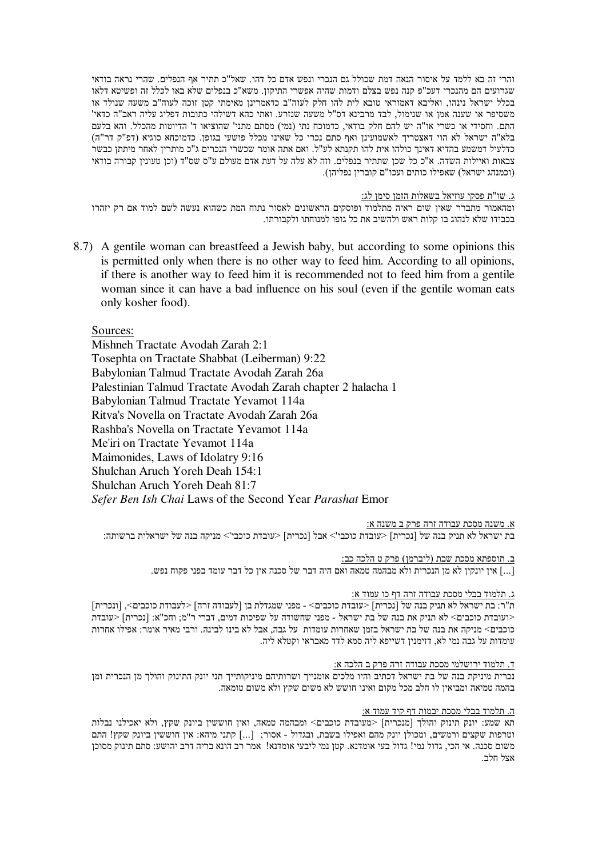והרי זה בא ללמד על איסור הנאה דמת שכולל גם הנכרי ונפש אדם כל דהו. שאל"כ תתיר אף הנפלים. שהרי נראה בודאי שגרועים הם מהנכרי דעכ"פ קנה נפש בצלם ודמות שהיה אפשרי התיקוו. משא"כ בנפלים שלא באו לכלל זה ופשיטא דלאו בכלל ישראל נינהו, ואליבא דאמוראי טובא לית להו חלק לעוה"ב כדאמרינן מאימתי קטן זוכה לעוה"ב משעה שנולד או משסיפר או שענה אמן או שנימול, לבד מרבינא דס"ל משעה שנזרע. ואתי כהא דשילהי כתובות דפליג עליה ראב"ה כדאי" התם. וחסידי או כשרי או"ה יש להם חלק בודאי, כדמוכח נתי (נמי) מסתם מתני' שהוציאו ד' הדיוטות מהכלל. והא בלעם בלא"ה ישראל לא הוי דאצטריך לאשמועינן ואף סתם נכרי כל שאינו מכלל פושעי בגופן. כדמוכחא סוגיא (דפ"ק דר"ה) כדלעיל דמשמע בהדיא דאינך כולהו אית להו תקנתא לע"ל. ואם אתה אומר שכשרי הנכרים ג"כ מותרין לאחר מיתתן כבשר צבאות ואיילות השדה. א"כ כל שכן שתתיר בנפלים. וזה לא עלה על דעת אדם מעולם ע"ס שס"ד (וכן טעונין קבורה בודאי (וכמנהג ישראל) שאפילו כותים ועכו"ם קוברין נפליהן).

ג. שו"ת פסקי עוזיאל בשאלות הזמן סימן לג:

ומהאמור מתברר שאין שום ראיה מתלמוד ופוסקים הראשונים לאסור נתוח המת כשהוא נעשה לשם למוד אם רק יזהרו בכבודו שלא לנהוג בו קלות ראש ולהשיב את כל גופו למנוחתו ולקבורתו.

8.7) A gentile woman can breastfeed a Jewish baby, but according to some opinions this is permitted only when there is no other way to feed him. According to all opinions, if there is another way to feed him it is recommended not to feed him from a gentile woman since it can have a bad influence on his soul (even if the gentile woman eats only kosher food).

Sources:

Mishneh Tractate Avodah Zarah 2:1 Tosephta on Tractate Shabbat (Leiberman) 9:22 Babylonian Talmud Tractate Avodah Zarah 26a Palestinian Talmud Tractate Avodah Zarah chapter 2 halacha 1 Babylonian Talmud Tractate Yevamot 114a Ritva's Novella on Tractate Avodah Zarah 26a Rashba's Novella on Tractate Yevamot 114a Me'iri on Tractate Yevamot 114a Maimonides, Laws of Idolatry 9:16 Shulchan Aruch Yoreh Deah 154:1 Shulchan Aruch Yoreh Deah 81:7 Sefer Ben Ish Chai Laws of the Second Year Parashat Emor

<u>א. משנה מסכת עבודה זרה פרק ב משנה א:</u>

בת ישראל לא תניק בנה של [נכרית] <עובדת כוכבי'> אבל [נכרית] <עובדת כוכבי'> מניקה בנה של ישראלית ברשותה:

<u>ב. תוספתא מסכת שבת (ליברמן) פרק ט הלכה כב:</u>

[...] אין יונקין לא מן הנכרית ולא מבהמה טמאה ואם היה דבר של סכנה אין כל דבר עומד בפני פקוח נפש.

### ג. תלמוד בבלי מסכת עבודה זרה דף כו עמוד א:

ת"ר: בת ישראל לא תניק בנה של [נכרית] <עובדת כוכבים> - מפני שמגדלת בן [לעבודה זרה] <לעבודת כוכבים>, [ונכרית] <ועובדת כוכבים> לא תניק את בנה של בת ישראל - מפני שחשודה על שפיכות דמים, דברי ר"מ; וחכ"א: [נכרית] <עובדת כוכבים> מניקה את בנה של בת ישראל בזמן שאחרות עומדות על גבה, אבל לא בינו לבינה. ורבי מאיר אומר: אפילו אחרות עומדות על גבה נמי לא, דזימנין דשייפא ליה סמא לדד מאבראי וקטלא ליה.

### ד. תלמוד ירושלמי מסכת עבודה זרה פרק ב הלכה א:

נכרית מיניקת בנה של בת ישראל דכתיב והיו מלכים אומנייך ושרותיהם מיניקותייך תני יונק התינוק והולך מן הנכרית ומן בהמה טמיאה ומביאיו לו חלב מכל מקום ואינו חושש לא משום שקץ ולא משום טומאה.

### ה. תלמוד בבלי מסכת יבמות דף קיד עמוד א:

תא שמע: יונק תינוק והולד [מנכרית] <מעובדת כוכבים> ומבהמה טמאה, ואיז חוששיו ביונק שקץ, ולא יאכילנו נבלות וטרפות שקצים ורמשים, ומכולן יונק מהם ואפילו בשבת, ובגדול - אסור; [...] קתני מיהא: אין חוששין ביונק שקץ! התם משום סכנה. אי הכי, גדול נמי! גדול בעי אומדנא. קטן נמי ליבעי אומדנא! אמר רב הונא בריה דרב יהושע: סתם תינוק מסוכן אצל חלב.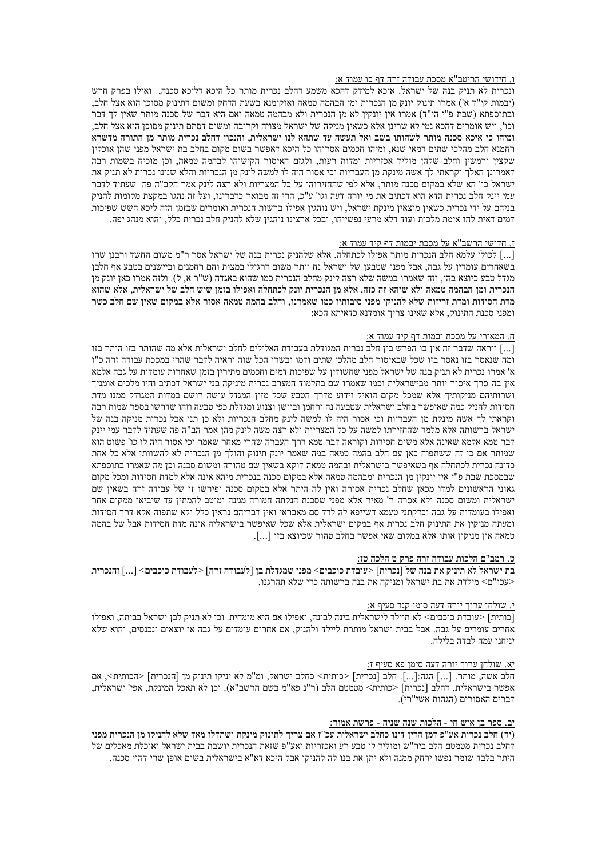### ו. חידושי הריטב"א מסכת עבודה זרה דף כו עמוד א:

ונכרית לא תניק בנה של ישראל. איכא למידק דהכא משמע דחלב נכרית מותר כל היכא דליכא סכנה. ואילו בפרק חרש (יבמות קי"ד א') אמרו תינוק יונק מן הנכרית ומן הבהמה טמאה ואוקימנא בשעת הדחק ומשום דתינוק מסוכן הוא אצל חלב, ובתוספתא (שבת פ"י הי"ד) אמרו אין יונקין לא מן הנכרית ולא מבהמה טמאה ואם היא דבר של סכנה מותר שאין לך דבר וכו', ויש אומרים דהכא נמי לא שרינן אלא כשאין מניקה של ישראל מצויה וקרובה ומשום דסתם תינוק מסוכן הוא אצל חלב, ומיהו כי איכא סכנה מותר לשהותו בשב ואל תעשה עד שתהא לנו ישראלית, והנכון דחלב נכרית מותר מן התורה מדשרא רחמנא חלב מהלכי שתים דמאי שנא. ומיהו חכמים אסרוהו כל היכא דאפשר בשום מקום בחלב בת ישראל מפני שהן אוכליו שקצין ורמשין וחלב שלהן מוליד אכזריות ומדות רעות, ולגזם האיסור הקישוהו לבהמה טמאה, וכן מוכיח בשמות רבה דאמרינן האלך וקראתי לך אשה מינקת מן העבריות וכי אסור היה לו למשה לינק מן הנכריות והלא שנינו נכרית לא תניק את ישראל כו' הא שלא במקום סכנה מותר. אלא לפי שהחזירוהו על כל המצריות ולא רצה לינק אמר הקב"ה פה "שעתיד לדבר עמי יינק חלב נכרית הדא הוא דכתיב את מי יורה דעה וגו' ע"כ, הרי זה מבואר כדברינו, ועל זה נהגו במקצת מקומות להניק בניהם על ידי נכרית כשאין מוצאין מינקת ישראל, ויש נוהגין אפילו ברשות הנכרית ואומרים שבזמן הזה ליכא חשש שפיכות דמים דאית להו אימת מלכות ועוד דלא מרעי נפשייהו, ובכל ארצינו נוהגין שלא להניק חלב נכרית כלל, והוא מנהג יפה.

### ז. חדושי הרשב"א על מסכת יבמות דף קיד עמוד א:

[...] לכולי עלמא חלב הנכרית מותר אפילו לכתחלה, אלא שלהניק נכרית בנה של ישראל אסר ר"מ משום החשד ורבנו שרו בשאחרים עומדיו על גבה. אבל מפני שטבעו של ישראל נח יותר משום דרגילי במצות והם רחמנים וביישנים בטבע אף חלבו מגדל טבע כיוצא בהן, וזה שאמרו במשה שלא רצה לינק מחלב הנכרית כמו שהוא באגדה (ש"ר א, ל). ולזה אמרו כאן יונק מן הנכרית ומן הבהמה טמאה ולא שיהא זה כזה, אלא מן הנכרית יונק לכתחלה ואפילו בזמן שיש חלב של ישראלית, אלא שהוא מדת חסידות ומדת זריזות שלא להניקו מפני סיבותיו כמו שאמרנו, וחלב בהמה טמאה אסור אלא במקום שאין שם חלב כשר ומפני סכנת התינוק, אלא שאינו צריך אומדנא כדאיתא הכא:

### ח. המאירי על מסכת יבמות דף קיד עמוד א:

[...] ויראה שדבר זה אין בו הפרש בין חלב נכרית המגודלת בעבודת האלילים לחלב ישראלית אלא מה שהותר בזו הותר בזו ומה שנאסר בזו נאסר בזו שכל שבאיסור חלב מהלכי שתים ודמו ובשרו הכל שוה וראיה לדבר שהרי במסכת עבודה זרה כ"ו א' אמרו נכרית לא תניק בנה של ישראל מפני שחשודיו על שפיכות דמים וחכמים מתיריו בזמו שאחרות עומדות על גבה אלמא איו בה סרך איסור יותר מבישראלית וכמו שאמרו שם בתלמוד המערב נכרית מיניקה בני ישראל דכתיב והיו מלכים אומניך ושרותיהם מניקותיך אלא שמכל מקום הואיל וידוע מדרך הטבע שכל מזון המגדל עושה רושם במדות המגודל ממנו מדת חסידות להניק כמה שאיפשר בחלב ישראלית שטבעה נח ורחמן וביישן וצנוע ומגדלת כפי טבעה וזהו שדרשו בספר שמות רבה וקראתי לך אשה מינקת מן העבריות וכי אסור היה לו למשה לינק מחלב הנכריות ולא כן תני אבל נכרית מניקה בנה של ישראל ברשותה אלא מלמד שהחזירתו למשה על כל המצריות ולא רצה משה לינק מהן אמר הב"ה פה שעתיד לדבר עמי יינק דבר טמא אלמא שאינה אלא משום חסידות וקוראה דבר טמא דרד העברה שהרי מאחר שאמר וכי אסור היה לו כו' פשוט הוא שמותר אם כן זה ששתפוה כאן עם חלב בהמה טמאה במה שאמר יונק תינוק והולך מן הנכרית לא להשוותן אלא כל אחת כדינה נכרית לכתחלה אף בשאיפשר בישראלית ובהמה טמאה דוקא בשאין שם טהורה ומשום סכנה וכן מה שאמרו בתוספתא שבמסכת שבת פ"י איז יונקיז מז הנכרית ומבהמה טמאה אלא במקום סכנה בנכרית מיהא אינה אלא למדת חסידות ומכל מקום גאוני הראשונים למדו מכאן שחלב נכרית אסורה ואין לה היתר אלא במקום סכנה ופירשו זו של עבודה זרה בשאין שם ישראלית ומשום סכנה ולא אסרה ר' מאיר אלא מפני שסכנת הנקתה חמורה ממנה ומוטב להמתיו עד שיביאו ממקום אחר ואפילו בעומדות על גבה וכדקתני טעמא דשייפא לה לדד סם מאבראי ואיז דבריהם נראיז כלל ולא שתפוה אלא דרד חסידות ומעתה מניקין את התינוק חלב נכרית אף במקום ישראלית אלא שכל שאיפשר בישראליה אינה מדת חסידות אבל של בהמה ...] ממאה אין מניקין אותו אלא במקום שאי אפשר בחלב טהור שכיוצא בזו

# ט. רמב"ם הלכות עבודה זרה פרק ט הלכה טז:

<עכו"ם> מילדת את בת ישראל ומניקה את בנה ברשותה כדי שלא תהרגנו.

# י. שולחו ערוך יורה דעה סימן קנד סעיף א:

[כותית] <עובדת כוכבים> לא תיילד לישראלית בינה לבינה. ואפילו אם היא מומחית. וכו לא תניק לבו ישראל בביתה. ואפילו אחרים עומדים על גבה. אבל בבית ישראל מותרת ליילד ולהניק, אם אחרים עומדים על גבה או יוצאים ונכנסים, והוא שלא יניחנו עמה לבדה בלילה.

### יא. שולחן ערוך יורה דעה סימן פא סעיף ז:

חלב אשה, מותר. [...] הגה:[...]. חלב [נכרית] <כותית> כחלב ישראל, ומ"מ לא יניקו תינוק מן [הנכרית] <הכותית>, אם אפשר בישראלית. דחלב [נכרית] <כותית> מסמטם הלב (ר"נ פא"מ בשם הרשב"א). וכו לא תאכל המינקת. אפי' ישראלית. דברים האסורים (הגהות אשי"רי).

### יב. ספר בו איש חי - הלכות שנה שניה - פרשת אמור:

(יד) חלב נכרית אע"פ דמו הדיו דינו כחלב ישראלית עכ"ז אם צריד לתינוק מינקת ישתדלו מאד שלא להניקו מו הנכרית מפני דחלב נכרית מטמטם הלב ביר"ש ומוליד לו טבע רע ואכזריות ואע"פ שזאת הנכרית יושבת בבית ישראל ואוכלת מאכלים של היתר בלבד שומר נפשו ירחק ממנה ולא יתו את בנו לה להניקו אבל היכא דא"א בישראלית בשום אופו שרי דהוי סכנה.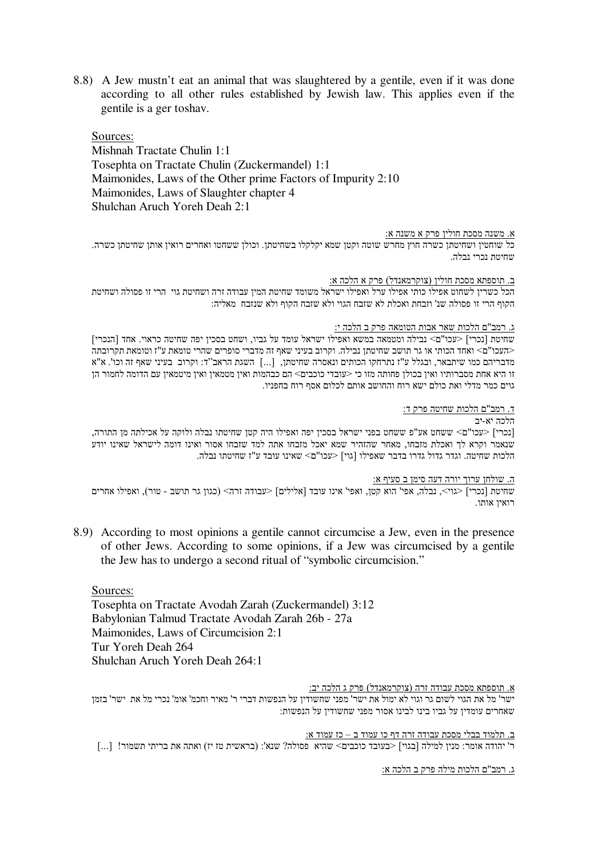8.8) A Jew mustn't eat an animal that was slaughtered by a gentile, even if it was done according to all other rules established by Jewish law. This applies even if the gentile is a ger toshav.

Sources: Mishnah Tractate Chulin 1:1 Tosephta on Tractate Chulin (Zuckermandel) 1:1 Maimonides, Laws of the Other prime Factors of Impurity 2:10 Maimonides, Laws of Slaughter chapter 4 Shulchan Aruch Yoreh Deah 2:1

# <u>א. משנה מסכת חולין פרק א משנה א:</u>

כל שוחטין ושחיטתן כשרה חוץ מחרש שוטה וקטן שמא יקלקלו בשחיטתן. וכולן ששחטו ואחרים רואין אותן שחיטתן כשרה. שחיטת נכרי נבלה.

### ב. תוספתא מסכת חולין (צוקרמאנדל) פרק א הלכה א:

הכל כשרין לשחוט אפילו כותי אפילו ערל ואפילו ישראל משומד שחיטת המין עבודה זרה ושחיטת גוי –הי זו פסולה ושחיטת הקוף הרי זו פסולה שנ' וזבחת ואכלת לא שזבח הגוי ולא שזבח הקוף ולא שנזבח מאליה:

### ג. רמב"ם הלכות שאר אבות הטומאה פרק ב הלכה י:

שחיטת [נכרי] <עכו"ם> נבילה ומטמאה במשא ואפילו ישראל עומד על גביו, ושחט בסכין יפה שחיטה כראוי. אחד [הנכרי] <העכו"ם> ואחד הכותי או גר תושב שחיטתן נבילה. וקרוב בעיני שאף זה מדברי סופרים שהרי טומאת ע"ז וטומאת תקרובתה מדבריהם כמו שיתבאר, ובגלל ע"ז נתרחקו הכותים ונאסרה שחיטתן, [...] השגת הראב׳׳ד: וקרוב בעיני שאף זה וכו'. א"א זו היא אחת מסברותיו ואיז בכולו פחותה מזו כי <עובדי כוכבים> הם כבהמות ואיז מטמאיו ואיז מיטמאיו עם הדומה לחמור הו גוים כמר מדלי ואת כולם ישא רוח והחושב אותם לכלום אסף רוח בחפניו.

# ד. רמב"ם הלכות שחיטה פרק ד:

# הלכה יא-יב

|נכרי] <עכו"ם> ששחט אע"פ ששחט בפני ישראל בסכין יפה ואפילו היה קטן שחיטתו נבלה ולוקה על אכילתה מן התורה, שנאמר וקרא לך ואכלת מזבחו, מאחר שהזהיר שמא יאכל מזבחו אתה למד שזבחו אסור ואינו דומה לישראל שאינו יודע הלכות שחיטתו נבלה. היול גדרו בדבר שאפילו [גוי] <עכו"ם> שאינו עובד ע"ז שחיטתו נבלה.

#### .ה. שולחן ערוך יורה דעה סימן ב סעיף א:

שחיטת [נכרי] <גוי>, נבלה, אפי' הוא קטן, ואפי' אינו עובד [אלילים] <עבודה זרה> (כגון גר תושב - טור), ואפילו אחרים רואין אותו.

8.9) According to most opinions a gentile cannot circumcise a Jew, even in the presence of other Jews. According to some opinions, if a Jew was circumcised by a gentile the Jew has to undergo a second ritual of "symbolic circumcision."

Sources: Tosephta on Tractate Avodah Zarah (Zuckermandel) 3:12 Babylonian Talmud Tractate Avodah Zarah 26b - 27a Maimonides, Laws of Circumcision 2:1 Tur Yoreh Deah 264 Shulchan Aruch Yoreh Deah 264:1

### א. תוספתא מסכת עבודה זרה (צוקרמאנדל) פרק ג הלכה יב:

ישר' מל את הגוי לשום גר וגוי לא ימול את ישר' מפני שחשודין על הנפשות דברי ר' מאיר וחכמ' אומ' נכרי מל את ישר' בזמן שאחרים עומדין על גביו בינו לבינו אסור מפני שחשודין על הנפשות:

<u>ב. תלמוד בבלי מסכת עבודה זרה דף כו עמוד ב – כז עמוד א:</u> ר' יהודה אומר: מנין למילה [בגוי] <בעובד כוכבים> שהיא פסולה? שנא': (בראשית טז יז) ואתה את בריתי תשמור! [...]

ג. רמב"ם הלכות מילה פרק ב הלכה א: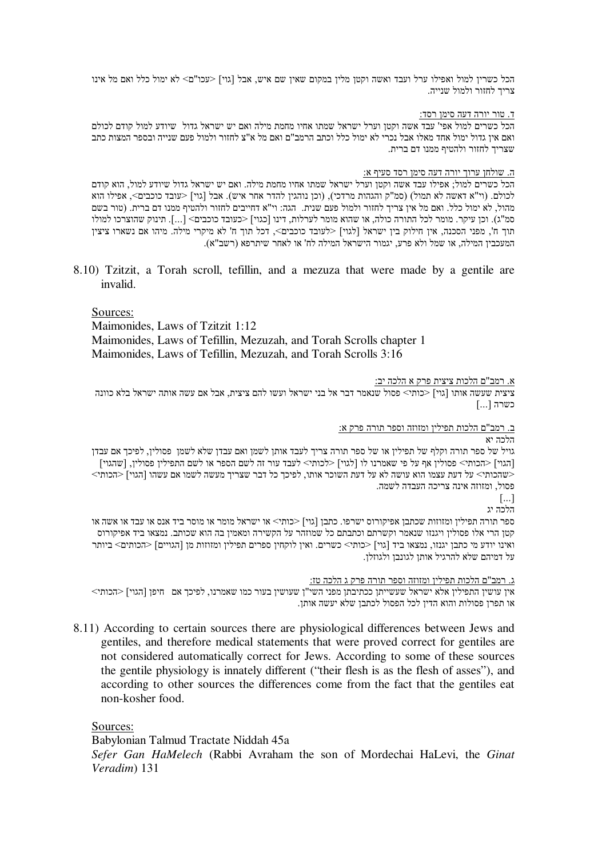הכל כשרין למול ואפילו ערל ועבד ואשה וקטן מלין במקום שאין שם איש, אבל [גוי] <עכו"ם> לא ימול כלל ואם מל אינו צריד לחזור ולמול שנייה.

# ד. טור יורה דעה סימן רסד:

הכל כשרים למול אפי' עבד אשה וקטן וערל ישראל שמתו אחיו מחמת מילה ואם יש ישראל גדול שיודע למול קודם לכולם ואם אין גדול ימול אחד מאלו אבל נכרי לא ימול כלל וכתב הרמב"ם ואם מל א"צ לחזור ולמול פעם שנייה ובספר המצות כתב שצריך לחזור ולהטיף ממנו דם ברית.

# <u>ה. שולחן ערוך יורה דעה סימן רסד סעיף א:</u>

הכל כשרים למול; אפילו עבד אשה וקטן וערל ישראל שמתו אחיו מחמת מילה. ואם יש ישראל גדול שיודע למול, הוא קודם לכולם. (וי"א דאשה לא תמול) (סמ"ק והגהות מרדכי), (וכן נוהגין להדר אחר איש). אבל [גוי] <עובד כוכבים>, אפילו הוא מהול, לא ימול כלל. ואם מל אין צריך לחזור ולמול פעם שנית. הגה: וי"א דחייבים לחזור ולהטיף ממנו דם ברית. (טור בשם סמ"ג). וכן עיקר. מומר לכל התורה כולה, או שהוא מומר לערלות, דינו [כגוי] <כעובד כוכבים> […]. תינוק שהוצרכו למולו תוך ח', מפני הסכנה, אין חילוק בין ישראל [לגוי] <לעובד כוכבים>, דכל תוך ח' לא מיקרי מילה. מיהו אם נשארו ציצין המעכבין המילה, או שמל ולא פרע, יגמור הישראל המילה לח' או לאחר שיתרפא (רשב"א).

8.10) Tzitzit, a Torah scroll, tefillin, and a mezuza that were made by a gentile are invalid.

Sources: Maimonides, Laws of Tzitzit 1:12 Maimonides, Laws of Tefillin, Mezuzah, and Torah Scrolls chapter 1 Maimonides, Laws of Tefillin, Mezuzah, and Torah Scrolls 3:16

# <u>א. רמב"ם הלכות ציצית פרק א הלכה יב:</u>

ציצית שעשה אותו [גוי] <כותי> פסול שנאמר דבר אל בני ישראל ועשו להם ציצית, אבל אם עשה אותה ישראל בלא כוונה כשרה [...]

<u>ב. רמב"ם הלכות תפילין ומזוזה וספר תורה פרק א:</u>

הלכה יא

גויל של ספר תורה וקלף של תפילין או של ספר תורה צריך לעבד אותן לשמן ואם עבדן שלא לשמן פסולין, לפיכך אם עבדן [הגוי] <הכותי> פסולין אף על פי שאמרנו לו [לגוי] <לכותי> לעבד עור זה לשם הספר או לשם התפילין פסולין, [שהגוי] <שהכותי> על דעת עצמו הוא עושה לא על דעת השוכר אותו, לפיכך כל דבר שצריך מעשה לשמו אם עשהו [הגוי] <הכותי> פסול, ומזוזה אינה צריכה העבדה לשמה.

 $\left[\ldots\right]$ 

הלכה יג

ספר תורה תפילין ומזוזות שכתבן אפיקורוס ישרפו. כתבן [גוי] <כותי> או ישראל מומר או מוסר ביד אנס או עבד או אשה או קטן הרי אלו פסולין ויגנזו שנאמר וקשרתם וכתבתם כל שמוזהר על הקשירה ומאמין בה הוא שכותב. נמצאו ביד אפיקורוס ואינו יודע מי כתבן יגנזו, נמצאו ביד [גוי] <כותי> כשרים. ואין לוקחין ספרים תפילין ומזוזות מן [הגויים] <הכותים> ביותר על דמיהם שלא להרגיל אותן לגונבן ולגוזלן.

<u>ג. רמב"ם הלכות תפילין ומזוזה וספר תורה פרק ג הלכה טז:</u>

אין עושין התפילין אלא ישראל שעשייתן ככתיבתן מפני השי"ן שעושין בעור כמו שאמרנו, לפיכך אם -חיפן [הגוי] <הכותי> או תפרן פסולות והוא הדין לכל הפסול לכתבן שלא יעשה אותן.

8.11) According to certain sources there are physiological differences between Jews and gentiles, and therefore medical statements that were proved correct for gentiles are not considered automatically correct for Jews. According to some of these sources the gentile physiology is innately different ("their flesh is as the flesh of asses"), and according to other sources the differences come from the fact that the gentiles eat non-kosher food.

Sources:

Babylonian Talmud Tractate Niddah 45a

*Sefer Gan HaMelech* (Rabbi Avraham the son of Mordechai HaLevi, the *Ginat Veradim*) 131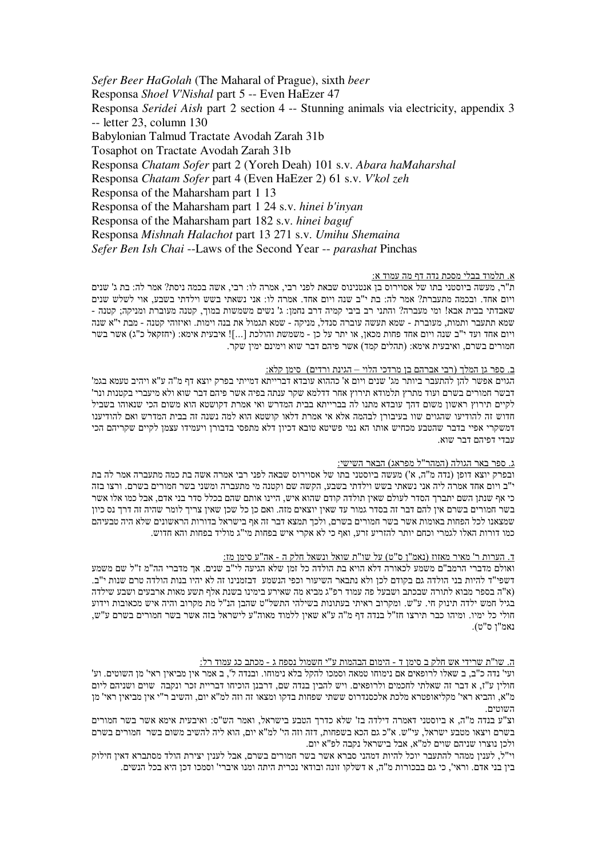Sefer Beer HaGolah (The Maharal of Prague), sixth beer Responsa Shoel V'Nishal part 5 -- Even HaEzer 47 Responsa Seridei Aish part 2 section 4 -- Stunning animals via electricity, appendix 3  $-$  letter 23, column 130 Babylonian Talmud Tractate Avodah Zarah 31b Tosaphot on Tractate Avodah Zarah 31b Responsa Chatam Sofer part 2 (Yoreh Deah) 101 s.v. Abara haMaharshal Responsa Chatam Sofer part 4 (Even HaEzer 2) 61 s.v. V'kol zeh Responsa of the Maharsham part 1 13 Responsa of the Maharsham part 1 24 s.v. *hinei b'invan* Responsa of the Maharsham part 182 s.v. hinei baguf Responsa Mishnah Halachot part 13 271 s.v. Umihu Shemaina Sefer Ben Ish Chai --Laws of the Second Year -- parashat Pinchas

### א. תלמוד בבלי מסכת נדה דף מה עמוד א:

ת"ר, מעשה ביוסטני בתו של אסוירוס בן אנטנינוס שבאת לפני רבי, אמרה לו: רבי, אשה בכמה ניסת? אמר לה: בת ג' שנים ויום אחד. ובכמה מתעברת? אמר לה: בת י"ב שנה ויום אחד. אמרה לו: אני נשאתי בשש וילדתי בשבע. אוי לשלש שנים שאבדתי בבית אבא! ומי מעברה? והתני רב ביבי קמיה דרב נחמן: ג' נשים משמשות במוך, קטנה מעוברת ומניקה; קטנה -שמא תתעבר ותמות, מעוברת - שמא תעשה עוברה סנדל, מניקה - שמא תגמול את בנה וימות. ואיזוהי קטנה - מבת י"א שנה ויום אחד ועד י"ב שנה ויום אחד פחות מכאן. או יתר על כן - משמשת והולכת [...]! איבעית אימא: (יחזקאל כ"ג) אשר בשר חמורים בשרם, ואיבעית אימא: (תהלים קמד) אשר פיהם דבר שוא וימינם ימיו שקר.

### ב. ספר גן המלך (רבי אברהם בן מרדכי הלוי – הגינת ורדים) סימן קלא:

הגוים אפשר להן להתעבר ביותר מג' שנים ויום א' כההוא עובדא דברייתא דמייתי בפרק יוצא דף מ"ה ע"א ויהיב טעמא בגמ' דבשר חמורים בשרם ועוד מתרץ תלמודא תירוץ אחר דדלמא שקר ענתה בפיה אשר פיהם דבר שוא ולא מיעברי בקטנות ונר' לקיים תירוץ ראשון משום דהך עובדא מתנו לה בברייתא בבית המדרש ואי אמרת דקושטא הוא משום הכי שנאוהו בשביל חדוש זה להודיעו שהגוים שוו בעיבורן לבהמה אלא אי אמרת דלאו קושטא הוא למה נשנה זה בבית המדרש ואם להודיענו דמשקרי אפיי בדבר שהטבע מכחיש אותו הא נמי פשיטא טובא דכיון דלא מתפסי בדבורן ויעמידו עצמן לקיים שקריהם הכי עבדי דפיהם דבר שוא.

### ג. ספר באר הגולה (המהר"ל מפראג) הבאר השישי:

ובפרק יוצא דופן (נדה מ"ה, א') מעשה ביוסטני בתו של אסוירוס שבאה לפני רבי אמרה אשה בת כמה מתעברה אמר לה בת י"ב ויום אחד אמרה ליה אני נשאתי בשש וילדתי בשבע, הקשה שם וקטנה מי מתעברה ומשני בשר חמורים בשרם. ורצו בזה כי אף שנתן השם יתברך הסדר לעולם שאין תולדה קודם שהוא איש, היינו אותם שהם בכלל סדר בני אדם, אבל כמו אלו אשר בשר חמורים בשרם אין להם דבר זה בסדר גמור עד שאין יוצאים מזה. ואם כן כל שכן שאין צריך לומר שהיה זה דרך נס כיון שמצאנו לכל הפחות באומות אשר בשר חמורים בשרם, ולכך תמצא דבר זה אף בישראל בדורות הראשונים שלא היה טבעיהם כמו דורות האלו לגמרי וכחם יותר להזריע זרע. ואף כי לא אקרי איש בפחות מי"ג מוליד בפחות והא חדוש.

### ד. הערות ר' מאיר מאזוז (נאמ"ן ס"ט) על שו"ת שואל ונשאל חלק ה - אה"ע סימן מז:

ואולם מדברי הרמב"ם משמע לכאורה דלא הויא בת הולדה כל זמן שלא הגיעה לי"ב שנים. אך מדברי הה"מ ז"ל שם משמע דשפי"ד להיות בני הולדה גם בקודם לכו ולא נתבאר השיעור וכפי הנשמע. דבזמנינו זה לא יהיו בנות הולדה טרם שנות י"ב. (א"ה בספר מבוא לתורה שבכתב ושבעל פה עמוד רפ"ג מביא מה שאירע בימינו בשנת אלף תשע מאות ארבעים ושבע שילדה בגיל חמש ילדה תינוק חי. ע"ש. ומקרוב ראיתי בעתונות בשילהי התשל"ט שהבן הנ"ל מת מקרוב והיה איש מכאובות וידוע חולי כל ימיו. ומיהו כבר תירצו חז"ל בנדה דף מ"ה ע"א שאין ללמוד מאוה"ע לישראל בזה אשר בשר חמורים בשרם ע"ש, נאמ"ן ס"ט).

# <u>ה. שו"ת שרידי אש חלק ב סימן ד - הימום הבהמות ע"י חשמול נספח ג - מכתב כג עמוד רל:</u>

ועי' נדה כ"ב, ב שאלו לרופאים אם נימוחו טמאה וסמכו להקל בלא נימוחו. ובנדה ל', ב אמר אין מביאין ראי' מן השוטים. וע' חולין ע"ז, א דבר זה שאלתי לחכמים ולרופאים. ויש להבין בנדה שם, דרבנן הוכיחו דבריית זכר ונקבה שוים ושניהם ליום מ"א, והביא ראי' מקליאופטרא מלכת אלכסנדרוס ששתי שפחות בדקו ומצאו זה וזה למ"א יום. והשיב ר"י אין מביאין ראי' מן השוטים.

וצ"ע בנדה מ"ה. א ביוסטני דאמרה דילדה בז' שלא כדרד הטבע בישראל. ואמר הש"ס: ואיבעית אימא אשר בשר חמורים בשרם ויצאו מטבע ישראל, עי"ש. א"כ גם הכא בשפחות, דזה וזה הי' למ"א יום, הוא ליה להשיב משום בשר חמורים בשרם ולכן נוצרו שניהם שוים למ"א, אבל בישראל נקבה לפ"א יום.

וי"ל, לענין ממהר להתעבר יוכל להיות דמהני סברא אשר בשר חמורים בשרם, אבל לענין יצירת הולד מסתברא דאין חילוק בין בני אדם. וראי', כי גם בבכורות מ"ה, א דשלקו זונה ובודאי נכרית היתה ומנו איברי' וסמכו דכן היא בכל הנשים.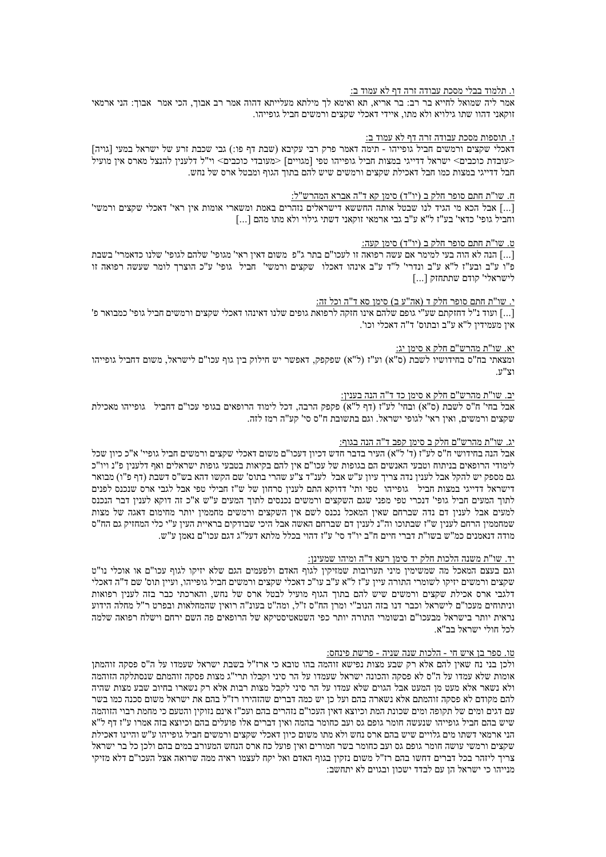## <u>ו. תלמוד בבלי מסכת עבודה זרה דף לא עמוד ב:</u>

אמר ליה שמואל לחייא בר רב: בר אריא, תא ואימא לך מילתא מעלייתא דהוה אמר רב אבוך, הכי אמר אבוך: הני ארמאי זוקאני דהוו שתו גילויא ולא מתו, איידי דאכלי שקצים ורמשים חביל גופייהו.

### <u>ז. תוספות מסכת עבודה זרה דף לא עמוד ב:</u>

דאכלי שקצים ורמשים חביל גופייהו - תימה דאמר פרק רבי עקיבא (שבת דף פו:) גבי שכבת זרע של ישראל במעי [גויה]  $\bar{S}$ וי"ל דלענין להנצל מארס אין מועיל במצות חביל אופייהו טפי המגוויים] למעובדי כוכבים> וי"ל אונצל אופיל מארס מ חבל דדייגי במצות כמו חבל דאכילת שקצים ורמשים שיש להם בתוך הגוף ומבטל ארס של נחש.

# ח. שו"ת חתם סופר חלק ב (יו"ד) סימן קא ד"ה אברא המהרש"ל:

[...] אבל הכא מי הגיד לנו שבטל אותה החששא דישראלים נזהרים באמת ומשארי אומות אין ראי' דאכלי שקצים ורמשי' וחביל גופי' כדאי' בע"ז ל"א ע"ב גבי ארמאי זוקאני דשתי גילוי ולא מתו מהם [...]

# ט. שו"ת חתם סופר חלק ב (יו"ד) סימן קעה:

[...] הנה לא הוה בעי למימר אם עשה רפואה זו לעכו"ם בתר ג"פ משום דאין ראי' מגופי' שלהם לגופי' שלנו כדאמרי' בשבת פ"ו ע"ב ובע"ז ל"א ע"ב ונדרי' ל"ד ע"ב אינהו דאכלו "שקצים ורמשי' חביל גופי' ע"כ הוצרך לומר שעשה רפואה זו לישראלי' קודם שתתחזק [...]

### <u>י. שו"ת חתם סופר חלק ד (אה"ע ב) סימן סא ד"ה וכל זה:</u>

[...] ועוד נ"ל דחזקתם שע"י גופם שלהם אינו חזקה לרפואת גופים שלנו דאינהו דאכלי שקצים ורמשים חביל גופי' כמבואר פ' אין מעמידין ל"א ע"ב ובתוס' ד"ה דאכלי וכו'.

#### <u>יא. שו"ת מהרש"ם חלק א סימן יג:</u>

ומצאתי בח"ס בחידושיו לשבת (ס"א) וע"ז (ל"א) שפקפק, דאפשר יש חילוק בין גוף עכו"ם לישראל, משום דחביל גופייהו וצ"ע.

# <u>יב. שו"ת מהרש"ם חלק א סימן כד ד"ה הנה בענין:</u>

אבל בחי' ח"ס לשבת (ס"א) ובחי' לע"ז (דף ל"א) פקפק הרבה, דכל לימוד הרופאים בגופי עכו"ם דחביל | גופייהו מאכילת שקצים ורמשים, ואין ראי' לגופי ישראל. וגם בתשובת ח"ס סי' קע"ה רמז לזה.

### יג. שו"ת מהרש"ם חלק ב סימן קפב ד"ה הנה בגוף:

אבל הנה בחידושי ח"ס לע"ז (ד' ל"א) העיר בדבר חדש דכיון דעכו"ם משום דאכלי שקצים ורמשים חביל גופיי' א"כ כיון שכל לימודי הרופאים בניתוח וטבעי האנשים הם בגופות של עכו"ם אין להם בקיאות בטבעי גופות ישראלים ואף דלענין פ"נ ויו"כ גם מספק יש להקל אבל לעניו נדה צריר עיוז ע"ש אבל לענ"ד צ"ע שהרי בתוס' שם הקשו דהא בש"ס דשבת (דף פ"ו) מבואר דישראל דדייגי במצות חביל גופייהו טפי ותי' דדוקא התם לענין סרחון של ש"ז חבילי טפי אבל לגבי ארס שנכנס לפנים לתוך המעים חביל גופי' דנכרי טפי מפני שגם השקצים ורמשים נכנסים לתוך המעים ע"ש א"כ זה דוקא לענין דבר הנכנס למעים אבל לענין דם נדה שברחם שאין המאכל נכנס לשם אין השקצים ורמשים מחממין יותר מחימום דאגה של מצות שמחממין הרחם לענין ש"ז שבתוכו וה"נ לענין דם שברחם האשה אבל היכי שבודקים בראיית העין ע"י כלי המחזיק גם הח"ס מודה דנאמנים כמ"ש בשו"ת דברי חיים ח"ב יו"ד סי' ע"ז דהוי בכלל מלתא דעל"ג דגם עכו"ם נאמן ע"ש.

### <u>יד. שו"ת משנה הלכות חלק יד סימן רעא ד"ה ומיהו שמעינן:</u>

וגם בעצם המאכל מה שמשימין מיני תערובות שמזיקין לגוף האדם ולפעמים הגם שלא יזיקו לגוף עכו"ם או אוכלי נו"ט שקצים ורמשים יזיקו לשומרי התורה עיין ע"ז ל"א ע"ב עו"כ דאכלי שקצים ורמשים חביל גופייהו, ועיין תוס' שם ד"ה דאכלי דלגבי ארס אכילת שקצים ורמשים שיש להם בתוך הגוף מועיל לבטל ארס של נחש, והארכתי כבר בזה לענין רפואות וניתוחים מעכו"ם לישראל וכבר דנו בזה הנוב"י ומרן הח"ס ז"ל, ומה"ט בעונ"ה רואין שהמחלאות ובפרט ר"ל מחלה הידוע נראית יותר בישראל מבעכו"ם ובשומרי התורה יותר כפי השטאטיסטיקא של הרופאים פה השם ירחם וישלח רפואה שלמה לכל חולי ישראל בב"א.

# טו. ספ<u>ר בן איש חי - הלכות שנה שניה - פרשת פינחס:</u>

ולכן בני נח שאין להם אלא רק שבע מצות נפישא זוהמה בהו טובא כי ארז"ל בשבת ישראל שעמדו על ה"ס פסקה זוהמתן אומות שלא עמדו על ה"ס לא פסקה והכונה ישראל שעמדו על הר סיני וקבלו תרי"ג מצות פסקה זוהמתם שנסתלקה הזוהמה ולא נשאר אלא מעט מן המעט אבל הגוים שלא עמדו על הר סיני לקבל מצות רבות אלא רק נשארו בחיוב שבע מצות שהיה להם מקודם לא פסקה זוהמתם אלא נשארה בהם ועל כן יש כמה דברים שהזהירו רז"ל בהם את ישראל משום סכנה כמו בשר עם דגים ומים של תקופה ומים שכונת המת וכיוצא דאין העכו"ם נזהרים בהם ועכ"ז אינם נזוקין והטעם כי מחמת רבוי הזוהמה שיש בהם חביל גופייהו שנעשה חומר גופם גס ועב כחומר בהמה ואיז דברים אלו פועלים בהם וכיוצא בזה אמרו ע"ז דף ל"א הני ארמאי דשתו מים גלויים שיש בהם ארס נחש ולא מתו משום כיון דאכלי שקצים ורמשים חביל גופייהו ע"ש והיינו דאכילת שקצים ורמשי עושה חומר גופם גס ועב כחומר בשר חמורים ואין פועל כח ארס הנחש המעורב במים בהם ולכן כל בר ישראל צריך ליזהר בכל דברים דחשו בהם רז"ל משום נזקין בגוף האדם ואל יקח לעצמו ראיה ממה שרואה אצל העכו"ם דלא מזיקי מנייהו כי ישראל הן עם לבדד ישכון ובגוים לא יתחשב: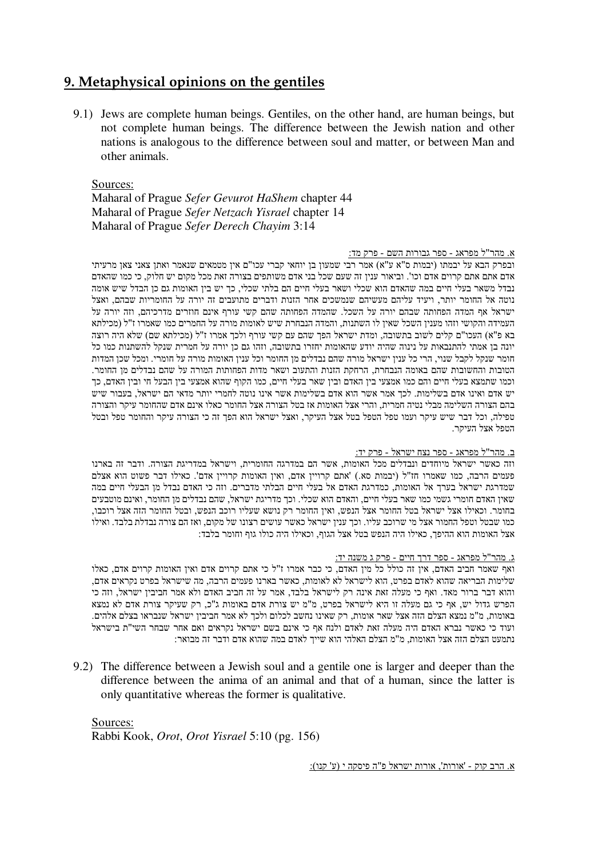# **9. Metaphysical opinions on the gentiles**

9.1) Jews are complete human beings. Gentiles, on the other hand, are human beings, but not complete human beings. The difference between the Jewish nation and other nations is analogous to the difference between soul and matter, or between Man and other animals.

Sources:

Maharal of Prague *Sefer Gevurot HaShem* chapter 44 Maharal of Prague *Sefer Netzach Yisrael* chapter 14 Maharal of Prague *Sefer Derech Chayim* 3:14

# <u>א. מהר"ל מפראג - ספר גבורות השם - פרק מד:</u>

ובפרק הבא על יבמתו (יבמות ס"א ע"א) אמר רבי שמעון בן יוחאי קברי עכו"ם אין מטמאים שנאמר ואתן צאני צאן מרעיתי אדם אתם אתם קרוים אדם וכו'. וביאור ענין זה שעם שכל בני אדם משותפים בצורה זאת מכל מקום יש חלוק, כי כמו שהאדם נבדל משאר בעלי חיים במה שהאדם הוא שכלי ושאר בעלי חיים הם בלתי שכלי. כך יש בין האומות גם כן הבדל שיש אומה נוטה אל החומר יותר. ויעיד עליהם מעשיהם שנמשכים אחר הזנות ודברים מתועבים זה יורה על החומריות שבהם. ואצל ישראל אף המדה הפחותה שבהם יורה על השכל. שהמדה הפחותה שהם קשי עורף אינם חוזרים מדרכיהם, וזה יורה על העמידה והקושי וזהו מענין השכל שאין לו השתנות, והמדה הנבחרת שיש לאומות מורה על החמרים כמו שאמרו ז"ל (מכילתא בא פ"א) העכו"ם קלים לשוב בתשובה, ומדת ישראל הפך שהם עם קשי עורף ולכך אמרו ז"ל (מכילתא שם) שלא היה רוצה יונה בן אמתי להתנבאות על נינוה שהיה יודע שהאומות יחזרו בתשובה, וזהו גם כן יורה על חמרית שנקל להשתנות כמו כל חומר שנקל לקבל שנוי, הרי כל ענין ישראל מורה שהם נבדלים מן החומר וכל ענין האומות מורה על חומרי. ומכל שכן המדות הטובות והחשובות שהם באומה הנבחרת, הרחקת הזנות והתעוב ושאר מדות הפחותות המורה על שהם נבדלים מן החומר. וכמו שתמצא בעלי חיים והם כמו אמצעי בין האדם ובין שאר בעלי חיים, כמו הקוף שהוא אמצעי בין הבעל חי ובין האדם, כך יש אדם ואינו אדם בשלימות. לכך אמר אשר הוא אדם בשלימות אשר אינו נוטה לחמרי יותר מדאי הם ישראל, בעבור שיש בהם הצורה השלימה מבלי נטיה חמרית, והרי אצל האומות אז בטל הצורה אצל החומר כאלו אינם אדם שהחומר עיקר והצורה טפילה, וכל דבר שיש עיקר ועמו טפל הטפל בטל אצל העיקר, ואצל ישראל הוא הפך זה כי הצורה עיקר והחומר טפל ובטל הטפל אצל העיקר.

# <u>ב. מהר"ל מפראג - ספר נצח ישראל - פרק יד:</u>

וזה כאשר ישראל מיוחדים ונבדלים מכל האומות, אשר הם במדרגה החומרית, וישראל במדריגת הצורה. ודבר זה בארנו פעמים הרבה, כמו שאמרו חז"ל (יבמות סא.) 'אתם קרויין אדם, ואין האומות קרויין אדם'. כאילו דבר פשוט הוא אצלם שמדרגת ישראל בערך אל האומות. כמדרגת האדם אל בעלי חיים הבלתי מדברים. וזה כי האדם נבדל מן הבעלי חיים במה שאין האדם חומרי גשמי כמו שאר בעלי חיים, והאדם הוא שכלי. וכך מדריגת ישראל, שהם נבדלים מן החומר, ואינם מוטבעים בחומר. וכאילו אצל ישראל בטל החומר אצל הנפש, ואין החומר רק נושא שעליו רוכב הנפש, ובטל החומר הזה אצל רוכבו, כמו שבטל וטפל החמור אצל מי שרוכב עליו. וכך ענין ישראל כאשר עושים רצונו של מקום, ואז הם צורה נבדלת בלבד. ואילו אצל האומות הוא ההיפך, כאילו היה הנפש בטל אצל הגוף, וכאילו היה כולו גוף וחומר בלבד:

# <u>ג. מהר"ל מפראג - ספר דרך חיים - פרק ג משנה יד:</u>

ואף שאמר חביב האדם, אין זה כולל כל מין האדם, כי כבר אמרו ז"ל כי אתם קרוים אדם ואין האומות קרוים אדם, כאלו שלימות הבריאה שהוא לאדם בפרט, הוא לישראל לא לאומות, כאשר בארנו פעמים הרבה, מה שישראל בפרט נקראים אדם, והוא דבר ברור מאד. ואף כי מעלה זאת אינה רק לישראל בלבד, אמר על זה חביב האדם ולא אמר חביבין ישראל, וזה כי הפרש גדול יש, אף כי גם מעלה זו היא לישראל בפרט, מ"מ יש צורת אדם באומות ג"כ, רק שעיקר צורת אדם לא נמצא באומות, מ"מ נמצא הצלם הזה אצל שאר אומות, רק שאינו נחשב לכלום ולכך לא אמר חביבין ישראל שנבראו בצלם אלהים. ועוד כי כאשר נברא האדם היה מעלה זאת לאדם ולנח אף כי אינם בשם ישראל נקראים ואם אחר שבחר השי"ת בישראל נתמעט הצלם הזה אצל האומות, מ"מ הצלם האלהי הוא שייך לאדם במה שהוא אדם ודבר זה מבואר:

9.2) The difference between a Jewish soul and a gentile one is larger and deeper than the difference between the anima of an animal and that of a human, since the latter is only quantitative whereas the former is qualitative.

Sources:

Rabbi Kook, *Orot*, *Orot Yisrael* 5:10 (pg. 156)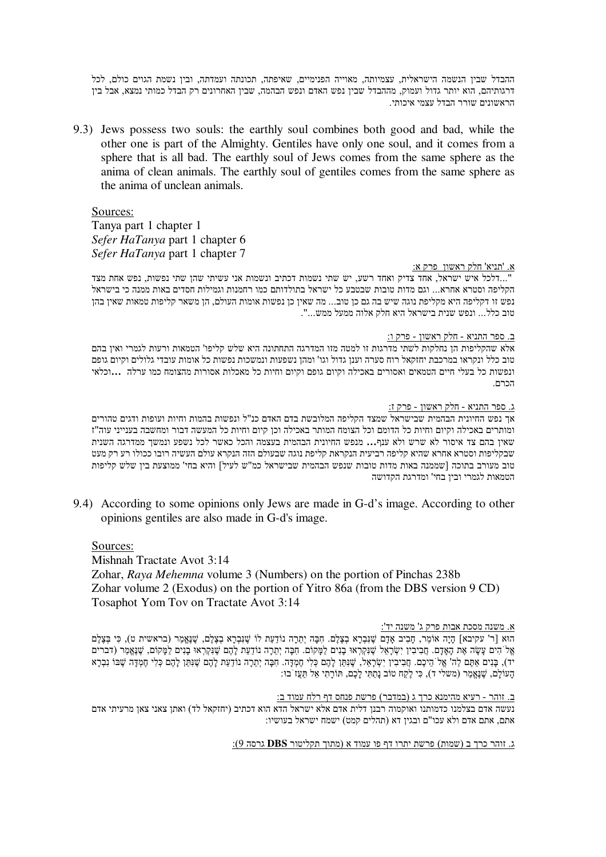ההבדל שבין הנשמה הישראלית, עצמיותה, מאוייה הפנימיים, שאיפתה, תכונתה ועמדתה, ובין נשמת הגוים כולם, לכל דרגותיהם, הוא יותר גדול ועמוק, מההבדל שבין נפש האדם ונפש הבהמה, שבין האחרונים רק הבדל כמותי נמצא, אבל בין הראשונים שורר הבדל עצמי איכותי.

9.3) Jews possess two souls: the earthly soul combines both good and bad, while the other one is part of the Almighty. Gentiles have only one soul, and it comes from a sphere that is all bad. The earthly soul of Jews comes from the same sphere as the anima of clean animals. The earthly soul of gentiles comes from the same sphere as the anima of unclean animals.

# Sources:

Tanya part 1 chapter 1 Sefer HaTanya part 1 chapter 6 Sefer HaTanya part 1 chapter 7

# א. 'תניא' חלק ראשוו פרק א:

"...דלכל איש ישראל, אחד צדיק ואחד רשע, יש שתי נשמות דכתיב ונשמות אני עשיתי שהן שתי נפשות, נפש אחת מצד הקליפה וסטרא אחרא... וגם מדות טובות שבטבע כל ישראל בתולדותם כמו רחמנות וגמילות חסדים באות ממנה כי בישראל נפש זו דקליפה היא מקליפת נוגה שיש בה גם כן טוב... מה שאין כן נפשות אומות העולם, הן משאר קליפות טמאות שאין בהן טוב כלל... ונפש שנית בישראל היא חלק אלוה ממעל ממש...".

ב. ספר התניא - חלק ראשון - פרק ו:

אלא שהקליפות הן נחלקות לשתי מדרגות זו למטה מזו המדרגה התחתונה היא שלש קליפו' הטמאות ורעות לגמרי ואין בהם טוב כלל ונקראו במרכבת יחזקאל רוח סערה וענן גדול וגו' ומהן נשפעות ונמשכות נפשות כל אומות עובדי גלולים וקיום גופם ונפשות כל בעלי חיים הטמאים ואסורים באכילה וקיום גופם וקיום וחיות כל מאכלות אסורות מהצומח כמו ערלה. ...וכלאי הררה

# ג. ספר התניא - חלק ראשון - פרק ז:

אך נפש החיונית הבהמית שבישראל שמצד הקליפה המלובשת בדם האדם כנ"ל ונפשות בהמות וחיות ועופות ודגים טהורים ומותרים באכילה וקיום וחיות כל הדומם וכל הצומח המותר באכילה וכן קיום וחיות כל המעשה דבור ומחשבה בענייני עוה"ז שאיז בהם צד איסור לא שרש ולא ענף... מנפש החיונית הבהמית בעצמה והכל כאשר לכל נשפע ונמשר ממדרגה השנית שבקליפות וסטרא אחרא שהיא קליפה רביעית הנקראת קליפת נוגה שבעולם הזה הנקרא עולם העשיה רובו ככולו רע רק מעט טוב מעורב בתוכה [שממנה באות מדות טובות שנפש הבהמית שבישראל כמ"ש לעיל] והיא בחי' ממוצעת בין שלש קליפות הטמאות לגמרי וביו בחי' ומדרגת הקדושה

9.4) According to some opinions only Jews are made in G-d's image. According to other opinions gentiles are also made in G-d's image.

# Sources:

Mishnah Tractate Avot 3:14

Zohar, Raya Mehemna volume 3 (Numbers) on the portion of Pinchas 238b Zohar volume 2 (Exodus) on the portion of Yitro 86a (from the DBS version 9 CD) Tosaphot Yom Tov on Tractate Avot 3:14

# <u>א. משנה מסכת אבות פרק ג' משנה יד':</u>

הוא [ר' עקיבא] הֵיָה אוֹמֵר, חָבִיב אֲדָם שֶׁנִּבְרָא בְצָלֶם. חִבָּה יְתַרָה נוֹדָעַת לוֹ שֶׁנַבְרָא בְצָלֶם, שֶׁנָּאֱמַר (בראשית ט), כִּי בְּצָלֶם אֱל הִים עָשֶׂה אֶת הָאֶדָם. חֲבִיבִין יִשְׂרָאֵל שֶׁנִּקְרְאוּ בָנִים לַמָּקוֹם. חִבָּה יְתֵרָה נוֹדַעַת לָהֶם שֶׁנִקְרְאוּ בָנִים לַמָּקוֹם, שֶׁנָאֱמַר (דברים יד), בְּנִים אַתֶּם לַה' אֱל הֵיכֶם. חֲבִיבִין יִשְׂרָאֵל, שֶׁנִּתַּן לָהֶם כְּלִי חָמְדָּה. חִבְּה יְתֵרָה נוֹדַעַת לָהֶם שֶׁנִּתַּן לָהֶם כְּלִי חֶמְדָּה שֶׁבּוֹ נִבְרָא הַעוֹלֵם, שֶׁנֵאֱמַר (משלי ד), כִּי לֵקֵח טוֹב נַתֲתִּי לַכֶם, תּוֹרָתִי אַל תַּעֲז בוּ:

### ב. זוהר - רעיא מהימנא כרך ג (במדבר) פרשת פנחס דף רלח עמוד ב:

נעשה אדם בצלמנו כדמותנו ואוקמוה רבנן דלית אדם אלא ישראל הדא הוא דכתיב (יחזקאל לד) ואתן צאני צאן מרעיתי אדם אתם. אתם אדם ולא עכו"ם ובגיו דא (תהלים קמט) ישמח ישראל בעושיו:

ו. זוהר כרך ב (שמות) פרשת יתרו דף פו עמוד א (מתוך תקליטור DBS גרסה 9):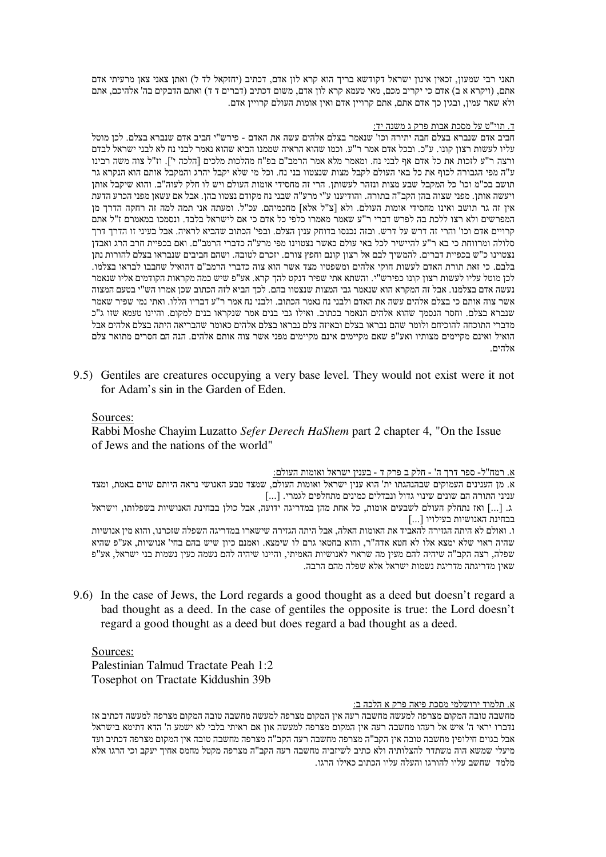תאני רבי שמעון, זכאין אינון ישראל דקודשא בריך הוא קרא לון אדם, דכתיב (יחזקאל לד ל) ואתן צאני צאן מרעיתי אדם אתם, (ויקרא א ב) אדם כי יקריב מכם, מאי טעמא קרא לון אדם, משום דכתיב (דברים ד ד) ואתם הדבקים בה' אלהיכם, אתם ולא שאר עמין, ובגין כך אדם אתם, אתם קרויין אדם ואין אומות העולם קרויין אדם.

# <u>ד. תוי"ט על מסכת אבות פרק ג משנה יד:</u>

חביב אדם שנברא בצלם חבה יתירה וכו' שנאמר בצלם אלהים עשה את האדם - פירש"י חביב אדם שנברא בצלם. לכן מוטל עליו לעשות רצון קונו. ע"כ. ובכל אדם אמר ר"ע. וכמו שהוא הראיה שממנו הביא שהוא נאמר לבני נח לא לבני ישראל לבדם ורצה ר"ע לזכות את כל אדם אף לבני נח. ומאמר מלא אמר הרמב"ם בפ"ח מהלכות מלכים [הלכה י']. וז"ל צוה משה רבינו ע"ה מפי הגבורה לכוף את כל באי העולם לקבל מצות שנצטוו בני נח. וכל מי שלא יקבל יהרג והמקבל אותם הוא הנקרא גר תושב בכ"מ וכו' כל המקבל שבע מצות ונזהר לעשותן. הרי זה מחסידי אומות העולם ויש לו חלק לעוה"ב. והוא שיקבל אותן ויעשה אותן. מפני שצוה בהן הקב"ה בתורה. והודיענו ע"י מרע"ה שבני נח מקודם נצטוו בהן. אבל אם עשאן מפני הכרע הדעת אין זה גר תושב ואינו מחסידי אומות העולם. ולא [צ"ל אלא] מחכמיהם. עכ"ל. ומעתה אני תמה למה זה רחקה הדרך מן המפרשים ולא רצו ללכת בה לפרש דברי ר"ע שאמר מאמרו כלפי כל אדם כי אם לישראל בלבד. ונסמכו במאמרם ז"ל אתם קרויים אדם וכו' והרי זה דרש על דרש. ובזה נכנסו בדוחק ענין הצלם. ובפי' הכתוב שהביא לראיה. אבל בעיני זו הדרך דרך סלולה ומרווחת כי בא ר"ע להיישיר לכל באי עולם כאשר נצטוינו מפי מרע"ה כדברי הרמב"ם. ואם בכפיית חרב הרג ואבדן נצטוינו כ"ש בכפיית דברים. להמשיך לבם אל רצון קונם וחפץ צורם. יזכרם לטובה. ושהם חביבים שנבראו בצלם להורות נתן בלבם. כי זאת תורת האדם לעשות חוקי אלהים ומשפטיו מצד אשר הוא צוה כדברי הרמב"ם דהואיל שחבבו לבראו בצלמו. לכן מוטל עליו לעשות רצון קונו כפירש"י. והשתא אתי שפיר דנקט להך קרא. אע"פ שיש כמה מקראות הקודמים אליו שנאמר נעשה אדם בצלמנו. אבל זה המקרא הוא שנאמר גבי המצות שנצטוו בהם. לכך הביא לזה הכתוב שכן אמרו הש"י בטעם המצוה אשר צוה אותם כי בצלם אלהים עשה את האדם ולבני נח נאמר הכתוב. ולבני נח אמר ר"ע דבריו הללו. ואתי נמי שפיר שאמר שנברא בצלם. וחסר הנסמך שהוא אלהים הנאמר בכתוב. ואילו גבי בנים אמר שנקראו בנים למקום. והיינו טעמא שזו ג"כ מדברי התוכחה להוכיחם ולומר שהם נבראו בצלם ובאיזה צלם נבראו בצלם אלהים כאומר שהבריאה היתה בצלם אלהים אבל הואיל ואינם מקיימים מצותיו ואע"פ שאם מקיימים אינם מקיימים מפני אשר צוה אותם אלהים. הנה הם חסרים מתואר צלם אלהים

9.<) Gentiles are creatures occupying a very base level. They would not exist were it not for Adam's sin in the Garden of Eden.

# Sources:

# Rabbi Moshe Chayim Luzatto *Sefer Derech HaShem* part 2 chapter 4, "On the Issue of Jews and the nations of the world"

<u>א. רמח"ל- ספר דרך ה' - חלק ב פרק ד - בענין ישראל ואומות העולם:</u>

א. מן הענינים העמוקים שבהנהגתו ית' הוא ענין ישראל ואומות העולם, שמצד טבע האנושי נראה היותם שוים באמת, ומצד עניני התורה הם שונים שינוי גדול ונבדלים כמינים מתחלפים לגמרי. [...]

ג. [...] ואז נתחלק העולם לשבעים אומות, כל אחת מהן במדריגה ידועה, אבל כולן בבחינת האנושיות בשפלותו, וישראל בבחינת האנושיות בעילויו [...]

ו. ואולם לא היתה הגזירה להאביד את האומות האלה, אבל היתה הגזירה שישארו במדריגה השפלה שזכרנו, והוא מין אנושיות שהיה ראוי שלא ימצא אלו לא חטא אדה"ר, והוא בחטאו גרם לו שימצא. ואמנם כיון שיש בהם בחי' אנושיות, אע"פ שהיא שפלה, רצה הקב"ה שיהיה להם מעין מה שראוי לאנושיות האמיתי, והיינו שיהיה להם נשמה כעין נשמות בני ישראל, אע"פ שאין מדריגתה מדריגת נשמות ישראל אלא שפלה מהם הרבה.

9.6) In the case of Jews, the Lord regards a good thought as a deed but doesn't regard a bad thought as a deed. In the case of gentiles the opposite is true: the Lord doesn't regard a good thought as a deed but does regard a bad thought as a deed.

# Sources: Palestinian Talmud Tractate Peah 1:2 Tosephot on Tractate Kiddushin 39b

# <u>א. תלמוד ירושלמי מסכת פיאה פרק א הלכה ב:</u>

מחשבה טובה המקום מצרפה למעשה מחשבה רעה אין המקום מצרפה למעשה מחשבה טובה המקום מצרפה למעשה דכתיב אז נדברו יראי ה' איש אל רעהו מחשבה רעה אין המקום מצרפה למעשה און אם ראיתי בלבי לא ישמע ה' הדא דתימא בישראל אבל בגוים חילופין מחשבה טובה אין הקב"ה מצרפה מחשבה רעה הקב"ה מצרפה מחשבה טובה אין המקום מצרפה דכתיב ועד מיעלי שמשא הוה משתדר להצלותיה ולא כתיב לשיזביה מחשבה רעה הקב"ה מצרפה מקטל מחמס אחיך יעקב וכי הרגו אלא מלמד שחשב עליו להורגו והעלה עליו הכתוב כאילו הרגו.